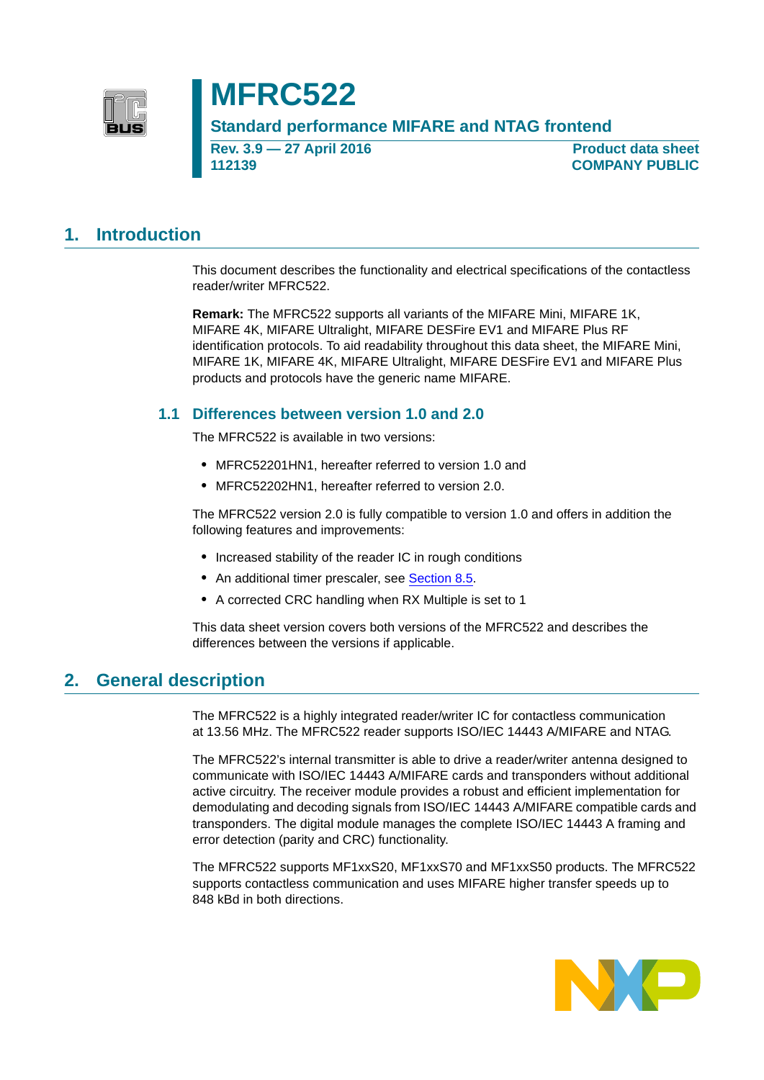

## **MFRC522**

**Standard performance MIFARE and NTAG frontend**

**Rev. 3.9 — 27 April 2016 112139**

**Product data sheet COMPANY PUBLIC**

### **1. Introduction**

This document describes the functionality and electrical specifications of the contactless reader/writer MFRC522.

**Remark:** The MFRC522 supports all variants of the MIFARE Mini, MIFARE 1K, MIFARE 4K, MIFARE Ultralight, MIFARE DESFire EV1 and MIFARE Plus RF identification protocols. To aid readability throughout this data sheet, the MIFARE Mini, MIFARE 1K, MIFARE 4K, MIFARE Ultralight, MIFARE DESFire EV1 and MIFARE Plus products and protocols have the generic name MIFARE.

### **1.1 Differences between version 1.0 and 2.0**

The MFRC522 is available in two versions:

- **•** MFRC52201HN1, hereafter referred to version 1.0 and
- **•** MFRC52202HN1, hereafter referred to version 2.0.

The MFRC522 version 2.0 is fully compatible to version 1.0 and offers in addition the following features and improvements:

- **•** Increased stability of the reader IC in rough conditions
- An additional timer prescaler, see [Section 8.5.](#page-30-0)
- **•** A corrected CRC handling when RX Multiple is set to 1

This data sheet version covers both versions of the MFRC522 and describes the differences between the versions if applicable.

### **2. General description**

The MFRC522 is a highly integrated reader/writer IC for contactless communication at 13.56 MHz. The MFRC522 reader supports ISO/IEC 14443 A/MIFARE and NTAG.

The MFRC522's internal transmitter is able to drive a reader/writer antenna designed to communicate with ISO/IEC 14443 A/MIFARE cards and transponders without additional active circuitry. The receiver module provides a robust and efficient implementation for demodulating and decoding signals from ISO/IEC 14443 A/MIFARE compatible cards and transponders. The digital module manages the complete ISO/IEC 14443 A framing and error detection (parity and CRC) functionality.

The MFRC522 supports MF1xxS20, MF1xxS70 and MF1xxS50 products. The MFRC522 supports contactless communication and uses MIFARE higher transfer speeds up to 848 kBd in both directions.

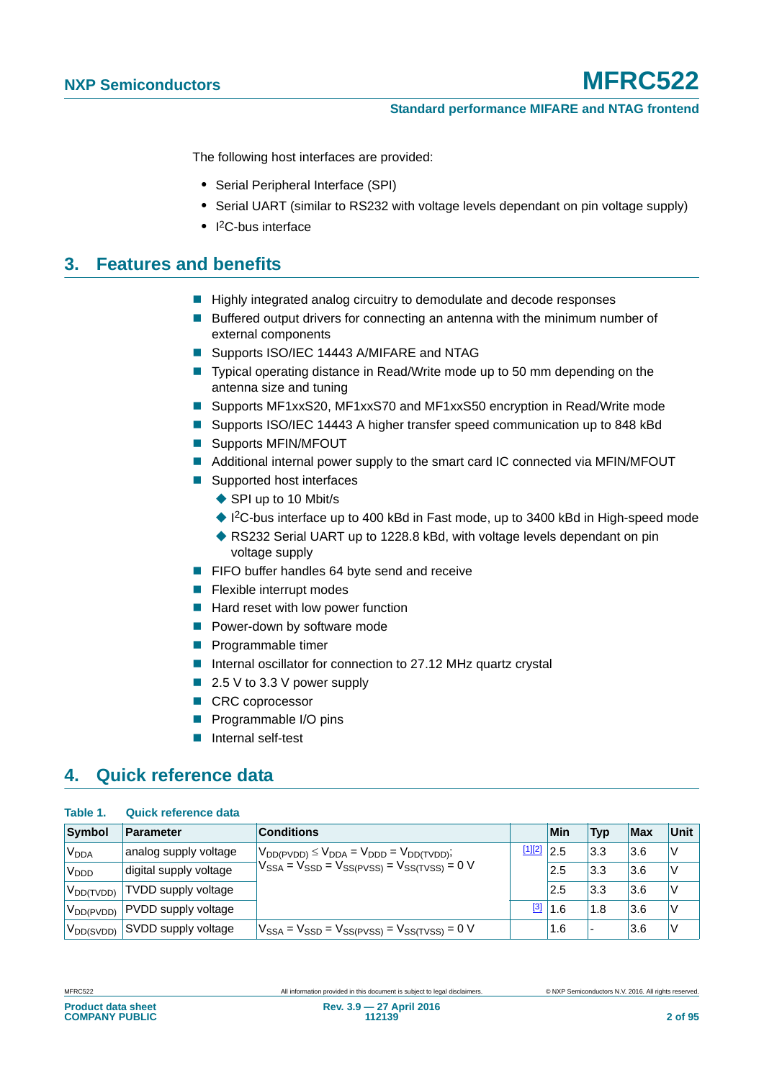#### **Standard performance MIFARE and NTAG frontend**

The following host interfaces are provided:

- **•** Serial Peripheral Interface (SPI)
- **•** Serial UART (similar to RS232 with voltage levels dependant on pin voltage supply)
- **•** I 2C-bus interface

### **3. Features and benefits**

- Highly integrated analog circuitry to demodulate and decode responses
- Buffered output drivers for connecting an antenna with the minimum number of external components
- Supports ISO/IEC 14443 A/MIFARE and NTAG
- Typical operating distance in Read/Write mode up to 50 mm depending on the antenna size and tuning
- Supports MF1xxS20, MF1xxS70 and MF1xxS50 encryption in Read/Write mode
- Supports ISO/IEC 14443 A higher transfer speed communication up to 848 kBd
- **Supports MFIN/MFOUT**
- **Additional internal power supply to the smart card IC connected via MFIN/MFOUT**
- Supported host interfaces
	- ◆ SPI up to 10 Mbit/s
	- ◆ I<sup>2</sup>C-bus interface up to 400 kBd in Fast mode, up to 3400 kBd in High-speed mode
	- ◆ RS232 Serial UART up to 1228.8 kBd, with voltage levels dependant on pin voltage supply
- **FIFO buffer handles 64 byte send and receive**
- **Flexible interrupt modes**
- $\blacksquare$  Hard reset with low power function
- **Power-down by software mode**
- **Programmable timer**
- Internal oscillator for connection to 27.12 MHz quartz crystal
- $\blacksquare$  2.5 V to 3.3 V power supply
- CRC coprocessor
- **Programmable I/O pins**
- **Internal self-test**

## **4. Quick reference data**

| Table 1.               | Quick reference data       |                                                         |            |     |                          |            |             |
|------------------------|----------------------------|---------------------------------------------------------|------------|-----|--------------------------|------------|-------------|
| Symbol                 | Parameter                  | <b>Conditions</b>                                       |            | Min | <b>Typ</b>               | <b>Max</b> | <b>Unit</b> |
| <b>V<sub>DDA</sub></b> | analog supply voltage      | $V_{DD(PVDD)} \leq V_{DDA} = V_{DDD} = V_{DD(TVDD)}$ ;  | [1][2]     | 2.5 | 3.3                      | 3.6        | V           |
| V <sub>DDD</sub>       | digital supply voltage     | $V_{SSA} = V_{SSD} = V_{SS(PVSS)} = V_{SS(TVSS)} = 0$ V |            | 2.5 | 3.3                      | 3.6        | V           |
| $V_{DD(TVDD)}$         | <b>TVDD</b> supply voltage |                                                         |            | 2.5 | 3.3                      | 3.6        | V           |
| V <sub>DD(PVDD)</sub>  | PVDD supply voltage        |                                                         | <u>[3]</u> | 1.6 | 1.8                      | 3.6        | V           |
| V <sub>DD(SVDD)</sub>  | SVDD supply voltage        | $V_{SSA} = V_{SSD} = V_{SS(PVSS)} = V_{SS(TVSS)} = 0$ V |            | 1.6 | $\overline{\phantom{0}}$ | 3.6        | V           |

**Product data sheet COMPANY PUBLIC**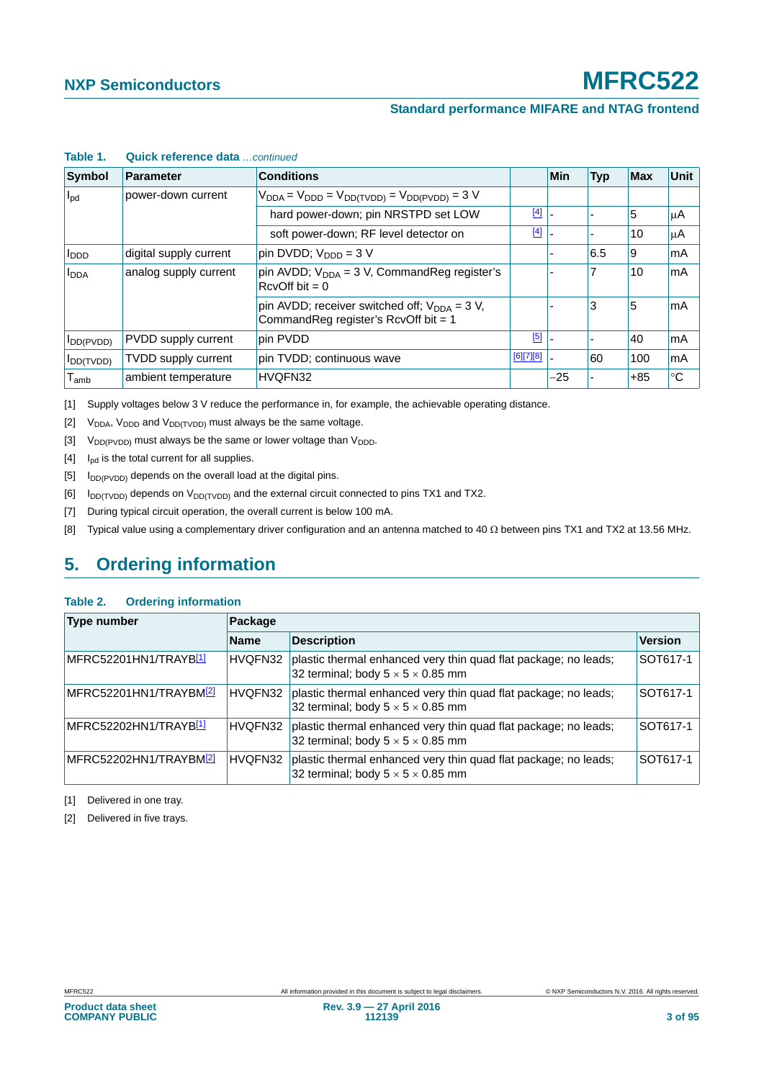#### **Standard performance MIFARE and NTAG frontend**

| Symbol                                           | Parameter                  | <b>Conditions</b>                                                                                   |           | Min   | <b>Typ</b> | <b>Max</b> | <b>Unit</b> |
|--------------------------------------------------|----------------------------|-----------------------------------------------------------------------------------------------------|-----------|-------|------------|------------|-------------|
| $I_{\text{pd}}$                                  | power-down current         | $V_{DDA} = V_{DDD} = V_{DD(TVDD)} = V_{DD(PVDD)} = 3 V$                                             |           |       |            |            |             |
|                                                  |                            | hard power-down; pin NRSTPD set LOW                                                                 | $[4]$     |       |            | 5          | μA          |
|                                                  |                            | soft power-down; RF level detector on                                                               | $[4]$     |       |            | 10         | μA          |
| <b>I</b> <sub>DDD</sub>                          | digital supply current     | $\pi$ pin DVDD; V <sub>DDD</sub> = 3 V                                                              |           |       | 6.5        | 9          | mA          |
| analog supply current<br><b>I</b> <sub>DDA</sub> |                            | pin AVDD; $V_{DDA} = 3 V$ , CommandReg register's<br>$RcvOff bit = 0$                               |           |       |            | 10         | mA          |
|                                                  |                            | pin AVDD; receiver switched off; $V_{\text{DDA}} = 3$ V,<br>Command Reg register's RcvOff bit = $1$ |           |       | 3          | 5          | mA          |
| $I_{DD(PVDD)}$                                   | PVDD supply current        | pin PVDD                                                                                            | [5]       |       |            | 40         | mA          |
| <b>I</b> DD(TVDD)                                | <b>TVDD supply current</b> | pin TVDD; continuous wave                                                                           | [6][7][8] |       | 60         | 100        | mA          |
| $\mathsf{T}_{\mathsf{amb}}$                      | ambient temperature        | HVQFN32                                                                                             |           | $-25$ |            | $+85$      | $^{\circ}C$ |

#### **Table 1. Quick reference data** *…continued*

[1] Supply voltages below 3 V reduce the performance in, for example, the achievable operating distance.

- [2]  $V_{DDA}$ ,  $V_{DDD}$  and  $V_{DD(TVDD)}$  must always be the same voltage.
- [3]  $V_{DD(PVDD)}$  must always be the same or lower voltage than  $V_{DDD}$ .
- <span id="page-2-0"></span> $[4]$  I<sub>pd</sub> is the total current for all supplies.
- <span id="page-2-1"></span> $[5]$  I<sub>DD(PVDD)</sub> depends on the overall load at the digital pins.
- $[6]$  I<sub>DD(TVDD)</sub> depends on V<sub>DD(TVDD)</sub> and the external circuit connected to pins TX1 and TX2.
- [7] During typical circuit operation, the overall current is below 100 mA.
- <span id="page-2-2"></span>[8] Typical value using a complementary driver configuration and an antenna matched to 40  $\Omega$  between pins TX1 and TX2 at 13.56 MHz.

## **5. Ordering information**

#### **Table 2. Ordering information**

| <b>Type number</b>                 | Package     |                                                                                                                  |                |  |  |  |  |
|------------------------------------|-------------|------------------------------------------------------------------------------------------------------------------|----------------|--|--|--|--|
|                                    | <b>Name</b> | <b>Description</b>                                                                                               | <b>Version</b> |  |  |  |  |
| MFRC52201HN1/TRAYB <mark>11</mark> | HVQFN32     | plastic thermal enhanced very thin quad flat package; no leads;<br>32 terminal; body $5 \times 5 \times 0.85$ mm | SOT617-1       |  |  |  |  |
| MFRC52201HN1/TRAYBM2               | HVQFN32     | plastic thermal enhanced very thin quad flat package; no leads;<br>32 terminal; body $5 \times 5 \times 0.85$ mm | SOT617-1       |  |  |  |  |
| MFRC52202HN1/TRAYB <mark>11</mark> | HVQFN32     | plastic thermal enhanced very thin quad flat package; no leads;<br>32 terminal; body $5 \times 5 \times 0.85$ mm | SOT617-1       |  |  |  |  |
| MFRC52202HN1/TRAYBM2               | HVQFN32     | plastic thermal enhanced very thin quad flat package; no leads;<br>32 terminal; body $5 \times 5 \times 0.85$ mm | SOT617-1       |  |  |  |  |

<span id="page-2-3"></span>[1] Delivered in one tray.

<span id="page-2-4"></span>[2] Delivered in five trays.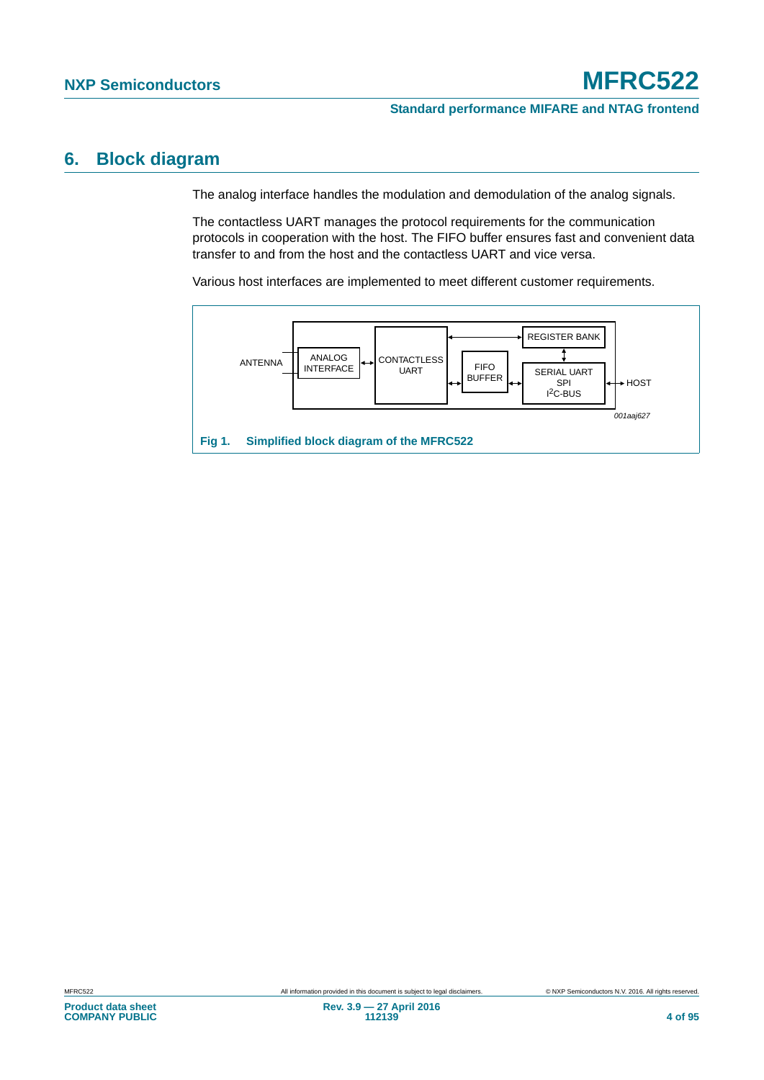### **6. Block diagram**

The analog interface handles the modulation and demodulation of the analog signals.

The contactless UART manages the protocol requirements for the communication protocols in cooperation with the host. The FIFO buffer ensures fast and convenient data transfer to and from the host and the contactless UART and vice versa.

Various host interfaces are implemented to meet different customer requirements.

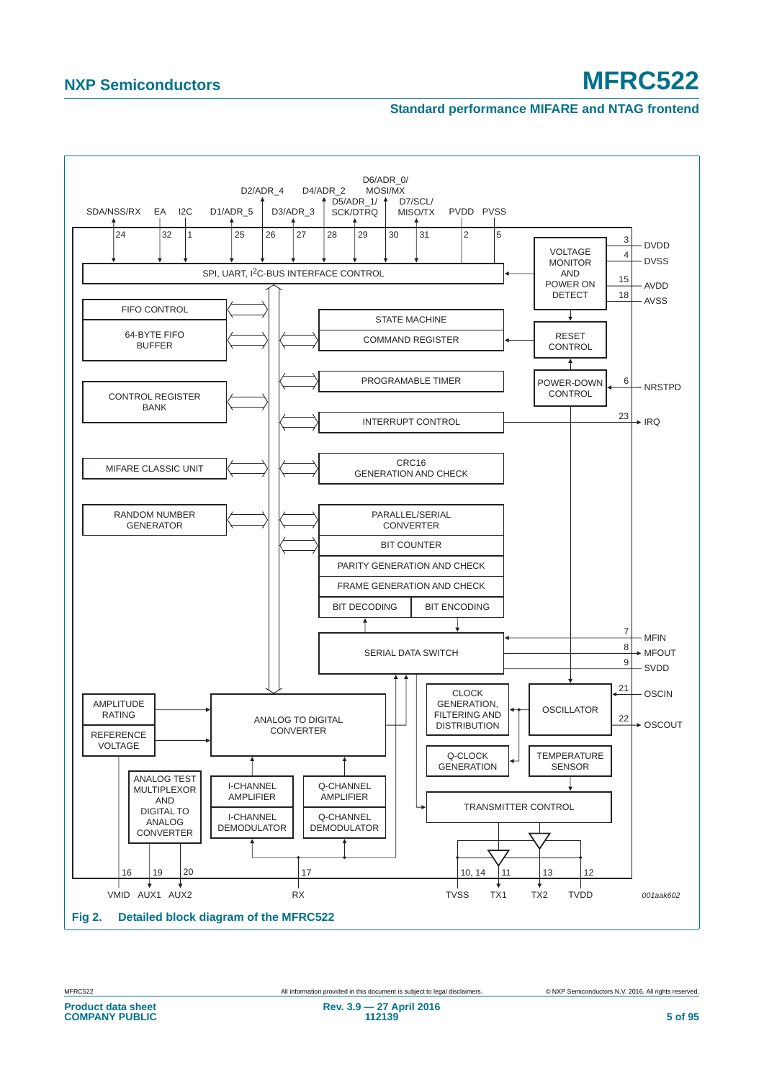#### **Standard performance MIFARE and NTAG frontend**



**Rev. 3.9 — 27 April 2016**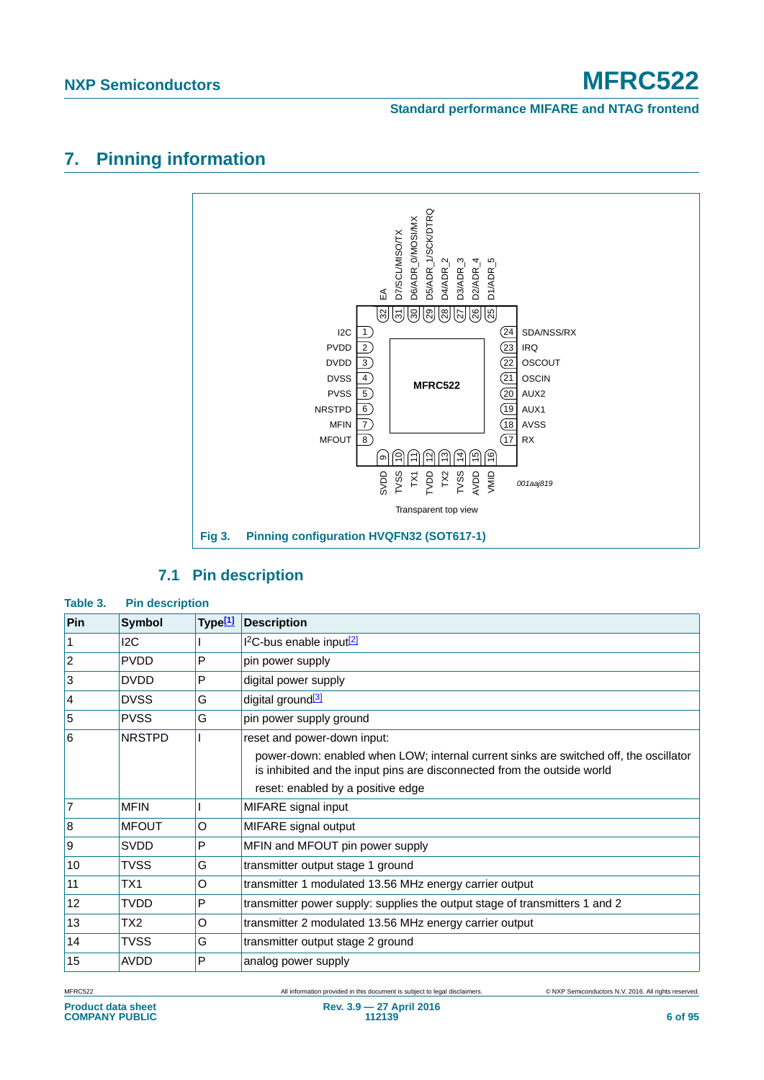#### **Standard performance MIFARE and NTAG frontend**

## **7. Pinning information**



### **7.1 Pin description**

#### **Table 3. Pin description**

| Pin             | <b>Symbol</b> | Type <sup>[1]</sup> | <b>Description</b>                                                                                                                                               |
|-----------------|---------------|---------------------|------------------------------------------------------------------------------------------------------------------------------------------------------------------|
| 1               | 12C           |                     | <sup>2</sup> C-bus enable input <sup>[2]</sup>                                                                                                                   |
| $\overline{2}$  | <b>PVDD</b>   | P                   | pin power supply                                                                                                                                                 |
| 3               | <b>DVDD</b>   | P                   | digital power supply                                                                                                                                             |
| $\vert 4 \vert$ | <b>DVSS</b>   | G                   | digital ground <sup>[3]</sup>                                                                                                                                    |
| 5               | <b>PVSS</b>   | G                   | pin power supply ground                                                                                                                                          |
| 6               | <b>NRSTPD</b> |                     | reset and power-down input:                                                                                                                                      |
|                 |               |                     | power-down: enabled when LOW; internal current sinks are switched off, the oscillator<br>is inhibited and the input pins are disconnected from the outside world |
|                 |               |                     | reset: enabled by a positive edge                                                                                                                                |
| $\overline{7}$  | <b>MFIN</b>   |                     | MIFARE signal input                                                                                                                                              |
| $\overline{8}$  | <b>MFOUT</b>  | O                   | MIFARE signal output                                                                                                                                             |
| 9               | SVDD          | P                   | MFIN and MFOUT pin power supply                                                                                                                                  |
| 10              | TVSS          | G                   | transmitter output stage 1 ground                                                                                                                                |
| 11              | TX1           | O                   | transmitter 1 modulated 13.56 MHz energy carrier output                                                                                                          |
| 12              | TVDD          | P                   | transmitter power supply: supplies the output stage of transmitters 1 and 2                                                                                      |
| 13              | TX2           | O                   | transmitter 2 modulated 13.56 MHz energy carrier output                                                                                                          |
| 14              | TVSS          | G                   | transmitter output stage 2 ground                                                                                                                                |
| 15              | <b>AVDD</b>   | P                   | analog power supply                                                                                                                                              |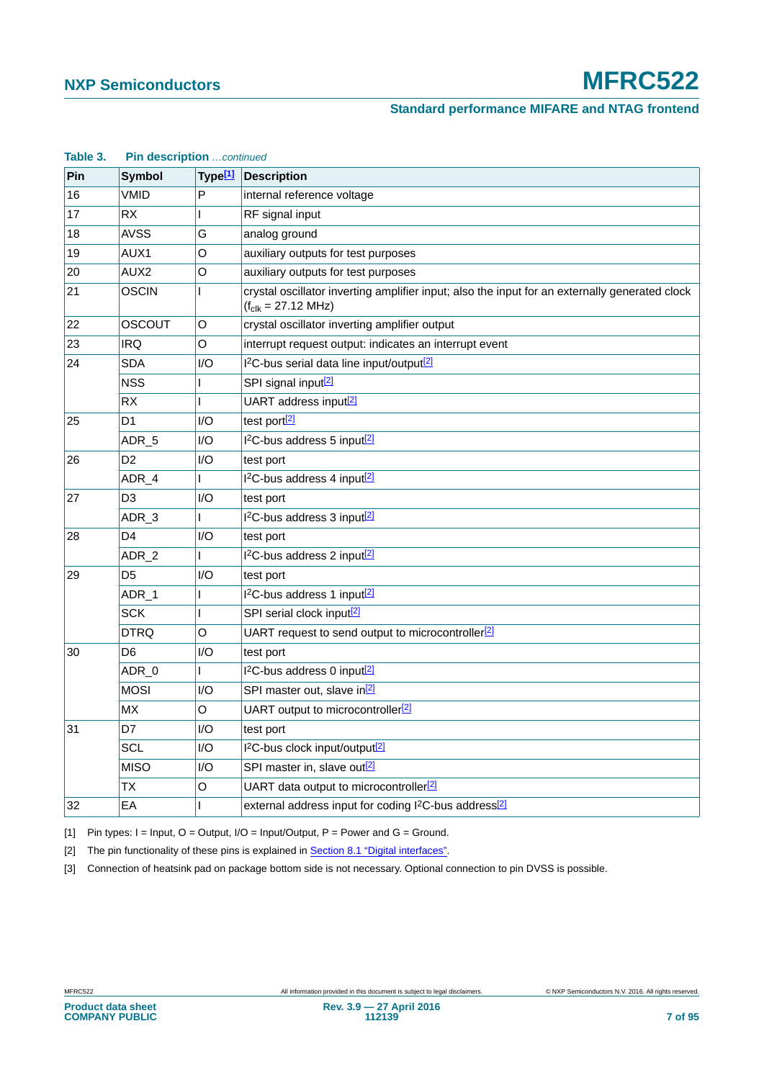#### **Standard performance MIFARE and NTAG frontend**

| raple 3. | <b>PIN GESCRIPTION</b> CONTINUED |                     |                                                                                                                                   |
|----------|----------------------------------|---------------------|-----------------------------------------------------------------------------------------------------------------------------------|
| Pin      | <b>Symbol</b>                    | Type <sup>[1]</sup> | <b>Description</b>                                                                                                                |
| 16       | <b>VMID</b>                      | P                   | internal reference voltage                                                                                                        |
| 17       | <b>RX</b>                        |                     | RF signal input                                                                                                                   |
| 18       | <b>AVSS</b>                      | G                   | analog ground                                                                                                                     |
| 19       | AUX1                             | O                   | auxiliary outputs for test purposes                                                                                               |
| 20       | AUX2                             | O                   | auxiliary outputs for test purposes                                                                                               |
| 21       | <b>OSCIN</b>                     | L                   | crystal oscillator inverting amplifier input; also the input for an externally generated clock<br>$(f_{clk} = 27.12 \text{ MHz})$ |
| 22       | OSCOUT                           | O                   | crystal oscillator inverting amplifier output                                                                                     |
| 23       | IRQ                              | O                   | interrupt request output: indicates an interrupt event                                                                            |
| 24       | SDA                              | I/O                 | I <sup>2</sup> C-bus serial data line input/output <sup>[2]</sup>                                                                 |
|          | <b>NSS</b>                       |                     | SPI signal input <sup>[2]</sup>                                                                                                   |
|          | <b>RX</b>                        | L                   | UART address input <sup>[2]</sup>                                                                                                 |
| 25       | D1                               | I/O                 | test port[2]                                                                                                                      |
|          | ADR_5                            | I/O                 | I <sup>2</sup> C-bus address 5 input <sup>[2]</sup>                                                                               |
| 26       | D <sub>2</sub>                   | I/O                 | test port                                                                                                                         |
|          | ADR_4                            | L                   | I <sup>2</sup> C-bus address 4 input <sup>[2]</sup>                                                                               |
| 27       | D <sub>3</sub>                   | I/O                 | test port                                                                                                                         |
|          | ADR_3                            |                     | I <sup>2</sup> C-bus address 3 input <sup>[2]</sup>                                                                               |
| 28       | D4                               | 1/O                 | test port                                                                                                                         |
|          | ADR <sub>2</sub>                 | L                   | I <sup>2</sup> C-bus address 2 input <sup>[2]</sup>                                                                               |
| 29       | D <sub>5</sub>                   | 1/O                 | test port                                                                                                                         |
|          | ADR_1                            | L                   | I <sup>2</sup> C-bus address 1 input <sup>[2]</sup>                                                                               |
|          | <b>SCK</b>                       | L                   | SPI serial clock input <sup>[2]</sup>                                                                                             |
|          | DTRQ                             | O                   | UART request to send output to microcontroller <sup>[2]</sup>                                                                     |
| 30       | D6                               | I/O                 | test port                                                                                                                         |
|          | ADR_0                            | L                   | 1 <sup>2</sup> C-bus address 0 input <sup>[2]</sup>                                                                               |
|          | MOSI                             | I/O                 | SPI master out, slave in <sup>[2]</sup>                                                                                           |
|          | <b>MX</b>                        | $\mathsf O$         | UART output to microcontroller <sup>[2]</sup>                                                                                     |
| 31       | D7                               | I/O                 | test port                                                                                                                         |
|          | SCL                              | I/O                 | I <sup>2</sup> C-bus clock input/output <sup>[2]</sup>                                                                            |
|          | <b>MISO</b>                      | 1/O                 | SPI master in, slave out <sup>[2]</sup>                                                                                           |
|          | ТX                               | O                   | UART data output to microcontroller <sup>[2]</sup>                                                                                |
| 32       | EA                               | L                   | external address input for coding I <sup>2</sup> C-bus address <sup>[2]</sup>                                                     |

## **Table 3. Pin description** *…continued*

<span id="page-6-0"></span>[1] Pin types:  $I = Input$ ,  $O = Output$ ,  $I/O = Input/Output$ ,  $P = Power$  and  $G = Ground$ .

<span id="page-6-1"></span>[2] The pin functionality of these pins is explained in [Section 8.1 "Digital interfaces"](#page-8-0).

<span id="page-6-2"></span>[3] Connection of heatsink pad on package bottom side is not necessary. Optional connection to pin DVSS is possible.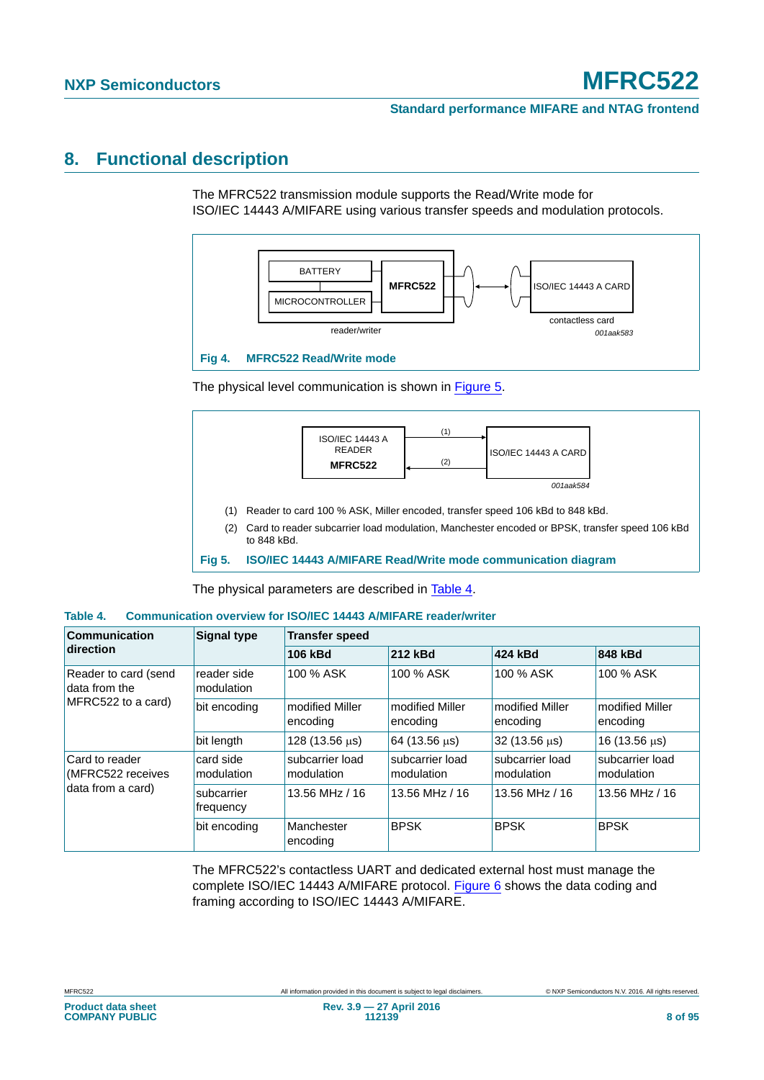#### **Standard performance MIFARE and NTAG frontend**

## **8. Functional description**

The MFRC522 transmission module supports the Read/Write mode for ISO/IEC 14443 A/MIFARE using various transfer speeds and modulation protocols.



The physical level communication is shown in [Figure 5](#page-7-0).



<span id="page-7-0"></span>**Fig 5. ISO/IEC 14443 A/MIFARE Read/Write mode communication diagram**

The physical parameters are described in [Table 4](#page-7-1).

#### <span id="page-7-1"></span>**Table 4. Communication overview for ISO/IEC 14443 A/MIFARE reader/writer**

| <b>Communication</b>                                        | <b>Signal type</b>        | <b>Transfer speed</b>         |                               |                               |                               |  |
|-------------------------------------------------------------|---------------------------|-------------------------------|-------------------------------|-------------------------------|-------------------------------|--|
| direction                                                   |                           | 212 kBd<br>106 kBd            |                               | 424 kBd                       | 848 kBd                       |  |
| Reader to card (send<br>data from the<br>MFRC522 to a card) | reader side<br>modulation | 100 % ASK                     | 100 % ASK                     | 100 % ASK                     | 100 % ASK                     |  |
|                                                             | bit encoding              | modified Miller<br>encoding   | modified Miller<br>encoding   | modified Miller<br>encoding   | modified Miller<br>encoding   |  |
|                                                             | bit length                | 128 (13.56 µs)                | 64 (13.56 us)                 | 32 (13.56 us)                 | 16 (13.56 $\mu$ s)            |  |
| Card to reader<br>(MFRC522 receives                         | card side<br>modulation   | subcarrier load<br>modulation | subcarrier load<br>modulation | subcarrier load<br>modulation | subcarrier load<br>modulation |  |
| data from a card)                                           | subcarrier<br>frequency   | 13.56 MHz / 16                | 13.56 MHz / 16                | 13.56 MHz / 16                | 13.56 MHz / 16                |  |
|                                                             | bit encoding              | Manchester<br>encoding        | <b>BPSK</b>                   | <b>BPSK</b>                   | <b>BPSK</b>                   |  |

The MFRC522's contactless UART and dedicated external host must manage the complete ISO/IEC 14443 A/MIFARE protocol. [Figure 6](#page-8-1) shows the data coding and framing according to ISO/IEC 14443 A/MIFARE.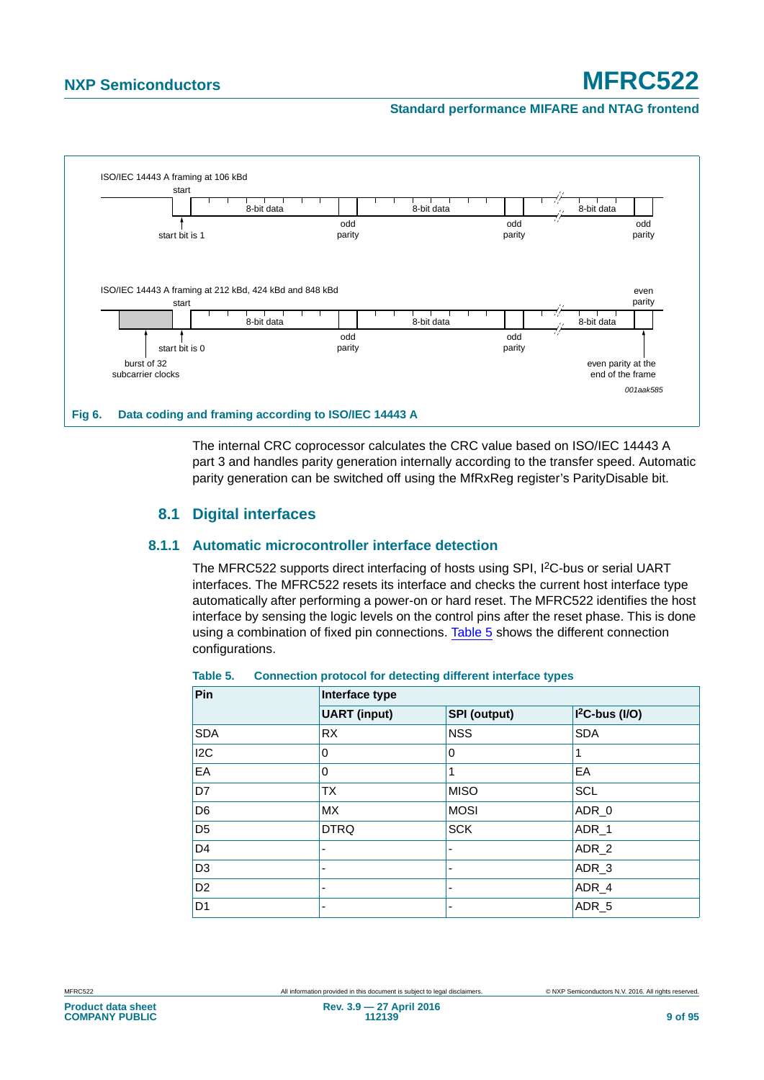#### **Standard performance MIFARE and NTAG frontend**



<span id="page-8-1"></span>The internal CRC coprocessor calculates the CRC value based on ISO/IEC 14443 A part 3 and handles parity generation internally according to the transfer speed. Automatic parity generation can be switched off using the MfRxReg register's ParityDisable bit.

### **8.1 Digital interfaces**

#### <span id="page-8-0"></span>**8.1.1 Automatic microcontroller interface detection**

The MFRC522 supports direct interfacing of hosts using SPI, I<sup>2</sup>C-bus or serial UART interfaces. The MFRC522 resets its interface and checks the current host interface type automatically after performing a power-on or hard reset. The MFRC522 identifies the host interface by sensing the logic levels on the control pins after the reset phase. This is done using a combination of fixed pin connections. [Table 5](#page-8-2) shows the different connection configurations.

| Pin              | Interface type           |                          |                  |  |  |  |  |  |
|------------------|--------------------------|--------------------------|------------------|--|--|--|--|--|
|                  | <b>UART</b> (input)      | <b>SPI</b> (output)      | $I2C-bus (I/O)$  |  |  |  |  |  |
| <b>SDA</b>       | <b>RX</b>                | <b>NSS</b>               | <b>SDA</b>       |  |  |  |  |  |
| I <sub>2</sub> C | 0                        | 0                        |                  |  |  |  |  |  |
| EA               | 0                        | 1                        | EA               |  |  |  |  |  |
| D7               | <b>TX</b>                | <b>MISO</b>              | <b>SCL</b>       |  |  |  |  |  |
| D <sub>6</sub>   | <b>MX</b>                | <b>MOSI</b>              | ADR_0            |  |  |  |  |  |
| D <sub>5</sub>   | <b>DTRQ</b>              | <b>SCK</b>               | ADR_1            |  |  |  |  |  |
| D <sub>4</sub>   | ٠                        | $\overline{\phantom{0}}$ | ADR_2            |  |  |  |  |  |
| D <sub>3</sub>   | $\overline{\phantom{0}}$ |                          | ADR <sub>3</sub> |  |  |  |  |  |
| D <sub>2</sub>   | ٠                        | -                        | ADR_4            |  |  |  |  |  |
| D <sub>1</sub>   | $\overline{\phantom{0}}$ |                          | ADR <sub>5</sub> |  |  |  |  |  |

#### <span id="page-8-2"></span>**Table 5. Connection protocol for detecting different interface types**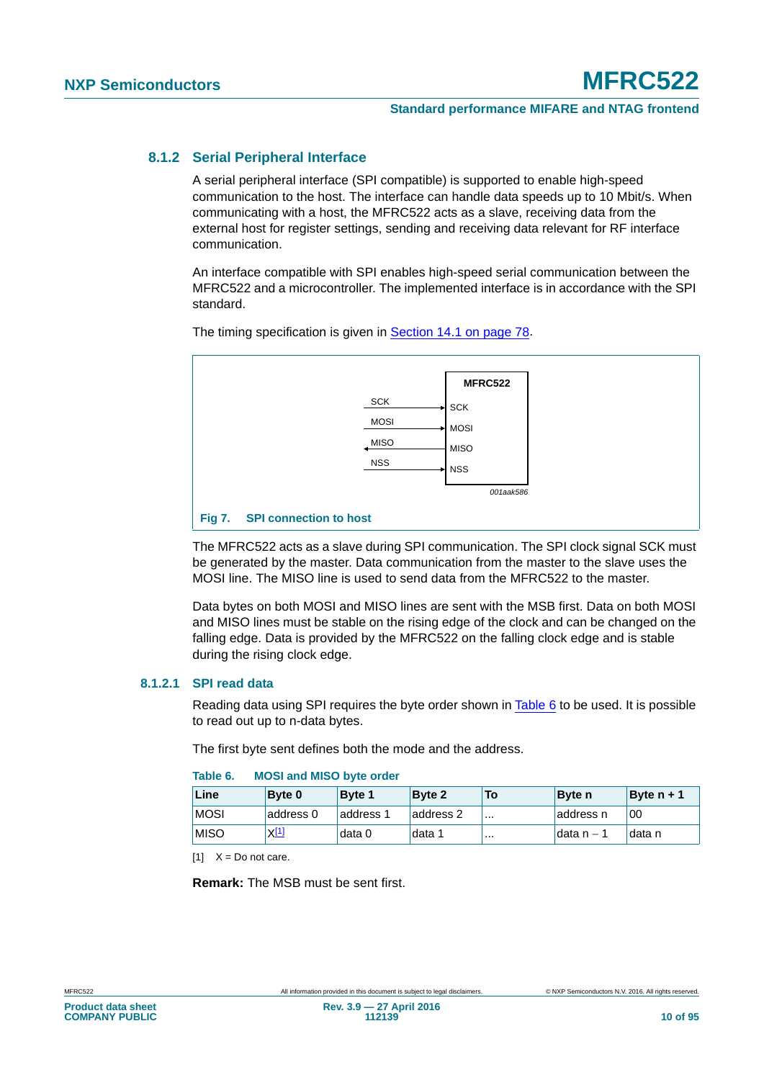#### **8.1.2 Serial Peripheral Interface**

A serial peripheral interface (SPI compatible) is supported to enable high-speed communication to the host. The interface can handle data speeds up to 10 Mbit/s. When communicating with a host, the MFRC522 acts as a slave, receiving data from the external host for register settings, sending and receiving data relevant for RF interface communication.

An interface compatible with SPI enables high-speed serial communication between the MFRC522 and a microcontroller. The implemented interface is in accordance with the SPI standard.



The timing specification is given in [Section 14.1 on page 78.](#page-77-2)

The MFRC522 acts as a slave during SPI communication. The SPI clock signal SCK must be generated by the master. Data communication from the master to the slave uses the MOSI line. The MISO line is used to send data from the MFRC522 to the master.

Data bytes on both MOSI and MISO lines are sent with the MSB first. Data on both MOSI and MISO lines must be stable on the rising edge of the clock and can be changed on the falling edge. Data is provided by the MFRC522 on the falling clock edge and is stable during the rising clock edge.

#### **8.1.2.1 SPI read data**

Reading data using SPI requires the byte order shown in [Table 6](#page-9-0) to be used. It is possible to read out up to n-data bytes.

The first byte sent defines both the mode and the address.

| Line        | <b>Byte 0</b> | <b>Byte 1</b> | <b>Byte 2</b> | <b>To</b> | <b>Byte</b> n | Byte $n + 1$ |
|-------------|---------------|---------------|---------------|-----------|---------------|--------------|
| <b>MOSI</b> | address 0     | address 1     | address 2     | $\cdots$  | address n     | 00           |
| <b>MISO</b> | X[1]          | data 0        | data 1        |           | ldata n – 1   | data n       |

#### <span id="page-9-0"></span>**Table 6. MOSI and MISO byte order**

<span id="page-9-1"></span> $[1]$   $X = Do$  not care.

**Remark:** The MSB must be sent first.

**Product data sheet COMPANY PUBLIC**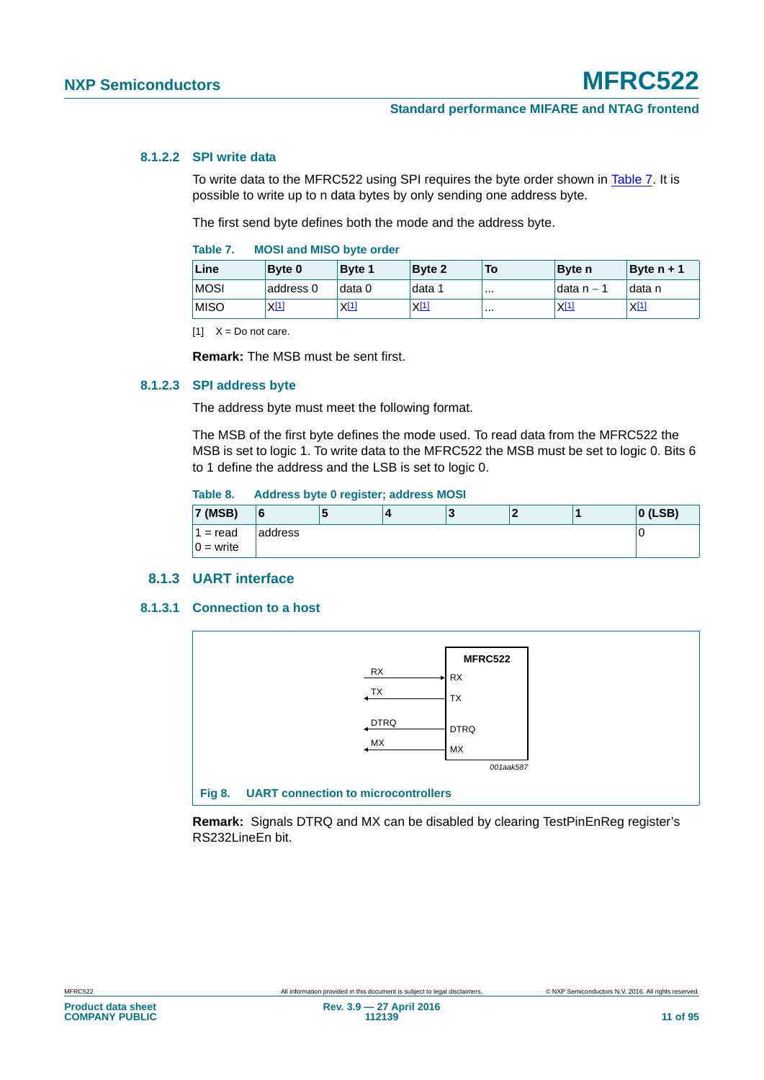#### **8.1.2.2 SPI write data**

To write data to the MFRC522 using SPI requires the byte order shown in [Table 7.](#page-10-0) It is possible to write up to n data bytes by only sending one address byte.

The first send byte defines both the mode and the address byte.

<span id="page-10-0"></span>

| Table 7. | <b>MOSI and MISO byte order</b> |  |  |  |  |
|----------|---------------------------------|--|--|--|--|
|----------|---------------------------------|--|--|--|--|

| Line        | <b>Byte 0</b> | Byte 1    | Byte 2           | To | <b>Byte</b> n    | Byte $n + 1$ |
|-------------|---------------|-----------|------------------|----|------------------|--------------|
| <b>MOSI</b> | address 0     | data 0    | data 1           |    | ldata n – 1      | data n       |
| <b>MISO</b> | <u>ХШ</u>     | $X^{[1]}$ | X <sup>[1]</sup> |    | X <sup>[1]</sup> | $X^{[1]}$    |

<span id="page-10-1"></span> $[1]$   $X = Do$  not care.

**Remark:** The MSB must be sent first.

#### **8.1.2.3 SPI address byte**

The address byte must meet the following format.

The MSB of the first byte defines the mode used. To read data from the MFRC522 the MSB is set to logic 1. To write data to the MFRC522 the MSB must be set to logic 0. Bits 6 to 1 define the address and the LSB is set to logic 0.

#### **Table 8. Address byte 0 register; address MOSI**

| 7 (MSB)     | 16      | ю | ני ו<br>E |  | $ 0$ (LSB) |
|-------------|---------|---|-----------|--|------------|
| $1 = read$  | address |   |           |  | U          |
| $0 =$ write |         |   |           |  |            |

#### **8.1.3 UART interface**

#### **8.1.3.1 Connection to a host**



**Remark:** Signals DTRQ and MX can be disabled by clearing TestPinEnReg register's RS232LineEn bit.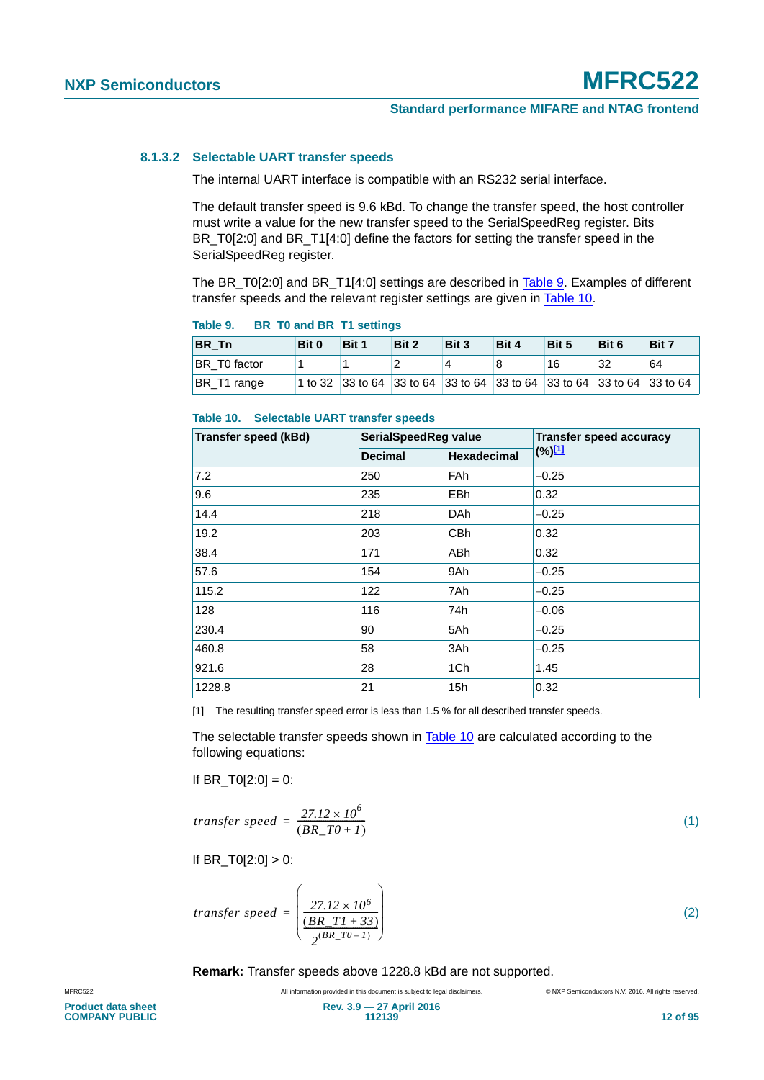#### **8.1.3.2 Selectable UART transfer speeds**

The internal UART interface is compatible with an RS232 serial interface.

The default transfer speed is 9.6 kBd. To change the transfer speed, the host controller must write a value for the new transfer speed to the SerialSpeedReg register. Bits BR\_T0[2:0] and BR\_T1[4:0] define the factors for setting the transfer speed in the SerialSpeedReg register.

The BR\_T0[2:0] and BR\_T1[4:0] settings are described in [Table 9.](#page-11-0) Examples of different transfer speeds and the relevant register settings are given in [Table 10.](#page-11-1)

| .<br>$10$ and $10$ and $10$     |       |       |       |                                                                        |       |       |       |       |  |  |
|---------------------------------|-------|-------|-------|------------------------------------------------------------------------|-------|-------|-------|-------|--|--|
| <b>BR</b> Tn                    | Bit 0 | Bit 1 | Bit 2 | Bit 3                                                                  | Bit 4 | Bit 5 | Bit 6 | Bit 7 |  |  |
| <b>BR</b> T <sub>0</sub> factor |       |       |       | Δ                                                                      |       | 16    | 32    | 64    |  |  |
| BR T1 range                     |       |       |       | 1 to 32 33 to 64 33 to 64 33 to 64 33 to 64 33 to 64 33 to 64 33 to 64 |       |       |       |       |  |  |

#### <span id="page-11-0"></span>**Table 9. BR\_T0 and BR\_T1 settings**

#### <span id="page-11-1"></span>**Table 10. Selectable UART transfer speeds**

| <b>Transfer speed (kBd)</b> | SerialSpeedReg value |                    | <b>Transfer speed accuracy</b> |
|-----------------------------|----------------------|--------------------|--------------------------------|
|                             | <b>Decimal</b>       | <b>Hexadecimal</b> | $(\%)^{[1]}$                   |
| 7.2                         | 250<br>FAh           |                    | $-0.25$                        |
| 9.6                         | 235                  | <b>EBh</b>         | 0.32                           |
| 14.4                        | 218                  | <b>DAh</b>         | $-0.25$                        |
| 19.2                        | 203                  | <b>CBh</b>         | 0.32                           |
| 38.4                        | 171                  | <b>ABh</b>         | 0.32                           |
| 57.6                        | 154                  | 9Ah                | $-0.25$                        |
| 115.2                       | 122                  | 7Ah                | $-0.25$                        |
| 128                         | 116                  | 74h                | $-0.06$                        |
| 230.4                       | 90                   | 5Ah                | $-0.25$                        |
| 460.8                       | 58                   | 3Ah                | $-0.25$                        |
| 921.6                       | 28                   | 1Ch                | 1.45                           |
| 1228.8                      | 21                   | 15h                | 0.32                           |

<span id="page-11-2"></span>[1] The resulting transfer speed error is less than 1.5 % for all described transfer speeds.

The selectable transfer speeds shown in [Table 10](#page-11-1) are calculated according to the following equations:

If BR  $TO[2:0] = 0$ :

$$
transfer\ speed = \frac{27.12 \times 10^6}{(BR\_T0 + 1)}
$$
\n<sup>(1)</sup>

If  $BR_T0[2:0] > 0$ :

$$
transfer\ speed = \left(\frac{27.12 \times 10^6}{\frac{(BR\_TI + 33)}{2^{(BR\_T0 - 1)}}}\right)
$$
\n
$$
\tag{2}
$$

**Remark:** Transfer speeds above 1228.8 kBd are not supported.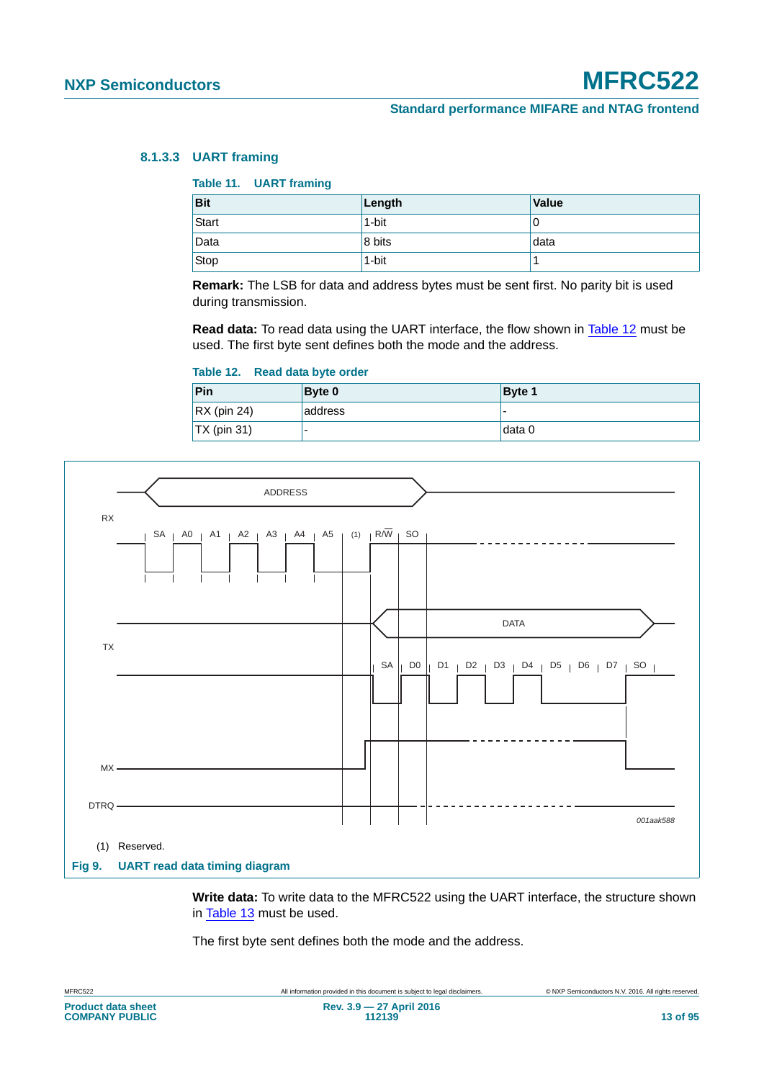#### **8.1.3.3 UART framing**

#### **Table 11. UART framing**

| <b>Bit</b> | Length | Value |
|------------|--------|-------|
| Start      | 1-bit  | 0     |
| Data       | 8 bits | data  |
| Stop       | 1-bit  |       |

**Remark:** The LSB for data and address bytes must be sent first. No parity bit is used during transmission.

**Read data:** To read data using the UART interface, the flow shown in [Table 12](#page-12-0) must be used. The first byte sent defines both the mode and the address.

#### <span id="page-12-0"></span>**Table 12. Read data byte order**

| Pin                 | <b>Byte 0</b> | Byte 1                   |
|---------------------|---------------|--------------------------|
| $\vert$ RX (pin 24) | address       | $\overline{\phantom{0}}$ |
| $\vert$ TX (pin 31) |               | ⊺data 0                  |



**Write data:** To write data to the MFRC522 using the UART interface, the structure shown in [Table 13](#page-13-0) must be used.

The first byte sent defines both the mode and the address.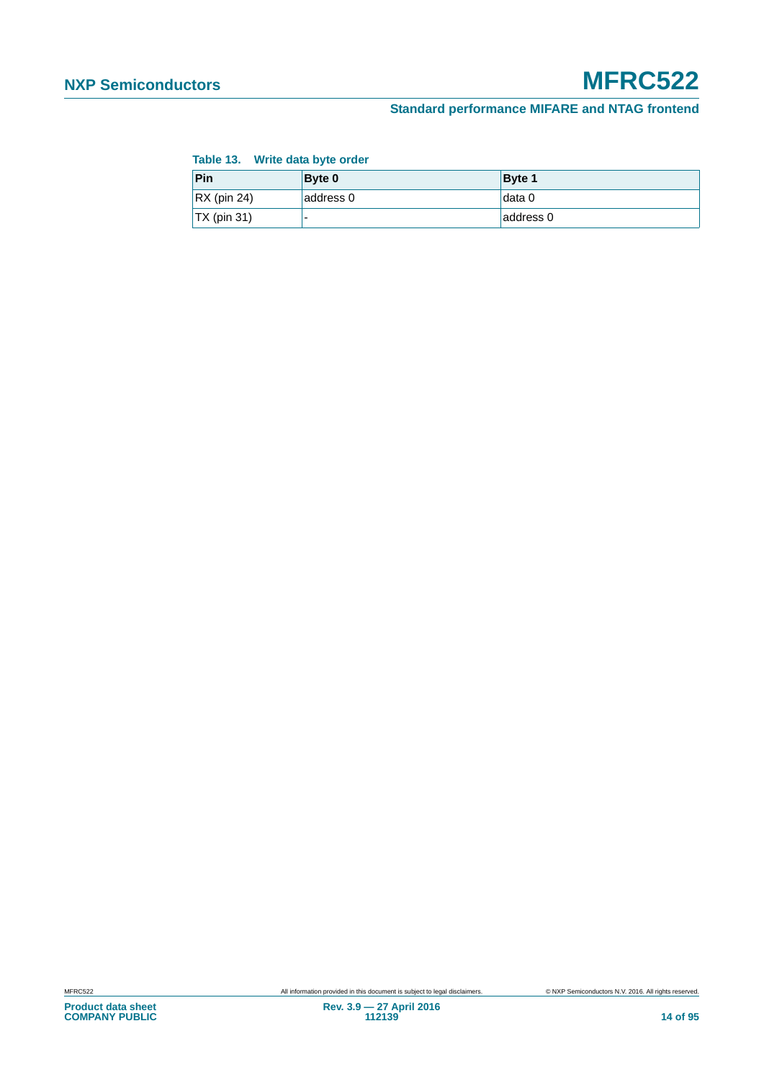#### **Standard performance MIFARE and NTAG frontend**

#### <span id="page-13-0"></span>**Table 13. Write data byte order**

| Pin                 | Byte 0    | Byte 1    |
|---------------------|-----------|-----------|
| $\vert$ RX (pin 24) | address 0 | ⊺data 0   |
| $\vert$ TX (pin 31) |           | address 0 |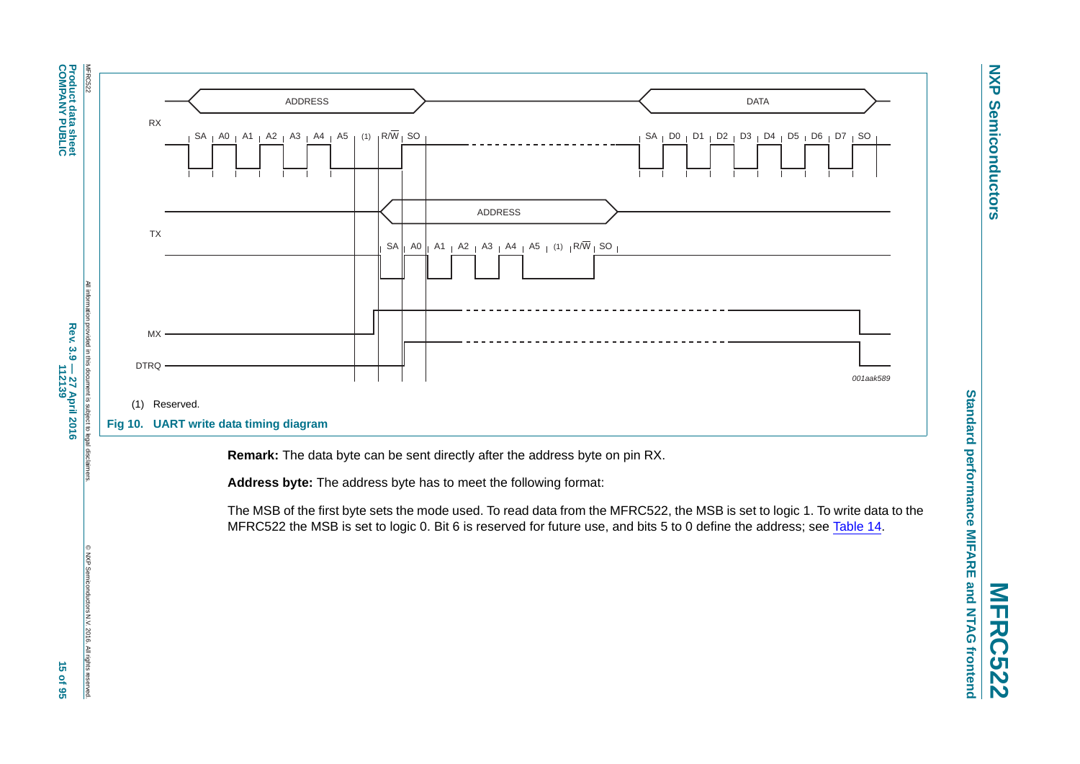**NXP NXP Semiconductors Semiconductors** 

**MFRC522**



**COMPANY PUBLIC Product data sheet**

**Product data sheet<br>COMPANY PUBLIC** 

© NXP Semiconductors N.V. 2016. All rights reserved.

2016. All rights reserved

ctors N.V.

**Rev. 3.9 — 27 April 2016**

Rev. 3.9 - 27 April 2016<br>112139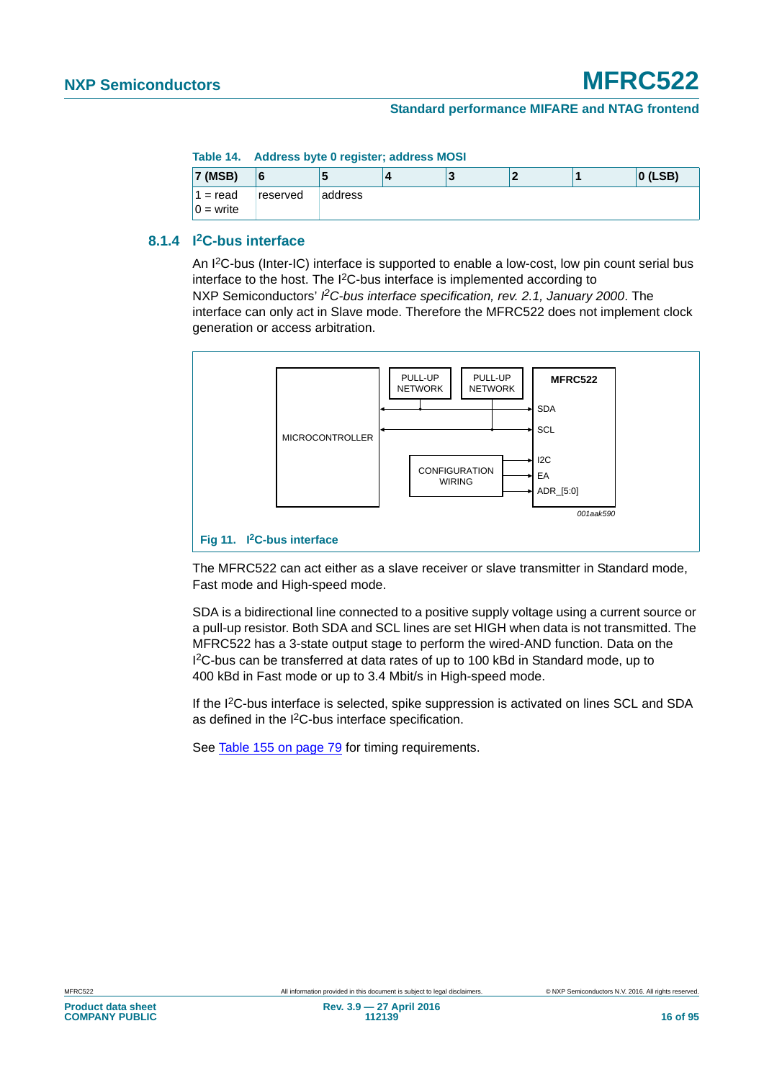#### **Table 14. Address byte 0 register; address MOSI**

<span id="page-15-0"></span>

| <b>7 (MSB)</b>            |          |         |  |  | $ 0$ (LSB) |
|---------------------------|----------|---------|--|--|------------|
| $1 = read$<br>$0 = write$ | reserved | address |  |  |            |

### **8.1.4 I2C-bus interface**

An I2C-bus (Inter-IC) interface is supported to enable a low-cost, low pin count serial bus interface to the host. The I2C-bus interface is implemented according to NXP Semiconductors' PC-bus interface specification, rev. 2.1, January 2000. The interface can only act in Slave mode. Therefore the MFRC522 does not implement clock generation or access arbitration.



The MFRC522 can act either as a slave receiver or slave transmitter in Standard mode, Fast mode and High-speed mode.

SDA is a bidirectional line connected to a positive supply voltage using a current source or a pull-up resistor. Both SDA and SCL lines are set HIGH when data is not transmitted. The MFRC522 has a 3-state output stage to perform the wired-AND function. Data on the I 2C-bus can be transferred at data rates of up to 100 kBd in Standard mode, up to 400 kBd in Fast mode or up to 3.4 Mbit/s in High-speed mode.

If the I<sup>2</sup>C-bus interface is selected, spike suppression is activated on lines SCL and SDA as defined in the I2C-bus interface specification.

See [Table 155 on page 79](#page-78-0) for timing requirements.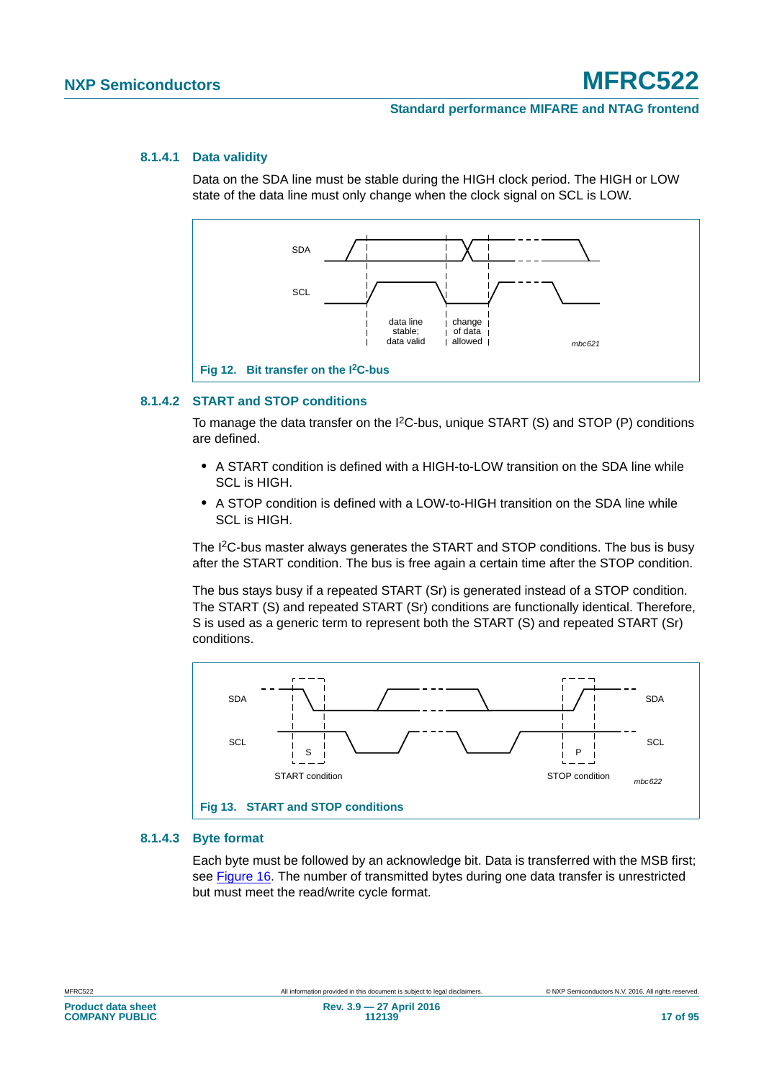#### **8.1.4.1 Data validity**

Data on the SDA line must be stable during the HIGH clock period. The HIGH or LOW state of the data line must only change when the clock signal on SCL is LOW.



#### **8.1.4.2 START and STOP conditions**

To manage the data transfer on the I2C-bus, unique START (S) and STOP (P) conditions are defined.

- **•** A START condition is defined with a HIGH-to-LOW transition on the SDA line while SCL is HIGH.
- **•** A STOP condition is defined with a LOW-to-HIGH transition on the SDA line while SCL is HIGH.

The I2C-bus master always generates the START and STOP conditions. The bus is busy after the START condition. The bus is free again a certain time after the STOP condition.

The bus stays busy if a repeated START (Sr) is generated instead of a STOP condition. The START (S) and repeated START (Sr) conditions are functionally identical. Therefore, S is used as a generic term to represent both the START (S) and repeated START (Sr) conditions.



#### **8.1.4.3 Byte format**

Each byte must be followed by an acknowledge bit. Data is transferred with the MSB first; see [Figure 16](#page-18-0). The number of transmitted bytes during one data transfer is unrestricted but must meet the read/write cycle format.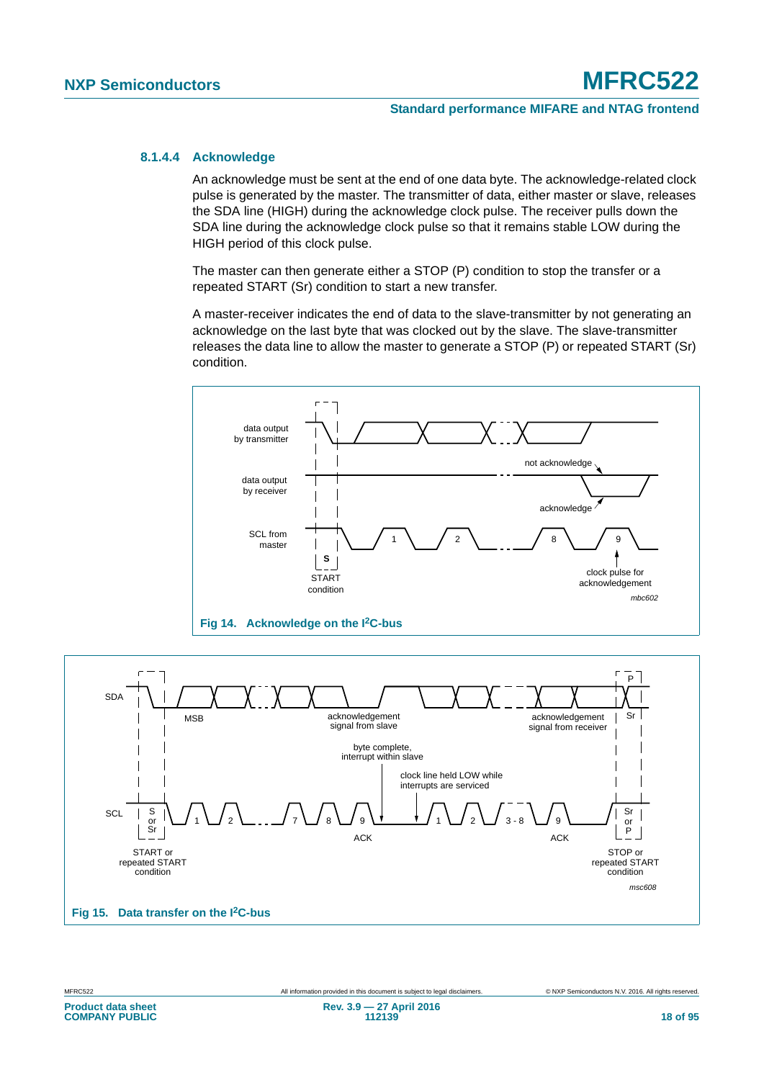#### **8.1.4.4 Acknowledge**

An acknowledge must be sent at the end of one data byte. The acknowledge-related clock pulse is generated by the master. The transmitter of data, either master or slave, releases the SDA line (HIGH) during the acknowledge clock pulse. The receiver pulls down the SDA line during the acknowledge clock pulse so that it remains stable LOW during the HIGH period of this clock pulse.

The master can then generate either a STOP (P) condition to stop the transfer or a repeated START (Sr) condition to start a new transfer.

A master-receiver indicates the end of data to the slave-transmitter by not generating an acknowledge on the last byte that was clocked out by the slave. The slave-transmitter releases the data line to allow the master to generate a STOP (P) or repeated START (Sr) condition.



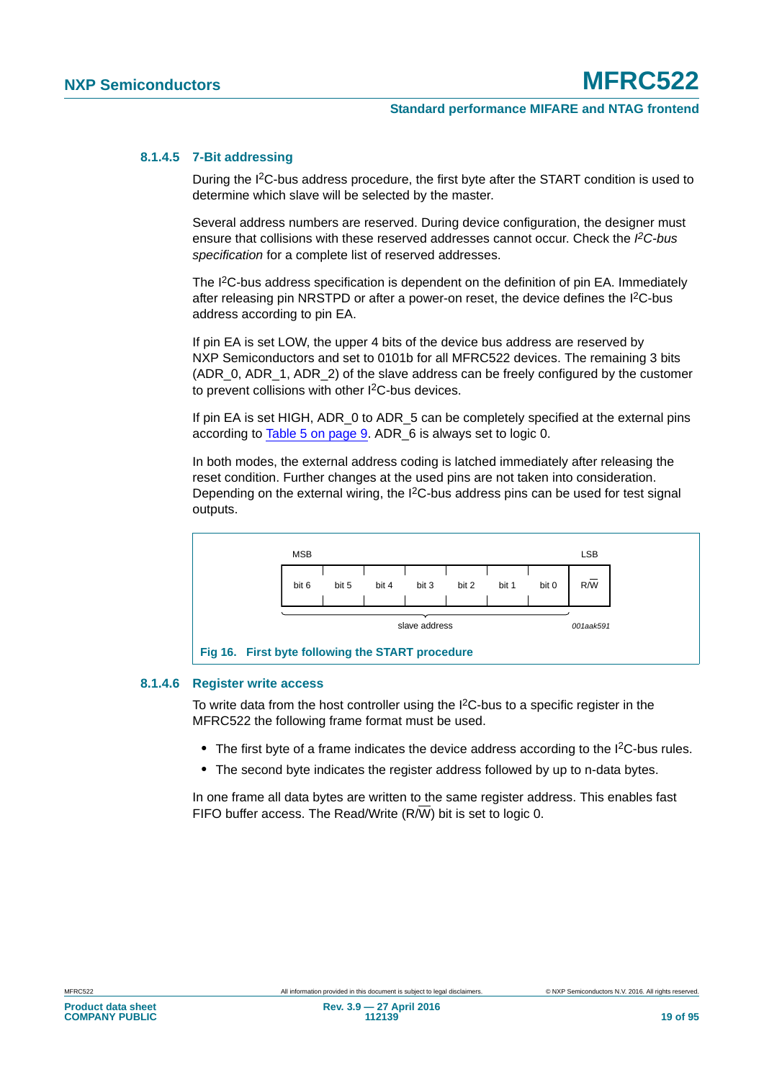#### **8.1.4.5 7-Bit addressing**

During the I2C-bus address procedure, the first byte after the START condition is used to determine which slave will be selected by the master.

Several address numbers are reserved. During device configuration, the designer must ensure that collisions with these reserved addresses cannot occur. Check the PC-bus *specification* for a complete list of reserved addresses.

The I<sup>2</sup>C-bus address specification is dependent on the definition of pin EA. Immediately after releasing pin NRSTPD or after a power-on reset, the device defines the I2C-bus address according to pin EA.

If pin EA is set LOW, the upper 4 bits of the device bus address are reserved by NXP Semiconductors and set to 0101b for all MFRC522 devices. The remaining 3 bits (ADR\_0, ADR\_1, ADR\_2) of the slave address can be freely configured by the customer to prevent collisions with other I2C-bus devices.

If pin EA is set HIGH, ADR 0 to ADR 5 can be completely specified at the external pins according to [Table 5 on page 9.](#page-8-2) ADR\_6 is always set to logic 0.

In both modes, the external address coding is latched immediately after releasing the reset condition. Further changes at the used pins are not taken into consideration. Depending on the external wiring, the  $1<sup>2</sup>C$ -bus address pins can be used for test signal outputs.



#### **8.1.4.6 Register write access**

<span id="page-18-0"></span>To write data from the host controller using the  ${}^{12}C$ -bus to a specific register in the MFRC522 the following frame format must be used.

- The first byte of a frame indicates the device address according to the I<sup>2</sup>C-bus rules.
- **•** The second byte indicates the register address followed by up to n-data bytes.

In one frame all data bytes are written to the same register address. This enables fast FIFO buffer access. The Read/Write (R/W) bit is set to logic 0.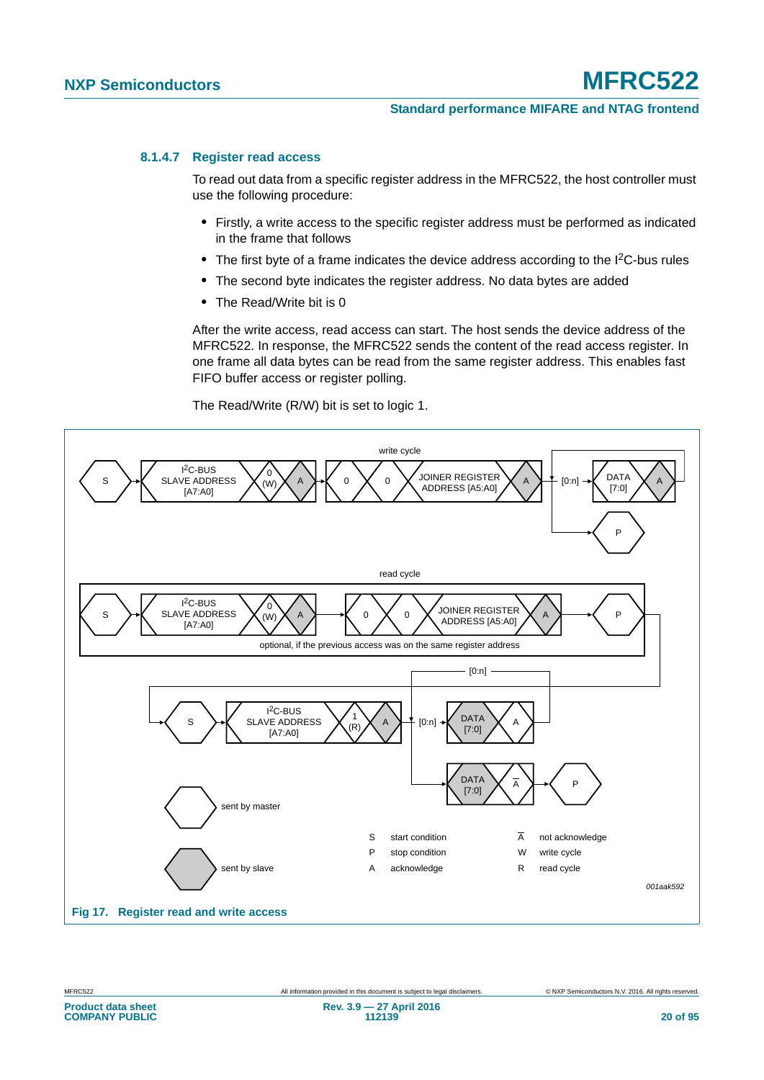#### **8.1.4.7 Register read access**

To read out data from a specific register address in the MFRC522, the host controller must use the following procedure:

- **•** Firstly, a write access to the specific register address must be performed as indicated in the frame that follows
- The first byte of a frame indicates the device address according to the I<sup>2</sup>C-bus rules
- **•** The second byte indicates the register address. No data bytes are added
- **•** The Read/Write bit is 0

After the write access, read access can start. The host sends the device address of the MFRC522. In response, the MFRC522 sends the content of the read access register. In one frame all data bytes can be read from the same register address. This enables fast FIFO buffer access or register polling.

The Read/Write (R/W) bit is set to logic 1.



**COMPANY PUBLIC**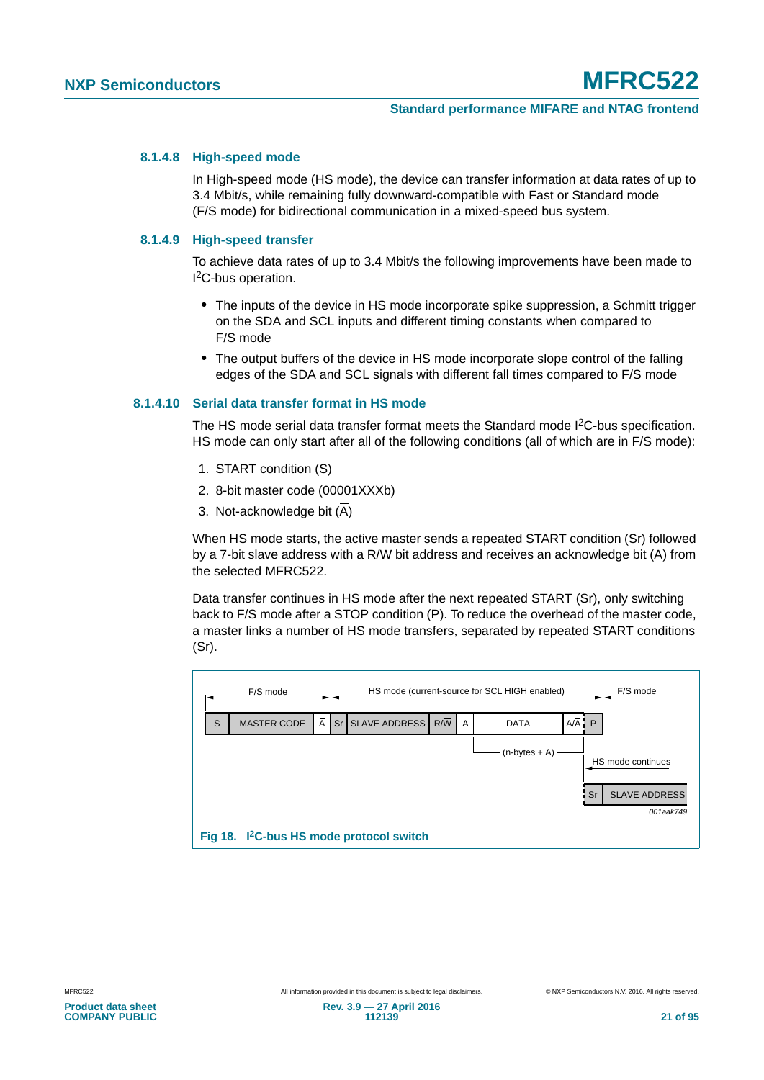#### **8.1.4.8 High-speed mode**

In High-speed mode (HS mode), the device can transfer information at data rates of up to 3.4 Mbit/s, while remaining fully downward-compatible with Fast or Standard mode (F/S mode) for bidirectional communication in a mixed-speed bus system.

#### **8.1.4.9 High-speed transfer**

To achieve data rates of up to 3.4 Mbit/s the following improvements have been made to I 2C-bus operation.

- **•** The inputs of the device in HS mode incorporate spike suppression, a Schmitt trigger on the SDA and SCL inputs and different timing constants when compared to F/S mode
- **•** The output buffers of the device in HS mode incorporate slope control of the falling edges of the SDA and SCL signals with different fall times compared to F/S mode

#### **8.1.4.10 Serial data transfer format in HS mode**

The HS mode serial data transfer format meets the Standard mode I<sup>2</sup>C-bus specification. HS mode can only start after all of the following conditions (all of which are in F/S mode):

- 1. START condition (S)
- 2. 8-bit master code (00001XXXb)
- 3. Not-acknowledge bit  $(\overline{A})$

When HS mode starts, the active master sends a repeated START condition (Sr) followed by a 7-bit slave address with a R/W bit address and receives an acknowledge bit (A) from the selected MFRC522.

Data transfer continues in HS mode after the next repeated START (Sr), only switching back to F/S mode after a STOP condition (P). To reduce the overhead of the master code, a master links a number of HS mode transfers, separated by repeated START conditions (Sr).

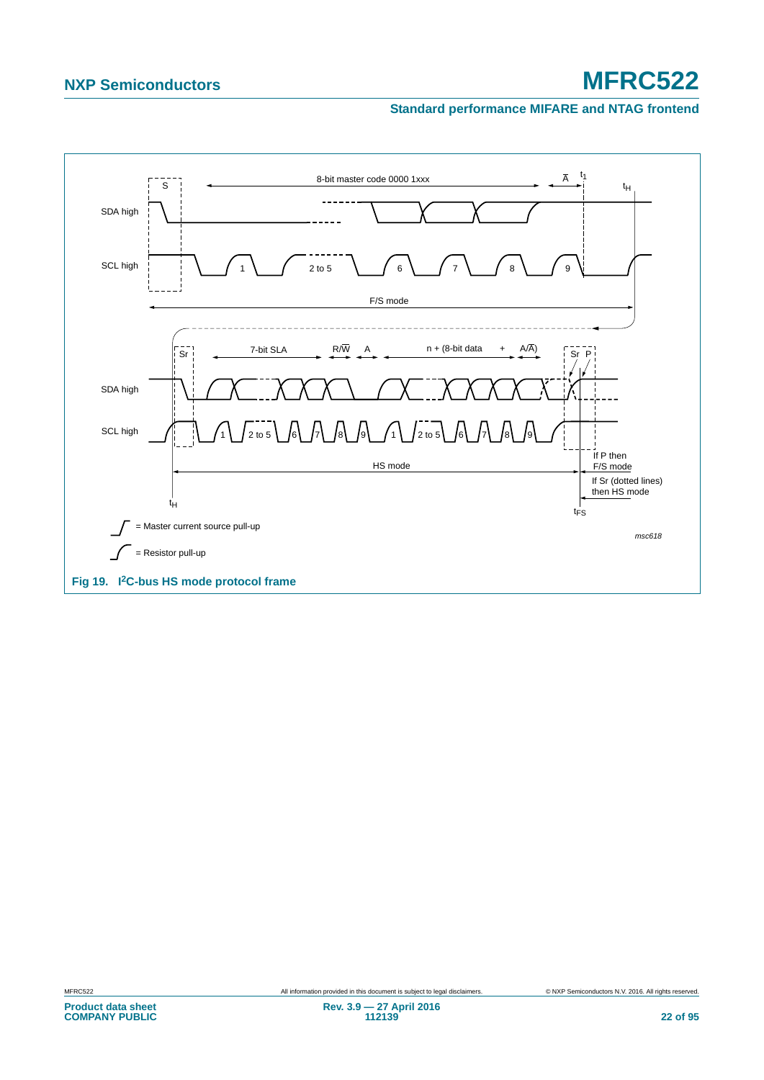#### **Standard performance MIFARE and NTAG frontend**

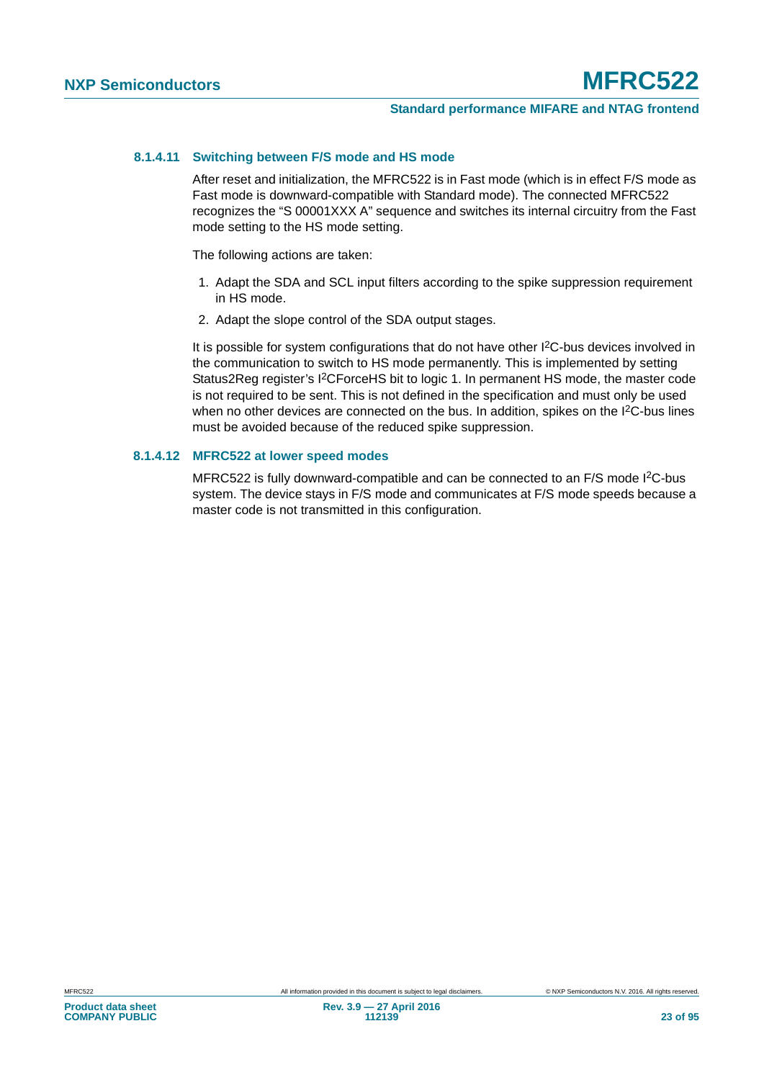#### **8.1.4.11 Switching between F/S mode and HS mode**

After reset and initialization, the MFRC522 is in Fast mode (which is in effect F/S mode as Fast mode is downward-compatible with Standard mode). The connected MFRC522 recognizes the "S 00001XXX A" sequence and switches its internal circuitry from the Fast mode setting to the HS mode setting.

The following actions are taken:

- 1. Adapt the SDA and SCL input filters according to the spike suppression requirement in HS mode.
- 2. Adapt the slope control of the SDA output stages.

It is possible for system configurations that do not have other I<sup>2</sup>C-bus devices involved in the communication to switch to HS mode permanently. This is implemented by setting Status2Reg register's I2CForceHS bit to logic 1. In permanent HS mode, the master code is not required to be sent. This is not defined in the specification and must only be used when no other devices are connected on the bus. In addition, spikes on the I<sup>2</sup>C-bus lines must be avoided because of the reduced spike suppression.

#### **8.1.4.12 MFRC522 at lower speed modes**

MFRC522 is fully downward-compatible and can be connected to an F/S mode I<sup>2</sup>C-bus system. The device stays in F/S mode and communicates at F/S mode speeds because a master code is not transmitted in this configuration.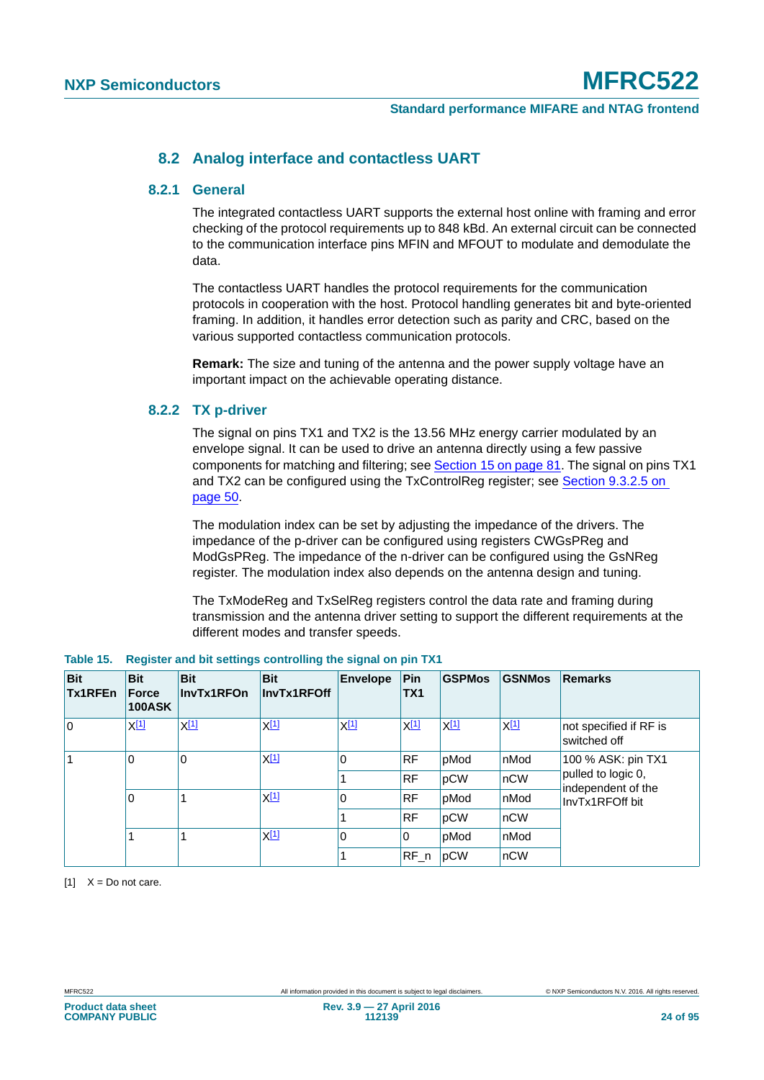#### **8.2 Analog interface and contactless UART**

#### **8.2.1 General**

The integrated contactless UART supports the external host online with framing and error checking of the protocol requirements up to 848 kBd. An external circuit can be connected to the communication interface pins MFIN and MFOUT to modulate and demodulate the data.

The contactless UART handles the protocol requirements for the communication protocols in cooperation with the host. Protocol handling generates bit and byte-oriented framing. In addition, it handles error detection such as parity and CRC, based on the various supported contactless communication protocols.

**Remark:** The size and tuning of the antenna and the power supply voltage have an important impact on the achievable operating distance.

#### **8.2.2 TX p-driver**

The signal on pins TX1 and TX2 is the 13.56 MHz energy carrier modulated by an envelope signal. It can be used to drive an antenna directly using a few passive components for matching and filtering; see [Section 15 on page 81](#page-80-0). The signal on pins TX1 and TX2 can be configured using the TxControlReg register; see [Section 9.3.2.5 on](#page-49-0)  [page 50](#page-49-0).

The modulation index can be set by adjusting the impedance of the drivers. The impedance of the p-driver can be configured using registers CWGsPReg and ModGsPReg. The impedance of the n-driver can be configured using the GsNReg register. The modulation index also depends on the antenna design and tuning.

The TxModeReg and TxSelReg registers control the data rate and framing during transmission and the antenna driver setting to support the different requirements at the different modes and transfer speeds.

| <b>Bit</b><br><b>Tx1RFEn</b> | <b>Bit</b><br>Force<br><b>100ASK</b> | <b>Bit</b><br>InvTx1RFOn | <b>Bit</b><br>InvTx1RFOff | <b>Envelope</b> | Pin<br>TX1 | <b>GSPMos</b> | <b>GSNMos</b>                            | <b>Remarks</b>                         |
|------------------------------|--------------------------------------|--------------------------|---------------------------|-----------------|------------|---------------|------------------------------------------|----------------------------------------|
| l O                          | X[1]                                 | $X^{[1]}$                | $X^{[1]}$                 | $X^{[1]}$       | $X^{[1]}$  | X[1]          | X <sup>[1]</sup>                         | not specified if RF is<br>switched off |
| 0                            | 0                                    | <u>X[1]</u>              | $\mathbf 0$               | <b>RF</b>       | pMod       | nMod          | 100 % ASK: pin TX1                       |                                        |
|                              |                                      |                          |                           | <b>RF</b>       | pCW        | nCW           | pulled to logic 0,<br>independent of the |                                        |
|                              | 0                                    |                          | <u>X[1]</u>               | 0               | <b>RF</b>  | pMod          | nMod                                     | InvTx1RFOff bit                        |
|                              |                                      |                          |                           |                 | <b>RF</b>  | pCW           | $n$ CW                                   |                                        |
|                              |                                      |                          | <u>X[1]</u>               | $\mathbf{0}$    | 0          | pMod          | nMod                                     |                                        |
|                              |                                      |                          |                           |                 | $RF_n$     | pCW           | nCW                                      |                                        |

<span id="page-23-1"></span>

|  |  |  |  | Table 15. Register and bit settings controlling the signal on pin TX1 |
|--|--|--|--|-----------------------------------------------------------------------|
|--|--|--|--|-----------------------------------------------------------------------|

<span id="page-23-0"></span> $[1]$   $X = Do$  not care.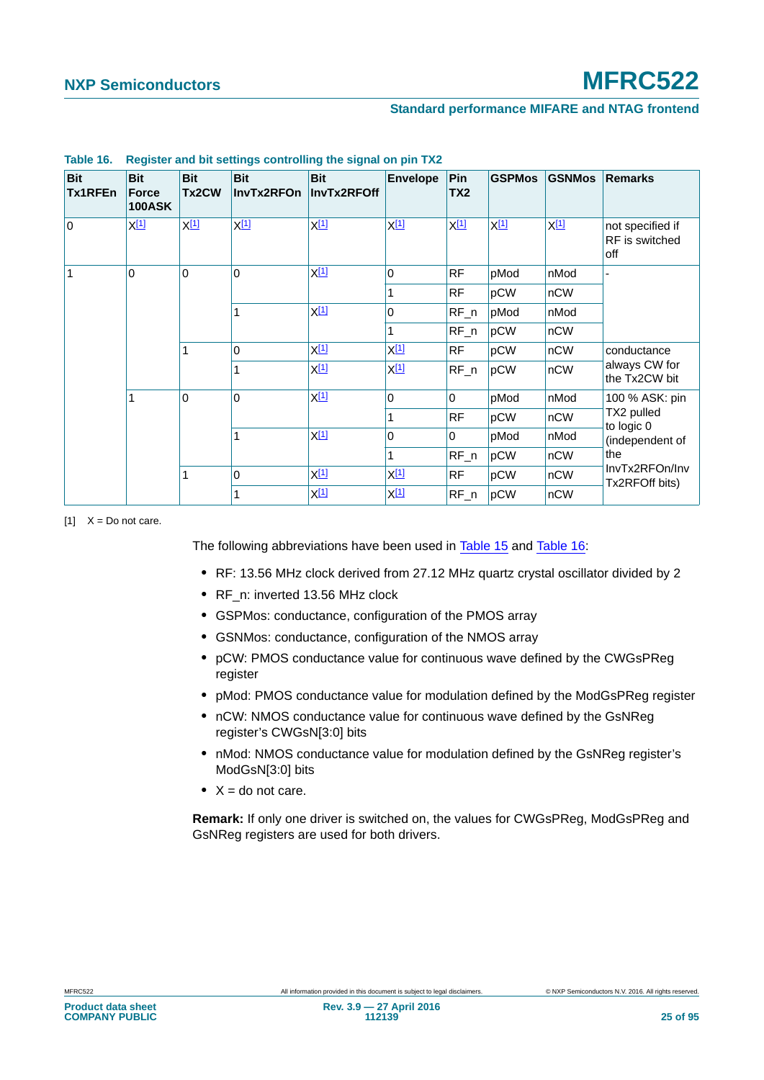| <b>Bit</b><br>Tx1RFEn | <b>Bit</b><br>Force<br><b>100ASK</b> | <b>Bit</b><br>Tx2CW | <b>Bit</b><br>InvTx2RFOn | <b>Bit</b><br>InvTx2RFOff | <b>Envelope</b>                 | Pin<br>TX <sub>2</sub> | <b>GSPMos</b>                               | <b>GSNMos</b>                  | <b>Remarks</b>                            |
|-----------------------|--------------------------------------|---------------------|--------------------------|---------------------------|---------------------------------|------------------------|---------------------------------------------|--------------------------------|-------------------------------------------|
| l O                   | $X^{[1]}$                            | $X^{[1]}$           | $X^{[1]}$                | $X^{[1]}$                 | $X^{[1]}$                       | $X^{[1]}$              | $X^{[1]}$                                   | $X^{[1]}$                      | not specified if<br>RF is switched<br>off |
|                       | 0                                    | $\Omega$            | $\Omega$                 | $X^{[1]}$                 | $\mathbf 0$                     | <b>RF</b>              | pMod                                        | nMod                           |                                           |
|                       |                                      |                     |                          |                           | 1                               | <b>RF</b>              | pCW                                         | nCW                            |                                           |
|                       |                                      | 1                   |                          | X[1]                      | $\Omega$                        | $RF_n$                 | pMod                                        | nMod                           |                                           |
|                       |                                      |                     |                          |                           | 1                               | $RF_n$                 | pCW                                         | nCW                            |                                           |
|                       | 1                                    |                     | $\Omega$                 | $X^{[1]}$                 | $X^{[1]}$                       | <b>RF</b>              | pCW                                         | nCW                            | conductance                               |
|                       |                                      | 1                   | $X^{[1]}$                | $X^{\underline{[1]}}$     | $RF_n$                          | pCW                    | nCW                                         | always CW for<br>the Tx2CW bit |                                           |
|                       |                                      | $\mathbf 0$         | X[1]<br>$\mathbf 0$      |                           | $\mathbf 0$                     | $\mathbf 0$            | pMod                                        | nMod                           | 100 % ASK: pin                            |
|                       |                                      |                     | 1                        | RF                        | pCW                             | nCW                    | TX2 pulled<br>to logic 0<br>(independent of |                                |                                           |
|                       | 1                                    | X[1]                | $\Omega$                 | $\Omega$                  | pMod                            | nMod                   |                                             |                                |                                           |
|                       |                                      |                     |                          |                           | 1                               | $RF_n$                 | pCW                                         | nCW                            | the                                       |
|                       |                                      | 1                   | $\Omega$                 | <u>X[1]</u>               | $X^{[1]}$                       | <b>RF</b>              | pCW                                         | nCW                            | InvTx2RFOn/Inv<br>Tx2RFOff bits)          |
|                       |                                      |                     | 1                        | X[1]                      | $X_1$ <sup><math>1</math></sup> | $RF_n$                 | pCW                                         | nCW                            |                                           |

#### <span id="page-24-1"></span>**Table 16. Register and bit settings controlling the signal on pin TX2**

<span id="page-24-0"></span> $[1]$   $X = Do$  not care.

The following abbreviations have been used in [Table 15](#page-23-1) and [Table 16](#page-24-1):

- **•** RF: 13.56 MHz clock derived from 27.12 MHz quartz crystal oscillator divided by 2
- **•** RF\_n: inverted 13.56 MHz clock
- **•** GSPMos: conductance, configuration of the PMOS array
- **•** GSNMos: conductance, configuration of the NMOS array
- **•** pCW: PMOS conductance value for continuous wave defined by the CWGsPReg register
- **•** pMod: PMOS conductance value for modulation defined by the ModGsPReg register
- **•** nCW: NMOS conductance value for continuous wave defined by the GsNReg register's CWGsN[3:0] bits
- **•** nMod: NMOS conductance value for modulation defined by the GsNReg register's ModGsN[3:0] bits
- **•** X = do not care.

**Remark:** If only one driver is switched on, the values for CWGsPReg, ModGsPReg and GsNReg registers are used for both drivers.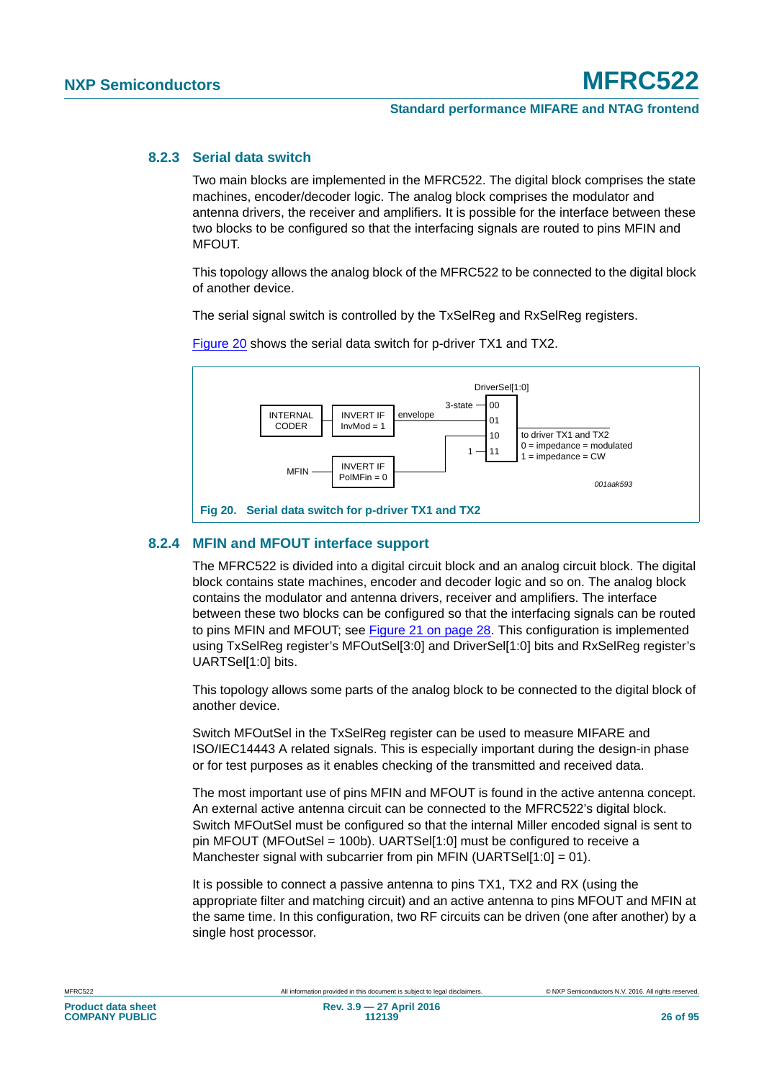#### **8.2.3 Serial data switch**

Two main blocks are implemented in the MFRC522. The digital block comprises the state machines, encoder/decoder logic. The analog block comprises the modulator and antenna drivers, the receiver and amplifiers. It is possible for the interface between these two blocks to be configured so that the interfacing signals are routed to pins MFIN and MFOUT.

This topology allows the analog block of the MFRC522 to be connected to the digital block of another device.

The serial signal switch is controlled by the TxSelReg and RxSelReg registers.



[Figure 20](#page-25-0) shows the serial data switch for p-driver TX1 and TX2.

#### <span id="page-25-0"></span>**8.2.4 MFIN and MFOUT interface support**

The MFRC522 is divided into a digital circuit block and an analog circuit block. The digital block contains state machines, encoder and decoder logic and so on. The analog block contains the modulator and antenna drivers, receiver and amplifiers. The interface between these two blocks can be configured so that the interfacing signals can be routed to pins MFIN and MFOUT; see [Figure 21 on page 28.](#page-27-0) This configuration is implemented using TxSelReg register's MFOutSel[3:0] and DriverSel[1:0] bits and RxSelReg register's UARTSel[1:0] bits.

This topology allows some parts of the analog block to be connected to the digital block of another device.

Switch MFOutSel in the TxSelReg register can be used to measure MIFARE and ISO/IEC14443 A related signals. This is especially important during the design-in phase or for test purposes as it enables checking of the transmitted and received data.

The most important use of pins MFIN and MFOUT is found in the active antenna concept. An external active antenna circuit can be connected to the MFRC522's digital block. Switch MFOutSel must be configured so that the internal Miller encoded signal is sent to pin MFOUT (MFOutSel = 100b). UARTSel[1:0] must be configured to receive a Manchester signal with subcarrier from pin MFIN (UARTSel[1:0] = 01).

It is possible to connect a passive antenna to pins TX1, TX2 and RX (using the appropriate filter and matching circuit) and an active antenna to pins MFOUT and MFIN at the same time. In this configuration, two RF circuits can be driven (one after another) by a single host processor.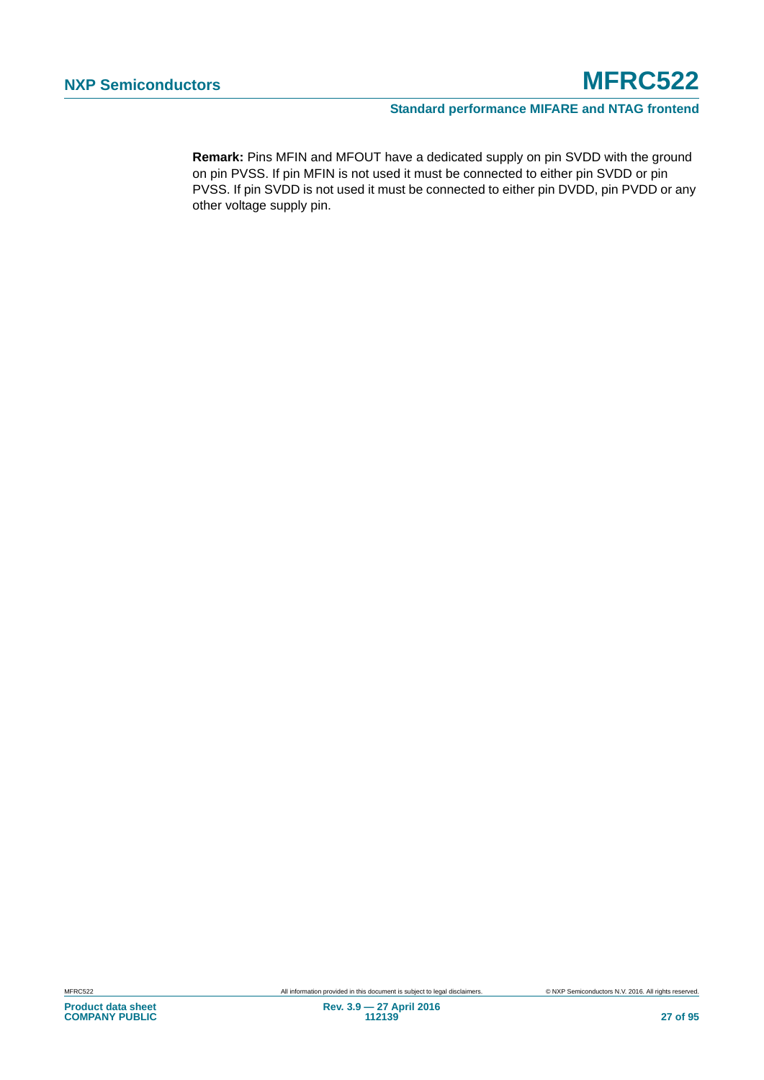**Remark:** Pins MFIN and MFOUT have a dedicated supply on pin SVDD with the ground on pin PVSS. If pin MFIN is not used it must be connected to either pin SVDD or pin PVSS. If pin SVDD is not used it must be connected to either pin DVDD, pin PVDD or any other voltage supply pin.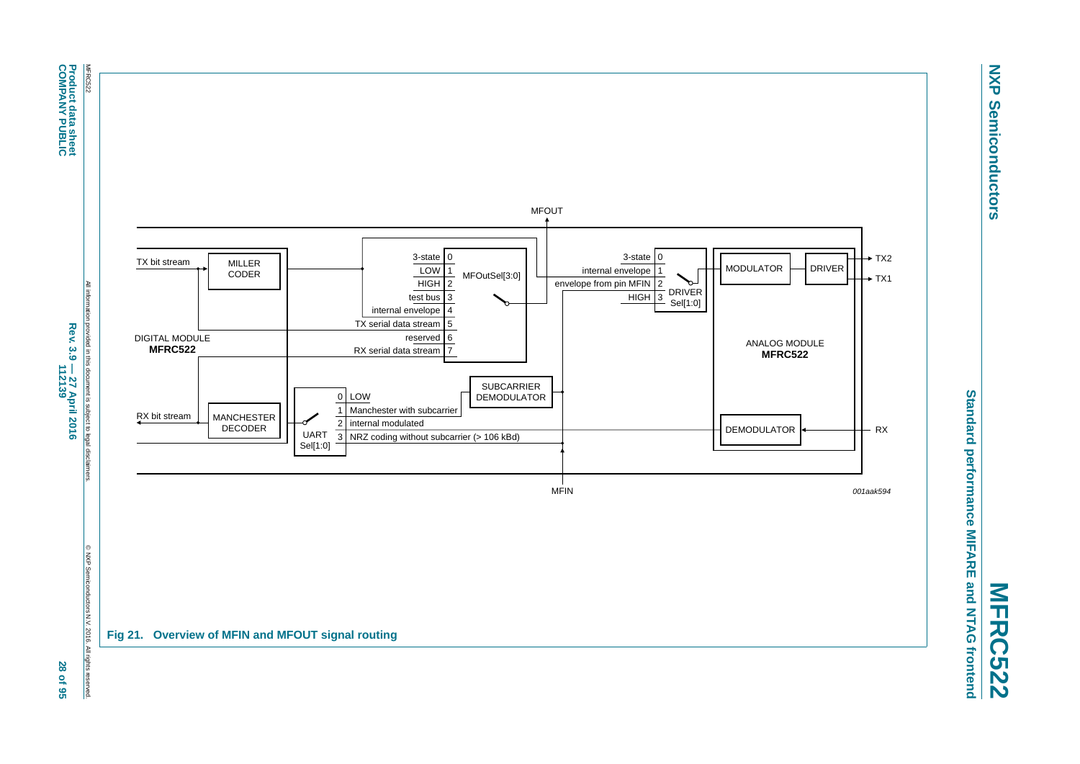

**NXP Semiconductors**

**Semiconductors** 

**NXP** 

<span id="page-27-0"></span>**MFRC522**

**Product data sheet<br>COMPANY PUBLIC Product data sheet**

**COMPANY PUBLIC**

Rev. 3.9 - 27 April 2016<br>112139 **Rev. 3.9 — 27 April 2016 112139 28 of 95**

28 of 95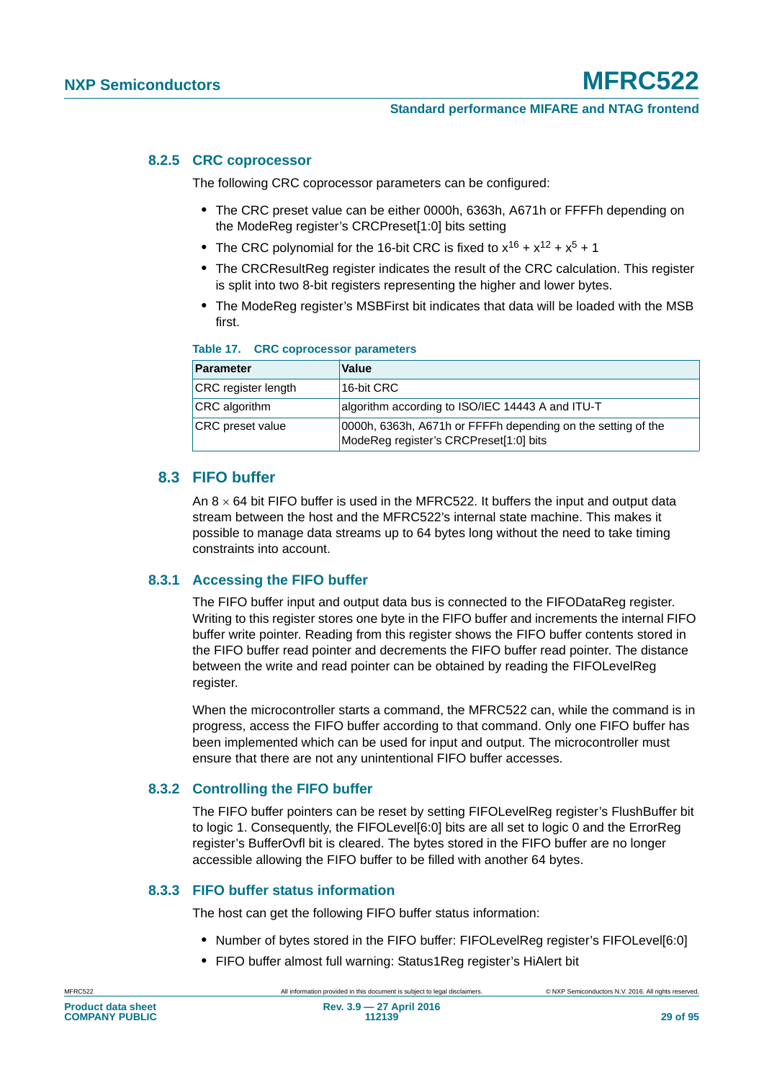#### **8.2.5 CRC coprocessor**

The following CRC coprocessor parameters can be configured:

- **•** The CRC preset value can be either 0000h, 6363h, A671h or FFFFh depending on the ModeReg register's CRCPreset[1:0] bits setting
- The CRC polynomial for the 16-bit CRC is fixed to  $x^{16} + x^{12} + x^5 + 1$
- **•** The CRCResultReg register indicates the result of the CRC calculation. This register is split into two 8-bit registers representing the higher and lower bytes.
- **•** The ModeReg register's MSBFirst bit indicates that data will be loaded with the MSB first.

| Table 17. |  | <b>CRC coprocessor parameters</b> |
|-----------|--|-----------------------------------|
|           |  |                                   |

| <b>Parameter</b>           | <b>Value</b>                                                                                           |
|----------------------------|--------------------------------------------------------------------------------------------------------|
| <b>CRC</b> register length | 16-bit CRC                                                                                             |
| <b>CRC</b> algorithm       | algorithm according to ISO/IEC 14443 A and ITU-T                                                       |
| <b>CRC</b> preset value    | 0000h, 6363h, A671h or FFFFh depending on the setting of the<br>ModeReg register's CRCPreset[1:0] bits |

### **8.3 FIFO buffer**

An  $8 \times 64$  bit FIFO buffer is used in the MFRC522. It buffers the input and output data stream between the host and the MFRC522's internal state machine. This makes it possible to manage data streams up to 64 bytes long without the need to take timing constraints into account.

#### **8.3.1 Accessing the FIFO buffer**

The FIFO buffer input and output data bus is connected to the FIFODataReg register. Writing to this register stores one byte in the FIFO buffer and increments the internal FIFO buffer write pointer. Reading from this register shows the FIFO buffer contents stored in the FIFO buffer read pointer and decrements the FIFO buffer read pointer. The distance between the write and read pointer can be obtained by reading the FIFOLevelReg register.

When the microcontroller starts a command, the MFRC522 can, while the command is in progress, access the FIFO buffer according to that command. Only one FIFO buffer has been implemented which can be used for input and output. The microcontroller must ensure that there are not any unintentional FIFO buffer accesses.

#### **8.3.2 Controlling the FIFO buffer**

The FIFO buffer pointers can be reset by setting FIFOLevelReg register's FlushBuffer bit to logic 1. Consequently, the FIFOLevel[6:0] bits are all set to logic 0 and the ErrorReg register's BufferOvfl bit is cleared. The bytes stored in the FIFO buffer are no longer accessible allowing the FIFO buffer to be filled with another 64 bytes.

#### **8.3.3 FIFO buffer status information**

The host can get the following FIFO buffer status information:

- **•** Number of bytes stored in the FIFO buffer: FIFOLevelReg register's FIFOLevel[6:0]
- **•** FIFO buffer almost full warning: Status1Reg register's HiAlert bit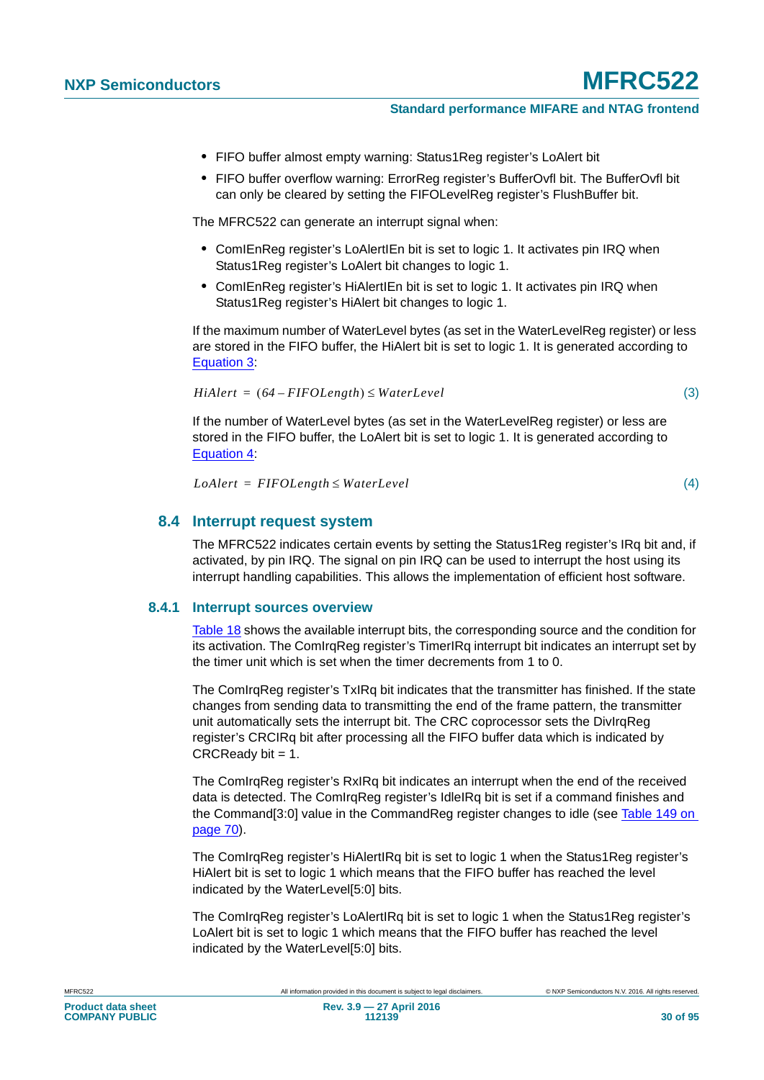- **•** FIFO buffer almost empty warning: Status1Reg register's LoAlert bit
- **•** FIFO buffer overflow warning: ErrorReg register's BufferOvfl bit. The BufferOvfl bit can only be cleared by setting the FIFOLevelReg register's FlushBuffer bit.

The MFRC522 can generate an interrupt signal when:

- **•** ComIEnReg register's LoAlertIEn bit is set to logic 1. It activates pin IRQ when Status1Reg register's LoAlert bit changes to logic 1.
- **•** ComIEnReg register's HiAlertIEn bit is set to logic 1. It activates pin IRQ when Status1Reg register's HiAlert bit changes to logic 1.

If the maximum number of WaterLevel bytes (as set in the WaterLevelReg register) or less are stored in the FIFO buffer, the HiAlert bit is set to logic 1. It is generated according to [Equation 3:](#page-29-0)

<span id="page-29-0"></span>
$$
HiAlert = (64 - FIFOLength) \le WaterLevel
$$
\n(3)

If the number of WaterLevel bytes (as set in the WaterLevelReg register) or less are stored in the FIFO buffer, the LoAlert bit is set to logic 1. It is generated according to [Equation 4:](#page-29-1)

<span id="page-29-1"></span> $L\text{o}$ *Alert* = FIFOLength  $\leq$  WaterLevel

(4)

#### **8.4 Interrupt request system**

The MFRC522 indicates certain events by setting the Status1Reg register's IRq bit and, if activated, by pin IRQ. The signal on pin IRQ can be used to interrupt the host using its interrupt handling capabilities. This allows the implementation of efficient host software.

#### **8.4.1 Interrupt sources overview**

[Table 18](#page-30-1) shows the available interrupt bits, the corresponding source and the condition for its activation. The ComIrgReg register's TimerIRg interrupt bit indicates an interrupt set by the timer unit which is set when the timer decrements from 1 to 0.

The ComIrqReg register's TxIRq bit indicates that the transmitter has finished. If the state changes from sending data to transmitting the end of the frame pattern, the transmitter unit automatically sets the interrupt bit. The CRC coprocessor sets the DivIrqReg register's CRCIRq bit after processing all the FIFO buffer data which is indicated by  $CRCReadv bit = 1.$ 

The ComIrqReg register's RxIRq bit indicates an interrupt when the end of the received data is detected. The ComIrqReg register's IdleIRq bit is set if a command finishes and the Command[3:0] value in the CommandReg register changes to idle (see [Table 149 on](#page-69-0)  [page 70](#page-69-0)).

The ComIrqReg register's HiAlertIRq bit is set to logic 1 when the Status1Reg register's HiAlert bit is set to logic 1 which means that the FIFO buffer has reached the level indicated by the WaterLevel[5:0] bits.

The ComIrqReg register's LoAlertIRq bit is set to logic 1 when the Status1Reg register's LoAlert bit is set to logic 1 which means that the FIFO buffer has reached the level indicated by the WaterLevel[5:0] bits.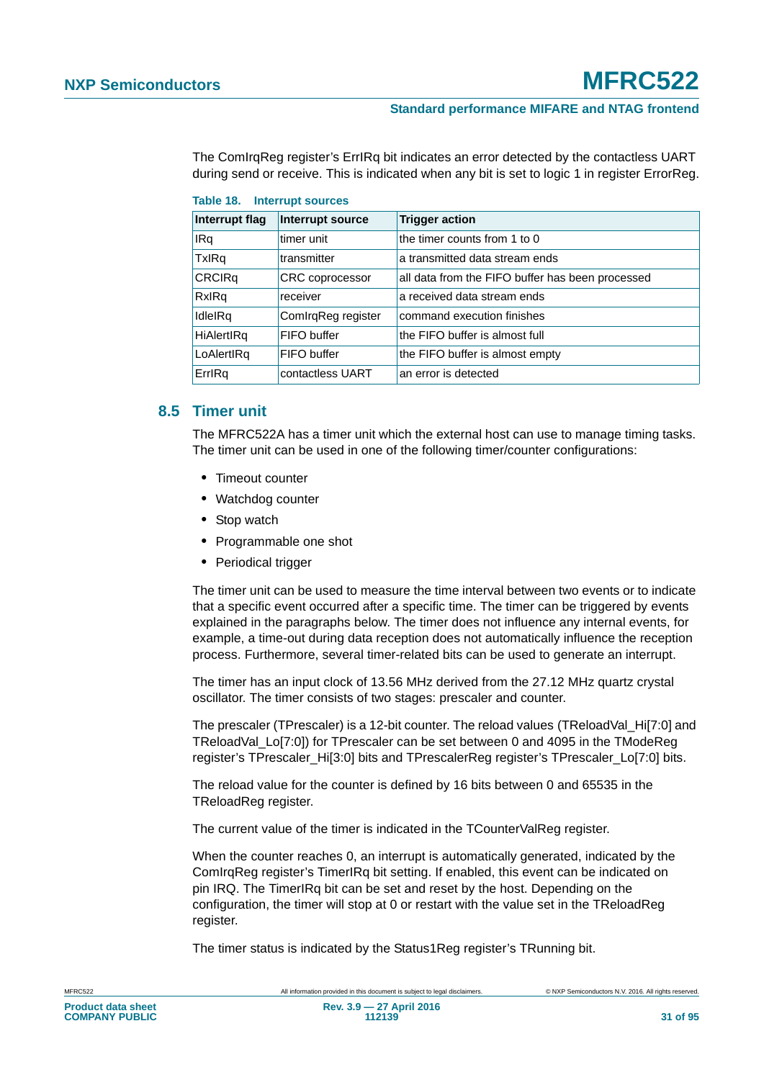The ComIrqReg register's ErrIRq bit indicates an error detected by the contactless UART during send or receive. This is indicated when any bit is set to logic 1 in register ErrorReg.

| Interrupt flag | Interrupt source   | <b>Trigger action</b>                            |  |  |  |
|----------------|--------------------|--------------------------------------------------|--|--|--|
| IRq            | timer unit         | the timer counts from 1 to 0                     |  |  |  |
| TxIRq          | transmitter        | a transmitted data stream ends                   |  |  |  |
| <b>CRCIRq</b>  | CRC coprocessor    | all data from the FIFO buffer has been processed |  |  |  |
| RxIRq          | receiver           | a received data stream ends                      |  |  |  |
| IdleIRq        | ComIrqReg register | command execution finishes                       |  |  |  |
| HiAlertIRq     | FIFO buffer        | the FIFO buffer is almost full                   |  |  |  |
| LoAlertIRq     | FIFO buffer        | the FIFO buffer is almost empty                  |  |  |  |
| ErrlRq         | contactless UART   | an error is detected                             |  |  |  |

<span id="page-30-1"></span>

#### <span id="page-30-0"></span>**8.5 Timer unit**

The MFRC522A has a timer unit which the external host can use to manage timing tasks. The timer unit can be used in one of the following timer/counter configurations:

- **•** Timeout counter
- **•** Watchdog counter
- **•** Stop watch
- **•** Programmable one shot
- **•** Periodical trigger

The timer unit can be used to measure the time interval between two events or to indicate that a specific event occurred after a specific time. The timer can be triggered by events explained in the paragraphs below. The timer does not influence any internal events, for example, a time-out during data reception does not automatically influence the reception process. Furthermore, several timer-related bits can be used to generate an interrupt.

The timer has an input clock of 13.56 MHz derived from the 27.12 MHz quartz crystal oscillator. The timer consists of two stages: prescaler and counter.

The prescaler (TPrescaler) is a 12-bit counter. The reload values (TReloadVal Hi[7:0] and TReloadVal\_Lo[7:0]) for TPrescaler can be set between 0 and 4095 in the TModeReg register's TPrescaler Hi[3:0] bits and TPrescalerReg register's TPrescaler Lo[7:0] bits.

The reload value for the counter is defined by 16 bits between 0 and 65535 in the TReloadReg register.

The current value of the timer is indicated in the TCounterValReg register.

When the counter reaches 0, an interrupt is automatically generated, indicated by the ComIrqReg register's TimerIRq bit setting. If enabled, this event can be indicated on pin IRQ. The TimerIRq bit can be set and reset by the host. Depending on the configuration, the timer will stop at 0 or restart with the value set in the TReloadReg register.

The timer status is indicated by the Status1Reg register's TRunning bit.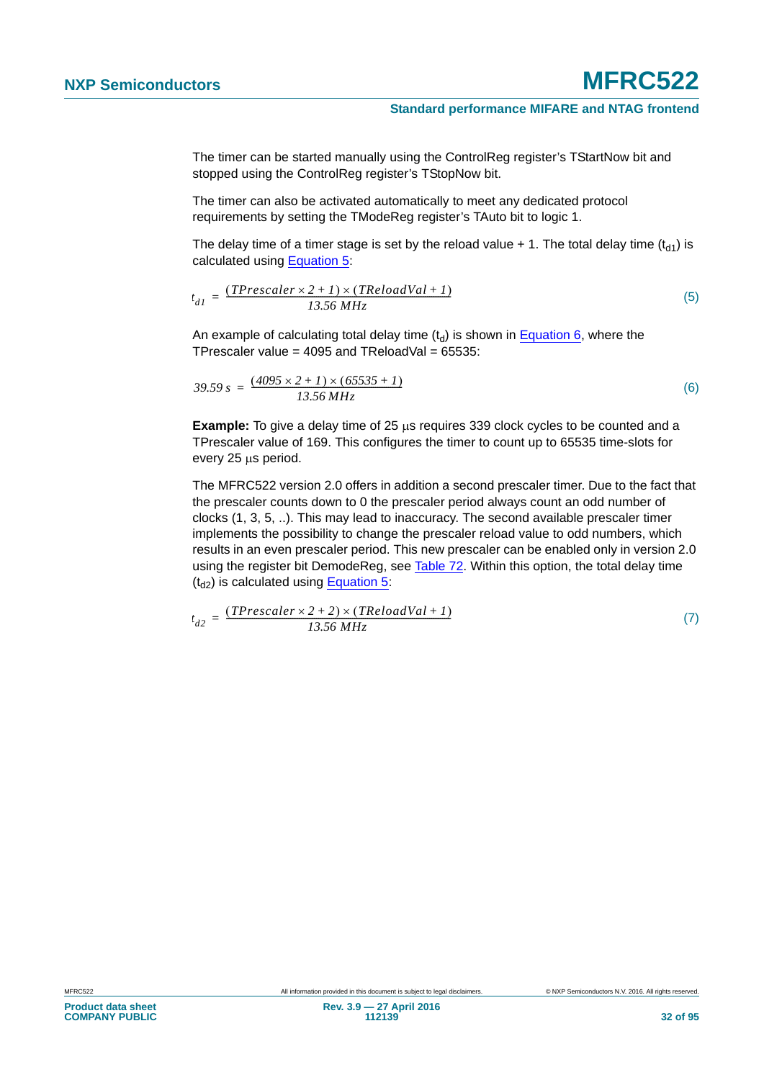The timer can be started manually using the ControlReg register's TStartNow bit and stopped using the ControlReg register's TStopNow bit.

The timer can also be activated automatically to meet any dedicated protocol requirements by setting the TModeReg register's TAuto bit to logic 1.

The delay time of a timer stage is set by the reload value  $+1$ . The total delay time (t<sub>d1</sub>) is calculated using [Equation 5](#page-31-0):

<span id="page-31-0"></span>
$$
t_{dI} = \frac{(TPrescale \times 2 + I) \times (TReloadVal + I)}{13.56 MHz}
$$
 (5)

An example of calculating total delay time  $(t_d)$  is shown in [Equation 6](#page-31-1), where the TPrescaler value =  $4095$  and TReloadVal =  $65535$ :

<span id="page-31-1"></span>
$$
39.59 s = \frac{(4095 \times 2 + I) \times (65535 + I)}{13.56 MHz}
$$
 (6)

**Example:** To give a delay time of 25  $\mu$ s requires 339 clock cycles to be counted and a TPrescaler value of 169. This configures the timer to count up to 65535 time-slots for every 25 us period.

The MFRC522 version 2.0 offers in addition a second prescaler timer. Due to the fact that the prescaler counts down to 0 the prescaler period always count an odd number of clocks (1, 3, 5, ..). This may lead to inaccuracy. The second available prescaler timer implements the possibility to change the prescaler reload value to odd numbers, which results in an even prescaler period. This new prescaler can be enabled only in version 2.0 using the register bit DemodeReg, see [Table 72](#page-52-0). Within this option, the total delay time  $(t_{d2})$  is calculated using [Equation 5:](#page-31-0)

$$
t_{d2} = \frac{(TPrescale r \times 2 + 2) \times (TReloadVal + 1)}{13.56 MHz}
$$
 (7)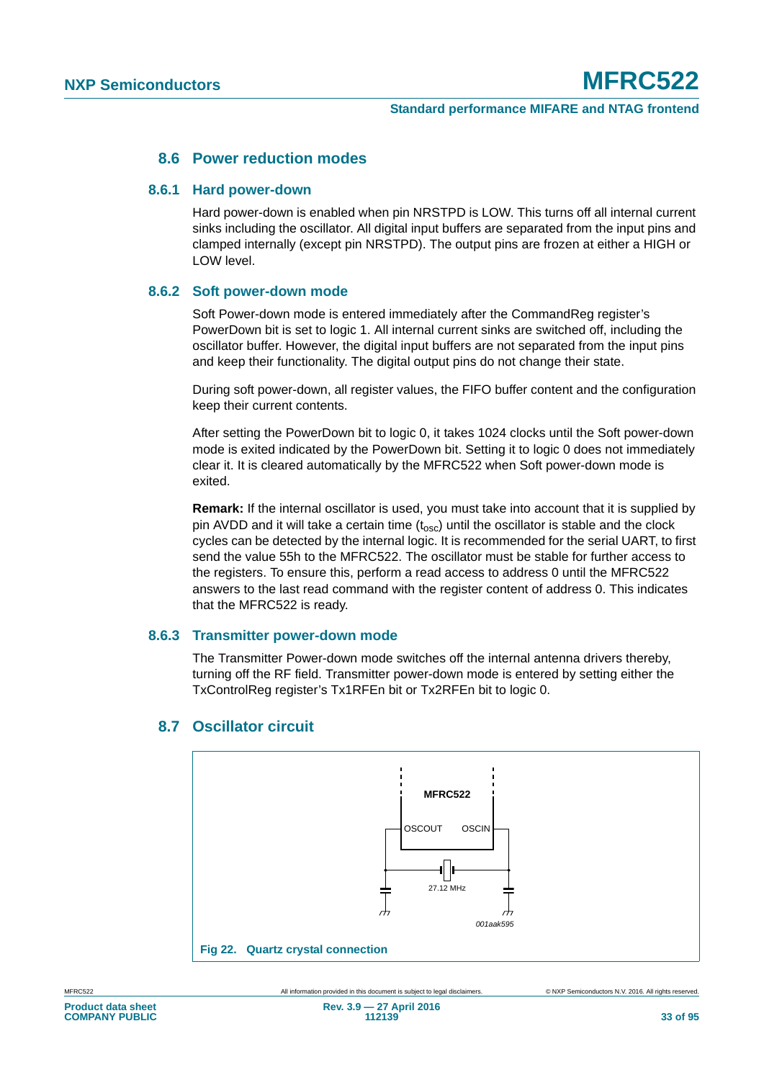#### **8.6 Power reduction modes**

#### **8.6.1 Hard power-down**

Hard power-down is enabled when pin NRSTPD is LOW. This turns off all internal current sinks including the oscillator. All digital input buffers are separated from the input pins and clamped internally (except pin NRSTPD). The output pins are frozen at either a HIGH or LOW level.

#### **8.6.2 Soft power-down mode**

Soft Power-down mode is entered immediately after the CommandReg register's PowerDown bit is set to logic 1. All internal current sinks are switched off, including the oscillator buffer. However, the digital input buffers are not separated from the input pins and keep their functionality. The digital output pins do not change their state.

During soft power-down, all register values, the FIFO buffer content and the configuration keep their current contents.

After setting the PowerDown bit to logic 0, it takes 1024 clocks until the Soft power-down mode is exited indicated by the PowerDown bit. Setting it to logic 0 does not immediately clear it. It is cleared automatically by the MFRC522 when Soft power-down mode is exited.

**Remark:** If the internal oscillator is used, you must take into account that it is supplied by pin AVDD and it will take a certain time  $(t_{\rm osc})$  until the oscillator is stable and the clock cycles can be detected by the internal logic. It is recommended for the serial UART, to first send the value 55h to the MFRC522. The oscillator must be stable for further access to the registers. To ensure this, perform a read access to address 0 until the MFRC522 answers to the last read command with the register content of address 0. This indicates that the MFRC522 is ready.

#### **8.6.3 Transmitter power-down mode**

The Transmitter Power-down mode switches off the internal antenna drivers thereby, turning off the RF field. Transmitter power-down mode is entered by setting either the TxControlReg register's Tx1RFEn bit or Tx2RFEn bit to logic 0.



#### **8.7 Oscillator circuit**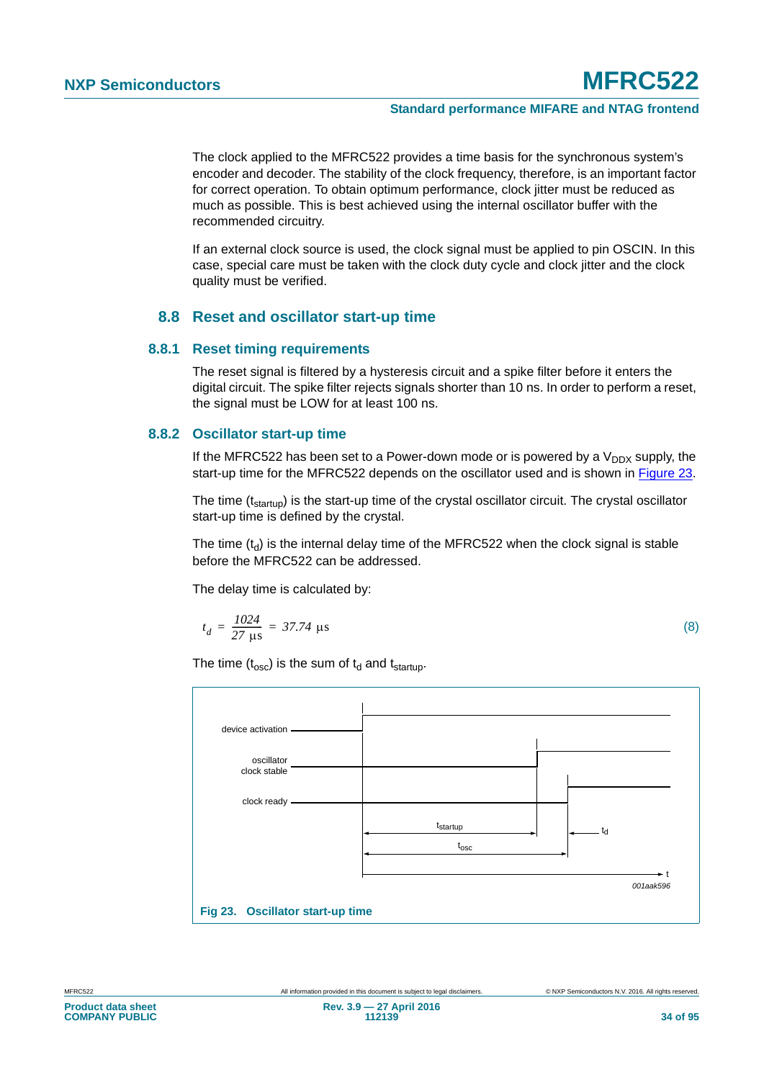The clock applied to the MFRC522 provides a time basis for the synchronous system's encoder and decoder. The stability of the clock frequency, therefore, is an important factor for correct operation. To obtain optimum performance, clock jitter must be reduced as much as possible. This is best achieved using the internal oscillator buffer with the recommended circuitry.

If an external clock source is used, the clock signal must be applied to pin OSCIN. In this case, special care must be taken with the clock duty cycle and clock jitter and the clock quality must be verified.

#### **8.8 Reset and oscillator start-up time**

#### **8.8.1 Reset timing requirements**

The reset signal is filtered by a hysteresis circuit and a spike filter before it enters the digital circuit. The spike filter rejects signals shorter than 10 ns. In order to perform a reset, the signal must be LOW for at least 100 ns.

#### **8.8.2 Oscillator start-up time**

If the MFRC522 has been set to a Power-down mode or is powered by a  $V_{DDX}$  supply, the start-up time for the MFRC522 depends on the oscillator used and is shown in [Figure 23.](#page-33-0)

The time (t<sub>startup</sub>) is the start-up time of the crystal oscillator circuit. The crystal oscillator start-up time is defined by the crystal.

The time  $(t<sub>d</sub>)$  is the internal delay time of the MFRC522 when the clock signal is stable before the MFRC522 can be addressed.

The delay time is calculated by:

$$
t_d = \frac{1024}{27 \text{ }\mu\text{s}} = 37.74 \text{ }\mu\text{s}
$$
 (8)

The time  $(t_{\rm osc})$  is the sum of  $t_d$  and  $t_{\rm startup}$ .

<span id="page-33-0"></span>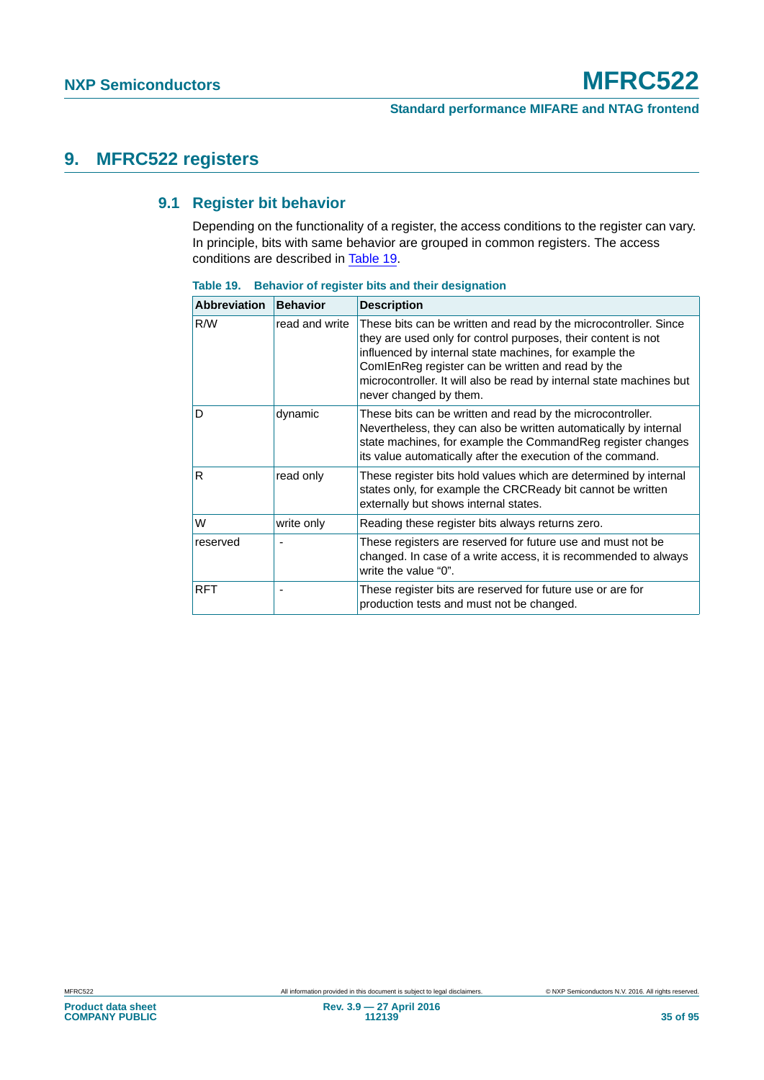## **9. MFRC522 registers**

#### **9.1 Register bit behavior**

Depending on the functionality of a register, the access conditions to the register can vary. In principle, bits with same behavior are grouped in common registers. The access conditions are described in [Table 19.](#page-34-0)

| <b>Abbreviation</b> | <b>Behavior</b> | <b>Description</b>                                                                                                                                                                                                                                                                                                                                 |  |
|---------------------|-----------------|----------------------------------------------------------------------------------------------------------------------------------------------------------------------------------------------------------------------------------------------------------------------------------------------------------------------------------------------------|--|
| R/W                 | read and write  | These bits can be written and read by the microcontroller. Since<br>they are used only for control purposes, their content is not<br>influenced by internal state machines, for example the<br>ComIEnReg register can be written and read by the<br>microcontroller. It will also be read by internal state machines but<br>never changed by them. |  |
| D                   | dynamic         | These bits can be written and read by the microcontroller.<br>Nevertheless, they can also be written automatically by internal<br>state machines, for example the CommandReg register changes<br>its value automatically after the execution of the command.                                                                                       |  |
| R.                  | read only       | These register bits hold values which are determined by internal<br>states only, for example the CRCReady bit cannot be written<br>externally but shows internal states.                                                                                                                                                                           |  |
| lW                  | write only      | Reading these register bits always returns zero.                                                                                                                                                                                                                                                                                                   |  |
| reserved            |                 | These registers are reserved for future use and must not be<br>changed. In case of a write access, it is recommended to always<br>write the value "0".                                                                                                                                                                                             |  |
| <b>RFT</b>          |                 | These register bits are reserved for future use or are for<br>production tests and must not be changed.                                                                                                                                                                                                                                            |  |

<span id="page-34-0"></span>**Table 19. Behavior of register bits and their designation**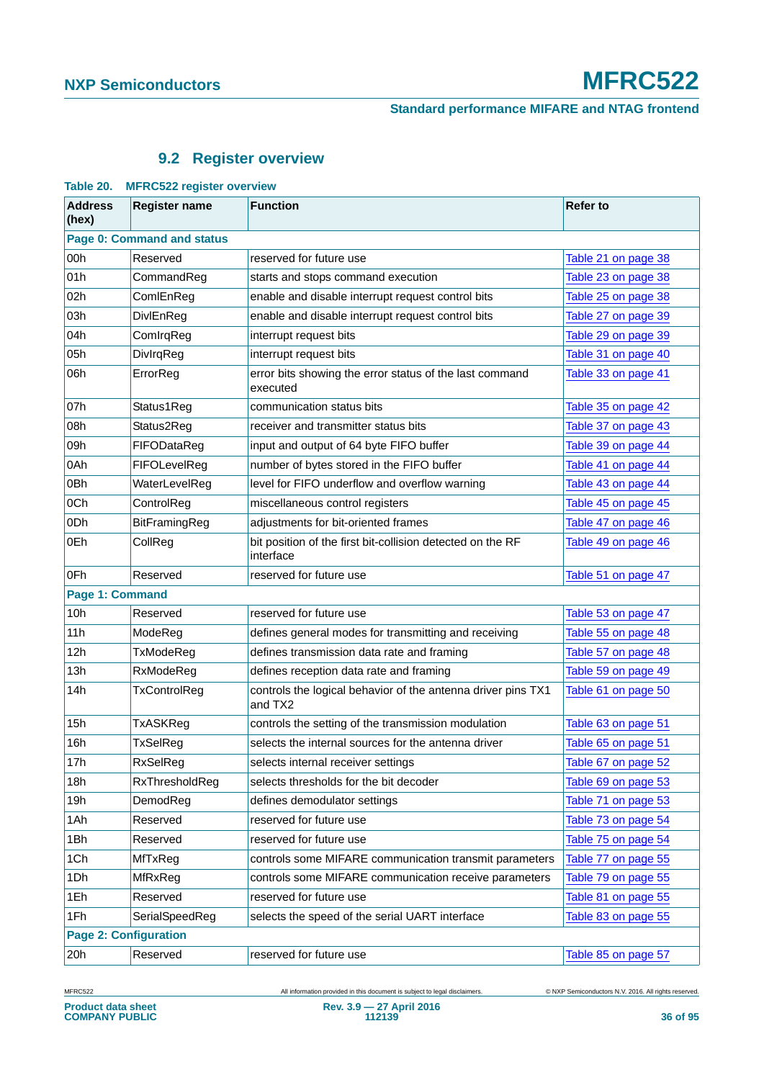### **9.2 Register overview**

| Table 20.<br><b>MFRUSZZ register overview</b> |                              |                                                                         |                     |  |  |
|-----------------------------------------------|------------------------------|-------------------------------------------------------------------------|---------------------|--|--|
| <b>Address</b><br>(hex)                       | <b>Register name</b>         | <b>Function</b>                                                         | <b>Refer to</b>     |  |  |
| Page 0: Command and status                    |                              |                                                                         |                     |  |  |
| 00h                                           | Reserved                     | reserved for future use                                                 | Table 21 on page 38 |  |  |
| 01h                                           | CommandReg                   | starts and stops command execution                                      | Table 23 on page 38 |  |  |
| 02h                                           | ComlEnReg                    | enable and disable interrupt request control bits                       | Table 25 on page 38 |  |  |
| 03h                                           | DivlEnReg                    | enable and disable interrupt request control bits                       | Table 27 on page 39 |  |  |
| 04h                                           | ComIrqReg                    | interrupt request bits                                                  | Table 29 on page 39 |  |  |
| 05h                                           | DivlrqReg                    | interrupt request bits                                                  | Table 31 on page 40 |  |  |
| 06h                                           | ErrorReg                     | error bits showing the error status of the last command<br>executed     | Table 33 on page 41 |  |  |
| 07h                                           | Status1Reg                   | communication status bits                                               | Table 35 on page 42 |  |  |
| 08h                                           | Status2Reg                   | receiver and transmitter status bits                                    | Table 37 on page 43 |  |  |
| 09h                                           | FIFODataReg                  | input and output of 64 byte FIFO buffer                                 | Table 39 on page 44 |  |  |
| 0Ah                                           | FIFOLevelReg                 | number of bytes stored in the FIFO buffer                               | Table 41 on page 44 |  |  |
| 0 <sub>Bh</sub>                               | WaterLevelReg                | level for FIFO underflow and overflow warning                           | Table 43 on page 44 |  |  |
| 0Ch                                           | ControlReg                   | miscellaneous control registers                                         | Table 45 on page 45 |  |  |
| 0 <sub>Dh</sub>                               | BitFramingReg                | adjustments for bit-oriented frames                                     | Table 47 on page 46 |  |  |
| 0Eh                                           | CollReg                      | bit position of the first bit-collision detected on the RF<br>interface | Table 49 on page 46 |  |  |
| 0Fh                                           | Reserved                     | reserved for future use                                                 | Table 51 on page 47 |  |  |
| Page 1: Command                               |                              |                                                                         |                     |  |  |
| 10h                                           | Reserved                     | reserved for future use                                                 | Table 53 on page 47 |  |  |
| 11h                                           | ModeReg                      | defines general modes for transmitting and receiving                    | Table 55 on page 48 |  |  |
| 12h                                           | TxModeReg                    | defines transmission data rate and framing                              | Table 57 on page 48 |  |  |
| 13h                                           | RxModeReg                    | defines reception data rate and framing                                 | Table 59 on page 49 |  |  |
| 14h                                           | TxControlReg                 | controls the logical behavior of the antenna driver pins TX1<br>and TX2 | Table 61 on page 50 |  |  |
| 15h                                           | <b>TxASKReg</b>              | controls the setting of the transmission modulation                     | Table 63 on page 51 |  |  |
| 16h                                           | TxSelReg                     | selects the internal sources for the antenna driver                     | Table 65 on page 51 |  |  |
| 17h                                           | RxSelReg                     | selects internal receiver settings                                      | Table 67 on page 52 |  |  |
| 18h                                           | RxThresholdReg               | selects thresholds for the bit decoder                                  | Table 69 on page 53 |  |  |
| 19h                                           | DemodReg                     | defines demodulator settings                                            | Table 71 on page 53 |  |  |
| 1Ah                                           | Reserved                     | reserved for future use                                                 | Table 73 on page 54 |  |  |
| 1Bh                                           | Reserved                     | reserved for future use                                                 | Table 75 on page 54 |  |  |
| 1Ch                                           | MfTxReg                      | controls some MIFARE communication transmit parameters                  | Table 77 on page 55 |  |  |
| 1Dh                                           | MfRxReg                      | controls some MIFARE communication receive parameters                   | Table 79 on page 55 |  |  |
| 1Eh                                           | Reserved                     | reserved for future use                                                 | Table 81 on page 55 |  |  |
| 1Fh                                           | SerialSpeedReg               | selects the speed of the serial UART interface                          | Table 83 on page 55 |  |  |
|                                               | <b>Page 2: Configuration</b> |                                                                         |                     |  |  |
| 20h                                           | Reserved                     | reserved for future use                                                 | Table 85 on page 57 |  |  |

**Table 20. MFRC522 register overview**

MFRC522 All information provided in this document is subject to legal disclaimers. © NXP Semiconductors N.V. 2016. All rights reserved.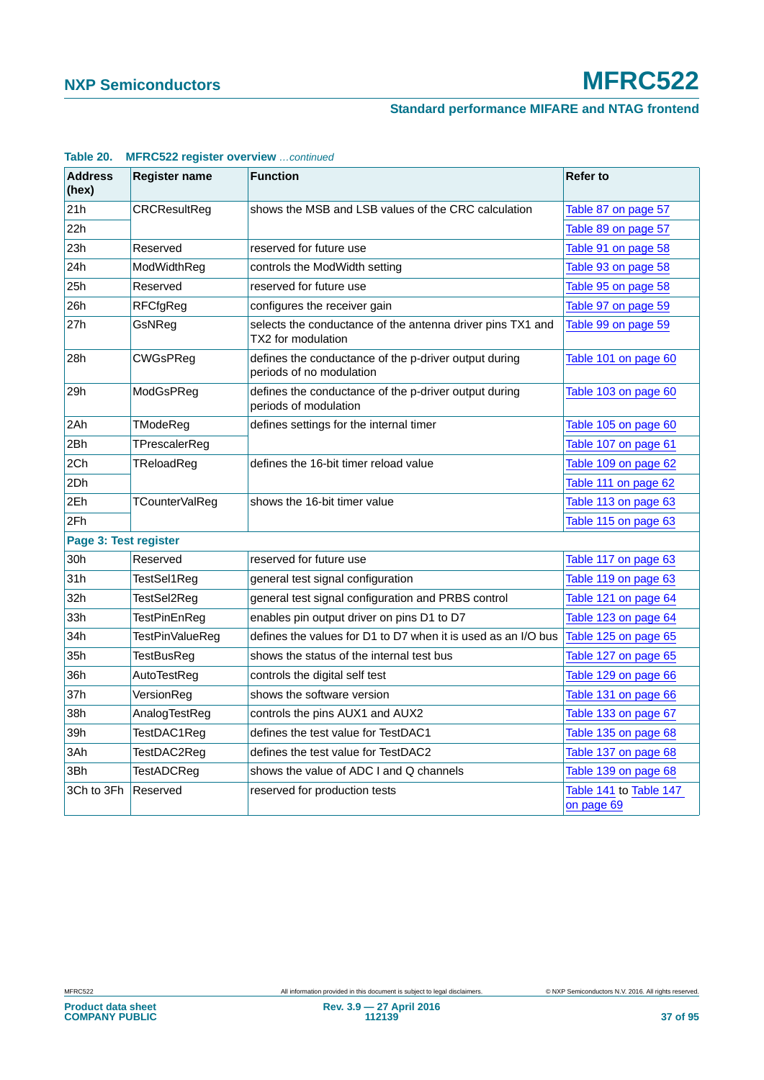# **Standard performance MIFARE and NTAG frontend**

| <b>Address</b><br>(hex) | <b>Register name</b> | <b>Function</b>                                                                   | <b>Refer to</b>                      |
|-------------------------|----------------------|-----------------------------------------------------------------------------------|--------------------------------------|
| 21h                     | <b>CRCResultReg</b>  | shows the MSB and LSB values of the CRC calculation                               | Table 87 on page 57                  |
| 22h                     |                      |                                                                                   | Table 89 on page 57                  |
| 23h                     | Reserved             | reserved for future use                                                           | Table 91 on page 58                  |
| 24h                     | ModWidthReg          | controls the ModWidth setting                                                     | Table 93 on page 58                  |
| 25h                     | Reserved             | reserved for future use                                                           | Table 95 on page 58                  |
| 26h                     | <b>RFCfgReg</b>      | configures the receiver gain                                                      | Table 97 on page 59                  |
| 27h                     | GsNReg               | selects the conductance of the antenna driver pins TX1 and<br>TX2 for modulation  | Table 99 on page 59                  |
| 28h                     | <b>CWGsPReg</b>      | defines the conductance of the p-driver output during<br>periods of no modulation | Table 101 on page 60                 |
| 29h                     | ModGsPReg            | defines the conductance of the p-driver output during<br>periods of modulation    | Table 103 on page 60                 |
| 2Ah                     | TModeReg             | defines settings for the internal timer                                           | Table 105 on page 60                 |
| 2Bh                     | TPrescalerReg        |                                                                                   | Table 107 on page 61                 |
| 2Ch                     | TReloadReg           | defines the 16-bit timer reload value                                             | Table 109 on page 62                 |
| 2Dh                     |                      |                                                                                   | Table 111 on page 62                 |
| 2Eh                     | TCounterValReg       | shows the 16-bit timer value                                                      | Table 113 on page 63                 |
| 2Fh                     |                      |                                                                                   | Table 115 on page 63                 |
| Page 3: Test register   |                      |                                                                                   |                                      |
| 30h                     | Reserved             | reserved for future use                                                           | Table 117 on page 63                 |
| 31h                     | TestSel1Reg          | general test signal configuration                                                 | Table 119 on page 63                 |
| 32h                     | TestSel2Reg          | general test signal configuration and PRBS control                                | Table 121 on page 64                 |
| 33h                     | TestPinEnReg         | enables pin output driver on pins D1 to D7                                        | Table 123 on page 64                 |
| 34h                     | TestPinValueReg      | defines the values for D1 to D7 when it is used as an I/O bus                     | Table 125 on page 65                 |
| 35h                     | <b>TestBusReg</b>    | shows the status of the internal test bus                                         | Table 127 on page 65                 |
| 36h                     | AutoTestReg          | controls the digital self test                                                    | Table 129 on page 66                 |
| 37h                     | VersionReg           | shows the software version                                                        | Table 131 on page 66                 |
| 38h                     | AnalogTestReg        | controls the pins AUX1 and AUX2                                                   | Table 133 on page 67                 |
| 39h                     | TestDAC1Reg          | defines the test value for TestDAC1                                               | Table 135 on page 68                 |
| 3Ah                     | TestDAC2Reg          | defines the test value for TestDAC2                                               | Table 137 on page 68                 |
| 3Bh                     | <b>TestADCReg</b>    | shows the value of ADC I and Q channels                                           | Table 139 on page 68                 |
| 3Ch to 3Fh              | Reserved             | reserved for production tests                                                     | Table 141 to Table 147<br>on page 69 |

## **Table 20. MFRC522 register overview** *…continued*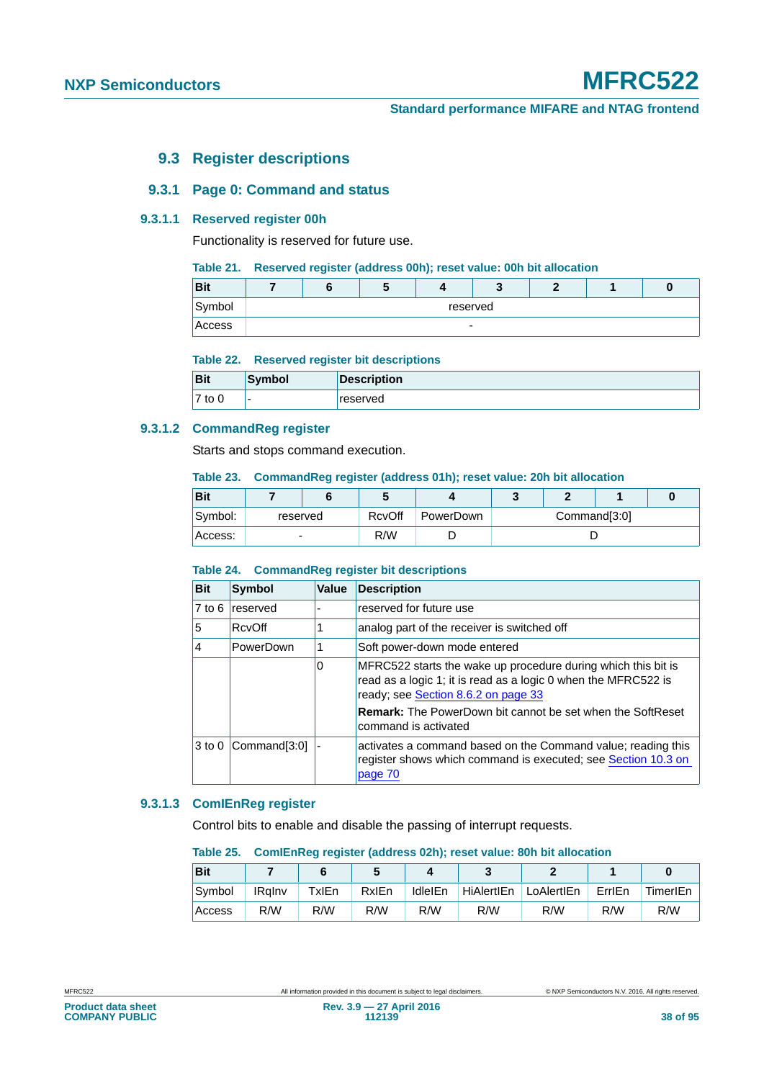# **9.3 Register descriptions**

# **9.3.1 Page 0: Command and status**

## **9.3.1.1 Reserved register 00h**

Functionality is reserved for future use.

## **Table 21. Reserved register (address 00h); reset value: 00h bit allocation**

| <b>D</b> it<br>ыu |  |                          |  |  |
|-------------------|--|--------------------------|--|--|
| Symbol            |  | reserved                 |  |  |
| Access            |  | $\overline{\phantom{0}}$ |  |  |

#### **Table 22. Reserved register bit descriptions**

| <b>Bit</b> | Symbol                   | <b>Description</b> |
|------------|--------------------------|--------------------|
| $7$ to $0$ | $\overline{\phantom{0}}$ | reserved           |

## **9.3.1.2 CommandReg register**

Starts and stops command execution.

#### **Table 23. CommandReg register (address 01h); reset value: 20h bit allocation**

| Bit     |          |        |           |  |              |  |  |
|---------|----------|--------|-----------|--|--------------|--|--|
| Symbol: | reserved | RcvOff | PowerDown |  | Command[3:0] |  |  |
| Access: | -        | R/W    |           |  |              |  |  |

## **Table 24. CommandReg register bit descriptions**

| <b>Bit</b>        | <b>Symbol</b> | <b>Value</b> | <b>Description</b>                                                                                                                                                     |
|-------------------|---------------|--------------|------------------------------------------------------------------------------------------------------------------------------------------------------------------------|
| $7$ to $6$        | reserved      |              | reserved for future use                                                                                                                                                |
| 5                 | RcvOff        |              | analog part of the receiver is switched off                                                                                                                            |
| 4                 | PowerDown     |              | Soft power-down mode entered                                                                                                                                           |
|                   |               | 0            | MFRC522 starts the wake up procedure during which this bit is<br>read as a logic 1; it is read as a logic 0 when the MFRC522 is<br>ready; see Section 8.6.2 on page 33 |
|                   |               |              | <b>Remark:</b> The PowerDown bit cannot be set when the SoftReset<br>command is activated                                                                              |
| 3 <sub>to</sub> 0 | Command[3:0]  |              | activates a command based on the Command value; reading this<br>register shows which command is executed; see Section 10.3 on<br>page 70                               |

### **9.3.1.3 ComIEnReg register**

Control bits to enable and disable the passing of interrupt requests.

#### **Table 25. ComIEnReg register (address 02h); reset value: 80h bit allocation**

| <b>Bit</b> |               |       |       |                |            |            |        |          |
|------------|---------------|-------|-------|----------------|------------|------------|--------|----------|
| Symbol     | <b>IRalnv</b> | TxIEn | RxIEn | <b>IdleIEn</b> | HiAlertIEn | LoAlertIEn | ErrlEn | TimerIEn |
| Access     | R/W           | R/W   | R/W   | R/W            | R/W        | R/W        | R/W    | R/W      |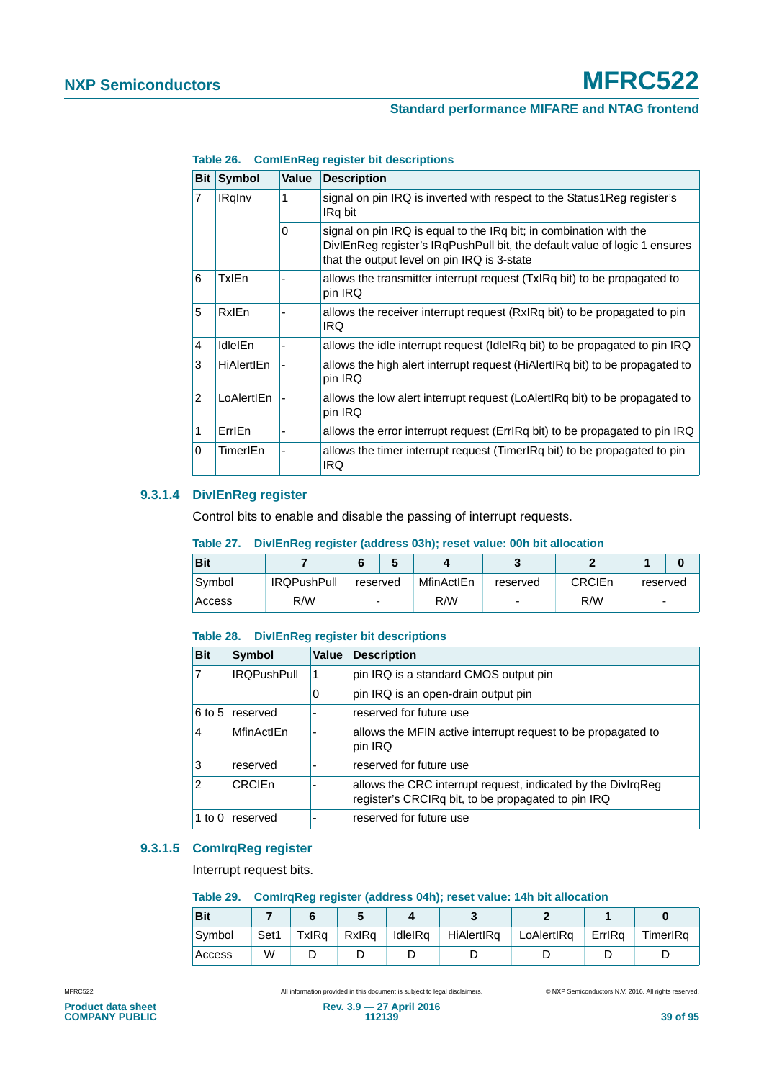| <b>Bit</b>     | <b>Symbol</b>     | <b>Value</b> | <b>Description</b>                                                                                                                                                                              |
|----------------|-------------------|--------------|-------------------------------------------------------------------------------------------------------------------------------------------------------------------------------------------------|
| 7              | <b>IRgInv</b>     | 1            | signal on pin IRQ is inverted with respect to the Status1Reg register's<br>IRq bit                                                                                                              |
|                |                   | $\Omega$     | signal on pin IRQ is equal to the IRq bit; in combination with the<br>DivIEnReg register's IRgPushPull bit, the default value of logic 1 ensures<br>that the output level on pin IRQ is 3-state |
| 6              | TxlEn             |              | allows the transmitter interrupt request (TxIRq bit) to be propagated to<br>pin IRQ                                                                                                             |
| 5              | <b>RxIEn</b>      |              | allows the receiver interrupt request (RxIRq bit) to be propagated to pin<br>IRQ.                                                                                                               |
| 4              | <b>IdleIEn</b>    |              | allows the idle interrupt request (Idle Rq bit) to be propagated to pin IRQ                                                                                                                     |
| 3              | <b>HiAlertIEn</b> |              | allows the high alert interrupt request (HiAlertIRq bit) to be propagated to<br>pin IRQ                                                                                                         |
| $\overline{2}$ | LoAlertIEn        |              | allows the low alert interrupt request (LoAlertIRq bit) to be propagated to<br>pin IRQ                                                                                                          |
| 1              | ErrlEn            |              | allows the error interrupt request (ErrlRq bit) to be propagated to pin IRQ                                                                                                                     |
| 0              | TimerIEn          |              | allows the timer interrupt request (Timer Rq bit) to be propagated to pin<br>IRQ                                                                                                                |

**Table 26. ComIEnReg register bit descriptions**

# **9.3.1.4 DivIEnReg register**

Control bits to enable and disable the passing of interrupt requests.

## **Table 27. DivIEnReg register (address 03h); reset value: 00h bit allocation**

| <b>Bit</b> |                    |          |            |          |               |                          |  |
|------------|--------------------|----------|------------|----------|---------------|--------------------------|--|
| Symbol     | <b>IRQPushPull</b> | reserved | MfinActIEn | reserved | <b>CRCIEn</b> | reserved                 |  |
| Access     | R/W                | -        | R/W        | -        | R/W           | $\overline{\phantom{0}}$ |  |

## **Table 28. DivIEnReg register bit descriptions**

| <b>Bit</b>     | Symbol             | Value | <b>Description</b>                                                                                                 |
|----------------|--------------------|-------|--------------------------------------------------------------------------------------------------------------------|
|                | <b>IROPushPull</b> | 1     | pin IRQ is a standard CMOS output pin                                                                              |
|                |                    | O     | pin IRQ is an open-drain output pin                                                                                |
| $6$ to 5       | reserved           |       | reserved for future use                                                                                            |
| 4              | MfinActIEn         |       | allows the MFIN active interrupt request to be propagated to<br>pin IRQ                                            |
| 3              | reserved           |       | reserved for future use                                                                                            |
| $\overline{2}$ | CRCIEn             |       | allows the CRC interrupt request, indicated by the DivIrqReg<br>register's CRCIRq bit, to be propagated to pin IRQ |
| 1 to 0         | reserved           |       | reserved for future use                                                                                            |

## **9.3.1.5 ComIrqReg register**

Interrupt request bits.

#### **Table 29. ComIrqReg register (address 04h); reset value: 14h bit allocation**

| <b>Bit</b> |      |       |       |         |            |            |        |          |
|------------|------|-------|-------|---------|------------|------------|--------|----------|
| Symbol     | Set1 | TxIRa | RxIRa | IdleIRa | HiAlertIRa | LoAlertIRq | ErrlRa | TimerIRa |
| Access     | W    |       |       |         |            |            |        |          |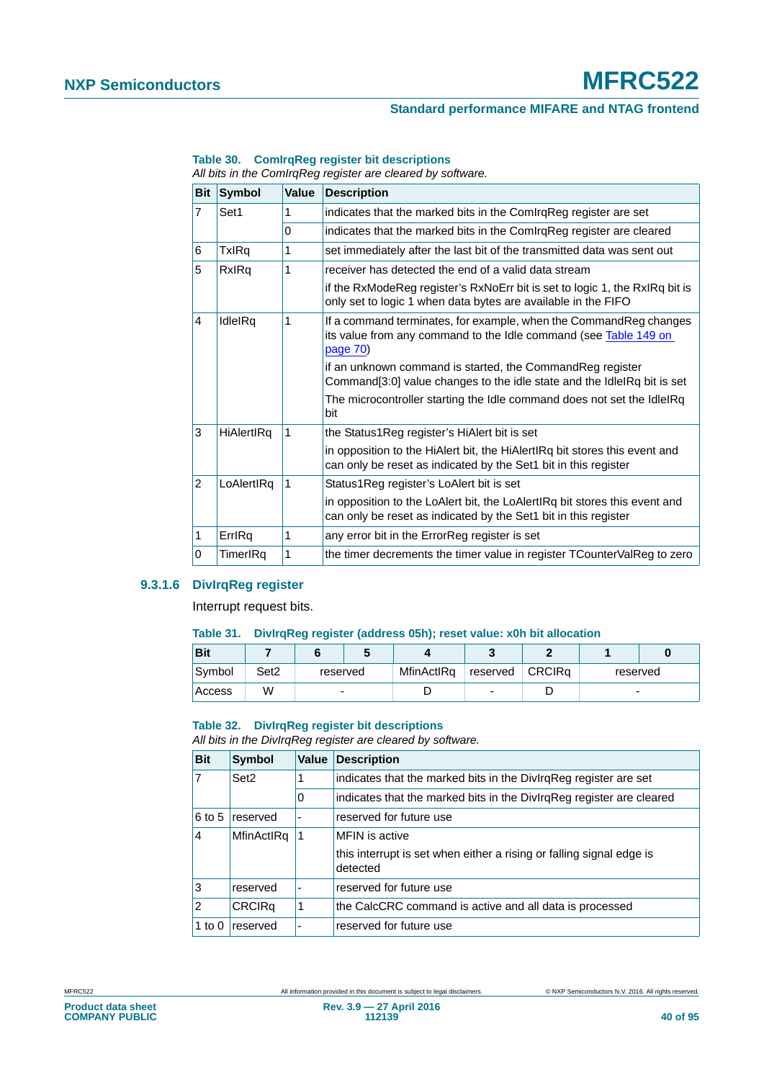# **Standard performance MIFARE and NTAG frontend**

|                |                   |          | All bits in the Communey register are cleared by software.                                                                                         |
|----------------|-------------------|----------|----------------------------------------------------------------------------------------------------------------------------------------------------|
| <b>Bit</b>     | <b>Symbol</b>     | Value    | <b>Description</b>                                                                                                                                 |
| $\overline{7}$ | Set1              | 1        | indicates that the marked bits in the Comlrq Reg register are set                                                                                  |
|                |                   | $\Omega$ | indicates that the marked bits in the ComIrqReg register are cleared                                                                               |
| 6              | TxIRq             | 1        | set immediately after the last bit of the transmitted data was sent out                                                                            |
| 5              | RxIRq             | 1        | receiver has detected the end of a valid data stream                                                                                               |
|                |                   |          | if the RxModeReg register's RxNoErr bit is set to logic 1, the RxIRq bit is<br>only set to logic 1 when data bytes are available in the FIFO       |
| 4              | IdleIRq           | 1        | If a command terminates, for example, when the Command Reg changes<br>its value from any command to the Idle command (see Table 149 on<br>page 70) |
|                |                   |          | if an unknown command is started, the CommandReg register<br>Command[3:0] value changes to the idle state and the IdleIRq bit is set               |
|                |                   |          | The microcontroller starting the Idle command does not set the IdleIRq<br>bit                                                                      |
| 3              | <b>HiAlertIRq</b> | 1        | the Status1Reg register's HiAlert bit is set                                                                                                       |
|                |                   |          | in opposition to the HiAlert bit, the HiAlertIRq bit stores this event and<br>can only be reset as indicated by the Set1 bit in this register      |
| $\overline{2}$ | LoAlertIRq        | -1       | Status1Reg register's LoAlert bit is set                                                                                                           |
|                |                   |          | in opposition to the LoAlert bit, the LoAlertIRq bit stores this event and<br>can only be reset as indicated by the Set1 bit in this register      |
| 1              | ErrlRq            | 1        | any error bit in the ErrorReg register is set                                                                                                      |
| 0              | TimerIRq          | 1        | the timer decrements the timer value in register TCounterValReg to zero                                                                            |

#### **Table 30. ComIrqReg register bit descriptions**

*All bits in the ComIrqReg register are cleared by software.*

## **9.3.1.6 DivIrqReg register**

Interrupt request bits.

#### **Table 31. DivIrqReg register (address 05h); reset value: x0h bit allocation**

| <b>Bit</b> |                  |          |            |          |               |          |  |
|------------|------------------|----------|------------|----------|---------------|----------|--|
| Symbol     | Set <sub>2</sub> | reserved | MfinActIRq | reserved | <b>CRCIRa</b> | reserved |  |
| Access     | W                |          |            |          |               | -        |  |

#### **Table 32. DivIrqReg register bit descriptions**

*All bits in the DivIrqReg register are cleared by software.*

| <b>Bit</b>     | <b>Symbol</b>    | <b>Value</b>             | <b>Description</b>                                                               |
|----------------|------------------|--------------------------|----------------------------------------------------------------------------------|
| $\overline{7}$ | Set <sub>2</sub> |                          | indicates that the marked bits in the DivirgReg register are set                 |
|                |                  | 0                        | indicates that the marked bits in the DivirgReg register are cleared             |
| 6 to 5         | reserved         | $\overline{\phantom{a}}$ | reserved for future use                                                          |
| $\overline{4}$ | MfinActIRq       | -1                       | MFIN is active                                                                   |
|                |                  |                          | this interrupt is set when either a rising or falling signal edge is<br>detected |
| 3              | reserved         | $\overline{\phantom{a}}$ | reserved for future use                                                          |
| $\overline{2}$ | <b>CRCIRq</b>    | 1                        | the CalcCRC command is active and all data is processed                          |
| 1 to $0$       | reserved         | ٠                        | reserved for future use                                                          |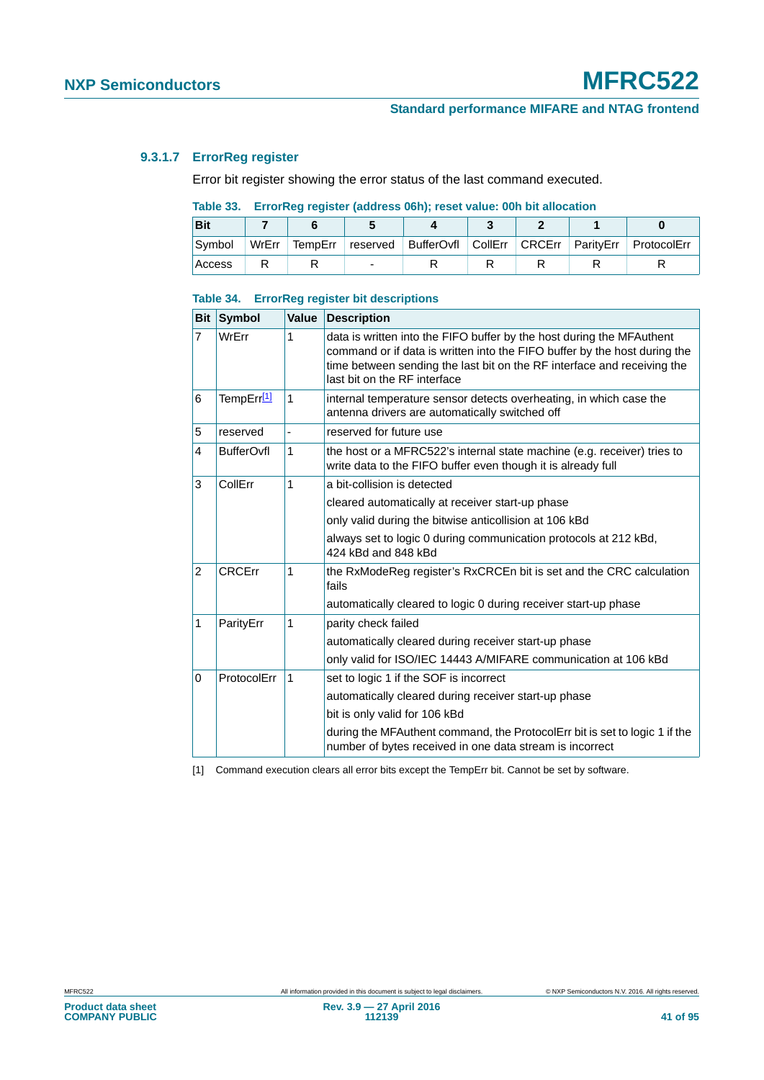## **9.3.1.7 ErrorReg register**

Error bit register showing the error status of the last command executed.

## **Table 33. ErrorReg register (address 06h); reset value: 00h bit allocation**

| <b>Bit</b> |       |  |  |  |                                                                              |
|------------|-------|--|--|--|------------------------------------------------------------------------------|
| Symbol     | WrErr |  |  |  | TempErr   reserved   BufferOvfl   CollErr   CRCErr   ParityErr   ProtocolErr |
| Access     |       |  |  |  |                                                                              |

#### **Table 34. ErrorReg register bit descriptions**

| <b>Bit</b>     | <b>Symbol</b>     | Value | <b>Description</b>                                                                                                                                                                                                                                            |  |                                                  |
|----------------|-------------------|-------|---------------------------------------------------------------------------------------------------------------------------------------------------------------------------------------------------------------------------------------------------------------|--|--------------------------------------------------|
| 7              | WrErr             | 1     | data is written into the FIFO buffer by the host during the MFAuthent<br>command or if data is written into the FIFO buffer by the host during the<br>time between sending the last bit on the RF interface and receiving the<br>last bit on the RF interface |  |                                                  |
| 6              | TempErr[1]        | 1     | internal temperature sensor detects overheating, in which case the<br>antenna drivers are automatically switched off                                                                                                                                          |  |                                                  |
| 5              | reserved          | ٠     | reserved for future use                                                                                                                                                                                                                                       |  |                                                  |
| 4              | <b>BufferOvfl</b> | 1     | the host or a MFRC522's internal state machine (e.g. receiver) tries to<br>write data to the FIFO buffer even though it is already full                                                                                                                       |  |                                                  |
| 3              | CollErr           | 1     | a bit-collision is detected                                                                                                                                                                                                                                   |  |                                                  |
|                |                   |       |                                                                                                                                                                                                                                                               |  | cleared automatically at receiver start-up phase |
|                |                   |       | only valid during the bitwise anticollision at 106 kBd                                                                                                                                                                                                        |  |                                                  |
|                |                   |       | always set to logic 0 during communication protocols at 212 kBd,<br>424 kBd and 848 kBd                                                                                                                                                                       |  |                                                  |
| $\overline{2}$ | <b>CRCErr</b>     | 1     | the RxModeReg register's RxCRCEn bit is set and the CRC calculation<br>fails                                                                                                                                                                                  |  |                                                  |
|                |                   |       | automatically cleared to logic 0 during receiver start-up phase                                                                                                                                                                                               |  |                                                  |
| 1              | ParityErr         | 1     | parity check failed                                                                                                                                                                                                                                           |  |                                                  |
|                |                   |       | automatically cleared during receiver start-up phase                                                                                                                                                                                                          |  |                                                  |
|                |                   |       | only valid for ISO/IEC 14443 A/MIFARE communication at 106 kBd                                                                                                                                                                                                |  |                                                  |
| 0              | ProtocolErr       | 1     | set to logic 1 if the SOF is incorrect                                                                                                                                                                                                                        |  |                                                  |
|                |                   |       | automatically cleared during receiver start-up phase                                                                                                                                                                                                          |  |                                                  |
|                |                   |       | bit is only valid for 106 kBd                                                                                                                                                                                                                                 |  |                                                  |
|                |                   |       | during the MFAuthent command, the ProtocolErr bit is set to logic 1 if the<br>number of bytes received in one data stream is incorrect                                                                                                                        |  |                                                  |

<span id="page-40-0"></span>[1] Command execution clears all error bits except the TempErr bit. Cannot be set by software.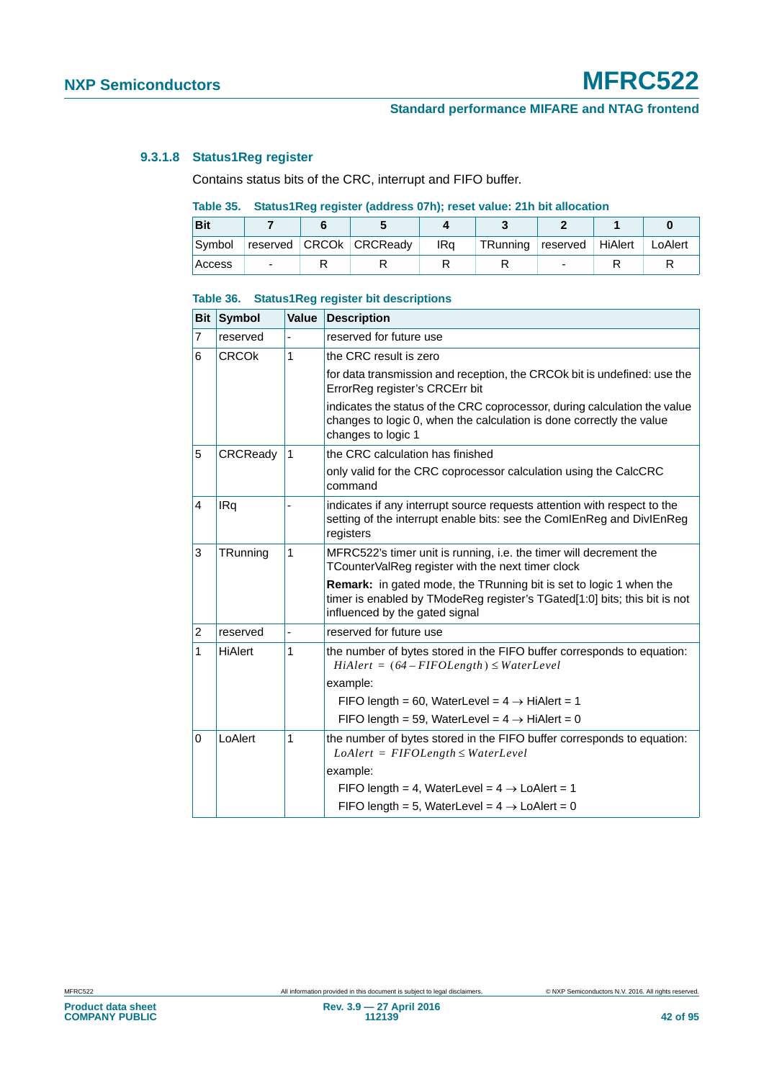## <span id="page-41-0"></span>**9.3.1.8 Status1Reg register**

Contains status bits of the CRC, interrupt and FIFO buffer.

## **Table 35. Status1Reg register (address 07h); reset value: 21h bit allocation**

| <b>Bit</b> |   |                         |     |                           |   |         |
|------------|---|-------------------------|-----|---------------------------|---|---------|
| Symbol     |   | reserved CRCOk CRCReady | IRa | TRunning reserved HiAlert |   | LoAlert |
| Access     | - |                         |     |                           | - |         |

#### **Table 36. Status1Reg register bit descriptions**

| Bit            | <b>Symbol</b> | Value | <b>Description</b>                                                                                                                                                                       |
|----------------|---------------|-------|------------------------------------------------------------------------------------------------------------------------------------------------------------------------------------------|
| 7              | reserved      |       | reserved for future use                                                                                                                                                                  |
| 6              | <b>CRCOK</b>  | 1     | the CRC result is zero                                                                                                                                                                   |
|                |               |       | for data transmission and reception, the CRCOK bit is undefined: use the<br>ErrorReg register's CRCErr bit                                                                               |
|                |               |       | indicates the status of the CRC coprocessor, during calculation the value<br>changes to logic 0, when the calculation is done correctly the value<br>changes to logic 1                  |
| 5              | CRCReady      | 1     | the CRC calculation has finished                                                                                                                                                         |
|                |               |       | only valid for the CRC coprocessor calculation using the CalcCRC<br>command                                                                                                              |
| $\overline{4}$ | <b>IRq</b>    |       | indicates if any interrupt source requests attention with respect to the<br>setting of the interrupt enable bits: see the ComIEnReg and DivIEnReg<br>registers                           |
| 3              | TRunning      | 1     | MFRC522's timer unit is running, i.e. the timer will decrement the<br>TCounterValReg register with the next timer clock                                                                  |
|                |               |       | <b>Remark:</b> in gated mode, the TRunning bit is set to logic 1 when the<br>timer is enabled by TModeReg register's TGated[1:0] bits; this bit is not<br>influenced by the gated signal |
| 2              | reserved      | ä,    | reserved for future use                                                                                                                                                                  |
| 1              | HiAlert       | 1     | the number of bytes stored in the FIFO buffer corresponds to equation:<br>$H\ddot{\imath}$ Alert = (64 – FIFOLength) $\leq$ WaterLevel                                                   |
|                |               |       | example:                                                                                                                                                                                 |
|                |               |       | FIFO length = 60, WaterLevel = $4 \rightarrow H$ HiAlert = 1                                                                                                                             |
|                |               |       | FIFO length = 59, WaterLevel = $4 \rightarrow H$ iAlert = 0                                                                                                                              |
| $\mathbf 0$    | LoAlert       | 1     | the number of bytes stored in the FIFO buffer corresponds to equation:<br>$LoAlert = FIFOLength \le WaterLevel$                                                                          |
|                |               |       | example:                                                                                                                                                                                 |
|                |               |       | FIFO length = 4, WaterLevel = $4 \rightarrow$ LoAlert = 1                                                                                                                                |
|                |               |       | FIFO length = 5, WaterLevel = $4 \rightarrow$ LoAlert = 0                                                                                                                                |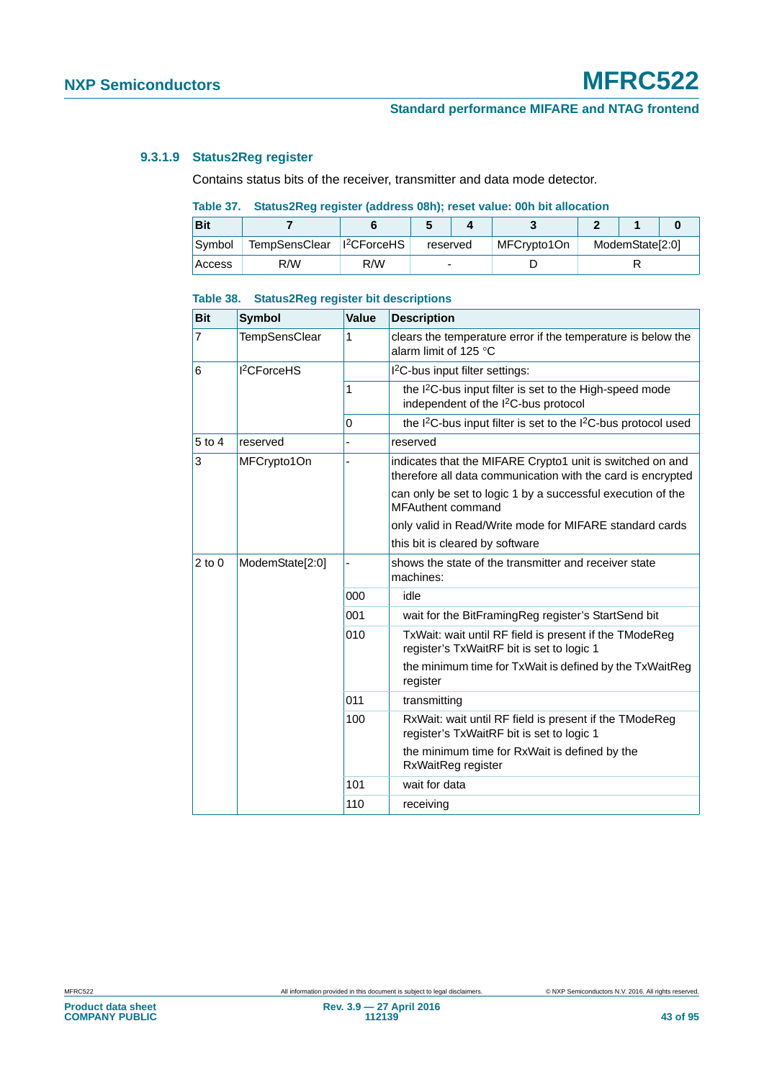## **9.3.1.9 Status2Reg register**

Contains status bits of the receiver, transmitter and data mode detector.

## **Table 37. Status2Reg register (address 08h); reset value: 00h bit allocation**

| <b>Bit</b> |                                         |     |          |             |  |                 |  |  |
|------------|-----------------------------------------|-----|----------|-------------|--|-----------------|--|--|
| Symbol     | TempSensClear   1 <sup>2</sup> CForceHS |     | reserved | MFCrypto1On |  | ModemState[2:0] |  |  |
| Access     | R/W                                     | R/W | -        |             |  |                 |  |  |

### **Table 38. Status2Reg register bit descriptions**

| <b>Bit</b>     | <b>Symbol</b>           | Value | <b>Description</b>                                                                                                       |
|----------------|-------------------------|-------|--------------------------------------------------------------------------------------------------------------------------|
| $\overline{7}$ | TempSensClear           | 1     | clears the temperature error if the temperature is below the<br>alarm limit of 125 °C                                    |
| 6              | 1 <sup>2</sup> CForceHS |       | I <sup>2</sup> C-bus input filter settings:                                                                              |
|                |                         | 1     | the I <sup>2</sup> C-bus input filter is set to the High-speed mode<br>independent of the I <sup>2</sup> C-bus protocol  |
|                |                         | 0     | the I <sup>2</sup> C-bus input filter is set to the I <sup>2</sup> C-bus protocol used                                   |
| 5 to 4         | reserved                |       | reserved                                                                                                                 |
| 3              | MFCrypto1On             |       | indicates that the MIFARE Crypto1 unit is switched on and<br>therefore all data communication with the card is encrypted |
|                |                         |       | can only be set to logic 1 by a successful execution of the<br><b>MFAuthent command</b>                                  |
|                |                         |       | only valid in Read/Write mode for MIFARE standard cards                                                                  |
|                |                         |       | this bit is cleared by software                                                                                          |
| $2$ to $0$     | ModemState[2:0]         |       | shows the state of the transmitter and receiver state<br>machines:                                                       |
|                |                         | 000   | idle                                                                                                                     |
|                |                         | 001   | wait for the BitFramingReg register's StartSend bit                                                                      |
|                |                         | 010   | TxWait: wait until RF field is present if the TModeReg<br>register's TxWaitRF bit is set to logic 1                      |
|                |                         |       | the minimum time for TxWait is defined by the TxWaitReg<br>register                                                      |
|                |                         | 011   | transmitting                                                                                                             |
|                |                         | 100   | RxWait: wait until RF field is present if the TModeReg<br>register's TxWaitRF bit is set to logic 1                      |
|                |                         |       | the minimum time for RxWait is defined by the<br>RxWaitReg register                                                      |
|                |                         | 101   | wait for data                                                                                                            |
|                |                         | 110   | receiving                                                                                                                |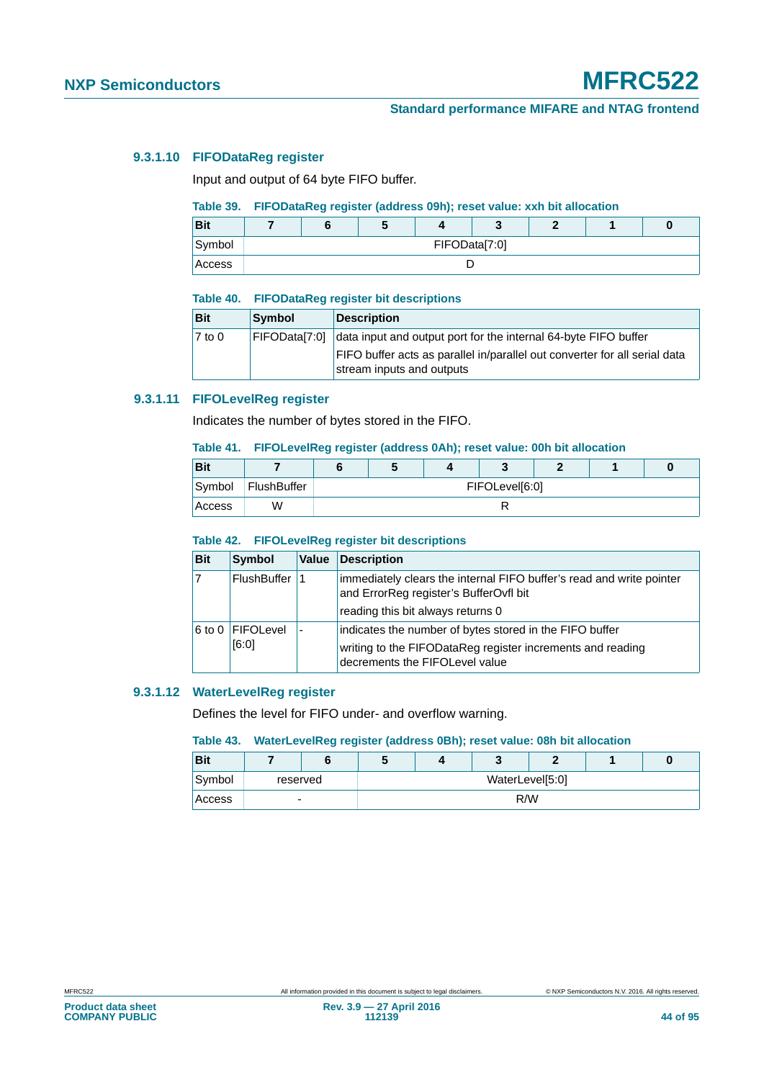## **9.3.1.10 FIFODataReg register**

Input and output of 64 byte FIFO buffer.

## **Table 39. FIFODataReg register (address 09h); reset value: xxh bit allocation**

| <b>Bit</b> |  | w |               |  |  |
|------------|--|---|---------------|--|--|
| Symbol     |  |   | FIFOData[7:0] |  |  |
| Access     |  |   |               |  |  |

#### **Table 40. FIFODataReg register bit descriptions**

| <b>Bit</b> | Symbol        | Description                                                                                             |
|------------|---------------|---------------------------------------------------------------------------------------------------------|
| 7 to 0     | FIFODatal7:01 | data input and output port for the internal 64-byte FIFO buffer                                         |
|            |               | FIFO buffer acts as parallel in/parallel out converter for all serial data<br>stream inputs and outputs |

## **9.3.1.11 FIFOLevelReg register**

Indicates the number of bytes stored in the FIFO.

#### **Table 41. FIFOLevelReg register (address 0Ah); reset value: 00h bit allocation**

| <b>Bit</b> |             |  |                |  |  |
|------------|-------------|--|----------------|--|--|
| Symbol     | FlushBuffer |  | FIFOLevel[6:0] |  |  |
| Access     | W           |  |                |  |  |

#### **Table 42. FIFOLevelReg register bit descriptions**

| <b>Bit</b> | <b>Symbol</b>             | Value | Description                                                                                                                                             |
|------------|---------------------------|-------|---------------------------------------------------------------------------------------------------------------------------------------------------------|
|            | FlushBuffer               |       | immediately clears the internal FIFO buffer's read and write pointer<br>and ErrorReg register's BufferOvfl bit                                          |
|            |                           |       | reading this bit always returns 0                                                                                                                       |
|            | 6 to 0 FIFOLevel<br>[6:0] |       | indicates the number of bytes stored in the FIFO buffer<br>writing to the FIFODataReg register increments and reading<br>decrements the FIFOLevel value |

### **9.3.1.12 WaterLevelReg register**

Defines the level for FIFO under- and overflow warning.

## **Table 43. WaterLevelReg register (address 0Bh); reset value: 08h bit allocation**

| <b>Bit</b> |          | w |                 | c |  |
|------------|----------|---|-----------------|---|--|
| Symbol     | reserved |   | WaterLevel[5:0] |   |  |
| Access     | ۰        |   | R/W             |   |  |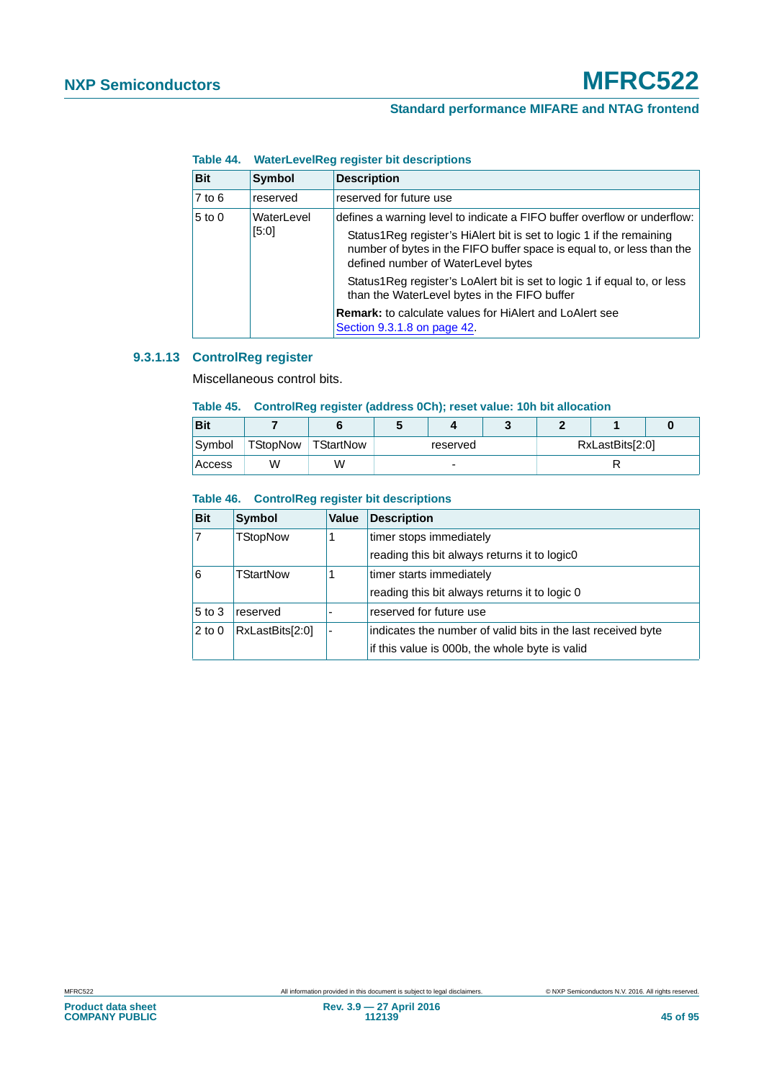# **Standard performance MIFARE and NTAG frontend**

| <b>Bit</b>                                                                                                                                                                                                                                                                                            | <b>Symbol</b> | <b>Description</b>                                                                                                       |  |
|-------------------------------------------------------------------------------------------------------------------------------------------------------------------------------------------------------------------------------------------------------------------------------------------------------|---------------|--------------------------------------------------------------------------------------------------------------------------|--|
| $7$ to $6$                                                                                                                                                                                                                                                                                            | reserved      | reserved for future use                                                                                                  |  |
| $5$ to $0$<br>WaterLevel<br>defines a warning level to indicate a FIFO buffer overflow or underflow:<br>[5:0]<br>Status1Reg register's HiAlert bit is set to logic 1 if the remaining<br>number of bytes in the FIFO buffer space is equal to, or less than the<br>defined number of WaterLevel bytes |               |                                                                                                                          |  |
|                                                                                                                                                                                                                                                                                                       |               | Status1Reg register's LoAlert bit is set to logic 1 if equal to, or less<br>than the WaterLevel bytes in the FIFO buffer |  |
|                                                                                                                                                                                                                                                                                                       |               | <b>Remark:</b> to calculate values for HiAlert and LoAlert see<br>Section 9.3.1.8 on page 42.                            |  |

## **Table 44. WaterLevelReg register bit descriptions**

# **9.3.1.13 ControlReg register**

Miscellaneous control bits.

## **Table 45. ControlReg register (address 0Ch); reset value: 10h bit allocation**

| <b>Bit</b> |                 |           |          |  |  |                 |  |
|------------|-----------------|-----------|----------|--|--|-----------------|--|
| Symbol     | <b>TStopNow</b> | TStartNow | reserved |  |  | RxLastBits[2:0] |  |
| Access     | W               | W         | -        |  |  |                 |  |

## **Table 46. ControlReg register bit descriptions**

| <b>Bit</b>   | <b>Symbol</b>   | Value | <b>Description</b>                                           |
|--------------|-----------------|-------|--------------------------------------------------------------|
| 17           | <b>TStopNow</b> |       | timer stops immediately                                      |
|              |                 |       | reading this bit always returns it to logic0                 |
| <sup>6</sup> | TStartNow       |       | timer starts immediately                                     |
|              |                 |       | reading this bit always returns it to logic 0                |
| $5$ to 3     | reserved        |       | reserved for future use                                      |
| $2$ to 0     | RxLastBits[2:0] | ۰     | indicates the number of valid bits in the last received byte |
|              |                 |       | if this value is 000b, the whole byte is valid               |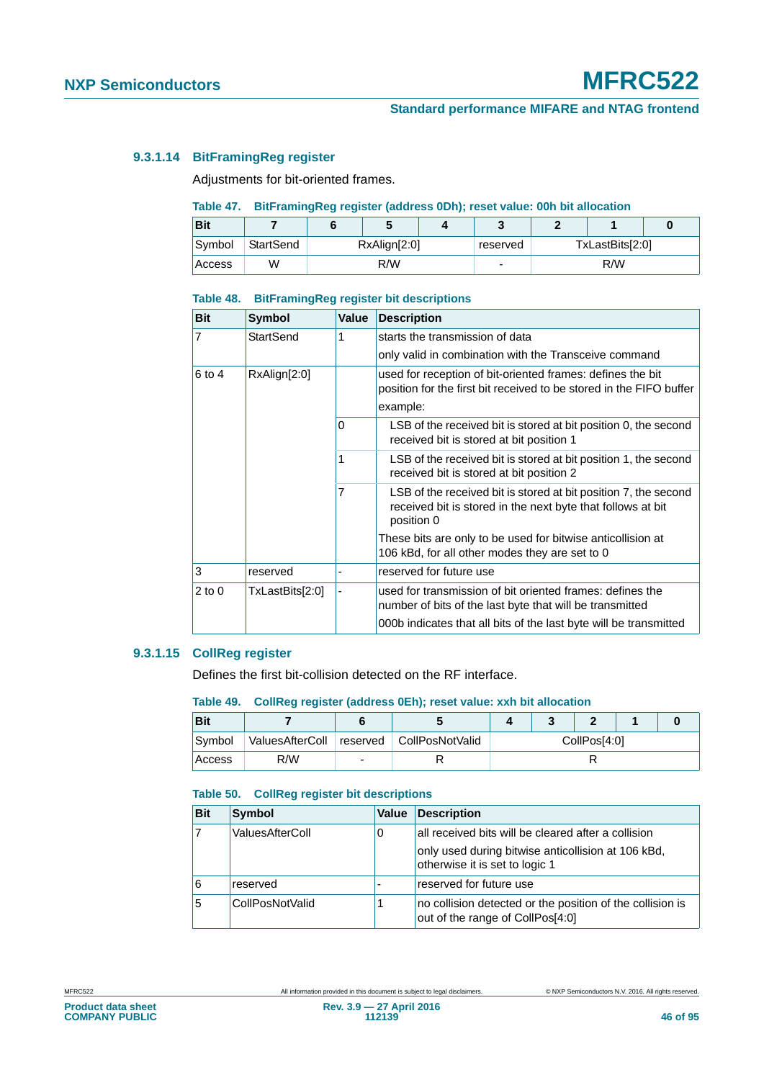## **9.3.1.14 BitFramingReg register**

Adjustments for bit-oriented frames.

## **Table 47. BitFramingReg register (address 0Dh); reset value: 00h bit allocation**

| <b>Bit</b> |           |              |     |  |          |                 |  |  |
|------------|-----------|--------------|-----|--|----------|-----------------|--|--|
| Symbol     | StartSend | RxAlign[2:0] |     |  | reserved | TxLastBits[2:0] |  |  |
| Access     | W         |              | R/W |  |          | R/W             |  |  |

#### **Table 48. BitFramingReg register bit descriptions**

| <b>Bit</b>     | <b>Symbol</b>   | Value | <b>Description</b>                                                                                                                           |
|----------------|-----------------|-------|----------------------------------------------------------------------------------------------------------------------------------------------|
| $\overline{7}$ | StartSend       | 1     | starts the transmission of data                                                                                                              |
|                |                 |       | only valid in combination with the Transceive command                                                                                        |
| $6$ to 4       | RxAlign[2:0]    |       | used for reception of bit-oriented frames: defines the bit<br>position for the first bit received to be stored in the FIFO buffer            |
|                |                 |       | example:                                                                                                                                     |
|                |                 | 0     | LSB of the received bit is stored at bit position 0, the second<br>received bit is stored at bit position 1                                  |
| 1              |                 |       | LSB of the received bit is stored at bit position 1, the second<br>received bit is stored at bit position 2                                  |
|                |                 | 7     | LSB of the received bit is stored at bit position 7, the second<br>received bit is stored in the next byte that follows at bit<br>position 0 |
|                |                 |       | These bits are only to be used for bitwise anticollision at<br>106 kBd, for all other modes they are set to 0                                |
| 3              | reserved        |       | reserved for future use                                                                                                                      |
| $2$ to 0       | TxLastBits[2:0] |       | used for transmission of bit oriented frames: defines the<br>number of bits of the last byte that will be transmitted                        |
|                |                 |       | 000b indicates that all bits of the last byte will be transmitted                                                                            |

## **9.3.1.15 CollReg register**

Defines the first bit-collision detected on the RF interface.

#### **Table 49. CollReg register (address 0Eh); reset value: xxh bit allocation**

| Bit    |     |                                              |  |              |  |
|--------|-----|----------------------------------------------|--|--------------|--|
| Symbol |     | ValuesAfterColl   reserved   CollPosNotValid |  | CollPos[4:0] |  |
| Access | R/W |                                              |  |              |  |

## **Table 50. CollReg register bit descriptions**

| <b>Bit</b> | <b>Symbol</b>   | <b>Value</b> | Description                                                                                   |
|------------|-----------------|--------------|-----------------------------------------------------------------------------------------------|
|            | ValuesAfterColl | 0            | all received bits will be cleared after a collision                                           |
|            |                 |              | only used during bitwise anticollision at 106 kBd,<br>otherwise it is set to logic 1          |
|            | reserved        |              | reserved for future use                                                                       |
| 5          | CollPosNotValid |              | no collision detected or the position of the collision is<br>out of the range of CollPos[4:0] |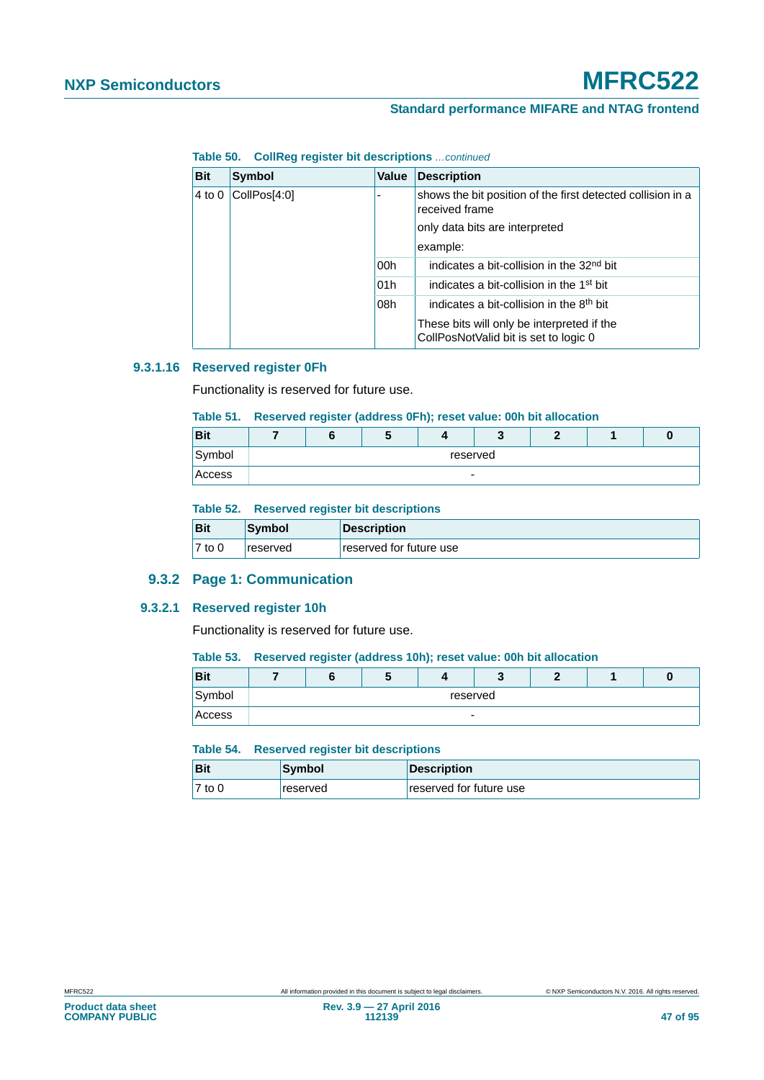**Table 50. CollReg register bit descriptions** *…continued*

| <b>Bit</b>             | Symbol | Value                          | <b>Description</b>                                                                  |
|------------------------|--------|--------------------------------|-------------------------------------------------------------------------------------|
| CollPos[4:0]<br>4 to 0 |        |                                | shows the bit position of the first detected collision in a<br>received frame       |
|                        |        | only data bits are interpreted |                                                                                     |
|                        |        |                                | example:                                                                            |
|                        |        | 00h                            | indicates a bit-collision in the 32 <sup>nd</sup> bit                               |
|                        |        | 01h                            | indicates a bit-collision in the 1 <sup>st</sup> bit                                |
|                        |        | 08h                            | indicates a bit-collision in the 8 <sup>th</sup> bit                                |
|                        |        |                                | These bits will only be interpreted if the<br>CollPosNotValid bit is set to logic 0 |

## **9.3.1.16 Reserved register 0Fh**

Functionality is reserved for future use.

## **Table 51. Reserved register (address 0Fh); reset value: 00h bit allocation**

| <b>Bit</b> |                          |  |  |  |  |  |  |  |
|------------|--------------------------|--|--|--|--|--|--|--|
| Symbol     | reserved                 |  |  |  |  |  |  |  |
| Access     | $\overline{\phantom{0}}$ |  |  |  |  |  |  |  |

#### **Table 52. Reserved register bit descriptions**

| <b>Bit</b> | Symbol   | <b>Description</b>      |
|------------|----------|-------------------------|
| $7$ to $0$ | reserved | reserved for future use |

# **9.3.2 Page 1: Communication**

#### **9.3.2.1 Reserved register 10h**

Functionality is reserved for future use.

#### **Table 53. Reserved register (address 10h); reset value: 00h bit allocation**

| <b>Bit</b> |   |          | w |  |  | c |  |  |  |
|------------|---|----------|---|--|--|---|--|--|--|
| Symbol     |   | reserved |   |  |  |   |  |  |  |
| Access     | - |          |   |  |  |   |  |  |  |

## **Table 54. Reserved register bit descriptions**

| <b>Bit</b> | Symbol   | Description             |
|------------|----------|-------------------------|
| $7$ to 0   | reserved | reserved for future use |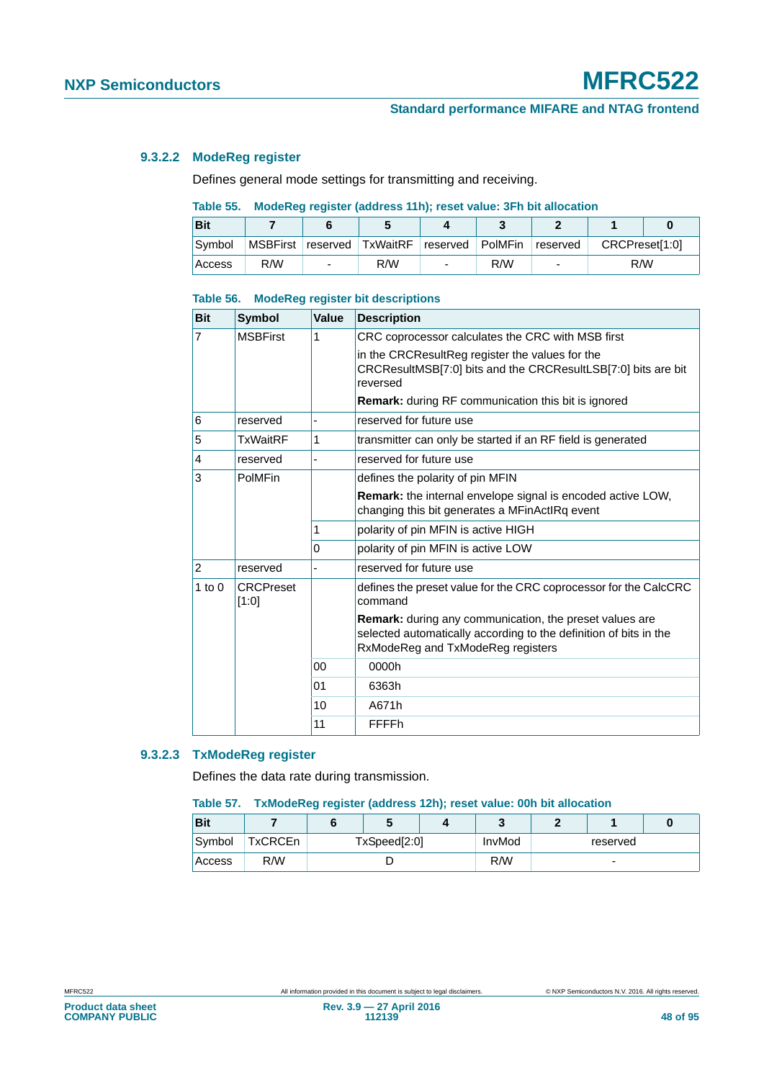## **9.3.2.2 ModeReg register**

Defines general mode settings for transmitting and receiving.

## **Table 55. ModeReg register (address 11h); reset value: 3Fh bit allocation**

| <b>Bit</b> |     |                          |                                             |                          |     |          |                |  |
|------------|-----|--------------------------|---------------------------------------------|--------------------------|-----|----------|----------------|--|
| Symbol     |     |                          | MSBFirst reserved TxWaitRF reserved PolMFin |                          |     | reserved | CRCPreset[1:0] |  |
| Access     | R/W | $\overline{\phantom{0}}$ | R/W                                         | $\overline{\phantom{0}}$ | R/W |          | R/W            |  |

#### **Table 56. ModeReg register bit descriptions**

| <b>Bit</b>     | <b>Symbol</b>             | Value    | <b>Description</b>                                                                                                                                                       |
|----------------|---------------------------|----------|--------------------------------------------------------------------------------------------------------------------------------------------------------------------------|
| $\overline{7}$ | <b>MSBFirst</b>           | 1        | CRC coprocessor calculates the CRC with MSB first                                                                                                                        |
|                |                           |          | in the CRCResultReg register the values for the<br>CRCResultMSB[7:0] bits and the CRCResultLSB[7:0] bits are bit<br>reversed                                             |
|                |                           |          | <b>Remark:</b> during RF communication this bit is ignored                                                                                                               |
| 6              | reserved                  |          | reserved for future use                                                                                                                                                  |
| 5              | <b>TxWaitRF</b>           | 1        | transmitter can only be started if an RF field is generated                                                                                                              |
| $\overline{4}$ | reserved                  |          | reserved for future use                                                                                                                                                  |
| 3              | PolMFin                   |          | defines the polarity of pin MFIN                                                                                                                                         |
|                |                           |          | <b>Remark:</b> the internal envelope signal is encoded active LOW.<br>changing this bit generates a MFinActIRq event                                                     |
|                |                           | 1        | polarity of pin MFIN is active HIGH                                                                                                                                      |
|                |                           | $\Omega$ | polarity of pin MFIN is active LOW                                                                                                                                       |
| $\overline{2}$ | reserved                  |          | reserved for future use                                                                                                                                                  |
| $1$ to $0$     | <b>CRCPreset</b><br>[1:0] |          | defines the preset value for the CRC coprocessor for the CalcCRC<br>command                                                                                              |
|                |                           |          | <b>Remark:</b> during any communication, the preset values are<br>selected automatically according to the definition of bits in the<br>RxModeReg and TxModeReg registers |
|                |                           | 00       | 0000h                                                                                                                                                                    |
|                |                           | 01       | 6363h                                                                                                                                                                    |
|                |                           | 10       | A671h                                                                                                                                                                    |
|                |                           | 11       | FFFFh                                                                                                                                                                    |

## **9.3.2.3 TxModeReg register**

Defines the data rate during transmission.

#### **Table 57. TxModeReg register (address 12h); reset value: 00h bit allocation**

| <b>Bit</b> |         |              |  | $\overline{\phantom{a}}$ |                          |  |  |
|------------|---------|--------------|--|--------------------------|--------------------------|--|--|
| Symbol     | TxCRCEn | TxSpeed[2:0] |  |                          | reserved                 |  |  |
| Access     | R/W     |              |  |                          | $\overline{\phantom{0}}$ |  |  |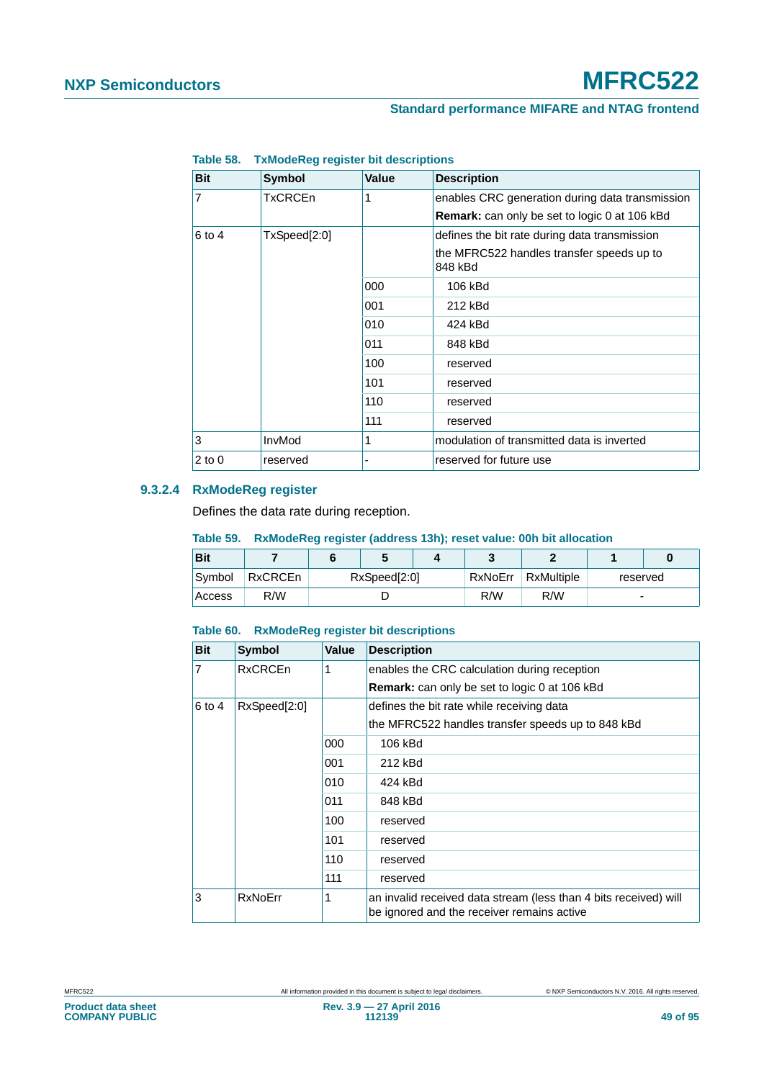| <b>Bit</b> | Symbol         | <b>Value</b> | <b>Description</b>                                   |
|------------|----------------|--------------|------------------------------------------------------|
| 7          | <b>TxCRCEn</b> | 1            | enables CRC generation during data transmission      |
|            |                |              | Remark: can only be set to logic 0 at 106 kBd        |
| 6 to 4     | TxSpeed[2:0]   |              | defines the bit rate during data transmission        |
|            |                |              | the MFRC522 handles transfer speeds up to<br>848 kBd |
|            |                | 000          | 106 kBd                                              |
|            |                | 001          | 212 kBd                                              |
|            |                | 010          | 424 kBd                                              |
|            |                | 011          | 848 kBd                                              |
|            |                | 100          | reserved                                             |
|            |                | 101          | reserved                                             |
|            |                | 110          | reserved                                             |
|            |                | 111          | reserved                                             |
| 3          | InvMod         | 1            | modulation of transmitted data is inverted           |
| $2$ to $0$ | reserved       |              | reserved for future use                              |

## **Table 58. TxModeReg register bit descriptions**

## **9.3.2.4 RxModeReg register**

Defines the data rate during reception.

## **Table 59. RxModeReg register (address 13h); reset value: 00h bit allocation**

| <b>Bit</b> |         |                         |  |     |            |                          |  |
|------------|---------|-------------------------|--|-----|------------|--------------------------|--|
| Symbol     | RxCRCEn | RxNoErr<br>RxSpeed[2:0] |  |     | RxMultiple | reserved                 |  |
| Access     | R/W     |                         |  | R/W | R/W        | $\overline{\phantom{a}}$ |  |

#### **Table 60. RxModeReg register bit descriptions**

| <b>Bit</b>             | Symbol         | <b>Value</b> | <b>Description</b>                                                                                             |
|------------------------|----------------|--------------|----------------------------------------------------------------------------------------------------------------|
| $\overline{7}$         | <b>RxCRCEn</b> |              | enables the CRC calculation during reception                                                                   |
|                        |                |              | <b>Remark:</b> can only be set to logic 0 at 106 kBd                                                           |
| RxSpeed[2:0]<br>6 to 4 |                |              | defines the bit rate while receiving data                                                                      |
|                        |                |              | the MFRC522 handles transfer speeds up to 848 kBd                                                              |
|                        |                | 000          | 106 kBd                                                                                                        |
|                        |                | 001          | 212 kBd                                                                                                        |
|                        |                | 010          | 424 kBd                                                                                                        |
|                        |                | 011          | 848 kBd                                                                                                        |
|                        |                | 100          | reserved                                                                                                       |
|                        |                | 101          | reserved                                                                                                       |
|                        |                | 110          | reserved                                                                                                       |
|                        |                | 111          | reserved                                                                                                       |
| 3                      | <b>RxNoErr</b> | 1            | an invalid received data stream (less than 4 bits received) will<br>be ignored and the receiver remains active |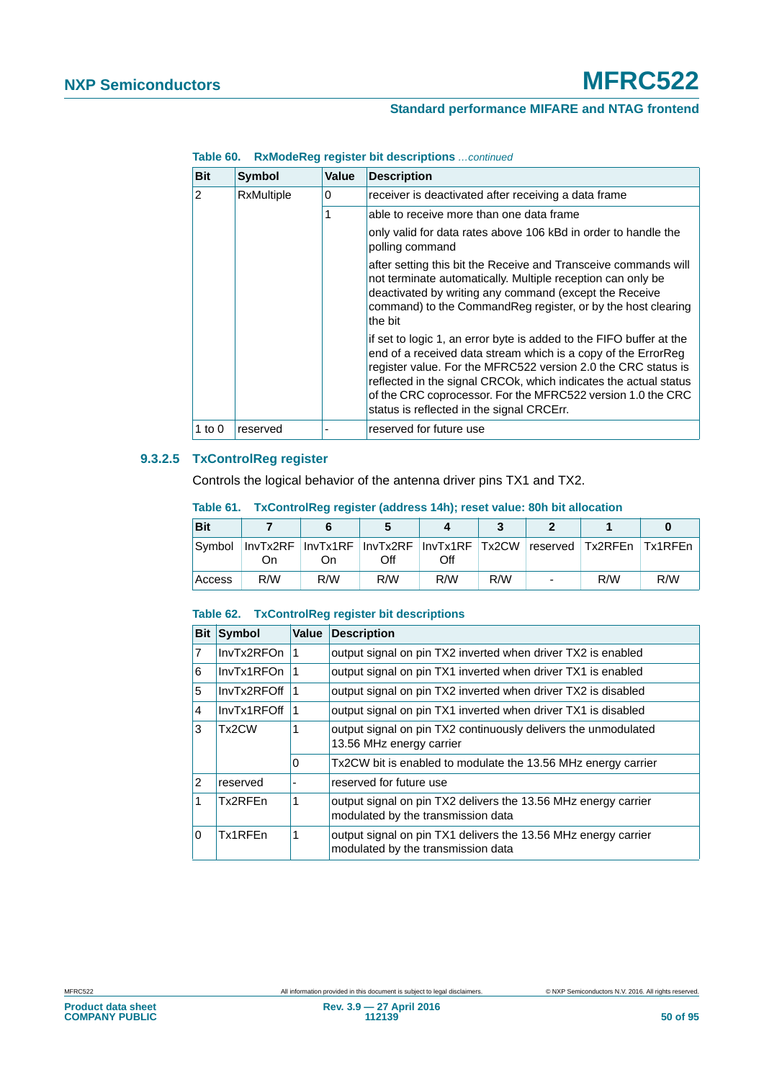# **Standard performance MIFARE and NTAG frontend**

| <b>Bit</b> | <b>Symbol</b>     | Value | <b>Description</b>                                                                                                                                                                                                                                                                                                                                                                    |
|------------|-------------------|-------|---------------------------------------------------------------------------------------------------------------------------------------------------------------------------------------------------------------------------------------------------------------------------------------------------------------------------------------------------------------------------------------|
| 2          | <b>RxMultiple</b> | 0     | receiver is deactivated after receiving a data frame                                                                                                                                                                                                                                                                                                                                  |
|            |                   | 1     | able to receive more than one data frame                                                                                                                                                                                                                                                                                                                                              |
|            |                   |       | only valid for data rates above 106 kBd in order to handle the<br>polling command                                                                                                                                                                                                                                                                                                     |
|            |                   |       | after setting this bit the Receive and Transceive commands will<br>not terminate automatically. Multiple reception can only be<br>deactivated by writing any command (except the Receive<br>command) to the CommandReg register, or by the host clearing<br>the bit                                                                                                                   |
|            |                   |       | if set to logic 1, an error byte is added to the FIFO buffer at the<br>end of a received data stream which is a copy of the ErrorReg<br>register value. For the MFRC522 version 2.0 the CRC status is<br>reflected in the signal CRCOK, which indicates the actual status<br>of the CRC coprocessor. For the MFRC522 version 1.0 the CRC<br>status is reflected in the signal CRCErr. |
| 1 to $0$   | reserved          |       | reserved for future use                                                                                                                                                                                                                                                                                                                                                               |

**Table 60. RxModeReg register bit descriptions** *…continued*

## **9.3.2.5 TxControlReg register**

Controls the logical behavior of the antenna driver pins TX1 and TX2.

| <b>Bit</b> |     |     |     |     |     |                          |                                                                                  |     |
|------------|-----|-----|-----|-----|-----|--------------------------|----------------------------------------------------------------------------------|-----|
| Svmbol     | On  | On  | Off | Off |     |                          | InvTx2RF   InvTx1RF   InvTx2RF   InvTx1RF   Tx2CW   reserved   Tx2RFEn   Tx1RFEn |     |
| Access     | R/W | R/W | R/W | R/W | R/W | $\overline{\phantom{0}}$ | R/W                                                                              | R/W |

#### **Table 61. TxControlReg register (address 14h); reset value: 80h bit allocation**

#### **Table 62. TxControlReg register bit descriptions**

| <b>Bit</b>     | <b>Symbol</b> | Value | <b>Description</b>                                                                                   |
|----------------|---------------|-------|------------------------------------------------------------------------------------------------------|
| $\overline{7}$ | InvTx2RFOn    |       | output signal on pin TX2 inverted when driver TX2 is enabled                                         |
| 6              | InvTx1RFOn    |       | output signal on pin TX1 inverted when driver TX1 is enabled                                         |
| 5              | InvTx2RFOff   |       | output signal on pin TX2 inverted when driver TX2 is disabled                                        |
| $\overline{4}$ | InvTx1RFOff   |       | output signal on pin TX1 inverted when driver TX1 is disabled                                        |
| 3              | Tx2CW         |       | output signal on pin TX2 continuously delivers the unmodulated<br>13.56 MHz energy carrier           |
|                |               | 0     | Tx2CW bit is enabled to modulate the 13.56 MHz energy carrier                                        |
| $ 2\rangle$    | reserved      |       | reserved for future use                                                                              |
| 1              | Tx2RFEn       |       | output signal on pin TX2 delivers the 13.56 MHz energy carrier<br>modulated by the transmission data |
| ۱O             | Tx1RFFn       |       | output signal on pin TX1 delivers the 13.56 MHz energy carrier<br>modulated by the transmission data |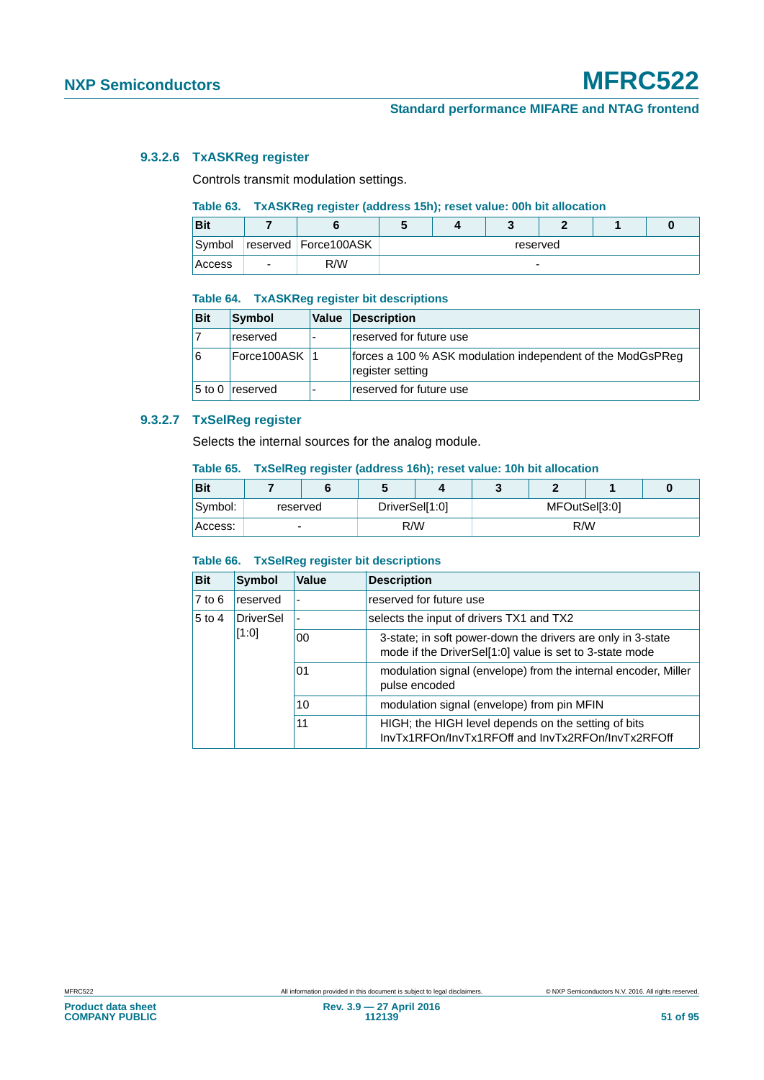## **9.3.2.6 TxASKReg register**

Controls transmit modulation settings.

## **Table 63. TxASKReg register (address 15h); reset value: 00h bit allocation**

| <b>Bit</b> |                      |          |  |   |  |  |  |
|------------|----------------------|----------|--|---|--|--|--|
| Symbol     | reserved Force100ASK | reserved |  |   |  |  |  |
| Access     | R/W                  |          |  | - |  |  |  |

#### **Table 64. TxASKReg register bit descriptions**

| <b>Bit</b> | Symbol          | Value | Description                                                                    |
|------------|-----------------|-------|--------------------------------------------------------------------------------|
|            | reserved        |       | reserved for future use                                                        |
| 16         | Force100ASK 1   |       | forces a 100 % ASK modulation independent of the ModGsPReg<br>register setting |
|            | 5 to 0 reserved |       | reserved for future use                                                        |

## **9.3.2.7 TxSelReg register**

Selects the internal sources for the analog module.

#### **Table 65. TxSelReg register (address 16h); reset value: 10h bit allocation**

| <b>Bit</b> |          |                |  |               |  |  |  |  |
|------------|----------|----------------|--|---------------|--|--|--|--|
| Symbol:    | reserved | DriverSel[1:0] |  | MFOutSel[3:0] |  |  |  |  |
| Access:    | ۰        | R/W            |  | R/W           |  |  |  |  |

#### **Table 66. TxSelReg register bit descriptions**

| <b>Bit</b> | <b>Symbol</b> | Value                    | <b>Description</b>                                                                                                     |  |  |  |
|------------|---------------|--------------------------|------------------------------------------------------------------------------------------------------------------------|--|--|--|
| $7$ to $6$ | reserved      |                          | reserved for future use                                                                                                |  |  |  |
| $5$ to $4$ | DriverSel     | $\overline{\phantom{0}}$ | selects the input of drivers TX1 and TX2                                                                               |  |  |  |
| [1:0]      |               | 00                       | 3-state; in soft power-down the drivers are only in 3-state<br>mode if the DriverSel[1:0] value is set to 3-state mode |  |  |  |
|            |               | 01                       | modulation signal (envelope) from the internal encoder, Miller<br>pulse encoded                                        |  |  |  |
|            |               | 10                       | modulation signal (envelope) from pin MFIN                                                                             |  |  |  |
|            |               | 11                       | HIGH; the HIGH level depends on the setting of bits<br>InvTx1RFOn/InvTx1RFOff and InvTx2RFOn/InvTx2RFOff               |  |  |  |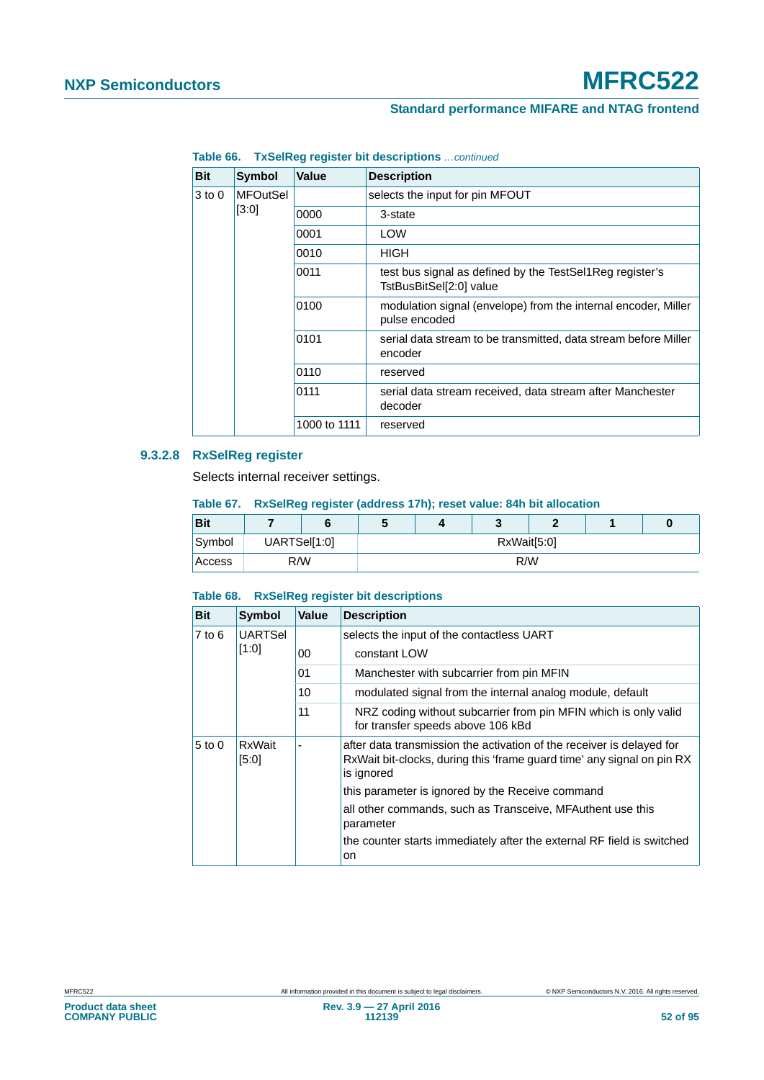# **Standard performance MIFARE and NTAG frontend**

| Bit    | <b>Symbol</b>   | Value        | <b>Description</b>                                                                  |
|--------|-----------------|--------------|-------------------------------------------------------------------------------------|
| 3 to 0 | <b>MFOutSel</b> |              | selects the input for pin MFOUT                                                     |
|        | [3:0]           | 0000         | 3-state                                                                             |
|        |                 | 0001         | LOW                                                                                 |
|        |                 | 0010         | <b>HIGH</b>                                                                         |
|        |                 | 0011         | test bus signal as defined by the TestSel1Reg register's<br>TstBusBitSel[2:0] value |
|        |                 | 0100         | modulation signal (envelope) from the internal encoder, Miller<br>pulse encoded     |
|        |                 | 0101         | serial data stream to be transmitted, data stream before Miller<br>encoder          |
|        |                 | 0110         | reserved                                                                            |
|        |                 | 0111         | serial data stream received, data stream after Manchester<br>decoder                |
|        |                 | 1000 to 1111 | reserved                                                                            |

**Table 66. TxSelReg register bit descriptions** *…continued*

## **9.3.2.8 RxSelReg register**

Selects internal receiver settings.

**Table 67. RxSelReg register (address 17h); reset value: 84h bit allocation**

| <b>Bit</b> |              |  | v           |  |     |  |  | 0 |
|------------|--------------|--|-------------|--|-----|--|--|---|
| Symbol     | UARTSel[1:0] |  | RxWait[5:0] |  |     |  |  |   |
| Access     | R/W          |  |             |  | R/W |  |  |   |

## **Table 68. RxSelReg register bit descriptions**

| <b>Bit</b>                   | <b>Symbol</b>          | Value | <b>Description</b>                                                                                                                                            |
|------------------------------|------------------------|-------|---------------------------------------------------------------------------------------------------------------------------------------------------------------|
| <b>UARTSel</b><br>$7$ to $6$ |                        |       | selects the input of the contactless UART                                                                                                                     |
|                              | [1:0]                  | 00    | constant LOW                                                                                                                                                  |
|                              |                        | 01    | Manchester with subcarrier from pin MFIN                                                                                                                      |
|                              |                        | 10    | modulated signal from the internal analog module, default                                                                                                     |
|                              |                        | 11    | NRZ coding without subcarrier from pin MFIN which is only valid<br>for transfer speeds above 106 kBd                                                          |
| $5$ to $0$                   | <b>RxWait</b><br>[5:0] |       | after data transmission the activation of the receiver is delayed for<br>RxWait bit-clocks, during this 'frame guard time' any signal on pin RX<br>is ignored |
|                              |                        |       | this parameter is ignored by the Receive command                                                                                                              |
|                              |                        |       | all other commands, such as Transceive, MFAuthent use this<br>parameter                                                                                       |
|                              |                        |       | the counter starts immediately after the external RF field is switched<br>on                                                                                  |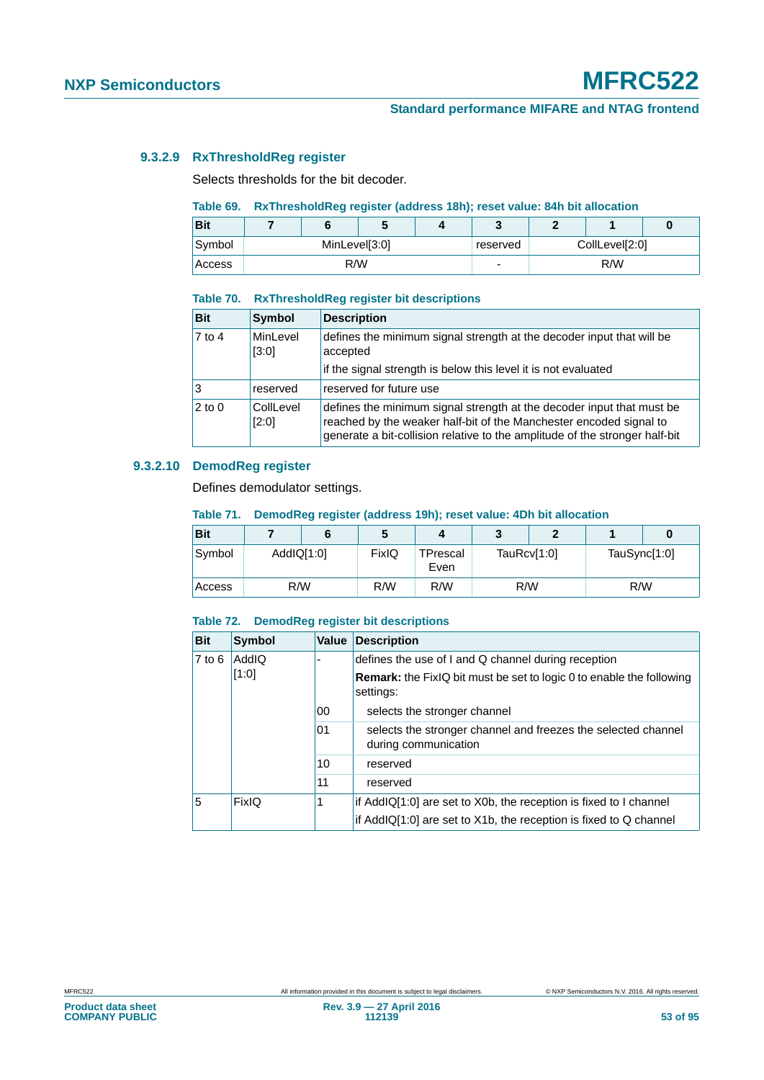## **9.3.2.9 RxThresholdReg register**

Selects thresholds for the bit decoder.

## **Table 69. RxThresholdReg register (address 18h); reset value: 84h bit allocation**

| Bit           |               | w   |          |                |     |  |
|---------------|---------------|-----|----------|----------------|-----|--|
| Symbol        | MinLevel[3:0] |     | reserved | CollLevel[2:0] |     |  |
| <b>Access</b> |               | R/W | -        |                | R/W |  |

#### **Table 70. RxThresholdReg register bit descriptions**

| <b>Bit</b> | <b>Symbol</b>      | <b>Description</b>                                                                                                                                                                                                         |
|------------|--------------------|----------------------------------------------------------------------------------------------------------------------------------------------------------------------------------------------------------------------------|
| $7$ to 4   | MinLevel<br>[3:0]  | defines the minimum signal strength at the decoder input that will be<br>accepted                                                                                                                                          |
|            |                    | if the signal strength is below this level it is not evaluated                                                                                                                                                             |
| Ι3         | reserved           | reserved for future use                                                                                                                                                                                                    |
| $2$ to 0   | CollLevel<br>[2:0] | defines the minimum signal strength at the decoder input that must be<br>reached by the weaker half-bit of the Manchester encoded signal to<br>generate a bit-collision relative to the amplitude of the stronger half-bit |

## **9.3.2.10 DemodReg register**

Defines demodulator settings.

#### **Table 71. DemodReg register (address 19h); reset value: 4Dh bit allocation**

| <b>Bit</b> |            |     | 5     | л                |             |  |              |  |
|------------|------------|-----|-------|------------------|-------------|--|--------------|--|
| Symbol     | AddIQ[1:0] |     | FixIQ | TPrescal<br>Even | TauRcv[1:0] |  | TauSync[1:0] |  |
| Access     |            | R/W | R/W   | R/W              | R/W         |  | R/W          |  |

## **Table 72. DemodReg register bit descriptions**

| <b>Bit</b> | <b>Symbol</b> | <b>Value</b> | <b>Description</b>                                                                       |
|------------|---------------|--------------|------------------------------------------------------------------------------------------|
| $7$ to 6   | <b>AddIQ</b>  |              | defines the use of I and Q channel during reception                                      |
|            | [1:0]         |              | <b>Remark:</b> the FixIQ bit must be set to logic 0 to enable the following<br>settings: |
|            |               | 00           | selects the stronger channel                                                             |
|            |               |              | selects the stronger channel and freezes the selected channel<br>during communication    |
|            |               | 10           | reserved                                                                                 |
|            |               | 11           | reserved                                                                                 |
| 5          | <b>FixIQ</b>  | 1            | if AddIQ[1:0] are set to X0b, the reception is fixed to I channel                        |
|            |               |              | if AddIQ[1:0] are set to X1b, the reception is fixed to Q channel                        |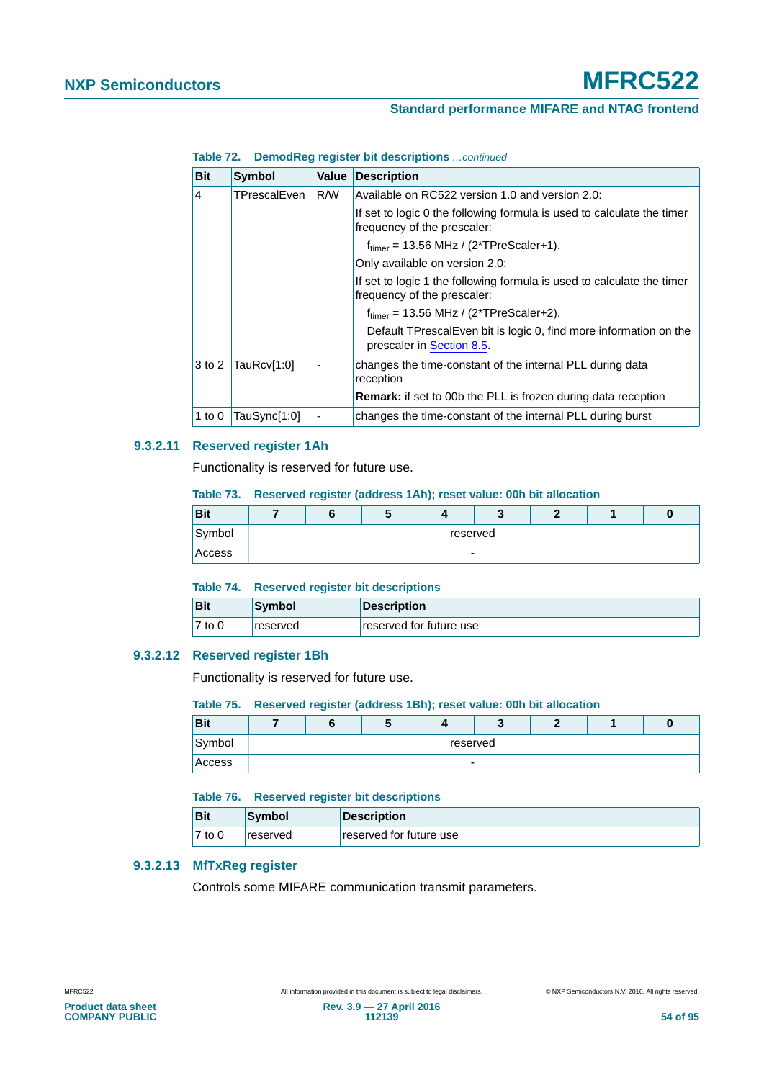# **Standard performance MIFARE and NTAG frontend**

| Table 72. DemodReg register bit descriptions  continued |  |  |
|---------------------------------------------------------|--|--|
|                                                         |  |  |

| <b>Bit</b> | <b>Symbol</b> | Value | <b>Description</b>                                                                                    |
|------------|---------------|-------|-------------------------------------------------------------------------------------------------------|
| 4          | TPrescalEven  | R/W   | Available on RC522 version 1.0 and version 2.0:                                                       |
|            |               |       | If set to logic 0 the following formula is used to calculate the timer<br>frequency of the prescaler: |
|            |               |       | $ftimer = 13.56 MHz / (2*TPreScalar+1).$                                                              |
|            |               |       | Only available on version 2.0:                                                                        |
|            |               |       | If set to logic 1 the following formula is used to calculate the timer<br>frequency of the prescaler: |
|            |               |       | $ftimer = 13.56 MHz / (2*TPreScaler+2).$                                                              |
|            |               |       | Default TPrescalEven bit is logic 0, find more information on the<br>prescaler in Section 8.5.        |
| 3 to 2     | TauRcv[1:0]   |       | changes the time-constant of the internal PLL during data<br>reception                                |
|            |               |       | <b>Remark:</b> if set to 00b the PLL is frozen during data reception                                  |
| 1 to $0$   | TauSync[1:0]  |       | changes the time-constant of the internal PLL during burst                                            |

## **9.3.2.11 Reserved register 1Ah**

Functionality is reserved for future use.

## **Table 73. Reserved register (address 1Ah); reset value: 00h bit allocation**

| <b>Bit</b> |                          |          |  |  |  | c |  |  |
|------------|--------------------------|----------|--|--|--|---|--|--|
| Symbol     |                          | reserved |  |  |  |   |  |  |
| Access     | $\overline{\phantom{0}}$ |          |  |  |  |   |  |  |

|                     | Table 74. Reserved register bit descriptions |                         |  |  |  |  |
|---------------------|----------------------------------------------|-------------------------|--|--|--|--|
| Bit                 | <b>Symbol</b>                                | <b>Description</b>      |  |  |  |  |
| $\overline{7}$ to 0 | reserved                                     | reserved for future use |  |  |  |  |

## **9.3.2.12 Reserved register 1Bh**

Functionality is reserved for future use.

#### **Table 75. Reserved register (address 1Bh); reset value: 00h bit allocation**

| <b>Bit</b> |  | ۰. |          |  |  |
|------------|--|----|----------|--|--|
| Symbol     |  |    | reserved |  |  |
| Access     |  |    | -        |  |  |

#### **Table 76. Reserved register bit descriptions**

| <b>Bit</b> | <b>Symbol</b> | <b>Description</b>      |
|------------|---------------|-------------------------|
| $7$ to 0   | reserved      | reserved for future use |

# **9.3.2.13 MfTxReg register**

Controls some MIFARE communication transmit parameters.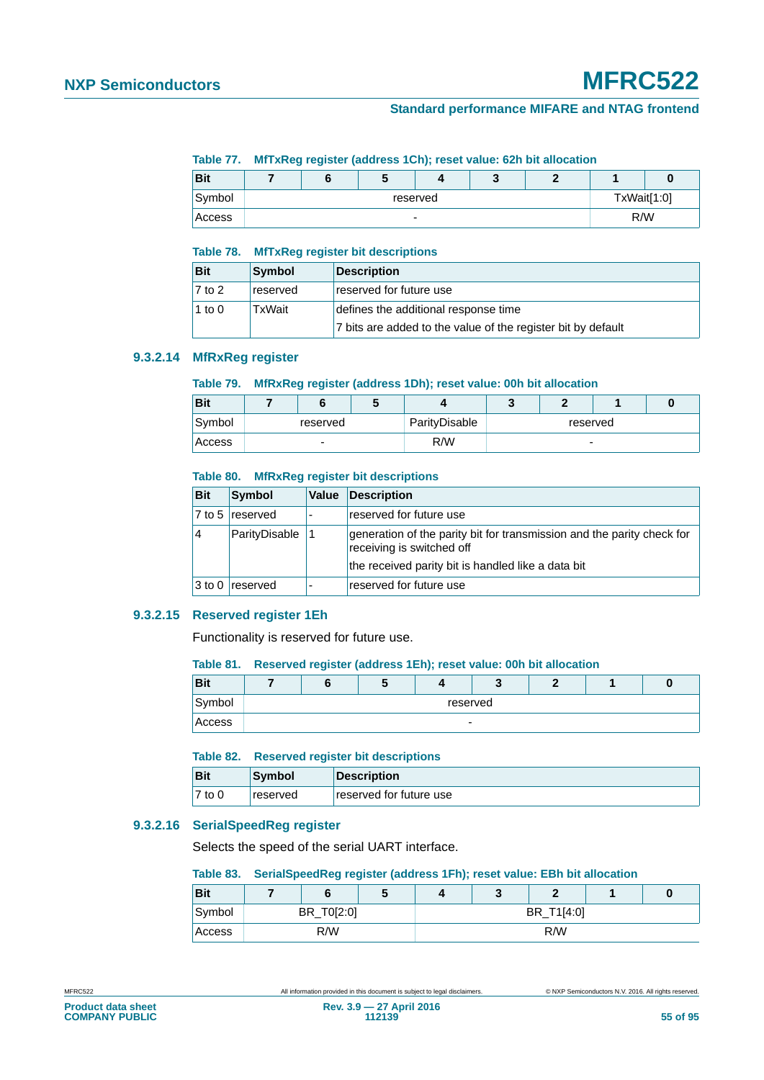#### **Table 77. MfTxReg register (address 1Ch); reset value: 62h bit allocation**

| <b>Bit</b> |  |                          | w |             |  |
|------------|--|--------------------------|---|-------------|--|
| Symbol     |  | reserved                 |   | TxWait[1:0] |  |
| Access     |  | $\overline{\phantom{0}}$ |   | R/W         |  |

#### **Table 78. MfTxReg register bit descriptions**

| <b>Bit</b> | Symbol   | <b>Description</b>                                           |
|------------|----------|--------------------------------------------------------------|
| $7$ to 2   | reserved | reserved for future use                                      |
| 1 to 0     | TxWait   | defines the additional response time                         |
|            |          | 7 bits are added to the value of the register bit by default |

## **9.3.2.14 MfRxReg register**

## **Table 79. MfRxReg register (address 1Dh); reset value: 00h bit allocation**

| <b>Bit</b>    |          |               |          |  |
|---------------|----------|---------------|----------|--|
| Symbol        | reserved | ParityDisable | reserved |  |
| <b>Access</b> | ۰        | R/W           | -        |  |

#### **Table 80. MfRxReg register bit descriptions**

| <b>Bit</b> | <b>Symbol</b>   | Value | <b>Description</b>                                                                                  |
|------------|-----------------|-------|-----------------------------------------------------------------------------------------------------|
|            | 7 to 5 reserved |       | reserved for future use                                                                             |
| 14         | ParityDisable   |       | generation of the parity bit for transmission and the parity check for<br>receiving is switched off |
|            |                 |       | the received parity bit is handled like a data bit                                                  |
| $3$ to 0   | <b>reserved</b> |       | reserved for future use                                                                             |

## **9.3.2.15 Reserved register 1Eh**

Functionality is reserved for future use.

#### **Table 81. Reserved register (address 1Eh); reset value: 00h bit allocation**

| <b>Bit</b> |  |                          |  |  |
|------------|--|--------------------------|--|--|
| Symbol     |  | reserved                 |  |  |
| Access     |  | $\overline{\phantom{0}}$ |  |  |

#### **Table 82. Reserved register bit descriptions**

| <b>Bit</b> | Symbol          | Description             |
|------------|-----------------|-------------------------|
| $7$ to 0   | <b>reserved</b> | reserved for future use |

## **9.3.2.16 SerialSpeedReg register**

Selects the speed of the serial UART interface.

#### **Table 83. SerialSpeedReg register (address 1Fh); reset value: EBh bit allocation**

| <b>Bit</b> |            |  | u |     |            | O |
|------------|------------|--|---|-----|------------|---|
| Symbol     | BR_T0[2:0] |  |   |     | BR T1[4:0] |   |
| Access     | R/W        |  |   | R/W |            |   |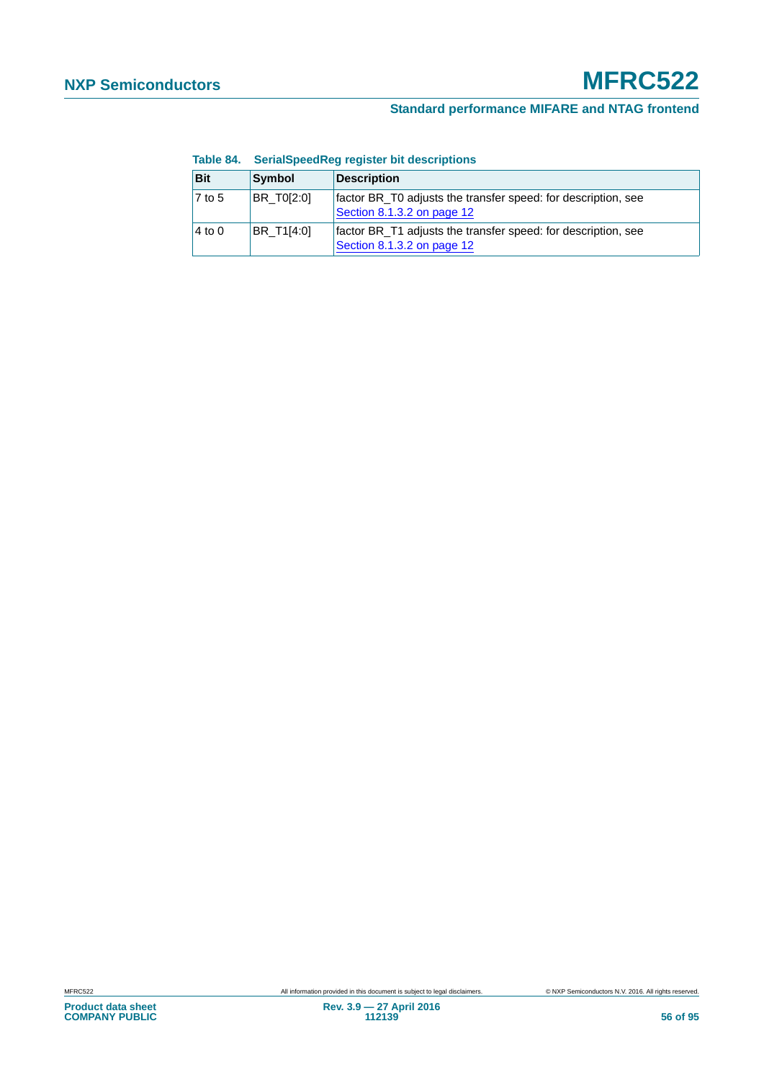| Bit                | Symbol     | <b>Description</b>                                                                          |
|--------------------|------------|---------------------------------------------------------------------------------------------|
| $\sqrt{7}$ to 5    | BR T0[2:0] | factor BR_T0 adjusts the transfer speed: for description, see<br>Section 8.1.3.2 on page 12 |
| $ 4 \text{ to } 0$ | BR_T1[4:0] | factor BR_T1 adjusts the transfer speed: for description, see<br>Section 8.1.3.2 on page 12 |

## **Table 84. SerialSpeedReg register bit descriptions**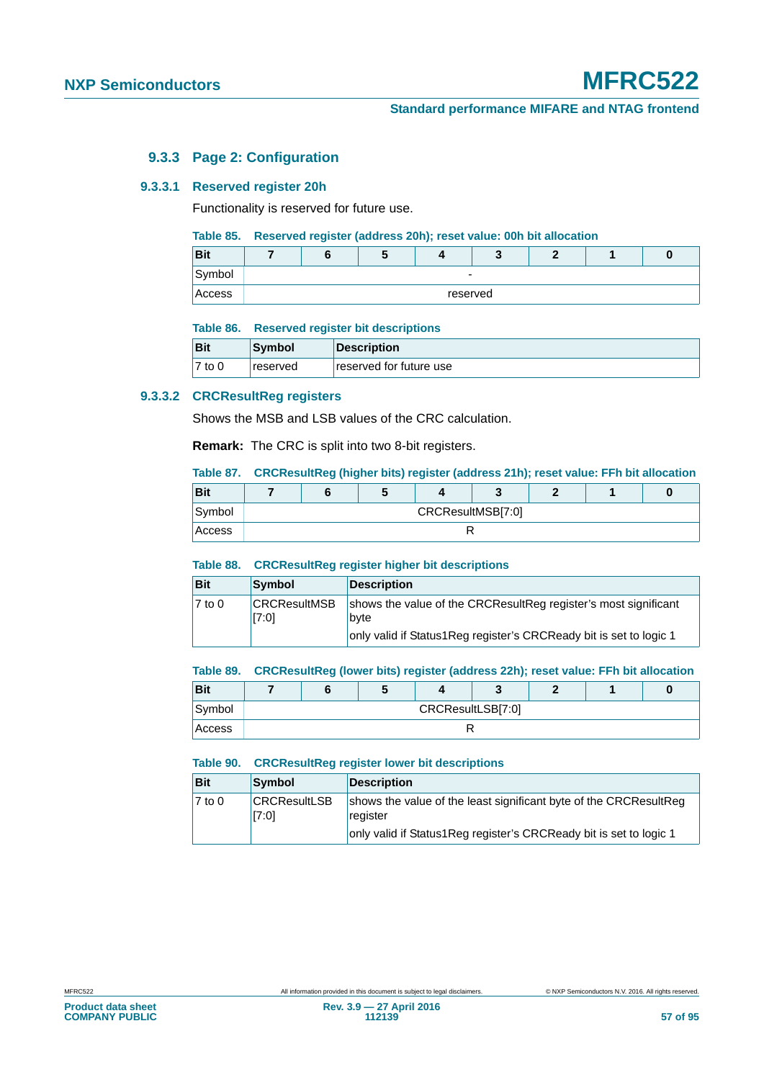## **Standard performance MIFARE and NTAG frontend**

## **9.3.3 Page 2: Configuration**

#### **9.3.3.1 Reserved register 20h**

Functionality is reserved for future use.

#### **Table 85. Reserved register (address 20h); reset value: 00h bit allocation**

| <b>Bit</b> |  |          |  |  |
|------------|--|----------|--|--|
| Symbol     |  | -        |  |  |
| Access     |  | reserved |  |  |

#### **Table 86. Reserved register bit descriptions**

| <b>Bit</b> | Symbol   | Description             |
|------------|----------|-------------------------|
| 7 to 0     | reserved | reserved for future use |

#### **9.3.3.2 CRCResultReg registers**

Shows the MSB and LSB values of the CRC calculation.

**Remark:** The CRC is split into two 8-bit registers.

## <span id="page-56-0"></span>**Table 87. CRCResultReg (higher bits) register (address 21h); reset value: FFh bit allocation**

| <b>Bit</b> |  |                   |  |  |  |  |  |  |
|------------|--|-------------------|--|--|--|--|--|--|
| Symbol     |  | CRCResultMSB[7:0] |  |  |  |  |  |  |
| Access     |  |                   |  |  |  |  |  |  |

#### **Table 88. CRCResultReg register higher bit descriptions**

| <b>Bit</b> | Symbol                       | <b>Description</b>                                                                                                                            |
|------------|------------------------------|-----------------------------------------------------------------------------------------------------------------------------------------------|
| 7 to 0     | <b>CRCResultMSB</b><br>[7:0] | shows the value of the CRCResultReg register's most significant<br>byte<br>only valid if Status1Reg register's CRCReady bit is set to logic 1 |

#### <span id="page-56-1"></span>**Table 89. CRCResultReg (lower bits) register (address 22h); reset value: FFh bit allocation**

| <b>Bit</b> |                   |  |  |  |  |  |  |  |
|------------|-------------------|--|--|--|--|--|--|--|
| Symbol     | CRCResultLSB[7:0] |  |  |  |  |  |  |  |
| Access     |                   |  |  |  |  |  |  |  |

#### **Table 90. CRCResultReg register lower bit descriptions**

| <b>Bit</b> | Symbol                       | Description                                                                                                                                         |
|------------|------------------------------|-----------------------------------------------------------------------------------------------------------------------------------------------------|
| $7$ to 0   | <b>CRCResultLSB</b><br>[7:0] | shows the value of the least significant byte of the CRCResultReg<br>register<br>only valid if Status1Reg register's CRCReady bit is set to logic 1 |
|            |                              |                                                                                                                                                     |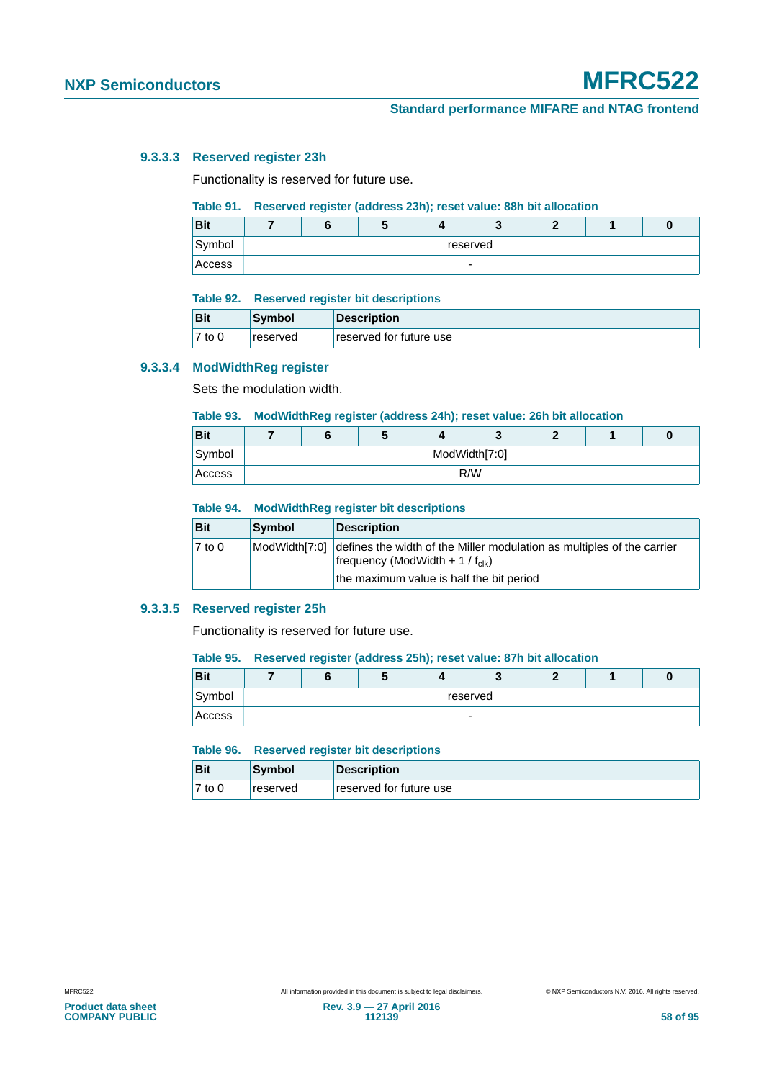#### **9.3.3.3 Reserved register 23h**

Functionality is reserved for future use.

#### <span id="page-57-0"></span>**Table 91. Reserved register (address 23h); reset value: 88h bit allocation**

| <b>Bit</b> |   |          |  |  |  |  |  |  |
|------------|---|----------|--|--|--|--|--|--|
| Symbol     |   | reserved |  |  |  |  |  |  |
| Access     | - |          |  |  |  |  |  |  |

#### **Table 92. Reserved register bit descriptions**

| <b>Bit</b> | ∣Svmbol         | Description             |
|------------|-----------------|-------------------------|
| $7$ to 0   | <b>reserved</b> | reserved for future use |

#### **9.3.3.4 ModWidthReg register**

Sets the modulation width.

#### <span id="page-57-1"></span>**Table 93. ModWidthReg register (address 24h); reset value: 26h bit allocation**

| <b>Bit</b> |               | w |  |  |  |  |  |  |
|------------|---------------|---|--|--|--|--|--|--|
| Symbol     | ModWidth[7:0] |   |  |  |  |  |  |  |
| Access     | R/W           |   |  |  |  |  |  |  |

#### **Table 94. ModWidthReg register bit descriptions**

| Bit                 | Symbol        | <b>Description</b>                                                                                                                                                 |
|---------------------|---------------|--------------------------------------------------------------------------------------------------------------------------------------------------------------------|
| $\overline{7}$ to 0 | ModWidth[7:0] | defines the width of the Miller modulation as multiples of the carrier<br>frequency (ModWidth + 1 / $f_{\text{clk}}$ )<br>the maximum value is half the bit period |

#### **9.3.3.5 Reserved register 25h**

Functionality is reserved for future use.

#### <span id="page-57-2"></span>**Table 95. Reserved register (address 25h); reset value: 87h bit allocation**

| <b>Bit</b> |                          |          |  |  |  |  |  |  |
|------------|--------------------------|----------|--|--|--|--|--|--|
| Symbol     |                          | reserved |  |  |  |  |  |  |
| Access     | $\overline{\phantom{a}}$ |          |  |  |  |  |  |  |

#### **Table 96. Reserved register bit descriptions**

| <b>Bit</b> | Symbol          | Description             |
|------------|-----------------|-------------------------|
| $7$ to 0   | <b>reserved</b> | reserved for future use |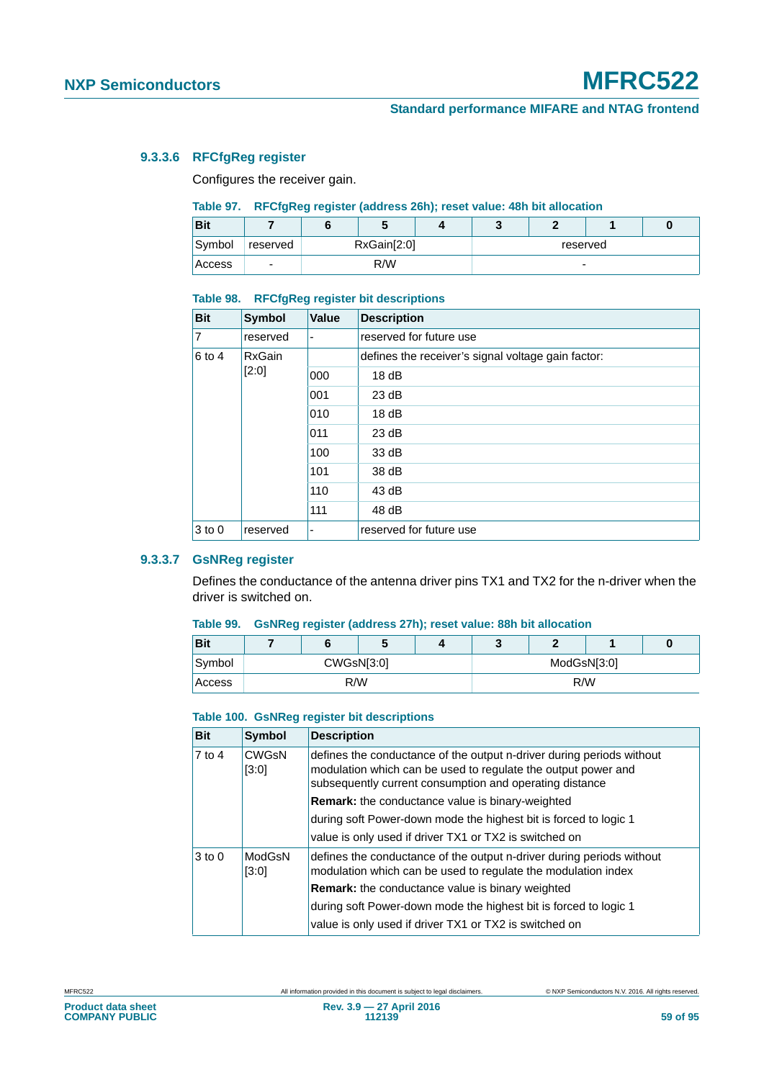## **9.3.3.6 RFCfgReg register**

Configures the receiver gain.

## <span id="page-58-0"></span>**Table 97. RFCfgReg register (address 26h); reset value: 48h bit allocation**

| <b>Bit</b> |                          | w           |  |  |          |  |
|------------|--------------------------|-------------|--|--|----------|--|
| Symbol     | reserved                 | RxGain[2:0] |  |  | reserved |  |
| Access     | $\overline{\phantom{a}}$ | R/W         |  |  | -        |  |

#### **Table 98. RFCfgReg register bit descriptions**

| <b>Bit</b> | <b>Symbol</b> | <b>Value</b> | <b>Description</b>                                 |
|------------|---------------|--------------|----------------------------------------------------|
| 7          | reserved      | ٠            | reserved for future use                            |
| $6$ to 4   | <b>RxGain</b> |              | defines the receiver's signal voltage gain factor: |
|            | [2:0]         | 000          | 18dB                                               |
|            |               | 001          | 23 dB                                              |
|            |               | 010          | 18dB                                               |
|            |               | 011          | 23 dB                                              |
|            |               | 100          | 33 dB                                              |
|            |               | 101          | 38 dB                                              |
|            |               | 110          | 43 dB                                              |
|            |               | 111          | 48 dB                                              |
| $3$ to 0   | reserved      | ۰            | reserved for future use                            |

## **9.3.3.7 GsNReg register**

Defines the conductance of the antenna driver pins TX1 and TX2 for the n-driver when the driver is switched on.

### <span id="page-58-1"></span>**Table 99. GsNReg register (address 27h); reset value: 88h bit allocation**

| <b>Bit</b> |     |  | v          |  |             |  |  | υ |
|------------|-----|--|------------|--|-------------|--|--|---|
| Symbol     |     |  | CWGsN[3:0] |  | ModGsN[3:0] |  |  |   |
| Access     | R/W |  |            |  | R/W         |  |  |   |

#### **Table 100. GsNReg register bit descriptions**

| <b>Bit</b> | <b>Symbol</b>         | <b>Description</b>                                                                                                                                                                                |
|------------|-----------------------|---------------------------------------------------------------------------------------------------------------------------------------------------------------------------------------------------|
| 7 to 4     | <b>CWGsN</b><br>[3:0] | defines the conductance of the output n-driver during periods without<br>modulation which can be used to regulate the output power and<br>subsequently current consumption and operating distance |
|            |                       | <b>Remark:</b> the conductance value is binary-weighted                                                                                                                                           |
|            |                       | during soft Power-down mode the highest bit is forced to logic 1                                                                                                                                  |
|            |                       | value is only used if driver TX1 or TX2 is switched on                                                                                                                                            |
| $3$ to 0   | ModGsN<br>[3:0]       | defines the conductance of the output n-driver during periods without<br>modulation which can be used to regulate the modulation index                                                            |
|            |                       | <b>Remark:</b> the conductance value is binary weighted                                                                                                                                           |
|            |                       | during soft Power-down mode the highest bit is forced to logic 1                                                                                                                                  |
|            |                       | value is only used if driver TX1 or TX2 is switched on                                                                                                                                            |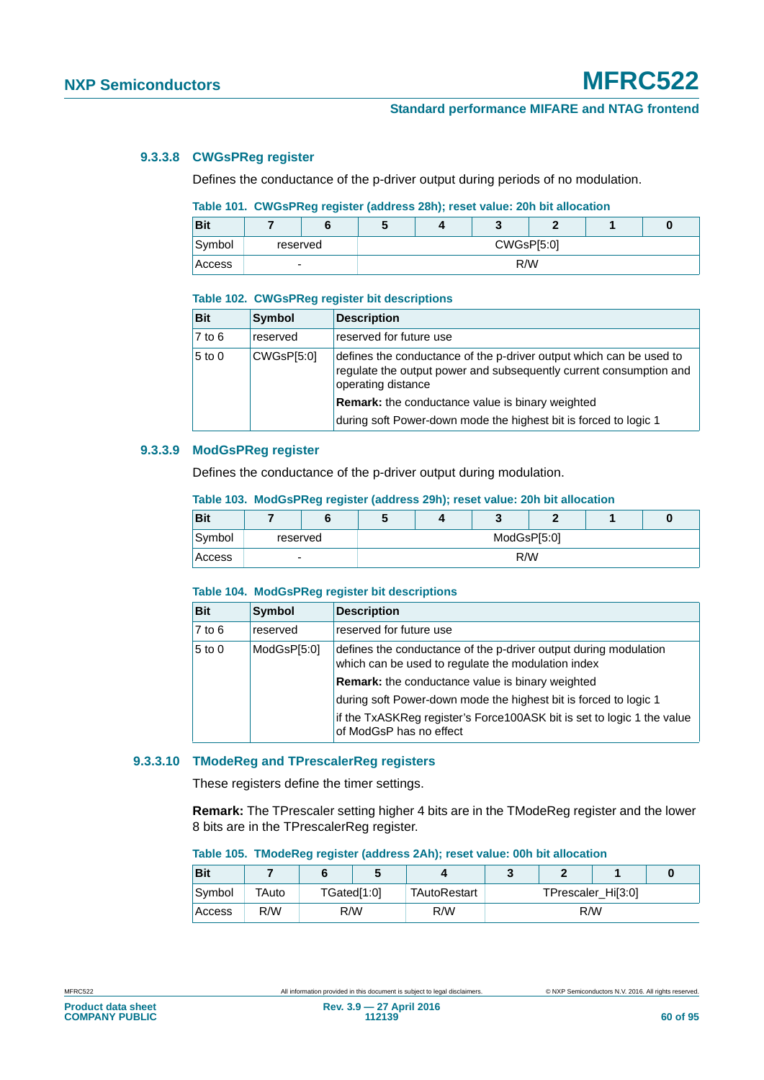### **9.3.3.8 CWGsPReg register**

Defines the conductance of the p-driver output during periods of no modulation.

### <span id="page-59-0"></span>**Table 101. CWGsPReg register (address 28h); reset value: 20h bit allocation**

| <b>Bit</b> |                          |  |            |  |     |  |  | υ |
|------------|--------------------------|--|------------|--|-----|--|--|---|
| Symbol     | reserved                 |  | CWGsP[5:0] |  |     |  |  |   |
| Access     | $\overline{\phantom{a}}$ |  |            |  | R/W |  |  |   |

#### **Table 102. CWGsPReg register bit descriptions**

| <b>Bit</b> | <b>Symbol</b> | <b>Description</b>                                                                                                                                              |
|------------|---------------|-----------------------------------------------------------------------------------------------------------------------------------------------------------------|
| $7$ to $6$ | reserved      | reserved for future use                                                                                                                                         |
| $5$ to 0   | CWGsP[5:0]    | defines the conductance of the p-driver output which can be used to<br>regulate the output power and subsequently current consumption and<br>operating distance |
|            |               | Remark: the conductance value is binary weighted                                                                                                                |
|            |               | during soft Power-down mode the highest bit is forced to logic 1                                                                                                |

## **9.3.3.9 ModGsPReg register**

Defines the conductance of the p-driver output during modulation.

#### <span id="page-59-1"></span>**Table 103. ModGsPReg register (address 29h); reset value: 20h bit allocation**

| <b>Bit</b> |          |  |             |  |     |  |  |  |  |
|------------|----------|--|-------------|--|-----|--|--|--|--|
| Symbol     | reserved |  | ModGsP[5:0] |  |     |  |  |  |  |
| Access     | -        |  |             |  | R/W |  |  |  |  |

#### **Table 104. ModGsPReg register bit descriptions**

| <b>Bit</b> | Symbol      | <b>Description</b>                                                                                                     |
|------------|-------------|------------------------------------------------------------------------------------------------------------------------|
| $7$ to 6   | reserved    | reserved for future use                                                                                                |
| $5$ to 0   | ModGsP[5:0] | defines the conductance of the p-driver output during modulation<br>which can be used to regulate the modulation index |
|            |             | <b>Remark:</b> the conductance value is binary weighted                                                                |
|            |             | during soft Power-down mode the highest bit is forced to logic 1                                                       |
|            |             | if the TxASKReg register's Force100ASK bit is set to logic 1 the value<br>of ModGsP has no effect                      |

## **9.3.3.10 TModeReg and TPrescalerReg registers**

These registers define the timer settings.

**Remark:** The TPrescaler setting higher 4 bits are in the TModeReg register and the lower 8 bits are in the TPrescalerReg register.

#### <span id="page-59-2"></span>**Table 105. TModeReg register (address 2Ah); reset value: 00h bit allocation**

| <b>Bit</b> |       |             |  |              |     |  |                    |  |
|------------|-------|-------------|--|--------------|-----|--|--------------------|--|
| Symbol     | TAuto | TGated[1:0] |  | TAutoRestart |     |  | TPrescaler_Hi[3:0] |  |
| Access     | R/W   | R/W         |  | R/W          | R/W |  |                    |  |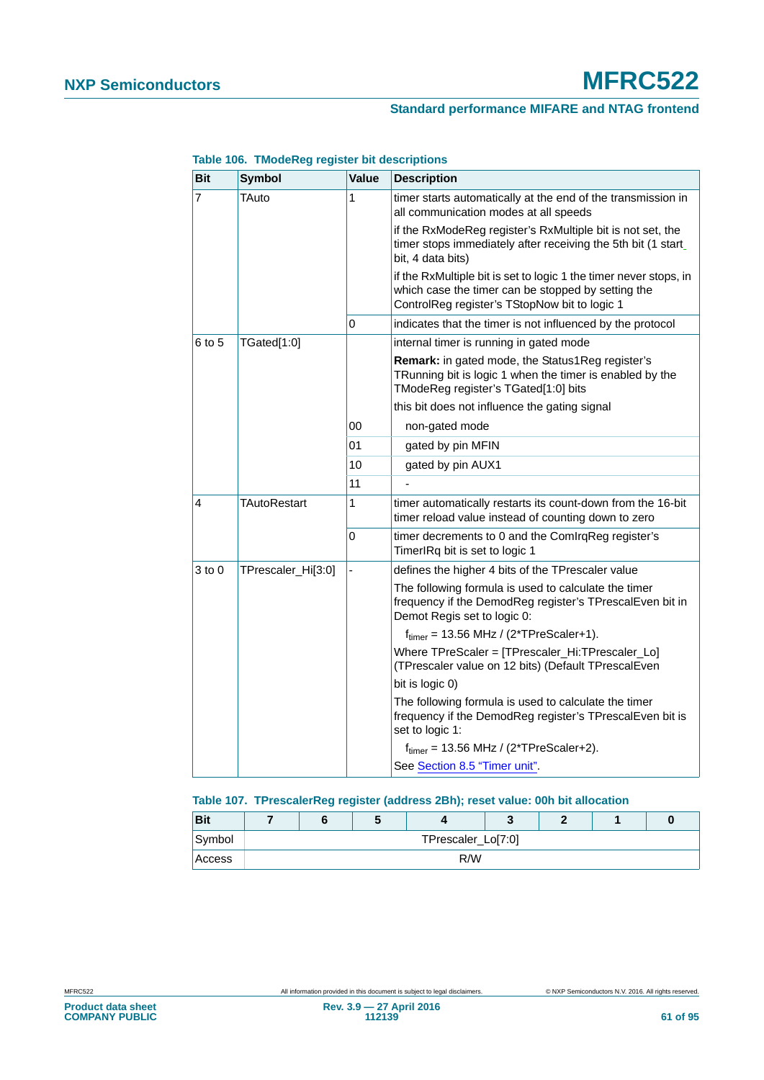| <b>Bit</b>     | <b>Symbol</b>       | <b>Value</b> | <b>Description</b>                                                                                                                                                       |
|----------------|---------------------|--------------|--------------------------------------------------------------------------------------------------------------------------------------------------------------------------|
| $\overline{7}$ | TAuto               | 1            | timer starts automatically at the end of the transmission in<br>all communication modes at all speeds                                                                    |
|                |                     |              | if the RxModeReg register's RxMultiple bit is not set, the<br>timer stops immediately after receiving the 5th bit (1 start<br>bit, 4 data bits)                          |
|                |                     |              | if the RxMultiple bit is set to logic 1 the timer never stops, in<br>which case the timer can be stopped by setting the<br>ControlReg register's TStopNow bit to logic 1 |
|                |                     | 0            | indicates that the timer is not influenced by the protocol                                                                                                               |
| 6 to 5         | TGated[1:0]         |              | internal timer is running in gated mode                                                                                                                                  |
|                |                     |              | <b>Remark:</b> in gated mode, the Status1Reg register's<br>TRunning bit is logic 1 when the timer is enabled by the<br>TModeReg register's TGated[1:0] bits              |
|                |                     |              | this bit does not influence the gating signal                                                                                                                            |
|                |                     | 00           | non-gated mode                                                                                                                                                           |
|                |                     | 01           | gated by pin MFIN                                                                                                                                                        |
|                |                     | 10           | gated by pin AUX1                                                                                                                                                        |
|                |                     | 11           |                                                                                                                                                                          |
| 4              | <b>TAutoRestart</b> | 1            | timer automatically restarts its count-down from the 16-bit<br>timer reload value instead of counting down to zero                                                       |
|                |                     | 0            | timer decrements to 0 and the ComIrqReg register's<br>TimerIRq bit is set to logic 1                                                                                     |
| $3$ to $0$     | TPrescaler_Hi[3:0]  |              | defines the higher 4 bits of the TPrescaler value                                                                                                                        |
|                |                     |              | The following formula is used to calculate the timer<br>frequency if the DemodReg register's TPrescalEven bit in<br>Demot Regis set to logic 0:                          |
|                |                     |              | $ftimer = 13.56 MHz / (2*TPreScaler+1).$                                                                                                                                 |
|                |                     |              | Where TPreScaler = [TPrescaler_Hi:TPrescaler_Lo]<br>(TPrescaler value on 12 bits) (Default TPrescalEven                                                                  |
|                |                     |              | bit is logic 0)                                                                                                                                                          |
|                |                     |              | The following formula is used to calculate the timer<br>frequency if the DemodReg register's TPrescalEven bit is<br>set to logic 1:                                      |
|                |                     |              | $ftimer = 13.56 MHz / (2*TPreScalar+2).$                                                                                                                                 |
|                |                     |              | See Section 8.5 "Timer unit".                                                                                                                                            |

## **Table 106. TModeReg register bit descriptions**

## <span id="page-60-0"></span>**Table 107. TPrescalerReg register (address 2Bh); reset value: 00h bit allocation**

| <b>Bit</b> |                    |  | $\overline{\phantom{a}}$ |  |  |  |  |  |
|------------|--------------------|--|--------------------------|--|--|--|--|--|
| Symbol     | TPrescaler_Lo[7:0] |  |                          |  |  |  |  |  |
| Access     | R/W                |  |                          |  |  |  |  |  |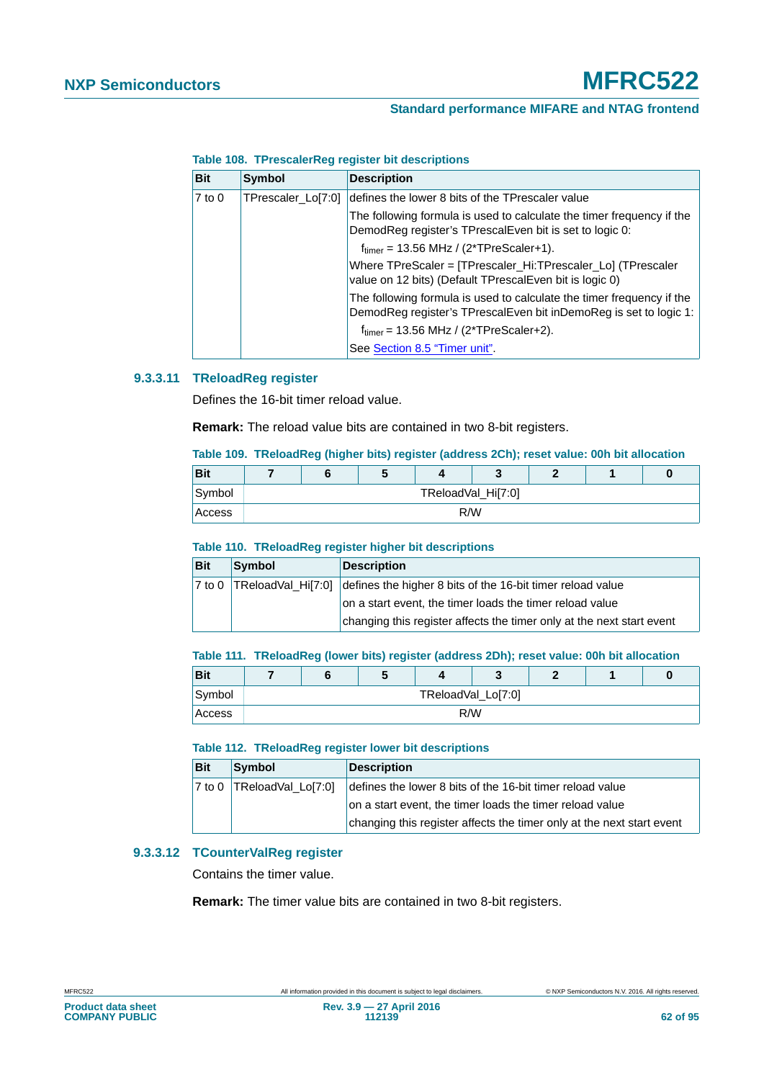## **Standard performance MIFARE and NTAG frontend**

| <b>Bit</b> | <b>Symbol</b>      | <b>Description</b>                                                                                                                         |
|------------|--------------------|--------------------------------------------------------------------------------------------------------------------------------------------|
| $7$ to $0$ | TPrescaler_Lo[7:0] | defines the lower 8 bits of the TPrescaler value                                                                                           |
|            |                    | The following formula is used to calculate the timer frequency if the<br>DemodReg register's TPrescalEven bit is set to logic 0:           |
|            |                    | $f_{\text{timer}} = 13.56 \text{ MHz} / (2 \text{*TPreScalar+1}).$                                                                         |
|            |                    | Where TPreScaler = [TPrescaler_Hi:TPrescaler_Lo] (TPrescaler<br>value on 12 bits) (Default TPrescalEven bit is logic 0)                    |
|            |                    | The following formula is used to calculate the timer frequency if the<br>DemodReg register's TPrescalEven bit inDemoReg is set to logic 1: |
|            |                    | $ftimer = 13.56 MHz / (2*TPreScaler+2).$                                                                                                   |
|            |                    | See Section 8.5 "Timer unit".                                                                                                              |

## **Table 108. TPrescalerReg register bit descriptions**

## **9.3.3.11 TReloadReg register**

Defines the 16-bit timer reload value.

**Remark:** The reload value bits are contained in two 8-bit registers.

### <span id="page-61-0"></span>**Table 109. TReloadReg (higher bits) register (address 2Ch); reset value: 00h bit allocation**

| <b>Bit</b> |     | w |                    |  |  |  |  |
|------------|-----|---|--------------------|--|--|--|--|
| Symbol     |     |   | TReloadVal_Hi[7:0] |  |  |  |  |
| Access     | R/W |   |                    |  |  |  |  |

#### **Table 110. TReloadReg register higher bit descriptions**

| <b>Bit</b>          | Symbol | Description                                                                   |
|---------------------|--------|-------------------------------------------------------------------------------|
| $ 7 \text{ to } 0 $ |        | TReloadVal_Hi[7:0] defines the higher 8 bits of the 16-bit timer reload value |
|                     |        | on a start event, the timer loads the timer reload value                      |
|                     |        | changing this register affects the timer only at the next start event         |

#### <span id="page-61-1"></span>**Table 111. TReloadReg (lower bits) register (address 2Dh); reset value: 00h bit allocation**

| Bit    |     |  | Ð |  |                    |  |  | U |
|--------|-----|--|---|--|--------------------|--|--|---|
| Symbol |     |  |   |  | TReloadVal_Lo[7:0] |  |  |   |
| Access | R/W |  |   |  |                    |  |  |   |

#### **Table 112. TReloadReg register lower bit descriptions**

| <b>Bit</b> | Symbol                           | <b>Description</b>                                                    |
|------------|----------------------------------|-----------------------------------------------------------------------|
|            | $ 7$ to 0 $ TReloadVal_Llo[7:0]$ | defines the lower 8 bits of the 16-bit timer reload value             |
|            |                                  | on a start event, the timer loads the timer reload value              |
|            |                                  | changing this register affects the timer only at the next start event |

### **9.3.3.12 TCounterValReg register**

Contains the timer value.

**Remark:** The timer value bits are contained in two 8-bit registers.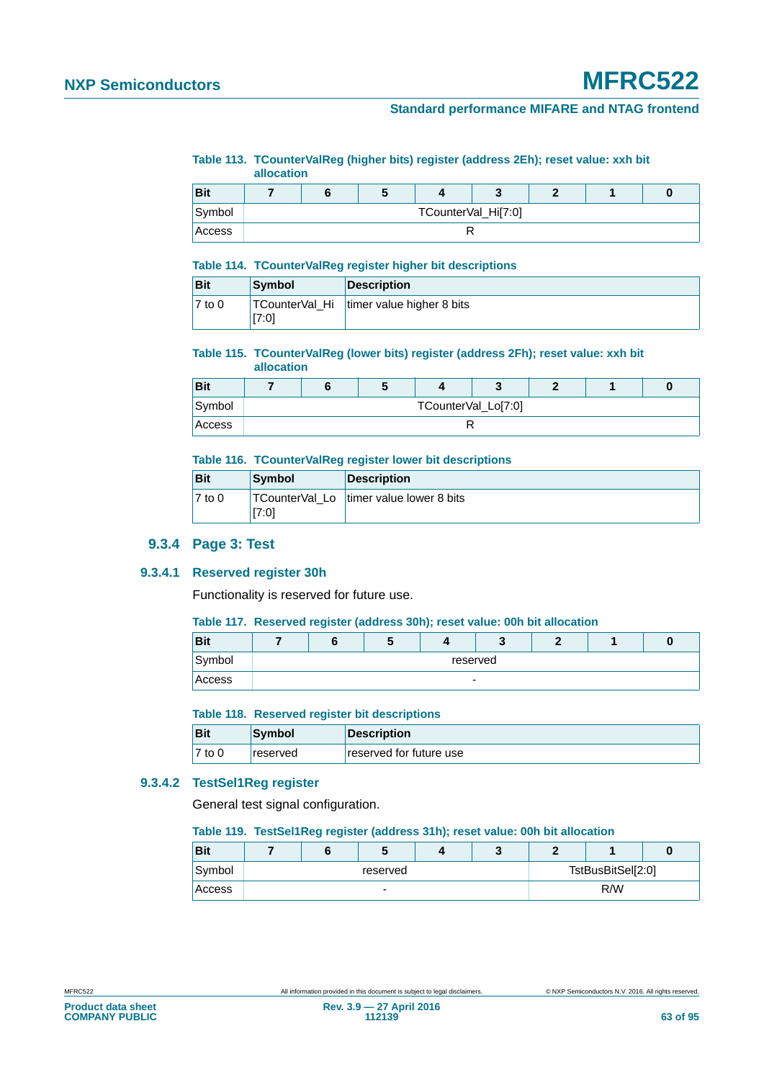## **Standard performance MIFARE and NTAG frontend**

<span id="page-62-0"></span>**Table 113. TCounterValReg (higher bits) register (address 2Eh); reset value: xxh bit allocation**

|            | unvvuuvii |                     |  |  |  |  |  |  |  |  |
|------------|-----------|---------------------|--|--|--|--|--|--|--|--|
| <b>Bit</b> | ю         |                     |  |  |  |  |  |  |  |  |
| Symbol     |           | TCounterVal_Hi[7:0] |  |  |  |  |  |  |  |  |
| Access     |           |                     |  |  |  |  |  |  |  |  |

### **Table 114. TCounterValReg register higher bit descriptions**

| <b>Bit</b>          | <b>Symbol</b> | <b>Description</b>                         |
|---------------------|---------------|--------------------------------------------|
| $\overline{7}$ to 0 | [7:0]         | TCounterVal Hi   timer value higher 8 bits |

### <span id="page-62-1"></span>**Table 115. TCounterValReg (lower bits) register (address 2Fh); reset value: xxh bit**

|            | allocation |  |                     |  |  |
|------------|------------|--|---------------------|--|--|
| <b>Bit</b> |            |  |                     |  |  |
| Symbol     |            |  | TCounterVal_Lo[7:0] |  |  |
| Access     |            |  |                     |  |  |

#### **Table 116. TCounterValReg register lower bit descriptions**

| <b>Bit</b> | Symbol                  | <b>Description</b>       |
|------------|-------------------------|--------------------------|
| $7$ to 0   | TCounterVal Lo<br>[7:0] | timer value lower 8 bits |

## **9.3.4 Page 3: Test**

### **9.3.4.1 Reserved register 30h**

Functionality is reserved for future use.

#### <span id="page-62-2"></span>**Table 117. Reserved register (address 30h); reset value: 00h bit allocation**

| <b>Bit</b> |  |                          |  |  |
|------------|--|--------------------------|--|--|
| Symbol     |  | reserved                 |  |  |
| Access     |  | $\overline{\phantom{0}}$ |  |  |

#### **Table 118. Reserved register bit descriptions**

| <b>Bit</b> | Symbol          | <b>Description</b>      |
|------------|-----------------|-------------------------|
| 17 to 0    | <b>reserved</b> | reserved for future use |

## **9.3.4.2 TestSel1Reg register**

General test signal configuration.

#### <span id="page-62-3"></span>**Table 119. TestSel1Reg register (address 31h); reset value: 00h bit allocation**

| <b>Bit</b> |          |  | J |  |  |                   |  |  |  |
|------------|----------|--|---|--|--|-------------------|--|--|--|
| Symbol     | reserved |  |   |  |  | TstBusBitSel[2:0] |  |  |  |
| Access     |          |  | - |  |  | R/W               |  |  |  |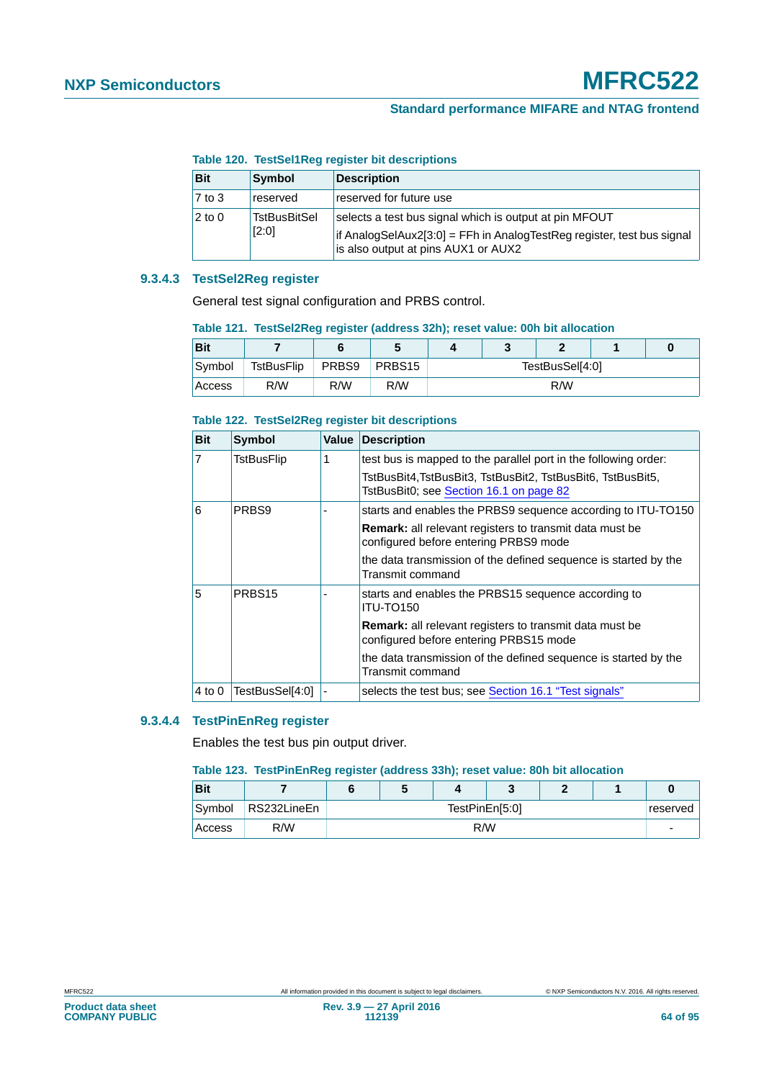|  | Table 120. TestSel1Reg register bit descriptions |  |  |  |
|--|--------------------------------------------------|--|--|--|
|--|--------------------------------------------------|--|--|--|

| <b>Bit</b> | Symbol                       | <b>Description</b>                                                                                                                                                      |
|------------|------------------------------|-------------------------------------------------------------------------------------------------------------------------------------------------------------------------|
| 7 to 3     | reserved                     | reserved for future use                                                                                                                                                 |
| 2 to 0     | <b>TstBusBitSel</b><br>[2:0] | selects a test bus signal which is output at pin MFOUT<br>if AnalogSelAux2[3:0] = FFh in AnalogTestReg register, test bus signal<br>is also output at pins AUX1 or AUX2 |

## **9.3.4.3 TestSel2Reg register**

General test signal configuration and PRBS control.

<span id="page-63-0"></span>

| Table 121. TestSel2Reg register (address 32h); reset value: 00h bit allocation |  |  |  |  |
|--------------------------------------------------------------------------------|--|--|--|--|
|                                                                                |  |  |  |  |

| <b>Bit</b> |            |       |                    |                 | ٠<br>w | e |  |  |  |
|------------|------------|-------|--------------------|-----------------|--------|---|--|--|--|
| Symbol     | TstBusFlip | PRBS9 | PRBS <sub>15</sub> | TestBusSel[4:0] |        |   |  |  |  |
| Access     | R/W        | R/W   | R/W                | R/W             |        |   |  |  |  |

#### **Table 122. TestSel2Reg register bit descriptions**

| <b>Bit</b>     | Symbol             | Value | <b>Description</b>                                                                                       |
|----------------|--------------------|-------|----------------------------------------------------------------------------------------------------------|
| $\overline{7}$ | TstBusFlip         |       | test bus is mapped to the parallel port in the following order:                                          |
|                |                    |       | TstBusBit4, TstBusBit3, TstBusBit2, TstBusBit6, TstBusBit5,<br>TstBusBit0; see Section 16.1 on page 82   |
| 6              | PRBS9              |       | starts and enables the PRBS9 sequence according to ITU-TO150                                             |
|                |                    |       | <b>Remark:</b> all relevant registers to transmit data must be<br>configured before entering PRBS9 mode  |
|                |                    |       | the data transmission of the defined sequence is started by the<br>Transmit command                      |
| 5              | PRBS <sub>15</sub> |       | starts and enables the PRBS15 sequence according to<br><b>ITU-TO150</b>                                  |
|                |                    |       | <b>Remark:</b> all relevant registers to transmit data must be<br>configured before entering PRBS15 mode |
|                |                    |       | the data transmission of the defined sequence is started by the<br>Transmit command                      |
| $4$ to $0$     | TestBusSel[4:0]    |       | selects the test bus; see Section 16.1 "Test signals"                                                    |

#### **9.3.4.4 TestPinEnReg register**

Enables the test bus pin output driver.

#### <span id="page-63-1"></span>**Table 123. TestPinEnReg register (address 33h); reset value: 80h bit allocation**

| <b>Bit</b> |             |                            |  |  |  |  |  |  |  |
|------------|-------------|----------------------------|--|--|--|--|--|--|--|
| Symbol     | RS232LineEn | TestPinEn[5:0]<br>reserved |  |  |  |  |  |  |  |
| Access     | R/W         | R/W                        |  |  |  |  |  |  |  |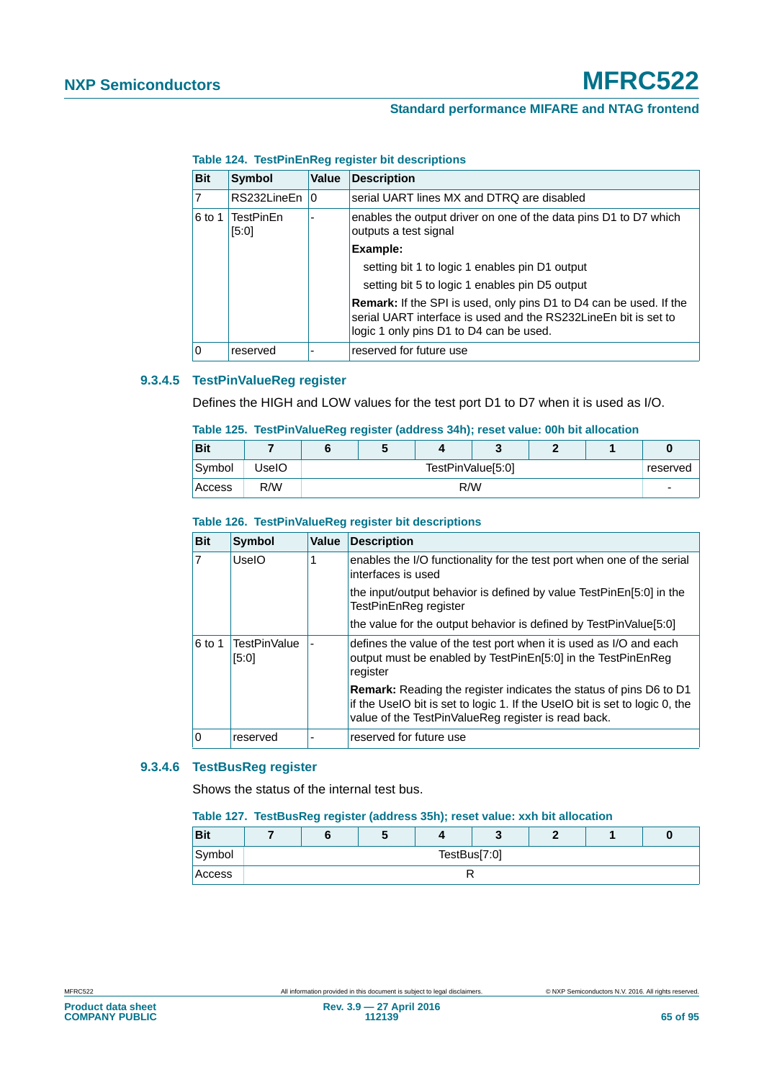| <b>Bit</b> | <b>Symbol</b>             | Value | <b>Description</b>                                                                                                                                                                      |
|------------|---------------------------|-------|-----------------------------------------------------------------------------------------------------------------------------------------------------------------------------------------|
|            | RS232LineEn 10            |       | serial UART lines MX and DTRQ are disabled                                                                                                                                              |
| 6 to 1     | <b>TestPinEn</b><br>[5:0] |       | enables the output driver on one of the data pins D1 to D7 which<br>outputs a test signal                                                                                               |
|            |                           |       | Example:                                                                                                                                                                                |
|            |                           |       | setting bit 1 to logic 1 enables pin D1 output                                                                                                                                          |
|            |                           |       | setting bit 5 to logic 1 enables pin D5 output                                                                                                                                          |
|            |                           |       | <b>Remark:</b> If the SPI is used, only pins D1 to D4 can be used. If the<br>serial UART interface is used and the RS232LineEn bit is set to<br>logic 1 only pins D1 to D4 can be used. |
| Ω          | reserved                  |       | reserved for future use                                                                                                                                                                 |

## **Table 124. TestPinEnReg register bit descriptions**

# **9.3.4.5 TestPinValueReg register**

Defines the HIGH and LOW values for the test port D1 to D7 when it is used as I/O.

<span id="page-64-0"></span>

|  | Table 125. TestPinValueReg register (address 34h); reset value: 00h bit allocation |  |  |  |  |  |  |
|--|------------------------------------------------------------------------------------|--|--|--|--|--|--|
|--|------------------------------------------------------------------------------------|--|--|--|--|--|--|

| <b>Bit</b> |       | w                             |     |  |  |  |                          |  |
|------------|-------|-------------------------------|-----|--|--|--|--------------------------|--|
| Symbol     | UselO | TestPinValue[5:0]<br>reserved |     |  |  |  |                          |  |
| Access     | R/W   |                               | R/W |  |  |  | $\overline{\phantom{0}}$ |  |

## **Table 126. TestPinValueReg register bit descriptions**

| <b>Bit</b>     | <b>Symbol</b>                | Value | <b>Description</b>                                                                                                                                                                                       |
|----------------|------------------------------|-------|----------------------------------------------------------------------------------------------------------------------------------------------------------------------------------------------------------|
| $\overline{7}$ | UselO<br>1                   |       | enables the I/O functionality for the test port when one of the serial<br>interfaces is used                                                                                                             |
|                |                              |       | the input/output behavior is defined by value TestPinEn[5:0] in the<br>TestPinEnReg register                                                                                                             |
|                |                              |       | the value for the output behavior is defined by TestPinValue[5:0]                                                                                                                                        |
| 6 to 1         | <b>TestPinValue</b><br>[5:0] |       | defines the value of the test port when it is used as I/O and each<br>output must be enabled by TestPinEn[5:0] in the TestPinEnReg<br>register                                                           |
|                |                              |       | Remark: Reading the register indicates the status of pins D6 to D1<br>if the UseIO bit is set to logic 1. If the UseIO bit is set to logic 0, the<br>value of the TestPinValueReg register is read back. |
| ١o             | reserved                     |       | reserved for future use                                                                                                                                                                                  |

## **9.3.4.6 TestBusReg register**

Shows the status of the internal test bus.

#### <span id="page-64-1"></span>**Table 127. TestBusReg register (address 35h); reset value: xxh bit allocation**

| <b>Bit</b> |              |  | $\overline{\phantom{a}}$ |  |  |  |  |  |  |
|------------|--------------|--|--------------------------|--|--|--|--|--|--|
| Symbol     | TestBus[7:0] |  |                          |  |  |  |  |  |  |
| Access     |              |  |                          |  |  |  |  |  |  |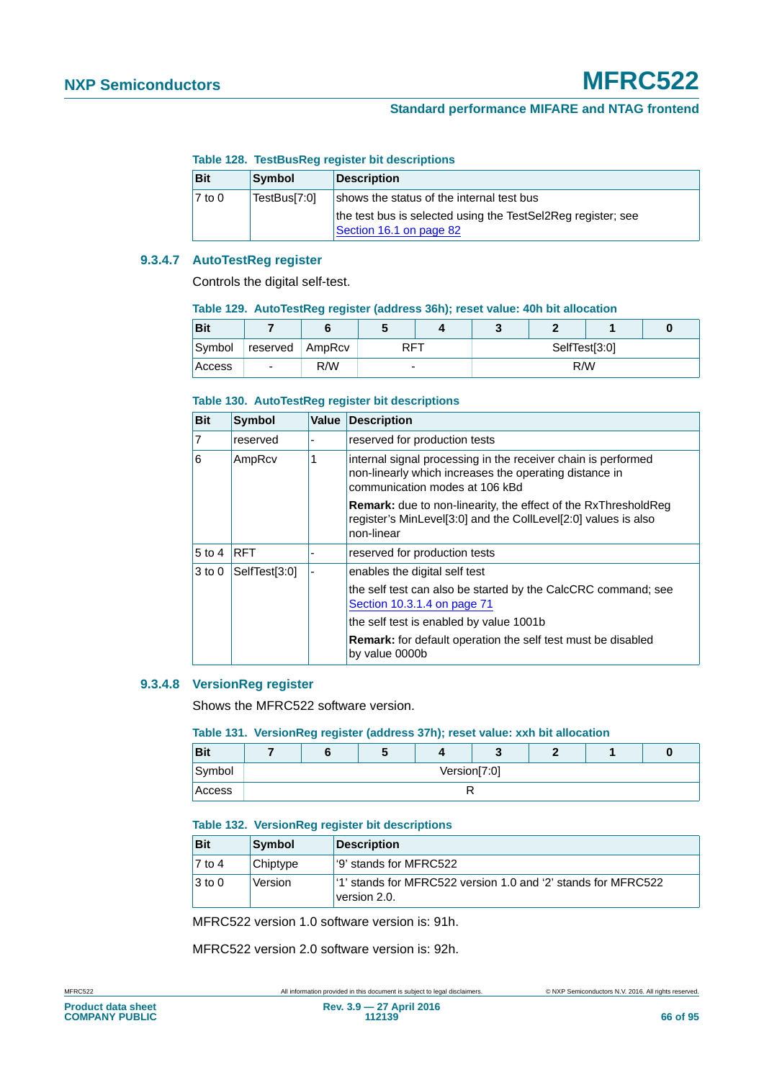## **Table 128. TestBusReg register bit descriptions**

| <b>Bit</b> | <b>Symbol</b> | <b>Description</b>                                                                      |
|------------|---------------|-----------------------------------------------------------------------------------------|
| $7$ to 0   | TestBus[7:0]  | shows the status of the internal test bus                                               |
|            |               | the test bus is selected using the TestSel2Reg register; see<br>Section 16.1 on page 82 |

## **9.3.4.7 AutoTestReg register**

Controls the digital self-test.

#### <span id="page-65-0"></span>**Table 129. AutoTestReg register (address 36h); reset value: 40h bit allocation**

| <b>Bit</b> |                          |     |     |  |               |  |  |  |  |
|------------|--------------------------|-----|-----|--|---------------|--|--|--|--|
| Symbol     | reserved AmpRcv          |     | RFT |  | SelfTest[3:0] |  |  |  |  |
| Access     | $\overline{\phantom{0}}$ | R/W | -   |  | R/W           |  |  |  |  |

#### **Table 130. AutoTestReg register bit descriptions**

| <b>Bit</b>     | <b>Symbol</b> | Value | <b>Description</b>                                                                                                                                        |
|----------------|---------------|-------|-----------------------------------------------------------------------------------------------------------------------------------------------------------|
| $\overline{7}$ | reserved      |       | reserved for production tests                                                                                                                             |
| $\overline{6}$ | 1<br>AmpRcv   |       | internal signal processing in the receiver chain is performed<br>non-linearly which increases the operating distance in<br>communication modes at 106 kBd |
|                |               |       | <b>Remark:</b> due to non-linearity, the effect of the RxThresholdReg<br>register's MinLevel[3:0] and the CollLevel[2:0] values is also<br>non-linear     |
| $5$ to 4       | <b>RFT</b>    |       | reserved for production tests                                                                                                                             |
| $3$ to 0       | SelfTest[3:0] |       | enables the digital self test                                                                                                                             |
|                |               |       | the self test can also be started by the CalcCRC command; see<br>Section 10.3.1.4 on page 71                                                              |
|                |               |       | the self test is enabled by value 1001b                                                                                                                   |
|                |               |       | <b>Remark:</b> for default operation the self test must be disabled<br>by value 0000b                                                                     |

## **9.3.4.8 VersionReg register**

Shows the MFRC522 software version.

#### <span id="page-65-1"></span>**Table 131. VersionReg register (address 37h); reset value: xxh bit allocation**

| <b>Bit</b> |  |              |  |  |  |  |  |  |  |  |
|------------|--|--------------|--|--|--|--|--|--|--|--|
| Symbol     |  | Version[7:0] |  |  |  |  |  |  |  |  |
| Access     |  |              |  |  |  |  |  |  |  |  |

#### **Table 132. VersionReg register bit descriptions**

| <b>Bit</b>          | Symbol   | Description                                                                                |
|---------------------|----------|--------------------------------------------------------------------------------------------|
| $\overline{7}$ to 4 | Chiptype | <sup>1</sup> '9' stands for MFRC522                                                        |
| $ 3 \text{ to } 0$  | Version  | <sup>1</sup> '1' stands for MFRC522 version 1.0 and '2' stands for MFRC522<br>version 2.0. |

MFRC522 version 1.0 software version is: 91h.

MFRC522 version 2.0 software version is: 92h.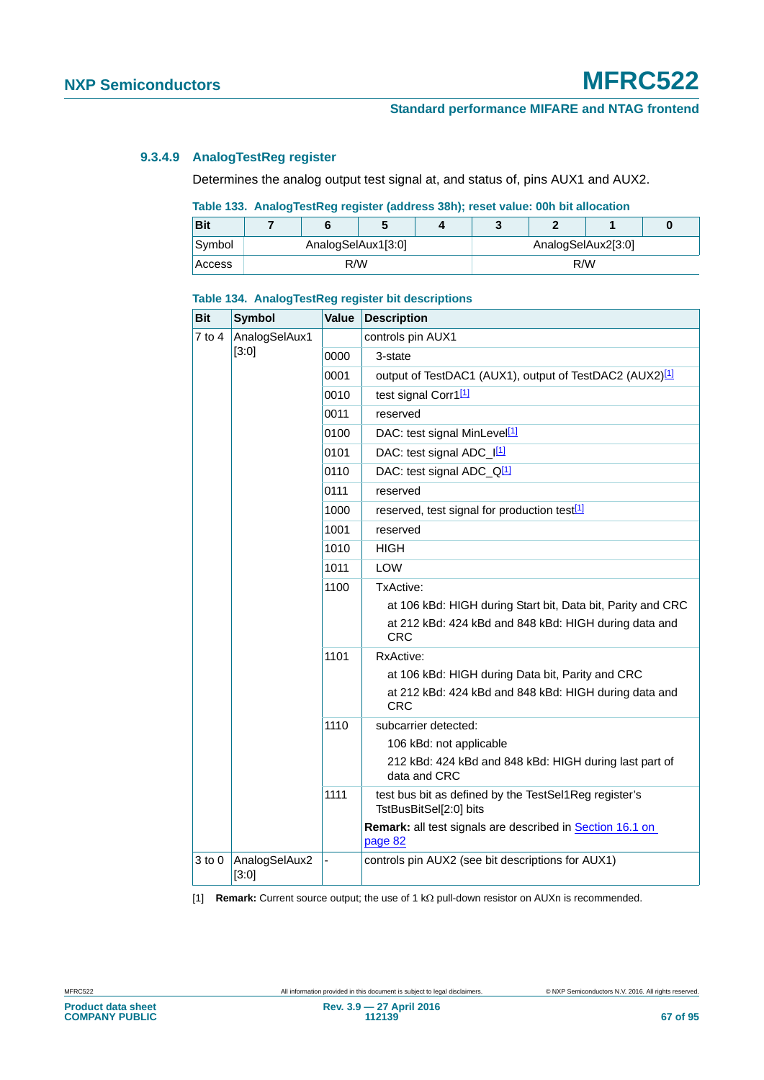## **9.3.4.9 AnalogTestReg register**

Determines the analog output test signal at, and status of, pins AUX1 and AUX2.

## <span id="page-66-0"></span>**Table 133. AnalogTestReg register (address 38h); reset value: 00h bit allocation**

| <b>Bit</b> |     |                    |  |  |                    |     |  | 0 |  |
|------------|-----|--------------------|--|--|--------------------|-----|--|---|--|
| Symbol     |     | AnalogSelAux1[3:0] |  |  | AnalogSelAux2[3:0] |     |  |   |  |
| Access     | R/W |                    |  |  |                    | R/W |  |   |  |

| <b>Bit</b> | <b>Symbol</b>          | Value | <b>Description</b>                                                                                                                              |
|------------|------------------------|-------|-------------------------------------------------------------------------------------------------------------------------------------------------|
| 7 to 4     | AnalogSelAux1          |       | controls pin AUX1                                                                                                                               |
|            | [3:0]                  | 0000  | 3-state                                                                                                                                         |
|            |                        | 0001  | output of TestDAC1 (AUX1), output of TestDAC2 (AUX2) <sup>[1]</sup>                                                                             |
|            |                        | 0010  | test signal Corr1[1]                                                                                                                            |
|            |                        | 0011  | reserved                                                                                                                                        |
|            |                        | 0100  | DAC: test signal MinLevel <sup>[1]</sup>                                                                                                        |
|            |                        | 0101  | DAC: test signal ADC_I <sup>[1]</sup>                                                                                                           |
|            |                        | 0110  | DAC: test signal ADC_Q <sup>[1]</sup>                                                                                                           |
|            |                        | 0111  | reserved                                                                                                                                        |
|            |                        | 1000  | reserved, test signal for production test <sup>[1]</sup>                                                                                        |
|            |                        | 1001  | reserved                                                                                                                                        |
|            |                        | 1010  | <b>HIGH</b>                                                                                                                                     |
|            |                        | 1011  | <b>LOW</b>                                                                                                                                      |
|            |                        | 1100  | TxActive:<br>at 106 kBd: HIGH during Start bit, Data bit, Parity and CRC<br>at 212 kBd: 424 kBd and 848 kBd: HIGH during data and<br><b>CRC</b> |
|            |                        | 1101  | RxActive:<br>at 106 kBd: HIGH during Data bit, Parity and CRC<br>at 212 kBd: 424 kBd and 848 kBd: HIGH during data and<br><b>CRC</b>            |
|            |                        | 1110  | subcarrier detected:                                                                                                                            |
|            |                        |       | 106 kBd: not applicable                                                                                                                         |
|            |                        |       | 212 kBd: 424 kBd and 848 kBd: HIGH during last part of<br>data and CRC                                                                          |
|            |                        | 1111  | test bus bit as defined by the TestSel1Reg register's<br>TstBusBitSel[2:0] bits                                                                 |
|            |                        |       | Remark: all test signals are described in Section 16.1 on<br>page 82                                                                            |
| 3 to 0     | AnalogSelAux2<br>[3:0] |       | controls pin AUX2 (see bit descriptions for AUX1)                                                                                               |

#### **Table 134. AnalogTestReg register bit descriptions**

<span id="page-66-1"></span>[1] **Remark:** Current source output; the use of 1 k $\Omega$  pull-down resistor on AUXn is recommended.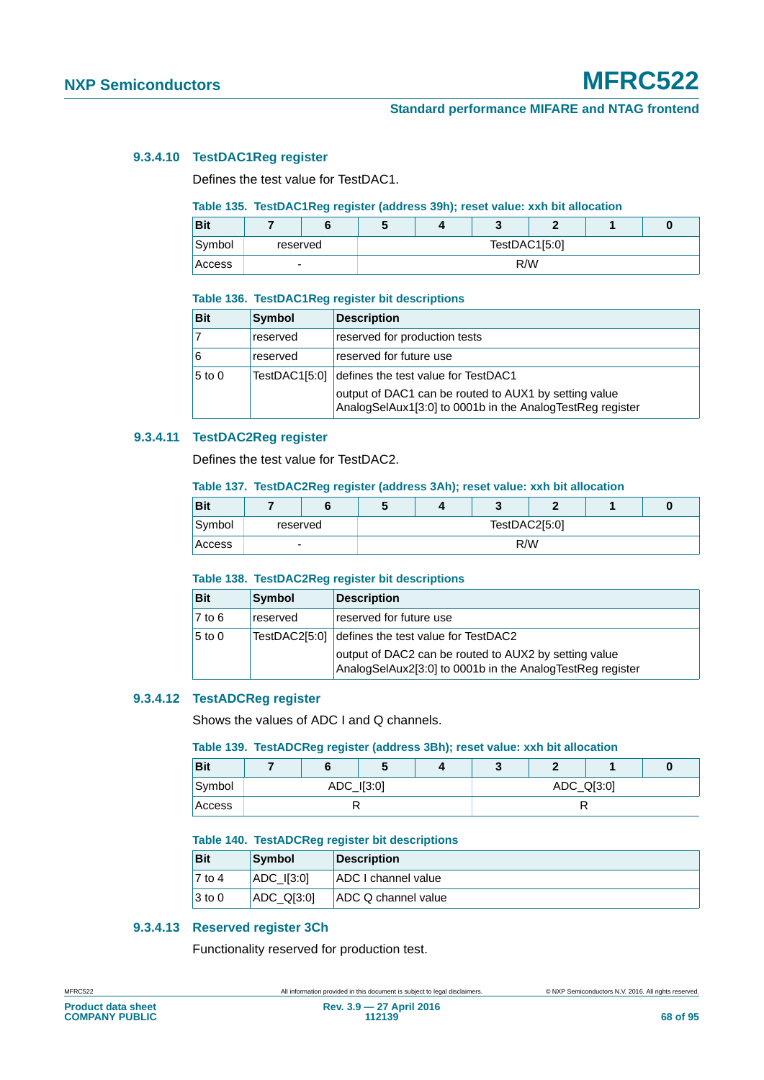## **9.3.4.10 TestDAC1Reg register**

Defines the test value for TestDAC1.

#### <span id="page-67-0"></span>**Table 135. TestDAC1Reg register (address 39h); reset value: xxh bit allocation**

| Bit    |   |          | w             |  |  |  |  |  |
|--------|---|----------|---------------|--|--|--|--|--|
| Symbol |   | reserved | TestDAC1[5:0] |  |  |  |  |  |
| Access | - |          | R/W           |  |  |  |  |  |

#### **Table 136. TestDAC1Reg register bit descriptions**

| <b>Bit</b>   | <b>Symbol</b> | <b>Description</b>                                                                                                 |
|--------------|---------------|--------------------------------------------------------------------------------------------------------------------|
|              | reserved      | reserved for production tests                                                                                      |
| <sup>6</sup> | reserved      | reserved for future use                                                                                            |
| $5$ to 0     | TestDAC1[5:0] | defines the test value for TestDAC1                                                                                |
|              |               | output of DAC1 can be routed to AUX1 by setting value<br>AnalogSelAux1[3:0] to 0001b in the AnalogTestReg register |

## **9.3.4.11 TestDAC2Reg register**

Defines the test value for TestDAC2.

#### <span id="page-67-1"></span>**Table 137. TestDAC2Reg register (address 3Ah); reset value: xxh bit allocation**

| <b>Bit</b> |   |          | $\ddot{}$     |  |  |  |  |  |
|------------|---|----------|---------------|--|--|--|--|--|
| Symbol     |   | reserved | TestDAC2[5:0] |  |  |  |  |  |
| Access     | - |          | R/W           |  |  |  |  |  |

#### **Table 138. TestDAC2Reg register bit descriptions**

| <b>Bit</b> | Symbol        | <b>Description</b>                                                                                                 |
|------------|---------------|--------------------------------------------------------------------------------------------------------------------|
| $7$ to 6   | reserved      | reserved for future use                                                                                            |
| $5$ to 0   | TestDAC2[5:0] | defines the test value for TestDAC2                                                                                |
|            |               | output of DAC2 can be routed to AUX2 by setting value<br>AnalogSelAux2[3:0] to 0001b in the AnalogTestReg register |

## **9.3.4.12 TestADCReg register**

Shows the values of ADC I and Q channels.

#### <span id="page-67-2"></span>**Table 139. TestADCReg register (address 3Bh); reset value: xxh bit allocation**

| <b>Bit</b> |  |  | v          |  |            |  |  |  |  |
|------------|--|--|------------|--|------------|--|--|--|--|
| Symbol     |  |  | ADC_I[3:0] |  | ADC_Q[3:0] |  |  |  |  |
| Access     |  |  |            |  |            |  |  |  |  |

#### **Table 140. TestADCReg register bit descriptions**

| <b>Bit</b>          | Symbol         | <b>Description</b>  |
|---------------------|----------------|---------------------|
| $\overline{7}$ to 4 | $ADC$ $I[3:0]$ | ADC I channel value |
| $ 3 \text{ to } 0$  | [ADC Q13:0]    | ADC Q channel value |

## **9.3.4.13 Reserved register 3Ch**

Functionality reserved for production test.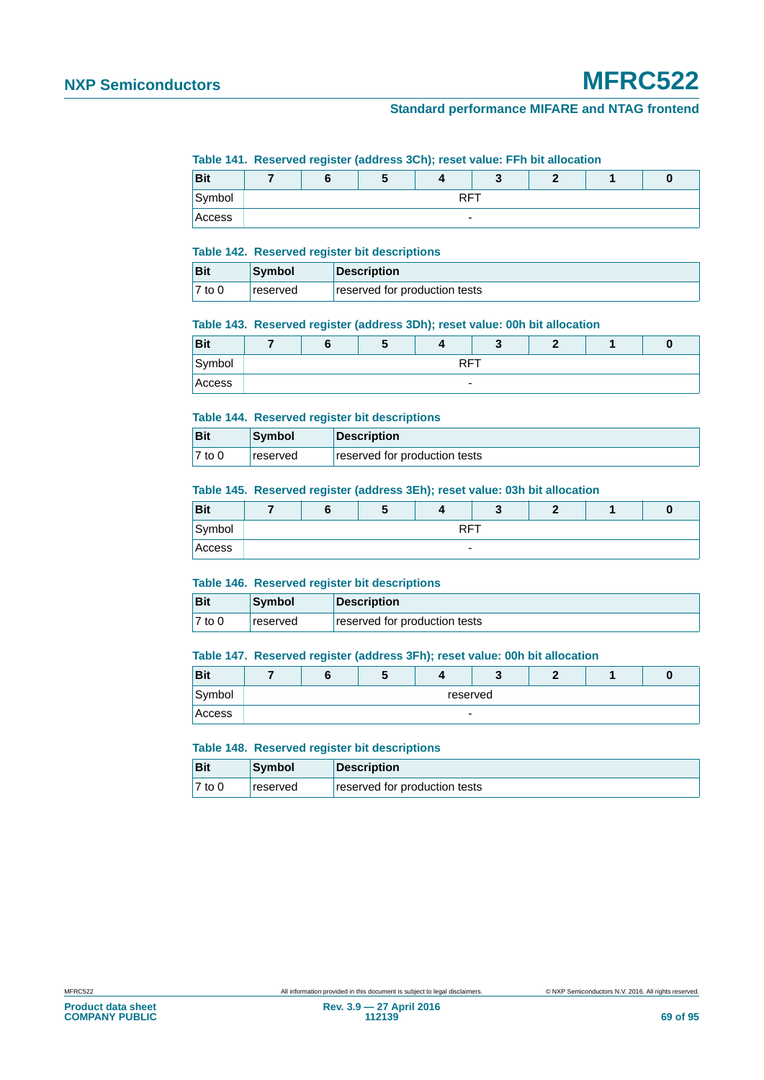#### <span id="page-68-0"></span>**Table 141. Reserved register (address 3Ch); reset value: FFh bit allocation**

|            | __ | __                       |  |  |  |
|------------|----|--------------------------|--|--|--|
| <b>Bit</b> |    |                          |  |  |  |
| Symbol     |    | <b>DET</b><br>.          |  |  |  |
| Access     |    | $\overline{\phantom{0}}$ |  |  |  |

#### **Table 142. Reserved register bit descriptions**

| <b>Bit</b> | Symbol          | Description                   |
|------------|-----------------|-------------------------------|
| $7$ to 0   | <b>reserved</b> | reserved for production tests |

#### **Table 143. Reserved register (address 3Dh); reset value: 00h bit allocation**

| <b>Bit</b> |  | $\overline{\phantom{a}}$ |                          |  |  |
|------------|--|--------------------------|--------------------------|--|--|
| Symbol     |  |                          | RET                      |  |  |
| Access     |  |                          | $\overline{\phantom{0}}$ |  |  |

#### **Table 144. Reserved register bit descriptions**

| <b>Bit</b> | <b>Symbol</b>   | <b>Description</b>            |
|------------|-----------------|-------------------------------|
| $7$ to 0   | <b>reserved</b> | reserved for production tests |

#### **Table 145. Reserved register (address 3Eh); reset value: 03h bit allocation**

| <b>Bit</b> |                          |  |  |  |  |  |  |  |
|------------|--------------------------|--|--|--|--|--|--|--|
| Symbol     | <b>DET</b><br>w          |  |  |  |  |  |  |  |
| Access     | $\overline{\phantom{a}}$ |  |  |  |  |  |  |  |

#### **Table 146. Reserved register bit descriptions**

| Bit                 | Symbol   | Description                   |
|---------------------|----------|-------------------------------|
| $\overline{7}$ to 0 | reserved | reserved for production tests |

#### <span id="page-68-1"></span>**Table 147. Reserved register (address 3Fh); reset value: 00h bit allocation**

| <b>Bit</b> |          |  |  |   |  |  |  |
|------------|----------|--|--|---|--|--|--|
| Symbol     | reserved |  |  |   |  |  |  |
| Access     |          |  |  | - |  |  |  |

#### **Table 148. Reserved register bit descriptions**

| Bit       | Symbol   | Description                   |
|-----------|----------|-------------------------------|
| $ 7$ to 0 | reserved | reserved for production tests |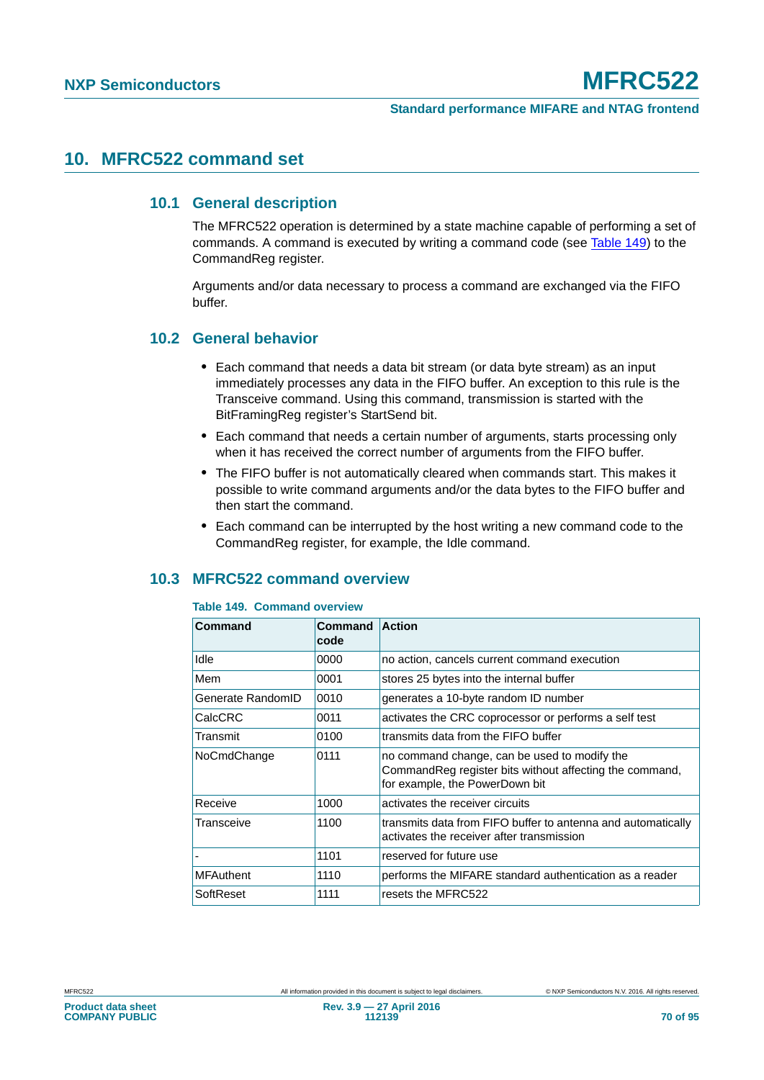# **10. MFRC522 command set**

# **10.1 General description**

The MFRC522 operation is determined by a state machine capable of performing a set of commands. A command is executed by writing a command code (see [Table 149\)](#page-69-1) to the CommandReg register.

Arguments and/or data necessary to process a command are exchanged via the FIFO buffer.

# **10.2 General behavior**

- **•** Each command that needs a data bit stream (or data byte stream) as an input immediately processes any data in the FIFO buffer. An exception to this rule is the Transceive command. Using this command, transmission is started with the BitFramingReg register's StartSend bit.
- **•** Each command that needs a certain number of arguments, starts processing only when it has received the correct number of arguments from the FIFO buffer.
- **•** The FIFO buffer is not automatically cleared when commands start. This makes it possible to write command arguments and/or the data bytes to the FIFO buffer and then start the command.
- **•** Each command can be interrupted by the host writing a new command code to the CommandReg register, for example, the Idle command.

# <span id="page-69-0"></span>**10.3 MFRC522 command overview**

#### <span id="page-69-1"></span>**Table 149. Command overview**

| <b>Command</b>    | Command<br>code | <b>Action</b>                                                                                                                              |
|-------------------|-----------------|--------------------------------------------------------------------------------------------------------------------------------------------|
| Idle              | 0000            | no action, cancels current command execution                                                                                               |
| Mem               | 0001            | stores 25 bytes into the internal buffer                                                                                                   |
| Generate RandomID | 0010            | generates a 10-byte random ID number                                                                                                       |
| CalcCRC           | 0011            | activates the CRC coprocessor or performs a self test                                                                                      |
| Transmit          | 0100            | transmits data from the FIFO buffer                                                                                                        |
| NoCmdChange       | 0111            | no command change, can be used to modify the<br>Command Reg register bits without affecting the command,<br>for example, the PowerDown bit |
| Receive           | 1000            | activates the receiver circuits                                                                                                            |
| Transceive        | 1100            | transmits data from FIFO buffer to antenna and automatically<br>activates the receiver after transmission                                  |
|                   | 1101            | reserved for future use                                                                                                                    |
| <b>MFAuthent</b>  | 1110            | performs the MIFARE standard authentication as a reader                                                                                    |
| SoftReset         | 1111            | resets the MFRC522                                                                                                                         |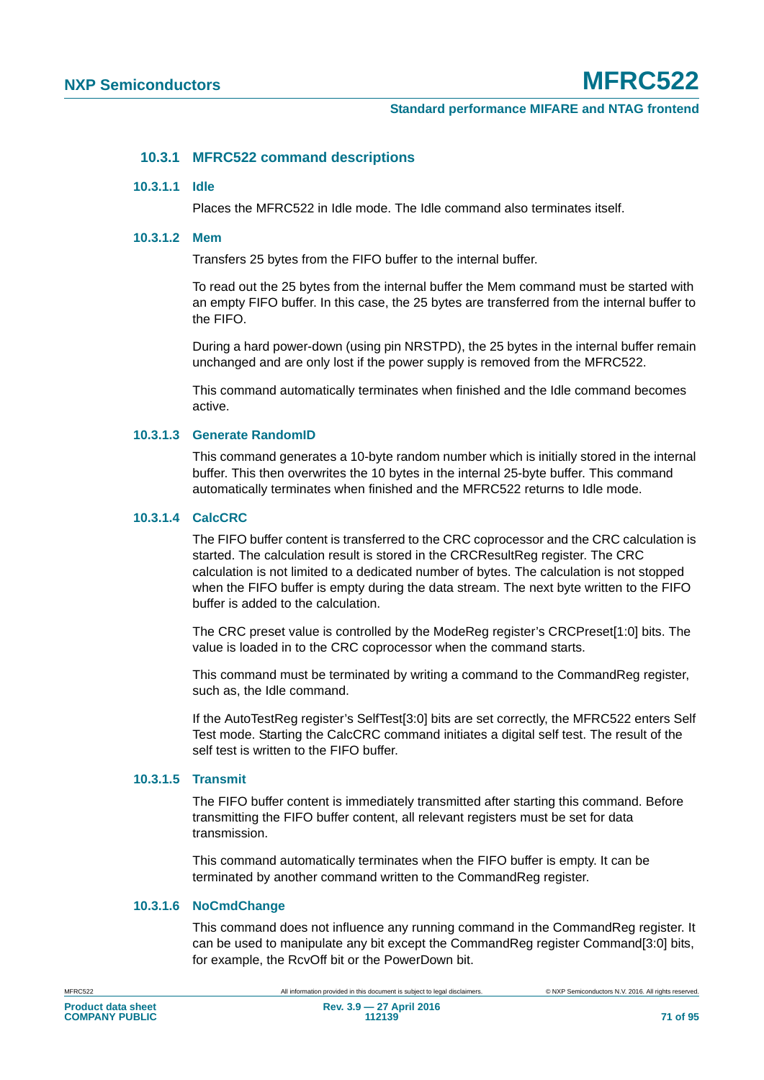## **10.3.1 MFRC522 command descriptions**

#### **10.3.1.1 Idle**

Places the MFRC522 in Idle mode. The Idle command also terminates itself.

#### **10.3.1.2 Mem**

Transfers 25 bytes from the FIFO buffer to the internal buffer.

To read out the 25 bytes from the internal buffer the Mem command must be started with an empty FIFO buffer. In this case, the 25 bytes are transferred from the internal buffer to the FIFO.

During a hard power-down (using pin NRSTPD), the 25 bytes in the internal buffer remain unchanged and are only lost if the power supply is removed from the MFRC522.

This command automatically terminates when finished and the Idle command becomes active.

### **10.3.1.3 Generate RandomID**

This command generates a 10-byte random number which is initially stored in the internal buffer. This then overwrites the 10 bytes in the internal 25-byte buffer. This command automatically terminates when finished and the MFRC522 returns to Idle mode.

### <span id="page-70-0"></span>**10.3.1.4 CalcCRC**

The FIFO buffer content is transferred to the CRC coprocessor and the CRC calculation is started. The calculation result is stored in the CRCResultReg register. The CRC calculation is not limited to a dedicated number of bytes. The calculation is not stopped when the FIFO buffer is empty during the data stream. The next byte written to the FIFO buffer is added to the calculation.

The CRC preset value is controlled by the ModeReg register's CRCPreset[1:0] bits. The value is loaded in to the CRC coprocessor when the command starts.

This command must be terminated by writing a command to the CommandReg register, such as, the Idle command.

If the AutoTestReg register's SelfTest[3:0] bits are set correctly, the MFRC522 enters Self Test mode. Starting the CalcCRC command initiates a digital self test. The result of the self test is written to the FIFO buffer.

## **10.3.1.5 Transmit**

The FIFO buffer content is immediately transmitted after starting this command. Before transmitting the FIFO buffer content, all relevant registers must be set for data transmission.

This command automatically terminates when the FIFO buffer is empty. It can be terminated by another command written to the CommandReg register.

## **10.3.1.6 NoCmdChange**

This command does not influence any running command in the CommandReg register. It can be used to manipulate any bit except the CommandReg register Command[3:0] bits, for example, the RcvOff bit or the PowerDown bit.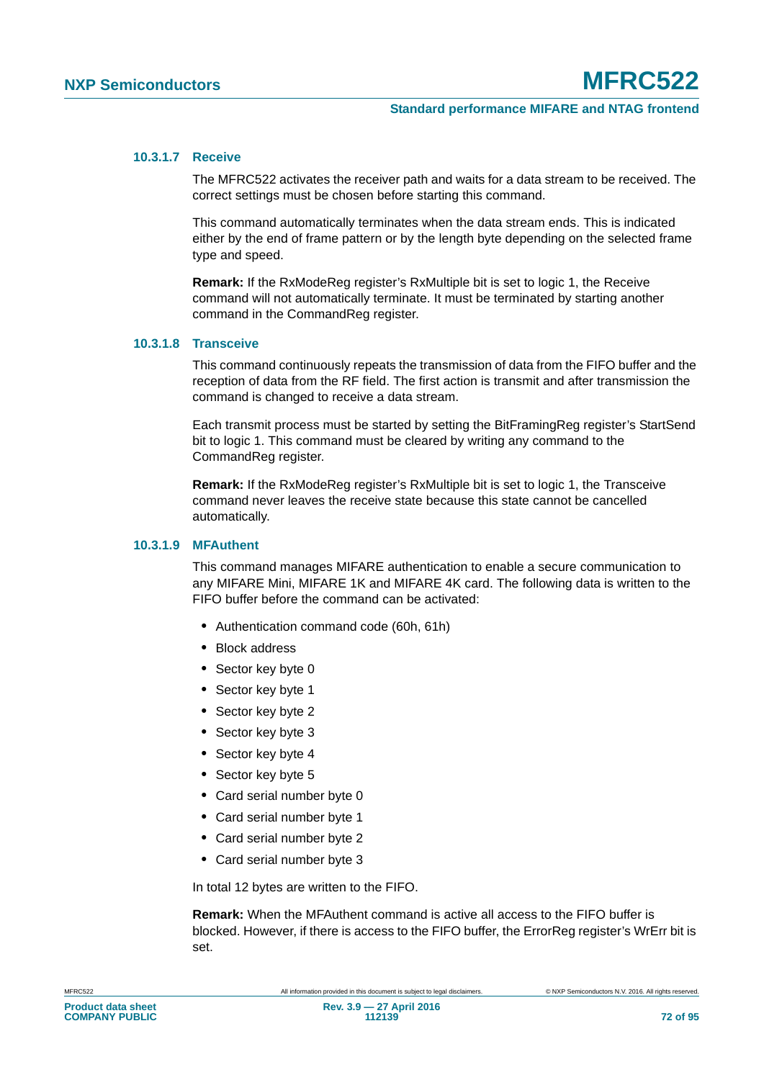### **10.3.1.7 Receive**

The MFRC522 activates the receiver path and waits for a data stream to be received. The correct settings must be chosen before starting this command.

This command automatically terminates when the data stream ends. This is indicated either by the end of frame pattern or by the length byte depending on the selected frame type and speed.

**Remark:** If the RxModeReg register's RxMultiple bit is set to logic 1, the Receive command will not automatically terminate. It must be terminated by starting another command in the CommandReg register.

## **10.3.1.8 Transceive**

This command continuously repeats the transmission of data from the FIFO buffer and the reception of data from the RF field. The first action is transmit and after transmission the command is changed to receive a data stream.

Each transmit process must be started by setting the BitFramingReg register's StartSend bit to logic 1. This command must be cleared by writing any command to the CommandReg register.

**Remark:** If the RxModeReg register's RxMultiple bit is set to logic 1, the Transceive command never leaves the receive state because this state cannot be cancelled automatically.

#### **10.3.1.9 MFAuthent**

This command manages MIFARE authentication to enable a secure communication to any MIFARE Mini, MIFARE 1K and MIFARE 4K card. The following data is written to the FIFO buffer before the command can be activated:

- **•** Authentication command code (60h, 61h)
- **•** Block address
- **•** Sector key byte 0
- **•** Sector key byte 1
- **•** Sector key byte 2
- **•** Sector key byte 3
- **•** Sector key byte 4
- **•** Sector key byte 5
- **•** Card serial number byte 0
- **•** Card serial number byte 1
- **•** Card serial number byte 2
- **•** Card serial number byte 3

In total 12 bytes are written to the FIFO.

**Remark:** When the MFAuthent command is active all access to the FIFO buffer is blocked. However, if there is access to the FIFO buffer, the ErrorReg register's WrErr bit is set.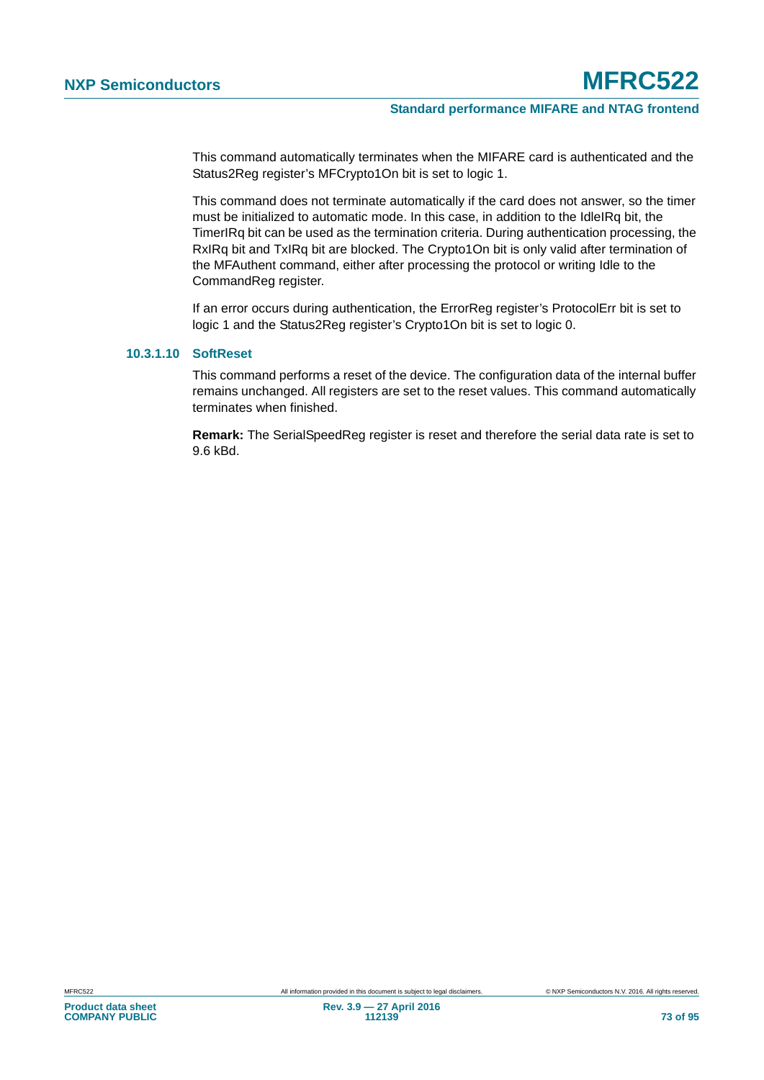This command automatically terminates when the MIFARE card is authenticated and the Status2Reg register's MFCrypto1On bit is set to logic 1.

This command does not terminate automatically if the card does not answer, so the timer must be initialized to automatic mode. In this case, in addition to the IdleIRq bit, the TimerIRq bit can be used as the termination criteria. During authentication processing, the RxIRq bit and TxIRq bit are blocked. The Crypto1On bit is only valid after termination of the MFAuthent command, either after processing the protocol or writing Idle to the CommandReg register.

If an error occurs during authentication, the ErrorReg register's ProtocolErr bit is set to logic 1 and the Status2Reg register's Crypto1On bit is set to logic 0.

#### <span id="page-72-0"></span>**10.3.1.10 SoftReset**

This command performs a reset of the device. The configuration data of the internal buffer remains unchanged. All registers are set to the reset values. This command automatically terminates when finished.

**Remark:** The SerialSpeedReg register is reset and therefore the serial data rate is set to 9.6 kBd.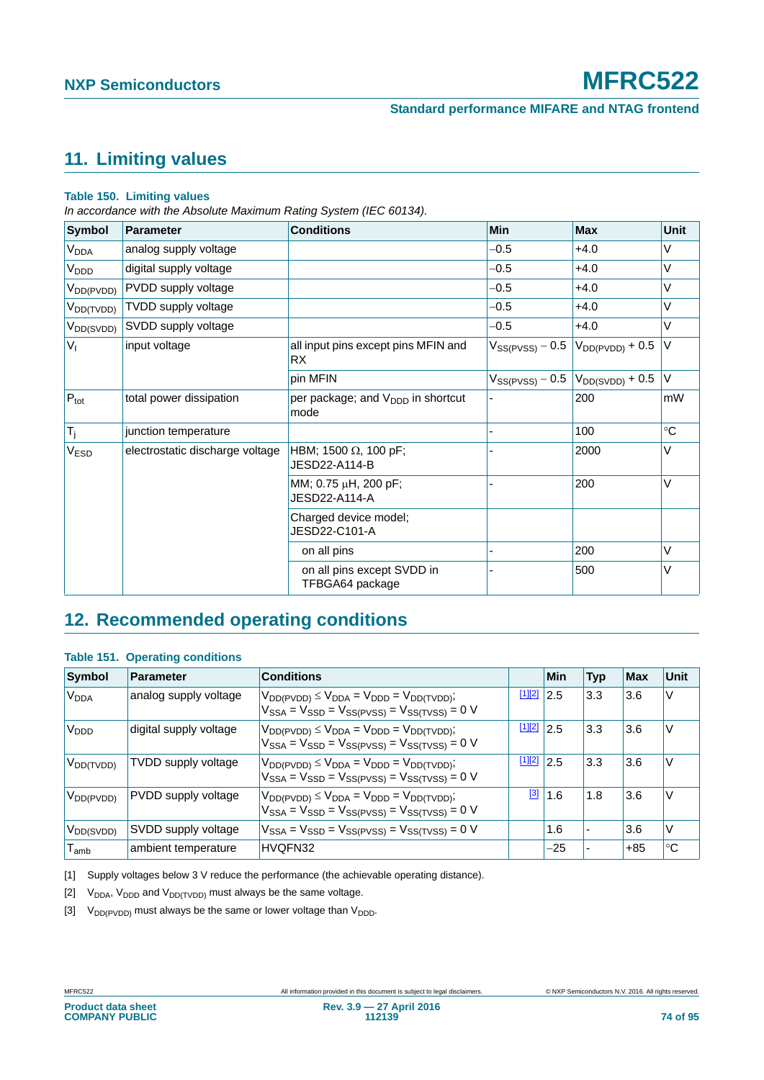## <span id="page-73-4"></span>**11. Limiting values**

#### <span id="page-73-3"></span>**Table 150. Limiting values**

*In accordance with the Absolute Maximum Rating System (IEC 60134).*

| Symbol                 | <b>Parameter</b>                | Min<br><b>Conditions</b>                              |                      | <b>Max</b>           | Unit |
|------------------------|---------------------------------|-------------------------------------------------------|----------------------|----------------------|------|
| V <sub>DDA</sub>       | analog supply voltage           |                                                       | $-0.5$               | $+4.0$               | V    |
| V <sub>DDD</sub>       | digital supply voltage          |                                                       | $-0.5$               | $+4.0$               | V    |
| $V_{DD(PVDD)}$         | PVDD supply voltage             |                                                       | $-0.5$               | $+4.0$               | V    |
| V <sub>DD(TVDD)</sub>  | TVDD supply voltage             |                                                       | $-0.5$               | $+4.0$               | V    |
| V <sub>DD</sub> (SVDD) | SVDD supply voltage             |                                                       | $-0.5$               | $+4.0$               | V    |
| V <sub>1</sub>         | input voltage                   | all input pins except pins MFIN and<br>RX.            | $V_{SS(PVSS)} - 0.5$ | $V_{DD(PVDD)} + 0.5$ | V    |
|                        |                                 | pin MFIN                                              | $V_{SS(PVSS)} - 0.5$ | $V_{DD(SVDD)} + 0.5$ | V    |
| $P_{\text{tot}}$       | total power dissipation         | per package; and V <sub>DDD</sub> in shortcut<br>mode |                      | 200                  | mW   |
| $T_j$                  | junction temperature            |                                                       |                      | 100                  | °C   |
| V <sub>ESD</sub>       | electrostatic discharge voltage | HBM; 1500 $\Omega$ , 100 pF;<br>JESD22-A114-B         |                      | 2000                 | V    |
|                        |                                 | MM; 0.75 µH, 200 pF;<br>JESD22-A114-A                 |                      | 200                  | V    |
|                        |                                 | Charged device model;<br>JESD22-C101-A                |                      |                      |      |
|                        |                                 | on all pins                                           | $\blacksquare$       | 200                  | V    |
|                        |                                 | on all pins except SVDD in<br>TFBGA64 package         |                      | 500                  | V    |

### <span id="page-73-5"></span>**12. Recommended operating conditions**

#### **Table 151. Operating conditions**

| Symbol                      | Parameter                  | <b>Conditions</b>                                                                                                 |        | Min | <b>Typ</b>               | <b>Max</b> | Unit        |
|-----------------------------|----------------------------|-------------------------------------------------------------------------------------------------------------------|--------|-----|--------------------------|------------|-------------|
| <b>V<sub>DDA</sub></b>      | analog supply voltage      | $V_{DD(PVDD)} \leq V_{DDA} = V_{DDD} = V_{DD(TVDD)};$<br>$V_{SSA} = V_{SSD} = V_{SS(PVSS)} = V_{SS(TVSS)} = 0$ V  | [1][2] | 2.5 | 3.3                      | 3.6        | V           |
| V <sub>DDD</sub>            | digital supply voltage     | $V_{DD(PVDD)} \leq V_{DDA} = V_{DDD} = V_{DD(TVDD)}$ ;<br>$V_{SSA} = V_{SSD} = V_{SS(PVSS)} = V_{SS(TVSS)} = 0$ V | [1][2] | 2.5 | 3.3                      | 3.6        | V           |
| $V_{DD(TVDD)}$              | <b>TVDD</b> supply voltage | $V_{DD(PVDD)} \leq V_{DDA} = V_{DDD} = V_{DD(TVDD)}$ ;<br>$V_{SSA} = V_{SSD} = V_{SS(PVSS)} = V_{SS(TVSS)} = 0$ V | [1][2] | 2.5 | 3.3                      | 3.6        | V           |
| $V_{DD(PVDD)}$              | PVDD supply voltage        | $V_{DD(PVDD)} \leq V_{DDA} = V_{DDD} = V_{DD(TVDD)}$ ;<br>$V_{SSA} = V_{SSD} = V_{SS(PVSS)} = V_{SS(TVSS)} = 0$ V | [3]    | 1.6 | 1.8                      | 3.6        | V           |
| $V_{DD(SVDD)}$              | SVDD supply voltage        | $V_{SSA} = V_{SSD} = V_{SS(PVSS)} = V_{SS(TVSS)} = 0$ V                                                           |        | 1.6 | $\overline{\phantom{0}}$ | 3.6        | $\vee$      |
| $\mathsf{T}_{\mathsf{amb}}$ | ambient temperature        | HVQFN32                                                                                                           |        | -25 |                          | $+85$      | $^{\circ}C$ |

<span id="page-73-0"></span>[1] Supply voltages below 3 V reduce the performance (the achievable operating distance).

<span id="page-73-1"></span>[2]  $V_{DDA}$ ,  $V_{DDD}$  and  $V_{DD(TVDD)}$  must always be the same voltage.

<span id="page-73-2"></span>[3]  $V_{DD(PVDD)}$  must always be the same or lower voltage than  $V_{DDD}$ .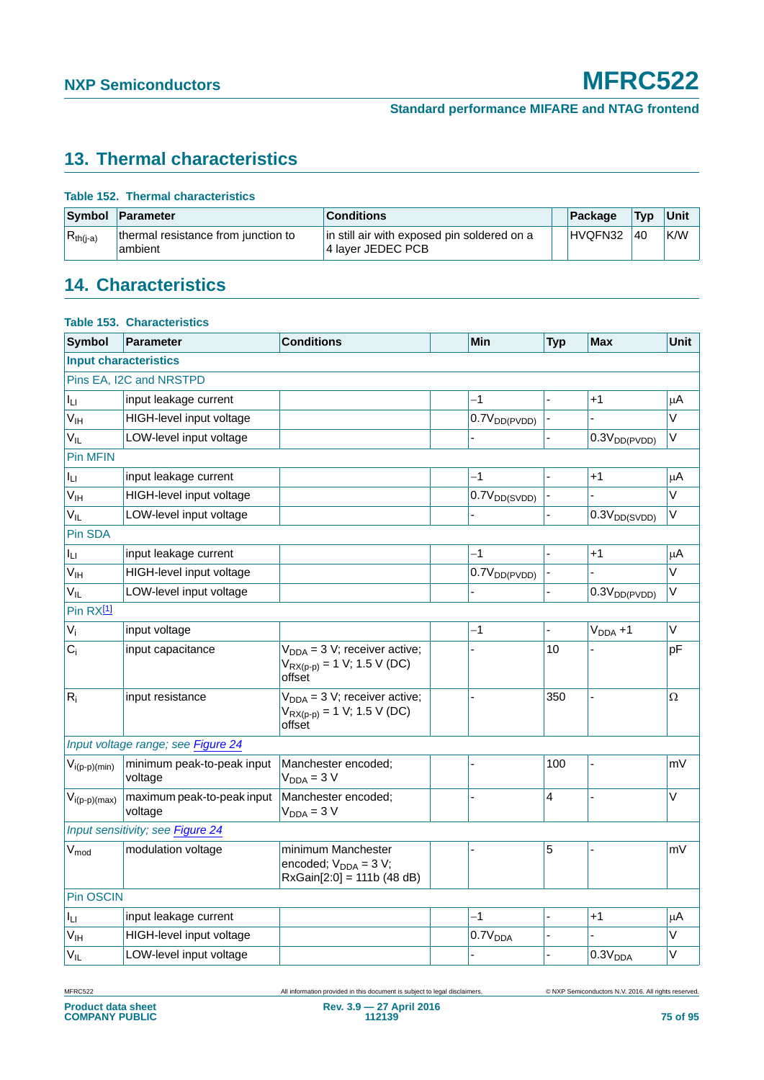# <span id="page-74-0"></span>**13. Thermal characteristics**

|  |  |  | <b>Table 152. Thermal characteristics</b> |
|--|--|--|-------------------------------------------|
|--|--|--|-------------------------------------------|

| Symbol        | Parameter                                      | <b>Conditions</b>                                                | Package | <b>Typ</b> | Unit |
|---------------|------------------------------------------------|------------------------------------------------------------------|---------|------------|------|
| $R_{th(i-a)}$ | thermal resistance from junction to<br>ambient | in still air with exposed pin soldered on a<br>4 layer JEDEC PCB | HVQFN32 | 40         | K/W  |

# <span id="page-74-1"></span>**14. Characteristics**

|                             | <b>Table 153. Characteristics</b>     |                                                                                  |                          |            |                          |             |
|-----------------------------|---------------------------------------|----------------------------------------------------------------------------------|--------------------------|------------|--------------------------|-------------|
| <b>Symbol</b>               | <b>Parameter</b>                      | <b>Conditions</b>                                                                | Min                      | <b>Typ</b> | <b>Max</b>               | <b>Unit</b> |
|                             | <b>Input characteristics</b>          |                                                                                  |                          |            |                          |             |
|                             | Pins EA, I2C and NRSTPD               |                                                                                  |                          |            |                          |             |
| Ιu                          | input leakage current                 |                                                                                  | $-1$                     |            | $+1$                     |             |
| $V_{IH}$                    | HIGH-level input voltage              |                                                                                  | $0.7V_{DD(PVDD)}$        |            |                          | $\vee$      |
| $V_{IL}$                    | LOW-level input voltage               |                                                                                  | $\overline{a}$           |            | 0.3V <sub>DD(PVDD)</sub> | V           |
| <b>Pin MFIN</b>             |                                       |                                                                                  |                          |            |                          |             |
| Iц                          | input leakage current                 |                                                                                  | $-1$                     |            | $+1$                     | μA          |
| V <sub>IH</sub>             | HIGH-level input voltage              |                                                                                  | 0.7V <sub>DD(SVDD)</sub> |            |                          | V           |
| V <sub>IL</sub>             | LOW-level input voltage               |                                                                                  |                          |            | 0.3V <sub>DD(SVDD)</sub> | V           |
| Pin SDA                     |                                       |                                                                                  |                          |            |                          |             |
| Iц                          | input leakage current                 |                                                                                  | $-1$                     |            | $+1$                     | μA          |
| V <sub>IH</sub>             | HIGH-level input voltage              |                                                                                  | $0.7V_{DD(PVDD)}$        |            |                          | V           |
| $V_{IL}$                    | LOW-level input voltage               |                                                                                  |                          |            | 0.3V <sub>DD(PVDD)</sub> | V           |
| Pin RX <sup>[1]</sup>       |                                       |                                                                                  |                          |            |                          |             |
| $V_i$                       | input voltage                         |                                                                                  | $-1$                     |            | $VDDA + 1$               | V           |
| $C_i$                       | input capacitance                     | $V_{DDA} = 3 V$ ; receiver active;<br>$V_{RX(D-D)} = 1 V$ ; 1.5 V (DC)<br>offset |                          | 10         |                          | рF          |
| $R_i$                       | input resistance                      | $V_{DDA} = 3 V$ ; receiver active;<br>$V_{RX(p-p)} = 1 V; 1.5 V (DC)$<br>offset  |                          | 350        |                          | Ω           |
|                             | Input voltage range; see Figure 24    |                                                                                  |                          |            |                          |             |
| $V_{i(p-p)(min)}$           | minimum peak-to-peak input<br>voltage | Manchester encoded;<br>$V_{DDA} = 3 V$                                           |                          | 100        |                          | m۷          |
| $V_{i(p-p)(max)}$           | maximum peak-to-peak input<br>voltage | Manchester encoded;<br>$V_{DDA} = 3 V$                                           |                          | 4          |                          | V           |
|                             | Input sensitivity; see Figure 24      |                                                                                  |                          |            |                          |             |
| $\mathsf{V}_{\mathsf{mod}}$ | modulation voltage                    | minimum Manchester<br>encoded; $V_{DDA} = 3 V$ ;<br>$RxGain[2:0] = 111b (48 dB)$ |                          | 5          |                          | m۷          |
| Pin OSCIN                   |                                       |                                                                                  |                          |            |                          |             |
| Iц                          | input leakage current                 |                                                                                  | $-1$                     |            | $+1$                     | μA          |
| V <sub>IH</sub>             | HIGH-level input voltage              |                                                                                  | 0.7V <sub>DDA</sub>      |            |                          | V           |
| $V_{IL}$                    | LOW-level input voltage               |                                                                                  |                          |            | 0.3V <sub>DDA</sub>      | V           |
|                             |                                       |                                                                                  |                          |            |                          |             |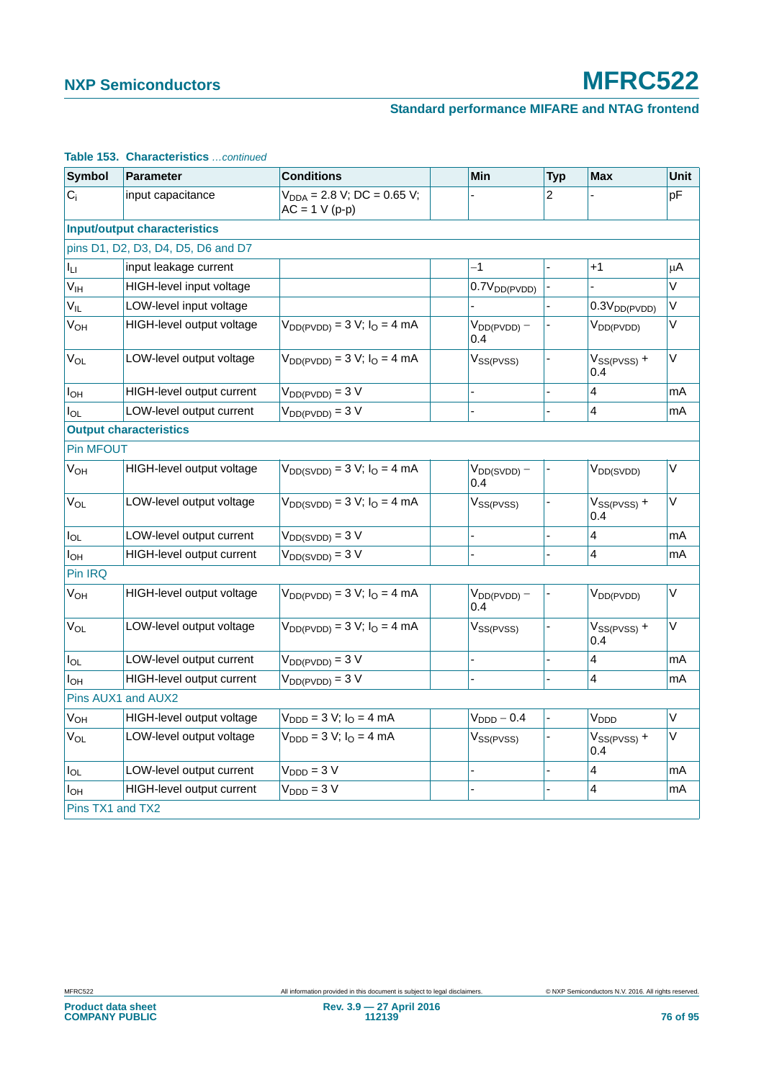### **Standard performance MIFARE and NTAG frontend**

| <b>Symbol</b>         | <b>Parameter</b>                    | <b>Conditions</b>                                    | <b>Min</b>              | <b>Typ</b> | <b>Max</b>              | Unit   |
|-----------------------|-------------------------------------|------------------------------------------------------|-------------------------|------------|-------------------------|--------|
| $C_i$                 | input capacitance                   | $V_{DDA} = 2.8 V$ ; DC = 0.65 V;<br>$AC = 1 V (p-p)$ |                         | 2          |                         | рF     |
|                       | <b>Input/output characteristics</b> |                                                      |                         |            |                         |        |
|                       | pins D1, D2, D3, D4, D5, D6 and D7  |                                                      |                         |            |                         |        |
| Iц                    | input leakage current               |                                                      | $-1$                    |            | $+1$                    | μA     |
| V <sub>IH</sub>       | HIGH-level input voltage            |                                                      | $0.7V_{DD(PVDD)}$       |            |                         | V      |
| $V_{IL}$              | LOW-level input voltage             |                                                      |                         |            | $0.3V_{DD(PVDD)}$       | V      |
| V <sub>OH</sub>       | HIGH-level output voltage           | $V_{DD(PVDD)} = 3 V; IO = 4 mA$                      | $V_{DD(PVDD)} -$<br>0.4 |            | $V_{DD(PVDD)}$          | V      |
| V <sub>OL</sub>       | LOW-level output voltage            | $V_{DD(PVDD)} = 3 V; IO = 4 mA$                      | $V_{SS(PVSS)}$          |            | $V_{SS(PVSS)}$ +<br>0.4 | $\vee$ |
| $I_{OH}$              | HIGH-level output current           | $V_{DD(PVDD)} = 3 V$                                 |                         |            | $\overline{4}$          | mA     |
| Io∟                   | LOW-level output current            | $V_{DD(PVDD)} = 3 V$                                 |                         |            | 4                       | mA     |
|                       | <b>Output characteristics</b>       |                                                      |                         |            |                         |        |
| <b>Pin MFOUT</b>      |                                     |                                                      |                         |            |                         |        |
| <b>V<sub>OH</sub></b> | HIGH-level output voltage           | $V_{DD(SVDD)} = 3 V; IO = 4 mA$                      | $V_{DD(SVDD)} -$<br>0.4 |            | V <sub>DD(SVDD)</sub>   | $\vee$ |
| V <sub>OL</sub>       | LOW-level output voltage            | $V_{DD(SVDD)} = 3 V; IO = 4 mA$                      | $V_{SS(PVSS)}$          |            | $V_{SS(PVSS)}$ +<br>0.4 | $\vee$ |
| lol                   | LOW-level output current            | $V_{DD(SVDD)} = 3 V$                                 |                         |            | 4                       | mA     |
| Іон                   | HIGH-level output current           | $V_{DD(SVDD)} = 3 V$                                 |                         |            | 4                       | mA     |
| Pin IRQ               |                                     |                                                      |                         |            |                         |        |
| <b>V<sub>OH</sub></b> | HIGH-level output voltage           | $V_{DD(PVDD)} = 3 V; IO = 4 mA$                      | $V_{DD(PVDD)} -$<br>0.4 |            | V <sub>DD</sub> (PVDD)  | V      |
| <b>V<sub>OL</sub></b> | LOW-level output voltage            | $V_{DD(PVDD)} = 3 V; IO = 4 mA$                      | V <sub>SS(PVSS)</sub>   |            | $V_{SS(PVSS)} +$<br>0.4 | $\vee$ |
| $I_{OL}$              | LOW-level output current            | $V_{DD(PVDD)} = 3 V$                                 |                         |            | 4                       | mA     |
| $I_{OH}$              | HIGH-level output current           | $V_{DD(PVDD)} = 3 V$                                 |                         |            | 4                       | mA     |
|                       | Pins AUX1 and AUX2                  |                                                      |                         |            |                         |        |
| V <sub>OH</sub>       | HIGH-level output voltage           | $V_{DDD} = 3 V; IO = 4 mA$                           | $V_{\text{DDD}} - 0.4$  |            | V <sub>DDD</sub>        | $\vee$ |
| $V_{OL}$              | LOW-level output voltage            | $V_{\text{DDD}} = 3 V; I_{\text{O}} = 4 mA$          | $V_{SS(PVSS)}$          |            | $V_{SS(PVSS)}$ +<br>0.4 | $\vee$ |
| $I_{OL}$              | LOW-level output current            | $VDDD = 3 V$                                         |                         |            | 4                       | mA     |
| I <sub>OH</sub>       | HIGH-level output current           | $VDDD = 3 V$                                         |                         |            | $\overline{4}$          | mA     |
| Pins TX1 and TX2      |                                     |                                                      |                         |            |                         |        |

#### **Table 153. Characteristics** *…continued*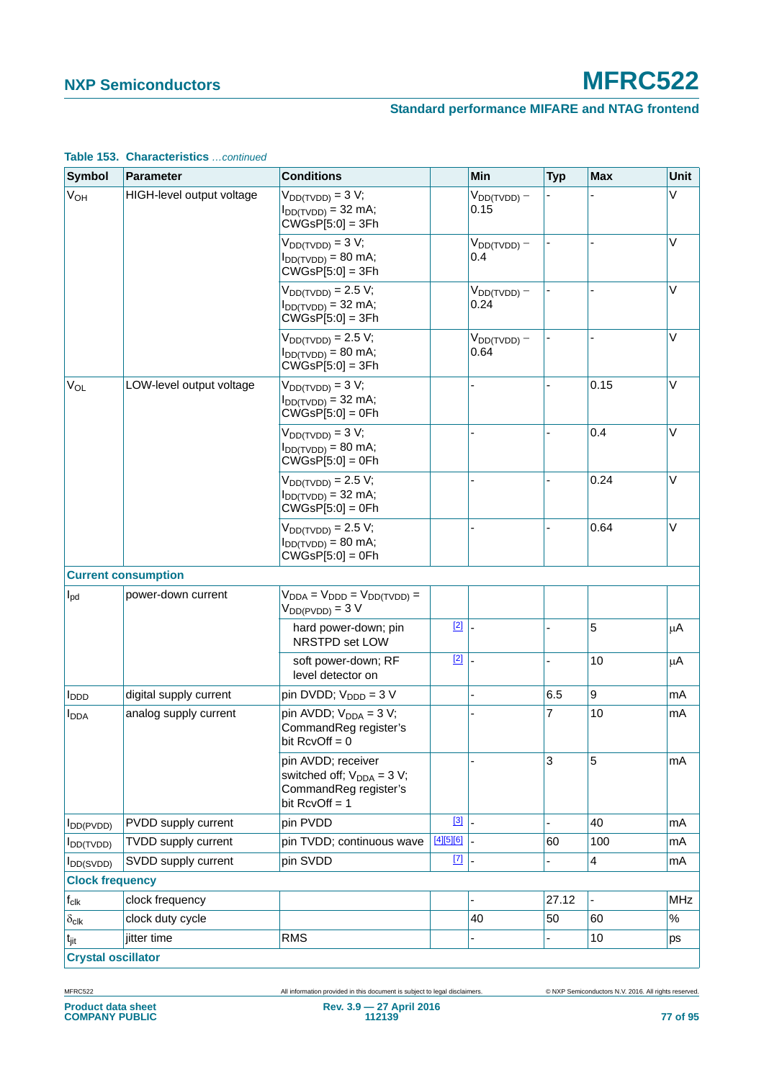#### **Standard performance MIFARE and NTAG frontend**

| <b>Symbol</b>             | <b>Parameter</b>           | <b>Conditions</b>                                                                                  |           | Min                      | <b>Typ</b> | <b>Max</b>              | Unit       |
|---------------------------|----------------------------|----------------------------------------------------------------------------------------------------|-----------|--------------------------|------------|-------------------------|------------|
| <b>V<sub>OH</sub></b>     | HIGH-level output voltage  | $V_{DD(TVDD)} = 3 V;$<br>$I_{DD(TVDD)} = 32$ mA;<br>$CWGsP[5:0] = 3Fh$                             |           | $V_{DD(TVDD)} -$<br>0.15 |            |                         | V          |
|                           |                            | $V_{DD(TVDD)} = 3 V;$<br>$I_{DD(TVDD)} = 80$ mA;<br>$CWGSP[5:0] = 3Fh$                             |           | $V_{DD(TVDD)} -$<br>0.4  |            |                         | V          |
|                           |                            | $V_{DD(TVDD)} = 2.5 V;$<br>$I_{DD(TVDD)} = 32$ mA;<br>$CVGSP[5:0] = 3Fh$                           |           | $V_{DD(TVDD)} -$<br>0.24 |            |                         | $\vee$     |
|                           |                            | $V_{DD(TVDD)} = 2.5 V;$<br>$I_{DD(TVDD)} = 80$ mA;<br>$CWGSP[5:0] = 3Fh$                           |           | $V_{DD(TVDD)} -$<br>0.64 |            |                         | $\vee$     |
| <b>V<sub>OL</sub></b>     | LOW-level output voltage   | $V_{DD(TVDD)} = 3 V;$<br>$I_{DD(TVDD)} = 32$ mA;<br>$CWGSP[5:0] = 0Fh$                             |           |                          |            | 0.15                    | $\vee$     |
|                           |                            | $V_{DD(TVDD)} = 3 V;$<br>$I_{DD(TVDD)} = 80$ mA;<br>$CWGSP[5:0] = 0Fh$                             |           |                          |            | 0.4                     | $\vee$     |
|                           |                            | $V_{DD(TVDD)} = 2.5 V;$<br>$I_{DD(TVDD)} = 32$ mA;<br>$CWGsP[5:0] = 0Fh$                           |           |                          |            | 0.24                    | V          |
|                           | <b>Current consumption</b> | $V_{DD(TVDD)} = 2.5 V;$<br>$I_{DD(TVDD)} = 80$ mA;<br>$CWGSP[5:0] = 0Fh$                           |           |                          |            | 0.64                    | V          |
| $I_{\text{pd}}$           | power-down current         | $V_{DDA} = V_{DDD} = V_{DD(TVDD)} =$<br>$V_{DD(PVDD)} = 3 V$                                       |           |                          |            |                         |            |
|                           |                            | hard power-down; pin<br>NRSTPD set LOW                                                             | $[2]$     |                          |            | 5                       | μA         |
|                           |                            | soft power-down; RF<br>level detector on                                                           | $[2]$     |                          |            | 10                      | μA         |
| $I_{DDD}$                 | digital supply current     | pin DVDD; $V_{\text{DDD}} = 3 V$                                                                   |           |                          | 6.5        | $\boldsymbol{9}$        | mA         |
| <b>I</b> <sub>DDA</sub>   | analog supply current      | pin AVDD; $V_{DDA} = 3 V$ ;<br>CommandReg register's<br>bit RcvOff = 0                             |           |                          | 7          | 10                      | mA         |
|                           |                            | pin AVDD; receiver<br>switched off; $V_{DDA} = 3 V$ ;<br>CommandReg register's<br>bit $RcvOff = 1$ |           |                          | 3          | 5                       | mA         |
| $I_{DD(PVDD)}$            | PVDD supply current        | pin PVDD                                                                                           | $[3]$     |                          |            | 40                      | mA         |
| $I_{DD(TVDD)}$            | <b>TVDD supply current</b> | pin TVDD; continuous wave                                                                          | [4][5][6] |                          | 60         | 100                     | mA         |
| $I_{DD(SVDD)}$            | SVDD supply current        | pin SVDD                                                                                           | $[7]$     |                          |            | $\overline{\mathbf{4}}$ | mA         |
| <b>Clock frequency</b>    |                            |                                                                                                    |           |                          |            |                         |            |
| $\mathsf{f}_{\text{clk}}$ | clock frequency            |                                                                                                    |           |                          | 27.12      |                         | <b>MHz</b> |
| $\delta_{\text{clk}}$     | clock duty cycle           |                                                                                                    |           | 40                       | 50         | 60                      | $\%$       |
| $t_{\text{jit}}$          | jitter time                | <b>RMS</b>                                                                                         |           |                          |            | 10                      | ps         |
| <b>Crystal oscillator</b> |                            |                                                                                                    |           |                          |            |                         |            |

#### **Table 153. Characteristics** *…continued*

MFRC522 All information provided in this document is subject to legal disclaimers. © NXP Semiconductors N.V. 2016. All rights reserved.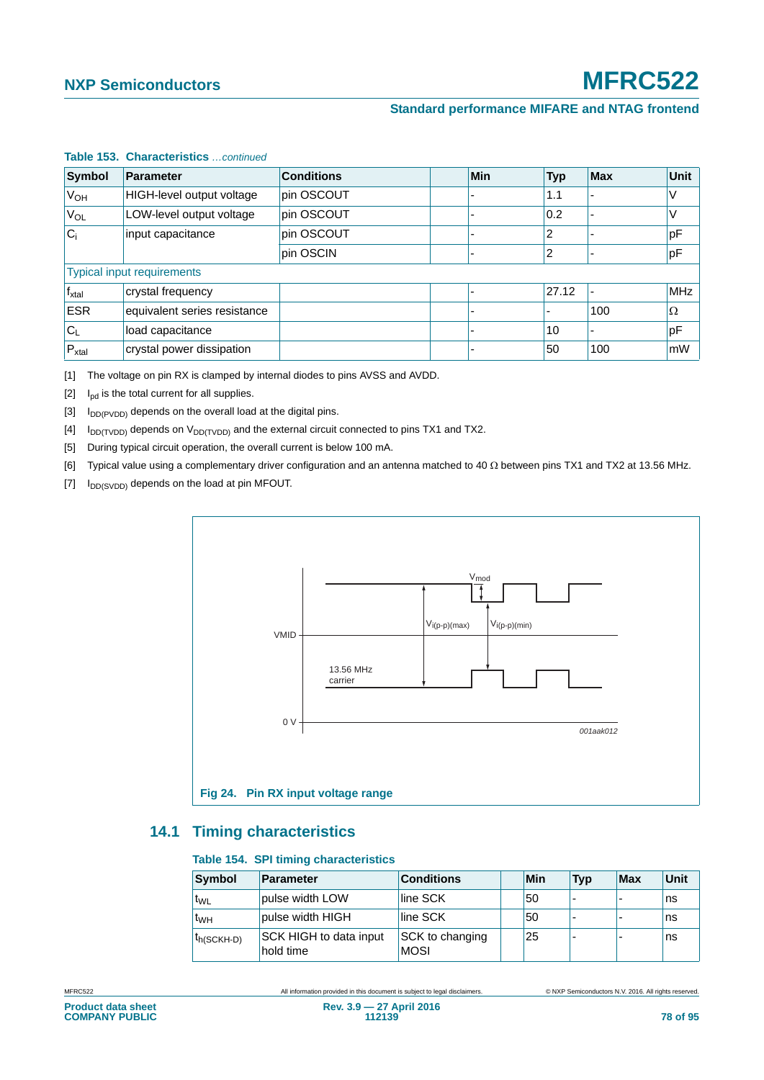| <b>Symbol</b>   | <b>Parameter</b>                  | <b>Conditions</b> | Min | <b>Typ</b> | <b>Max</b> | <b>Unit</b> |
|-----------------|-----------------------------------|-------------------|-----|------------|------------|-------------|
| V <sub>OH</sub> | HIGH-level output voltage         | pin OSCOUT        |     | 1.1        |            | V           |
| VOL             | LOW-level output voltage          | pin OSCOUT        |     | 0.2        |            | V           |
| $ C_i $         | input capacitance                 | pin OSCOUT        |     | 2          |            | pF          |
|                 |                                   | pin OSCIN         |     | 2          |            | pF          |
|                 | <b>Typical input requirements</b> |                   |     |            |            |             |
| $f_{xtal}$      | crystal frequency                 |                   |     | 27.12      |            | <b>MHz</b>  |
| <b>ESR</b>      | equivalent series resistance      |                   |     |            | 100        | Ω           |
| $C_{L}$         | load capacitance                  |                   |     | 10         |            | pF          |
| $P_{xtal}$      | crystal power dissipation         |                   |     | 50         | 100        | mW          |

#### **Table 153. Characteristics** *…continued*

<span id="page-77-0"></span>[1] The voltage on pin RX is clamped by internal diodes to pins AVSS and AVDD.

<span id="page-77-2"></span> $[2]$  I<sub>pd</sub> is the total current for all supplies.

<span id="page-77-3"></span>[3]  $I_{DD(PVDD)}$  depends on the overall load at the digital pins.

<span id="page-77-4"></span>[4]  $I_{DD(TVDD)}$  depends on  $V_{DD(TVDD)}$  and the external circuit connected to pins TX1 and TX2.

<span id="page-77-5"></span>[5] During typical circuit operation, the overall current is below 100 mA.

<span id="page-77-6"></span>[6] Typical value using a complementary driver configuration and an antenna matched to 40  $\Omega$  between pins TX1 and TX2 at 13.56 MHz.

<span id="page-77-7"></span>[7]  $I_{DD(SVDD)}$  depends on the load at pin MFOUT.



#### <span id="page-77-9"></span><span id="page-77-1"></span>**14.1 Timing characteristics**

#### <span id="page-77-8"></span>**Table 154. SPI timing characteristics**

| <b>Symbol</b>   | <b>Parameter</b>                    | <b>Conditions</b>              | Min | <b>Typ</b> | Max | <b>Unit</b> |
|-----------------|-------------------------------------|--------------------------------|-----|------------|-----|-------------|
| <b>TWL</b>      | pulse width LOW                     | line SCK                       | 50  |            |     | ns          |
| t <sub>WH</sub> | pulse width HIGH                    | line SCK                       | 50  |            |     | ns          |
| th(SCKH-D)      | SCK HIGH to data input<br>hold time | SCK to changing<br><b>MOSI</b> | 25  |            |     | ns          |

MFRC522 All information provided in this document is subject to legal disclaimers. © NXP Semiconductors N.V. 2016. All rights reserved.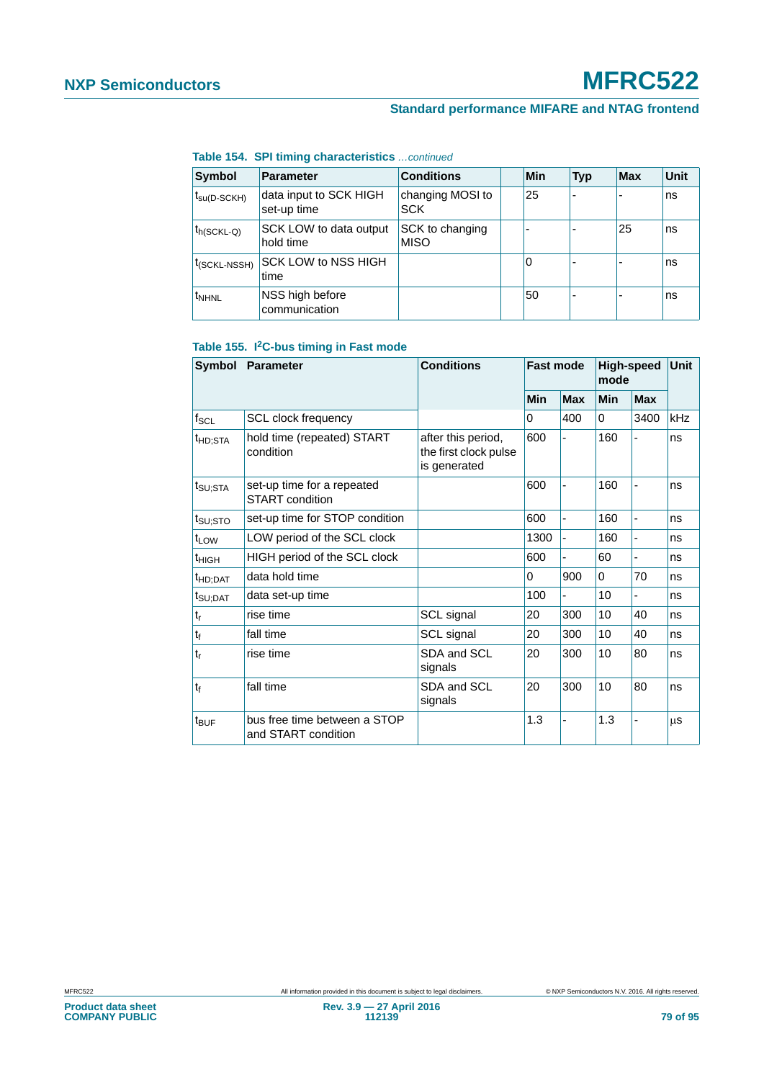#### **Standard performance MIFARE and NTAG frontend**

**Table 154. SPI timing characteristics** *…continued*

| Symbol                   | <b>Parameter</b>                      | <b>Conditions</b>              | Min | Typ                      | <b>Max</b> | Unit |
|--------------------------|---------------------------------------|--------------------------------|-----|--------------------------|------------|------|
| $t_{\text{SU(D-SCKH)}}$  | data input to SCK HIGH<br>set-up time | changing MOSI to<br><b>SCK</b> | 25  | $\overline{\phantom{0}}$ |            | ns   |
| ∣ <sup>t</sup> h(SCKL-Q) | SCK LOW to data output<br>hold time   | SCK to changing<br><b>MISO</b> | ۰   | -                        | 25         | ns   |
| t <sub>(SCKL-NSSH)</sub> | SCK LOW to NSS HIGH<br>time           |                                | 0   | $\overline{\phantom{0}}$ |            | ns   |
| <sup>t</sup> NHNL        | NSS high before<br>communication      |                                | 50  | $\overline{\phantom{0}}$ |            | ns   |

#### **Table 155. I2C-bus timing in Fast mode**

| <b>Symbol</b>               | <b>Parameter</b>                                    | <b>Conditions</b>                                           | <b>Fast mode</b> |            | <b>High-speed</b><br>mode |                          | Unit |
|-----------------------------|-----------------------------------------------------|-------------------------------------------------------------|------------------|------------|---------------------------|--------------------------|------|
|                             |                                                     |                                                             | Min              | <b>Max</b> | <b>Min</b>                | <b>Max</b>               |      |
| $f_{\mathsf{SCL}}$          | <b>SCL clock frequency</b>                          |                                                             | 0                | 400        | 0                         | 3400                     | kHz  |
| t <sub>HD;STA</sub>         | hold time (repeated) START<br>condition             | after this period,<br>the first clock pulse<br>is generated | 600              |            | 160                       |                          | ns   |
| $t_{\text{SU;STA}}$         | set-up time for a repeated<br>START condition       | 600                                                         |                  |            | 160                       | ä,                       | ns   |
| $t_{\text{SU;STO}}$         | set-up time for STOP condition                      |                                                             | 600              |            | 160                       | $\overline{\phantom{0}}$ | ns   |
| t <sub>LOW</sub>            | LOW period of the SCL clock                         |                                                             | 1300             |            | 160                       |                          | ns   |
| $t_{HIGH}$                  | HIGH period of the SCL clock                        |                                                             | 600              |            | 60                        |                          | ns   |
| t <sub>HD;DAT</sub>         | data hold time                                      |                                                             | 0                | 900        | 0                         | 70                       | ns   |
| t <sub>SU;DAT</sub>         | data set-up time                                    |                                                             | 100              |            | 10                        |                          | ns   |
| $\mathfrak{t}_{\mathsf{r}}$ | rise time                                           | SCL signal                                                  | 20               | 300        | 10                        | 40                       | ns   |
| $\mathfrak{t}_{\mathsf{f}}$ | fall time                                           | SCL signal                                                  | 20               | 300        | 10                        | 40                       | ns   |
| $t_r$                       | rise time                                           | SDA and SCL<br>signals                                      | 20               | 300        | 10                        | 80                       | ns   |
| $t_{\rm f}$                 | fall time                                           | SDA and SCL<br>signals                                      | 20               | 300        | 10                        | 80                       | ns   |
| $t_{\text{BUF}}$            | bus free time between a STOP<br>and START condition |                                                             | 1.3              |            | 1.3                       |                          | μS   |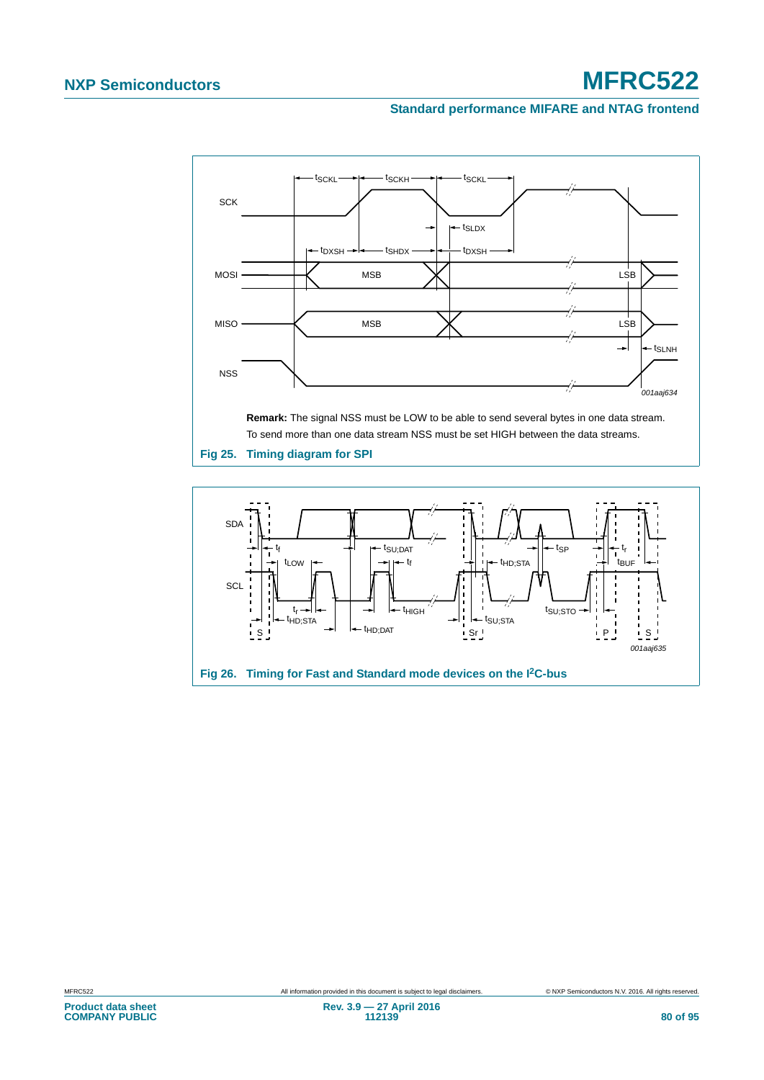#### **Standard performance MIFARE and NTAG frontend**



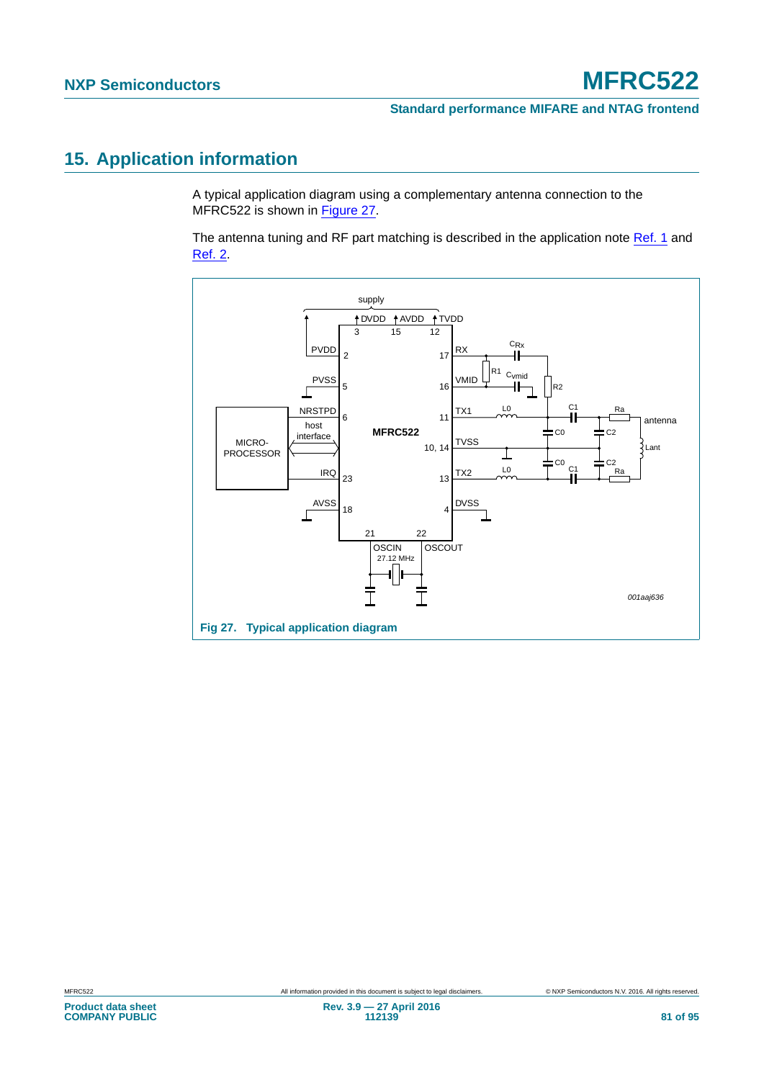## <span id="page-80-1"></span>**15. Application information**

A typical application diagram using a complementary antenna connection to the MFRC522 is shown in [Figure 27.](#page-80-0)

The antenna tuning and RF part matching is described in the application note [Ref. 1](#page-89-0) and [Ref. 2.](#page-89-1)

<span id="page-80-0"></span>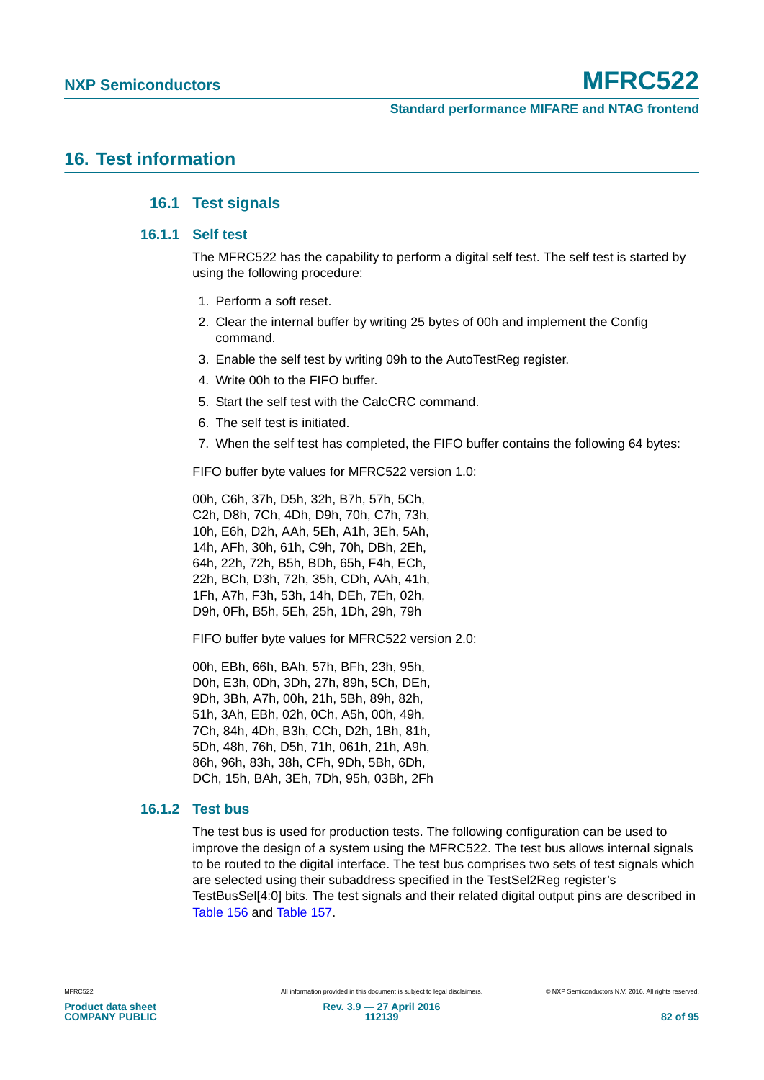### <span id="page-81-3"></span><span id="page-81-2"></span><span id="page-81-1"></span>**16. Test information**

#### **16.1 Test signals**

#### **16.1.1 Self test**

The MFRC522 has the capability to perform a digital self test. The self test is started by using the following procedure:

- 1. Perform a soft reset.
- 2. Clear the internal buffer by writing 25 bytes of 00h and implement the Config command.
- 3. Enable the self test by writing 09h to the AutoTestReg register.
- 4. Write 00h to the FIFO buffer.
- 5. Start the self test with the CalcCRC command.
- 6. The self test is initiated.
- 7. When the self test has completed, the FIFO buffer contains the following 64 bytes:

FIFO buffer byte values for MFRC522 version 1.0:

00h, C6h, 37h, D5h, 32h, B7h, 57h, 5Ch, C2h, D8h, 7Ch, 4Dh, D9h, 70h, C7h, 73h, 10h, E6h, D2h, AAh, 5Eh, A1h, 3Eh, 5Ah, 14h, AFh, 30h, 61h, C9h, 70h, DBh, 2Eh, 64h, 22h, 72h, B5h, BDh, 65h, F4h, ECh, 22h, BCh, D3h, 72h, 35h, CDh, AAh, 41h, 1Fh, A7h, F3h, 53h, 14h, DEh, 7Eh, 02h, D9h, 0Fh, B5h, 5Eh, 25h, 1Dh, 29h, 79h

FIFO buffer byte values for MFRC522 version 2.0:

00h, EBh, 66h, BAh, 57h, BFh, 23h, 95h, D0h, E3h, 0Dh, 3Dh, 27h, 89h, 5Ch, DEh, 9Dh, 3Bh, A7h, 00h, 21h, 5Bh, 89h, 82h, 51h, 3Ah, EBh, 02h, 0Ch, A5h, 00h, 49h, 7Ch, 84h, 4Dh, B3h, CCh, D2h, 1Bh, 81h, 5Dh, 48h, 76h, D5h, 71h, 061h, 21h, A9h, 86h, 96h, 83h, 38h, CFh, 9Dh, 5Bh, 6Dh, DCh, 15h, BAh, 3Eh, 7Dh, 95h, 03Bh, 2Fh

#### <span id="page-81-0"></span>**16.1.2 Test bus**

The test bus is used for production tests. The following configuration can be used to improve the design of a system using the MFRC522. The test bus allows internal signals to be routed to the digital interface. The test bus comprises two sets of test signals which are selected using their subaddress specified in the TestSel2Reg register's TestBusSel[4:0] bits. The test signals and their related digital output pins are described in [Table 156](#page-82-0) and [Table 157](#page-82-1).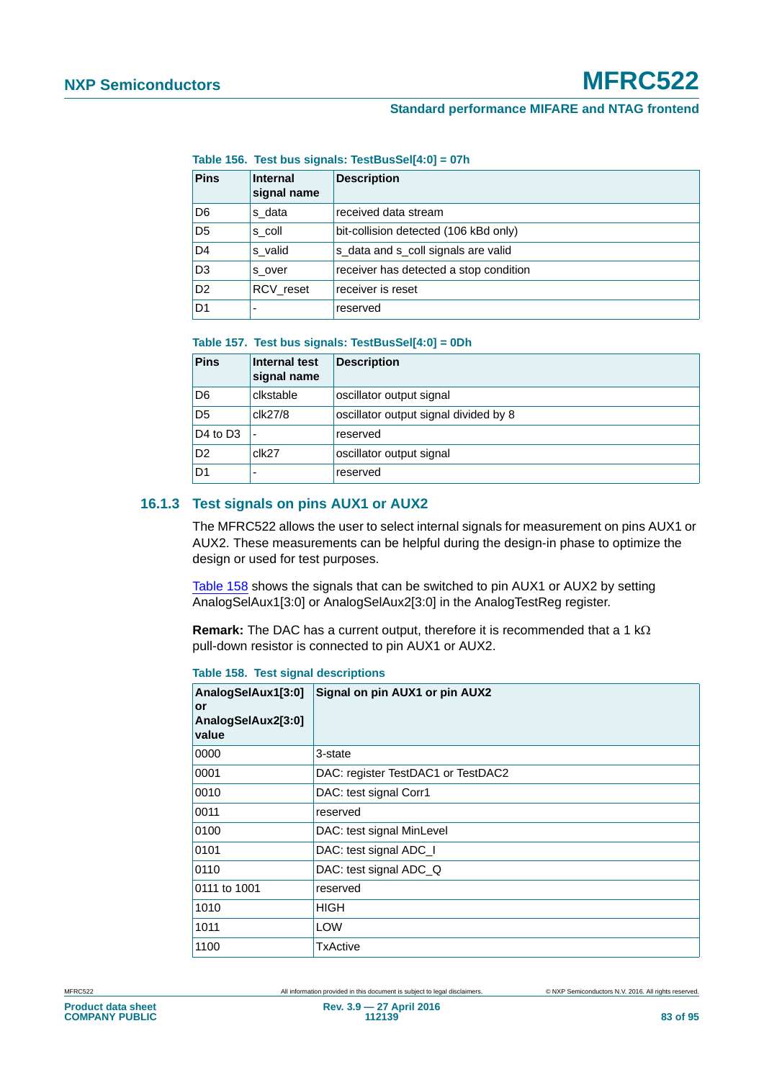<span id="page-82-0"></span>**Table 156. Test bus signals: TestBusSel[4:0] = 07h**

| <b>Pins</b>    | <b>Internal</b><br>signal name | <b>Description</b>                     |
|----------------|--------------------------------|----------------------------------------|
| D6             | s data                         | received data stream                   |
| D <sub>5</sub> | s coll                         | bit-collision detected (106 kBd only)  |
| D <sub>4</sub> | s valid                        | s data and s coll signals are valid    |
| D <sub>3</sub> | s over                         | receiver has detected a stop condition |
| D <sub>2</sub> | RCV reset                      | receiver is reset                      |
| D <sub>1</sub> | -                              | reserved                               |

#### <span id="page-82-1"></span>**Table 157. Test bus signals: TestBusSel[4:0] = 0Dh**

| <b>Pins</b>                      | Internal test<br>signal name | Description                           |
|----------------------------------|------------------------------|---------------------------------------|
| D <sub>6</sub>                   | clkstable                    | oscillator output signal              |
| D <sub>5</sub>                   | clk27/8                      | oscillator output signal divided by 8 |
| D <sub>4</sub> to D <sub>3</sub> |                              | reserved                              |
| D <sub>2</sub>                   | clk27                        | oscillator output signal              |
| D1                               |                              | reserved                              |

#### <span id="page-82-3"></span>**16.1.3 Test signals on pins AUX1 or AUX2**

The MFRC522 allows the user to select internal signals for measurement on pins AUX1 or AUX2. These measurements can be helpful during the design-in phase to optimize the design or used for test purposes.

[Table 158](#page-82-2) shows the signals that can be switched to pin AUX1 or AUX2 by setting AnalogSelAux1[3:0] or AnalogSelAux2[3:0] in the AnalogTestReg register.

**Remark:** The DAC has a current output, therefore it is recommended that a 1  $k\Omega$ pull-down resistor is connected to pin AUX1 or AUX2.

<span id="page-82-2"></span>**Table 158. Test signal descriptions**

| AnalogSelAux1[3:0]<br>or<br>AnalogSelAux2[3:0]<br>value | Signal on pin AUX1 or pin AUX2     |
|---------------------------------------------------------|------------------------------------|
| 0000                                                    | 3-state                            |
| 0001                                                    | DAC: register TestDAC1 or TestDAC2 |
| 0010                                                    | DAC: test signal Corr1             |
| 0011                                                    | reserved                           |
| 0100                                                    | DAC: test signal MinLevel          |
| 0101                                                    | DAC: test signal ADC_I             |
| 0110                                                    | DAC: test signal ADC_Q             |
| 0111 to 1001                                            | reserved                           |
| 1010                                                    | <b>HIGH</b>                        |
| 1011                                                    | <b>LOW</b>                         |
| 1100                                                    | TxActive                           |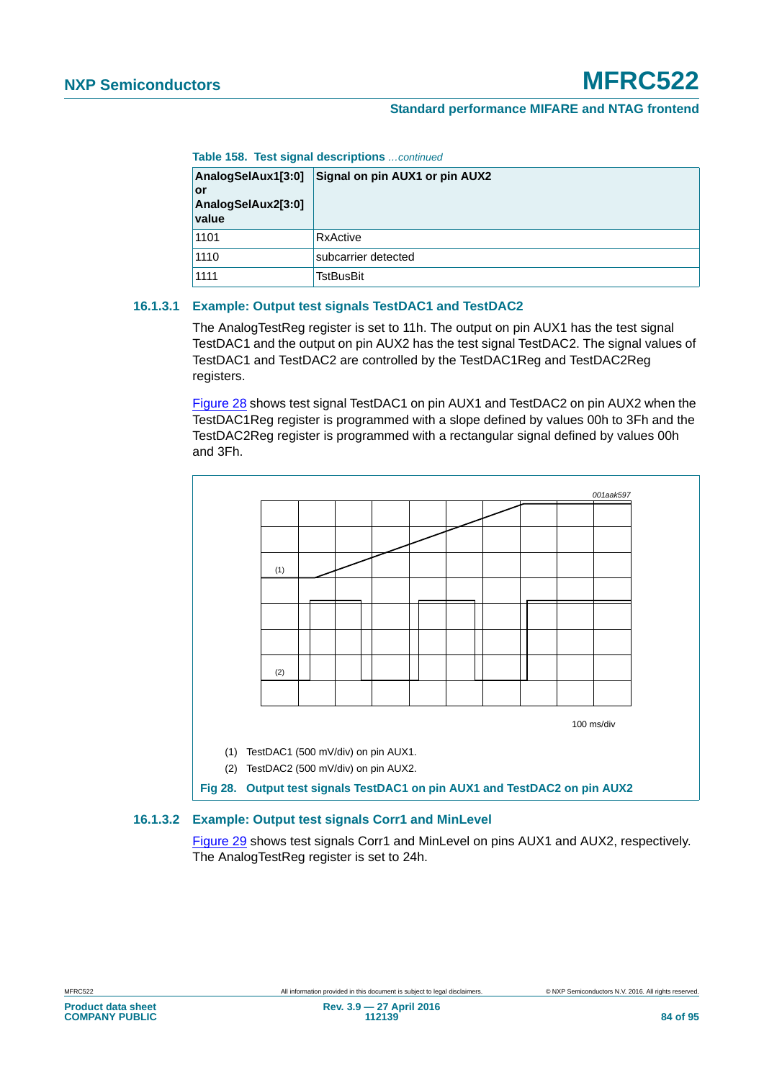**Table 158. Test signal descriptions** *…continued*

| AnalogSelAux1[3:0]<br>or<br>AnalogSelAux2[3:0]<br>value | Signal on pin AUX1 or pin AUX2 |
|---------------------------------------------------------|--------------------------------|
| 1101                                                    | RxActive                       |
| 1110                                                    | subcarrier detected            |
| 1111                                                    | <b>TstBusBit</b>               |

#### <span id="page-83-1"></span>**16.1.3.1 Example: Output test signals TestDAC1 and TestDAC2**

The AnalogTestReg register is set to 11h. The output on pin AUX1 has the test signal TestDAC1 and the output on pin AUX2 has the test signal TestDAC2. The signal values of TestDAC1 and TestDAC2 are controlled by the TestDAC1Reg and TestDAC2Reg registers.

[Figure 28](#page-83-0) shows test signal TestDAC1 on pin AUX1 and TestDAC2 on pin AUX2 when the TestDAC1Reg register is programmed with a slope defined by values 00h to 3Fh and the TestDAC2Reg register is programmed with a rectangular signal defined by values 00h and 3Fh.



#### <span id="page-83-2"></span>**16.1.3.2 Example: Output test signals Corr1 and MinLevel**

<span id="page-83-0"></span>[Figure 29](#page-84-0) shows test signals Corr1 and MinLevel on pins AUX1 and AUX2, respectively. The AnalogTestReg register is set to 24h.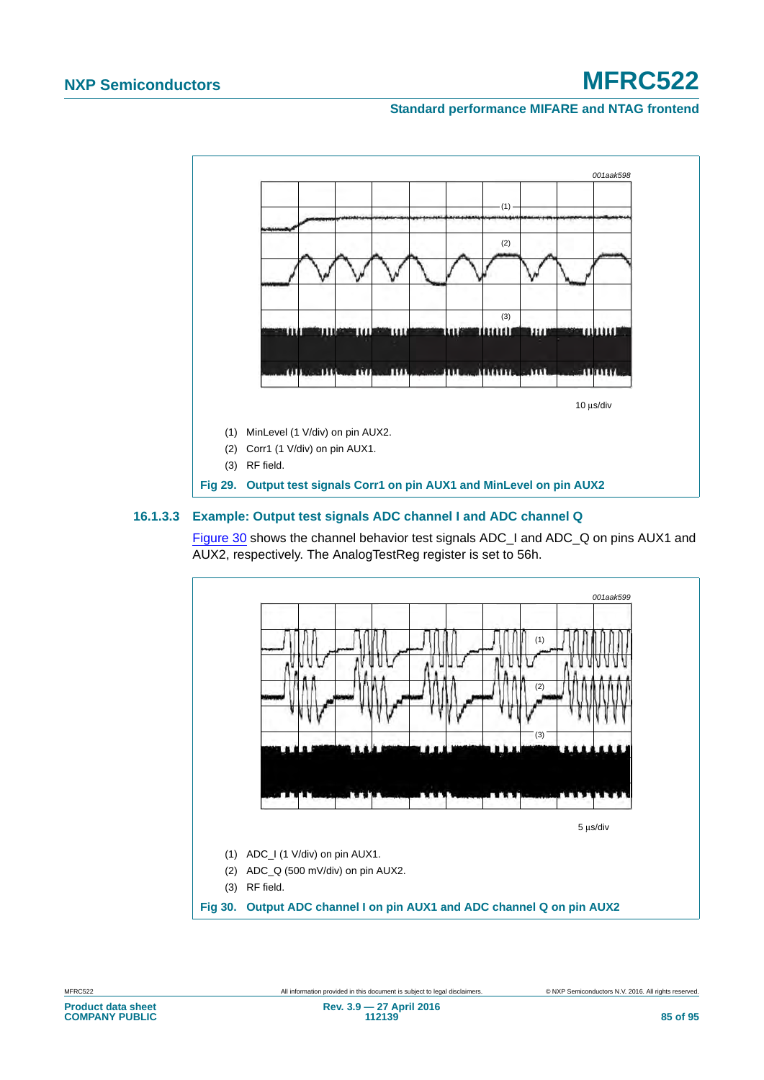#### **Standard performance MIFARE and NTAG frontend**



#### <span id="page-84-2"></span>**16.1.3.3 Example: Output test signals ADC channel I and ADC channel Q**

<span id="page-84-0"></span>[Figure 30](#page-84-1) shows the channel behavior test signals ADC\_I and ADC\_Q on pins AUX1 and AUX2, respectively. The AnalogTestReg register is set to 56h.



<span id="page-84-1"></span>**Product data sheet COMPANY PUBLIC**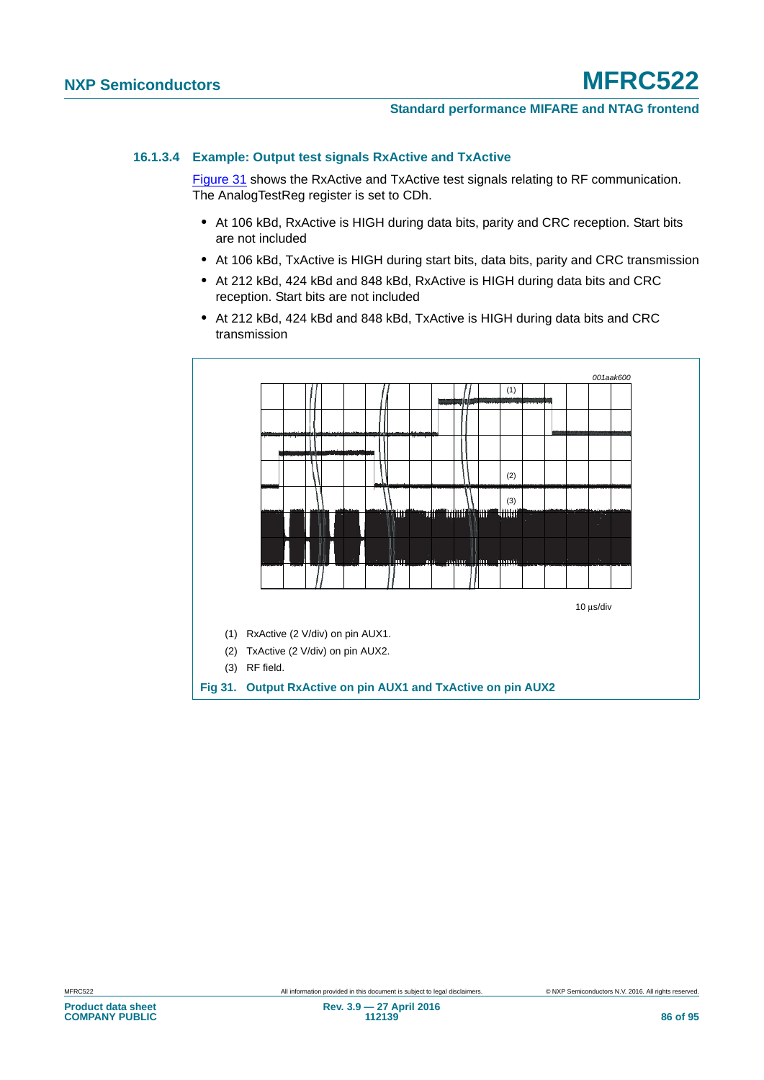#### <span id="page-85-1"></span>**16.1.3.4 Example: Output test signals RxActive and TxActive**

[Figure 31](#page-85-0) shows the RxActive and TxActive test signals relating to RF communication. The AnalogTestReg register is set to CDh.

- **•** At 106 kBd, RxActive is HIGH during data bits, parity and CRC reception. Start bits are not included
- **•** At 106 kBd, TxActive is HIGH during start bits, data bits, parity and CRC transmission
- **•** At 212 kBd, 424 kBd and 848 kBd, RxActive is HIGH during data bits and CRC reception. Start bits are not included
- **•** At 212 kBd, 424 kBd and 848 kBd, TxActive is HIGH during data bits and CRC transmission

<span id="page-85-0"></span>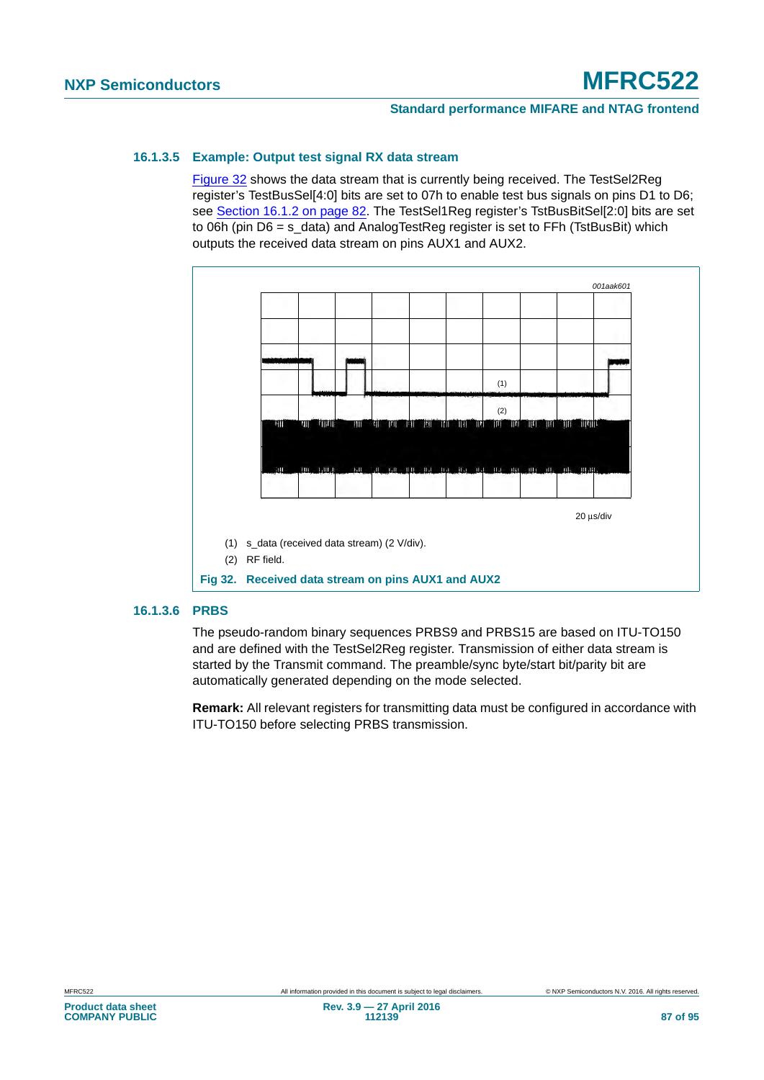#### <span id="page-86-1"></span>**16.1.3.5 Example: Output test signal RX data stream**

[Figure 32](#page-86-0) shows the data stream that is currently being received. The TestSel2Reg register's TestBusSel[4:0] bits are set to 07h to enable test bus signals on pins D1 to D6; see [Section 16.1.2 on page 82.](#page-81-0) The TestSel1Reg register's TstBusBitSel[2:0] bits are set to 06h (pin D6 = s\_data) and AnalogTestReg register is set to FFh (TstBusBit) which outputs the received data stream on pins AUX1 and AUX2.



#### <span id="page-86-2"></span>**16.1.3.6 PRBS**

<span id="page-86-0"></span>The pseudo-random binary sequences PRBS9 and PRBS15 are based on ITU-TO150 and are defined with the TestSel2Reg register. Transmission of either data stream is started by the Transmit command. The preamble/sync byte/start bit/parity bit are automatically generated depending on the mode selected.

**Remark:** All relevant registers for transmitting data must be configured in accordance with ITU-TO150 before selecting PRBS transmission.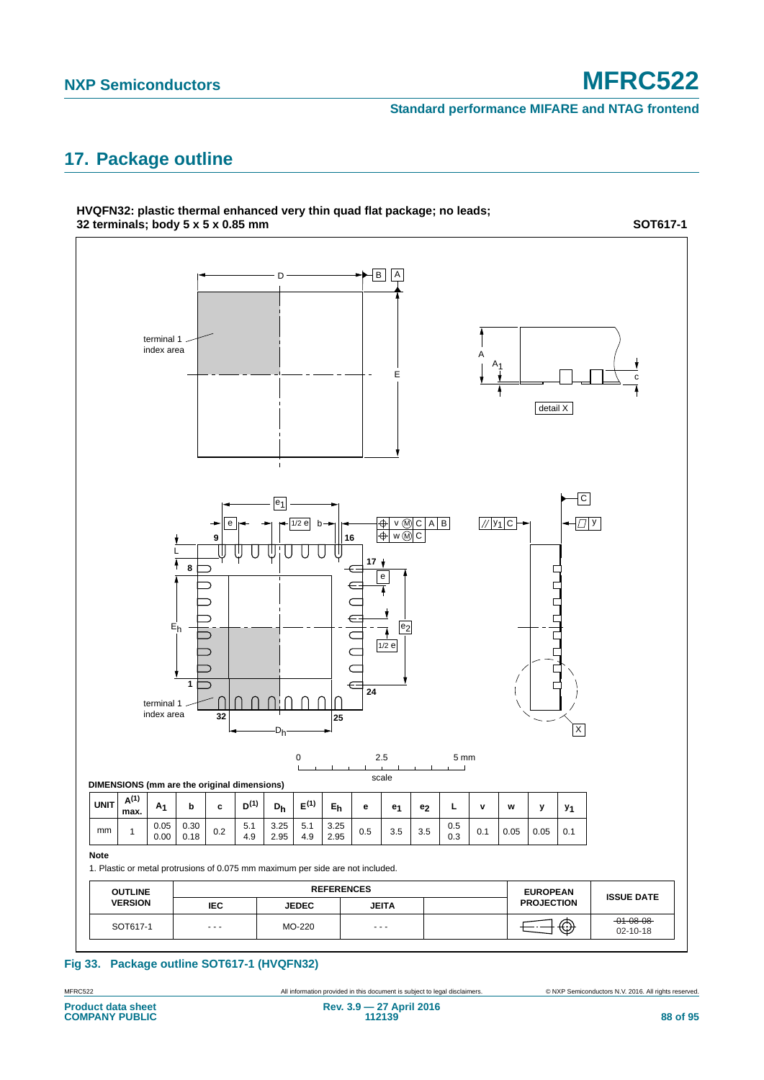**Standard performance MIFARE and NTAG frontend**

# <span id="page-87-0"></span>**17. Package outline**

**HVQFN32: plastic thermal enhanced very thin quad flat package; no leads;**



#### **Fig 33. Package outline SOT617-1 (HVQFN32)**

MFRC522 All information provided in this document is subject to legal disclaimers. © NXP Semiconductors N.V. 2016. All rights reserved.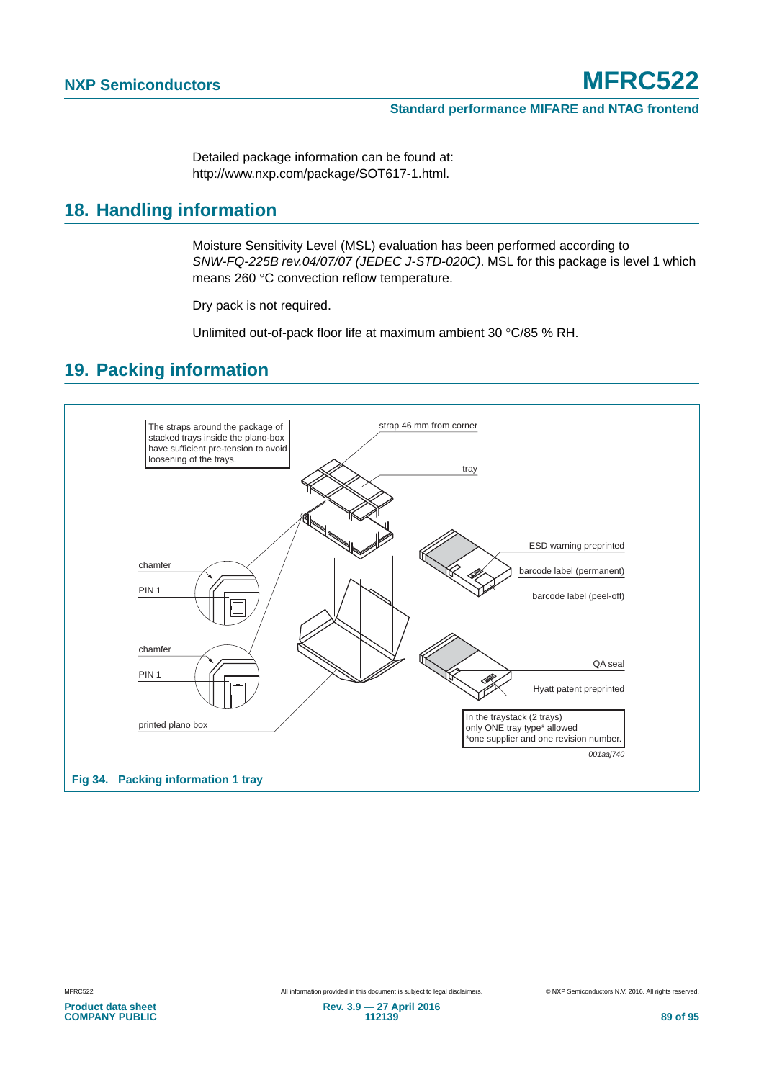Detailed package information can be found at: http://www.nxp.com/package/SOT617-1.html.

### <span id="page-88-0"></span>**18. Handling information**

Moisture Sensitivity Level (MSL) evaluation has been performed according to *SNW-FQ-225B rev.04/07/07 (JEDEC J-STD-020C)*. MSL for this package is level 1 which means 260 °C convection reflow temperature.

Dry pack is not required.

Unlimited out-of-pack floor life at maximum ambient 30 °C/85 % RH.

### <span id="page-88-1"></span>**19. Packing information**

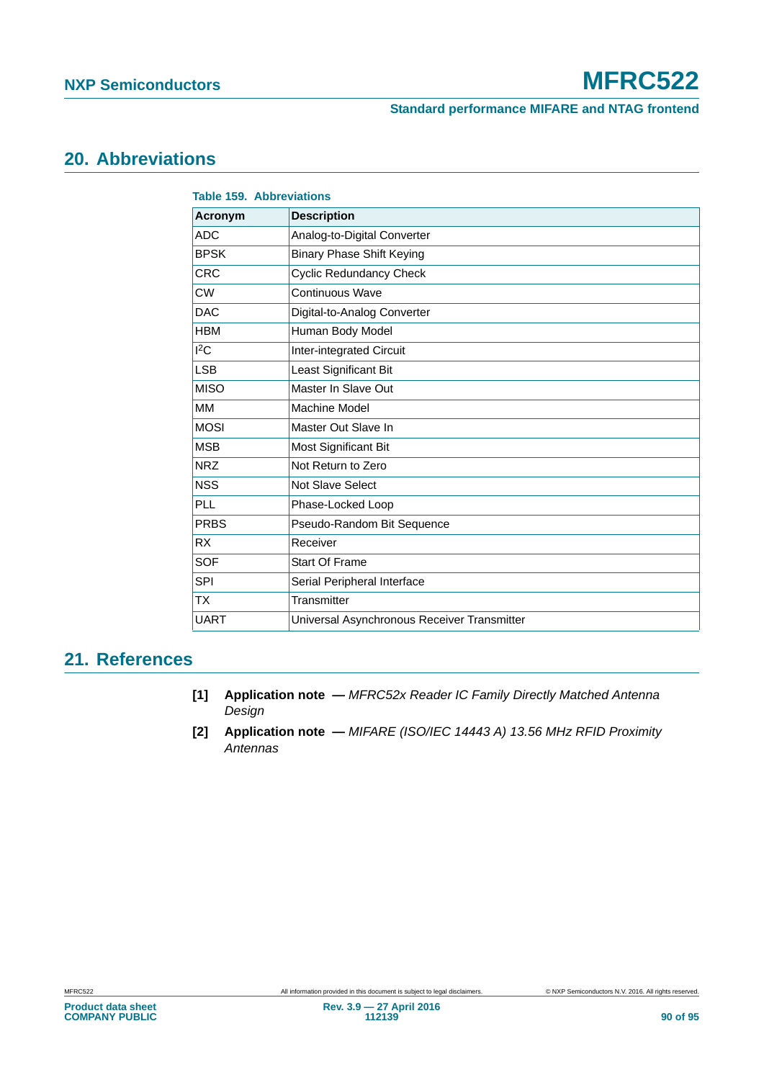**Standard performance MIFARE and NTAG frontend**

# <span id="page-89-2"></span>**20. Abbreviations**

| <b>Table 159. Abbreviations</b> |                                             |
|---------------------------------|---------------------------------------------|
| <b>Acronym</b>                  | <b>Description</b>                          |
| <b>ADC</b>                      | Analog-to-Digital Converter                 |
| <b>BPSK</b>                     | <b>Binary Phase Shift Keying</b>            |
| <b>CRC</b>                      | <b>Cyclic Redundancy Check</b>              |
| <b>CW</b>                       | Continuous Wave                             |
| <b>DAC</b>                      | Digital-to-Analog Converter                 |
| <b>HBM</b>                      | Human Body Model                            |
| 12C                             | Inter-integrated Circuit                    |
| <b>LSB</b>                      | Least Significant Bit                       |
| <b>MISO</b>                     | Master In Slave Out                         |
| <b>MM</b>                       | <b>Machine Model</b>                        |
| <b>MOSI</b>                     | Master Out Slave In                         |
| <b>MSB</b>                      | Most Significant Bit                        |
| <b>NRZ</b>                      | Not Return to Zero                          |
| <b>NSS</b>                      | <b>Not Slave Select</b>                     |
| PLL                             | Phase-Locked Loop                           |
| <b>PRBS</b>                     | Pseudo-Random Bit Sequence                  |
| <b>RX</b>                       | Receiver                                    |
| <b>SOF</b>                      | <b>Start Of Frame</b>                       |
| <b>SPI</b>                      | Serial Peripheral Interface                 |
| <b>TX</b>                       | Transmitter                                 |
| <b>UART</b>                     | Universal Asynchronous Receiver Transmitter |

### <span id="page-89-3"></span>**21. References**

- <span id="page-89-0"></span>**[1] Application note —** *MFRC52x Reader IC Family Directly Matched Antenna Design*
- <span id="page-89-1"></span>**[2] Application note —** *MIFARE (ISO/IEC 14443 A) 13.56 MHz RFID Proximity Antennas*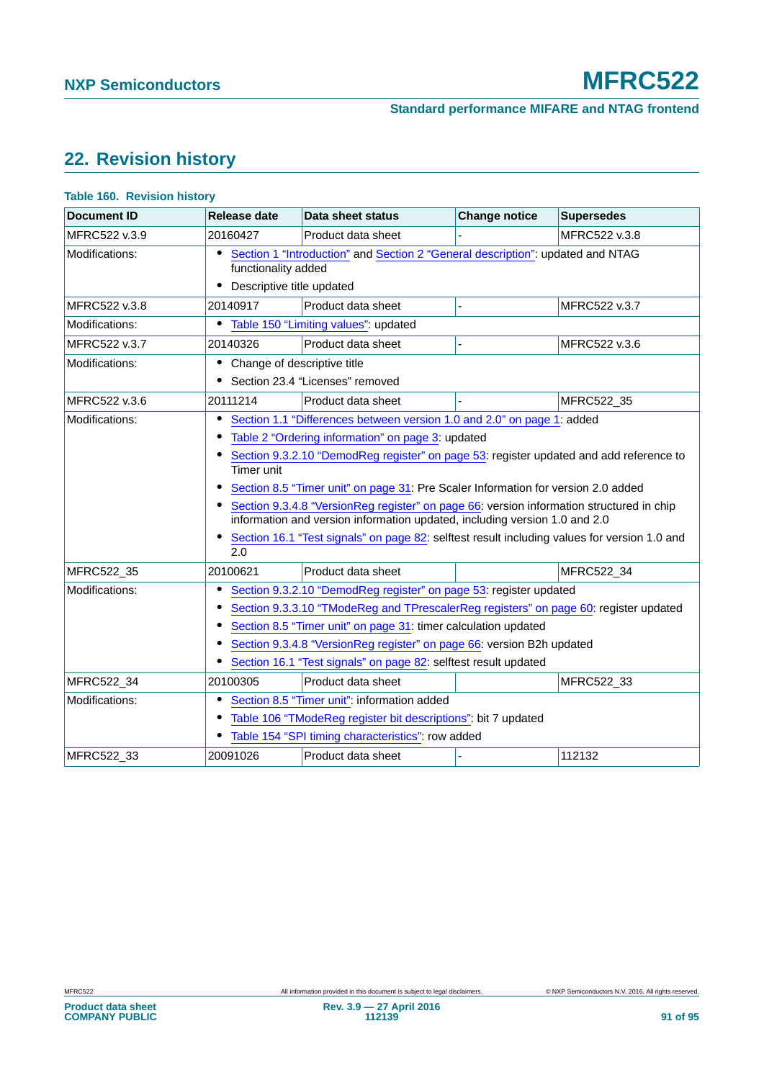# <span id="page-90-0"></span>**22. Revision history**

| <b>Document ID</b> | Release date                                          | Data sheet status                                                                                                                                                                                                                                                                                                                                                                                                                                                                                                                                                                    | <b>Change notice</b> | <b>Supersedes</b> |
|--------------------|-------------------------------------------------------|--------------------------------------------------------------------------------------------------------------------------------------------------------------------------------------------------------------------------------------------------------------------------------------------------------------------------------------------------------------------------------------------------------------------------------------------------------------------------------------------------------------------------------------------------------------------------------------|----------------------|-------------------|
| MFRC522 v.3.9      | 20160427                                              | Product data sheet                                                                                                                                                                                                                                                                                                                                                                                                                                                                                                                                                                   |                      | MFRC522 v.3.8     |
| Modifications:     | ٠<br>functionality added<br>Descriptive title updated | Section 1 "Introduction" and Section 2 "General description": updated and NTAG                                                                                                                                                                                                                                                                                                                                                                                                                                                                                                       |                      |                   |
| MFRC522 v.3.8      | 20140917                                              | Product data sheet                                                                                                                                                                                                                                                                                                                                                                                                                                                                                                                                                                   |                      | MFRC522 v.3.7     |
| Modifications:     | $\bullet$                                             | Table 150 "Limiting values": updated                                                                                                                                                                                                                                                                                                                                                                                                                                                                                                                                                 |                      |                   |
| MFRC522 v.3.7      | 20140326                                              | Product data sheet                                                                                                                                                                                                                                                                                                                                                                                                                                                                                                                                                                   |                      | MFRC522 v.3.6     |
| Modifications:     | • Change of descriptive title                         | • Section 23.4 "Licenses" removed                                                                                                                                                                                                                                                                                                                                                                                                                                                                                                                                                    |                      |                   |
| MFRC522 v.3.6      | 20111214                                              | Product data sheet                                                                                                                                                                                                                                                                                                                                                                                                                                                                                                                                                                   |                      | MFRC522_35        |
| Modifications:     | Timer unit<br>2.0                                     | Section 1.1 "Differences between version 1.0 and 2.0" on page 1: added<br>Table 2 "Ordering information" on page 3: updated<br>Section 9.3.2.10 "DemodReg register" on page 53: register updated and add reference to<br>Section 8.5 "Timer unit" on page 31: Pre Scaler Information for version 2.0 added<br>Section 9.3.4.8 "VersionReg register" on page 66: version information structured in chip<br>information and version information updated, including version 1.0 and 2.0<br>Section 16.1 "Test signals" on page 82: selftest result including values for version 1.0 and |                      |                   |
| MFRC522 35         | 20100621                                              | Product data sheet                                                                                                                                                                                                                                                                                                                                                                                                                                                                                                                                                                   |                      | MFRC522 34        |
| Modifications:     | $\bullet$                                             | Section 9.3.2.10 "DemodReg register" on page 53: register updated<br>Section 9.3.3.10 "TModeReg and TPrescalerReg registers" on page 60: register updated<br>Section 8.5 "Timer unit" on page 31: timer calculation updated<br>Section 9.3.4.8 "VersionReg register" on page 66: version B2h updated<br>Section 16.1 "Test signals" on page 82: selftest result updated                                                                                                                                                                                                              |                      |                   |
| MFRC522_34         | 20100305                                              | Product data sheet                                                                                                                                                                                                                                                                                                                                                                                                                                                                                                                                                                   |                      | MFRC522_33        |
| Modifications:     |                                                       | Section 8.5 "Timer unit": information added<br>Table 106 "TModeReg register bit descriptions": bit 7 updated<br>Table 154 "SPI timing characteristics": row added                                                                                                                                                                                                                                                                                                                                                                                                                    |                      |                   |
| MFRC522 33         | 20091026                                              | Product data sheet                                                                                                                                                                                                                                                                                                                                                                                                                                                                                                                                                                   |                      | 112132            |

#### **Table 160. Revision history**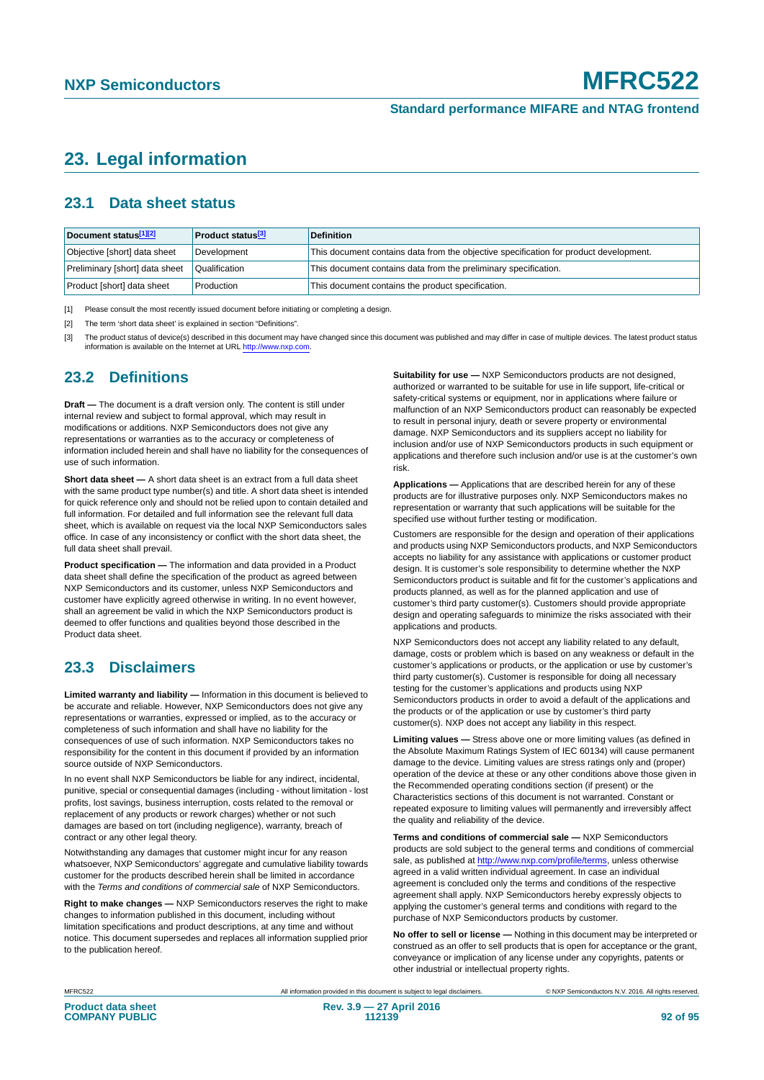## <span id="page-91-3"></span>**23. Legal information**

### <span id="page-91-4"></span>**23.1 Data sheet status**

| Document status[1][2]          | <b>Product status</b> <sup>[3]</sup> | <b>Definition</b>                                                                     |
|--------------------------------|--------------------------------------|---------------------------------------------------------------------------------------|
| Objective [short] data sheet   | Development                          | This document contains data from the objective specification for product development. |
| Preliminary [short] data sheet | Qualification                        | This document contains data from the preliminary specification.                       |
| Product [short] data sheet     | Production                           | This document contains the product specification.                                     |

<span id="page-91-0"></span>[1] Please consult the most recently issued document before initiating or completing a design.

<span id="page-91-1"></span>[2] The term 'short data sheet' is explained in section "Definitions".

<span id="page-91-2"></span>[3] The product status of device(s) described in this document may have changed since this document was published and may differ in case of multiple devices. The latest product status<br>information is available on the Intern

### <span id="page-91-5"></span>**23.2 Definitions**

**Draft —** The document is a draft version only. The content is still under internal review and subject to formal approval, which may result in modifications or additions. NXP Semiconductors does not give any representations or warranties as to the accuracy or completeness of information included herein and shall have no liability for the consequences of use of such information.

**Short data sheet —** A short data sheet is an extract from a full data sheet with the same product type number(s) and title. A short data sheet is intended for quick reference only and should not be relied upon to contain detailed and full information. For detailed and full information see the relevant full data sheet, which is available on request via the local NXP Semiconductors sales office. In case of any inconsistency or conflict with the short data sheet, the full data sheet shall prevail.

**Product specification —** The information and data provided in a Product data sheet shall define the specification of the product as agreed between NXP Semiconductors and its customer, unless NXP Semiconductors and customer have explicitly agreed otherwise in writing. In no event however, shall an agreement be valid in which the NXP Semiconductors product is deemed to offer functions and qualities beyond those described in the Product data sheet.

### <span id="page-91-6"></span>**23.3 Disclaimers**

**Limited warranty and liability —** Information in this document is believed to be accurate and reliable. However, NXP Semiconductors does not give any representations or warranties, expressed or implied, as to the accuracy or completeness of such information and shall have no liability for the consequences of use of such information. NXP Semiconductors takes no responsibility for the content in this document if provided by an information source outside of NXP Semiconductors.

In no event shall NXP Semiconductors be liable for any indirect, incidental, punitive, special or consequential damages (including - without limitation - lost profits, lost savings, business interruption, costs related to the removal or replacement of any products or rework charges) whether or not such damages are based on tort (including negligence), warranty, breach of contract or any other legal theory.

Notwithstanding any damages that customer might incur for any reason whatsoever, NXP Semiconductors' aggregate and cumulative liability towards customer for the products described herein shall be limited in accordance with the *Terms and conditions of commercial sale* of NXP Semiconductors.

**Right to make changes —** NXP Semiconductors reserves the right to make changes to information published in this document, including without limitation specifications and product descriptions, at any time and without notice. This document supersedes and replaces all information supplied prior to the publication hereof.

**Suitability for use —** NXP Semiconductors products are not designed, authorized or warranted to be suitable for use in life support, life-critical or safety-critical systems or equipment, nor in applications where failure or malfunction of an NXP Semiconductors product can reasonably be expected to result in personal injury, death or severe property or environmental damage. NXP Semiconductors and its suppliers accept no liability for inclusion and/or use of NXP Semiconductors products in such equipment or applications and therefore such inclusion and/or use is at the customer's own risk.

**Applications —** Applications that are described herein for any of these products are for illustrative purposes only. NXP Semiconductors makes no representation or warranty that such applications will be suitable for the specified use without further testing or modification.

Customers are responsible for the design and operation of their applications and products using NXP Semiconductors products, and NXP Semiconductors accepts no liability for any assistance with applications or customer product design. It is customer's sole responsibility to determine whether the NXP Semiconductors product is suitable and fit for the customer's applications and products planned, as well as for the planned application and use of customer's third party customer(s). Customers should provide appropriate design and operating safeguards to minimize the risks associated with their applications and products.

NXP Semiconductors does not accept any liability related to any default. damage, costs or problem which is based on any weakness or default in the customer's applications or products, or the application or use by customer's third party customer(s). Customer is responsible for doing all necessary testing for the customer's applications and products using NXP Semiconductors products in order to avoid a default of the applications and the products or of the application or use by customer's third party customer(s). NXP does not accept any liability in this respect.

**Limiting values —** Stress above one or more limiting values (as defined in the Absolute Maximum Ratings System of IEC 60134) will cause permanent damage to the device. Limiting values are stress ratings only and (proper) operation of the device at these or any other conditions above those given in the Recommended operating conditions section (if present) or the Characteristics sections of this document is not warranted. Constant or repeated exposure to limiting values will permanently and irreversibly affect the quality and reliability of the device.

**Terms and conditions of commercial sale —** NXP Semiconductors products are sold subject to the general terms and conditions of commercial sale, as published at<http://www.nxp.com/profile/terms>, unless otherwise agreed in a valid written individual agreement. In case an individual agreement is concluded only the terms and conditions of the respective agreement shall apply. NXP Semiconductors hereby expressly objects to applying the customer's general terms and conditions with regard to the purchase of NXP Semiconductors products by customer.

**No offer to sell or license —** Nothing in this document may be interpreted or construed as an offer to sell products that is open for acceptance or the grant, conveyance or implication of any license under any copyrights, patents or other industrial or intellectual property rights.

MFRC522 All information provided in this document is subject to legal disclaimers. © NXP Semiconductors N.V. 2016. All rights reserved.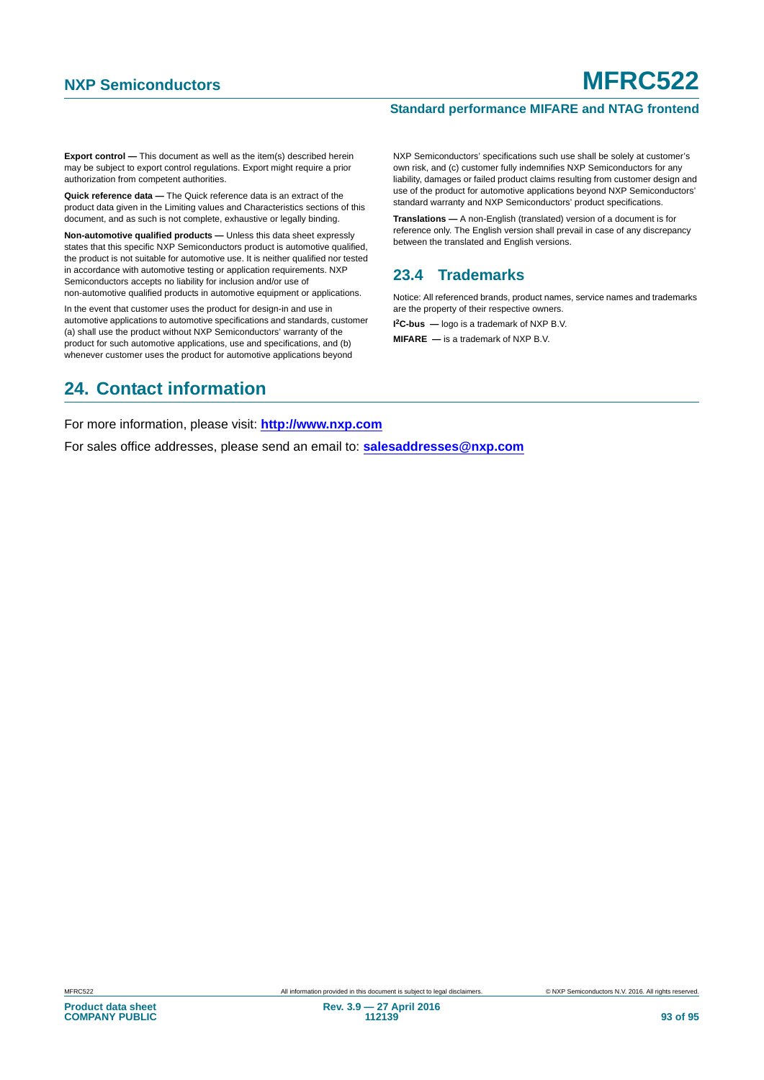#### **Standard performance MIFARE and NTAG frontend**

**Export control —** This document as well as the item(s) described herein may be subject to export control regulations. Export might require a prior authorization from competent authorities.

**Quick reference data —** The Quick reference data is an extract of the product data given in the Limiting values and Characteristics sections of this document, and as such is not complete, exhaustive or legally binding.

**Non-automotive qualified products —** Unless this data sheet expressly states that this specific NXP Semiconductors product is automotive qualified, the product is not suitable for automotive use. It is neither qualified nor tested in accordance with automotive testing or application requirements. NXP Semiconductors accepts no liability for inclusion and/or use of non-automotive qualified products in automotive equipment or applications.

In the event that customer uses the product for design-in and use in automotive applications to automotive specifications and standards, customer (a) shall use the product without NXP Semiconductors' warranty of the product for such automotive applications, use and specifications, and (b) whenever customer uses the product for automotive applications beyond

### <span id="page-92-1"></span>**24. Contact information**

NXP Semiconductors' specifications such use shall be solely at customer's own risk, and (c) customer fully indemnifies NXP Semiconductors for any liability, damages or failed product claims resulting from customer design and use of the product for automotive applications beyond NXP Semiconductors' standard warranty and NXP Semiconductors' product specifications.

**Translations —** A non-English (translated) version of a document is for reference only. The English version shall prevail in case of any discrepancy between the translated and English versions.

### <span id="page-92-0"></span>**23.4 Trademarks**

Notice: All referenced brands, product names, service names and trademarks are the property of their respective owners.

**I 2C-bus —** logo is a trademark of NXP B.V.

**MIFARE —** is a trademark of NXP B.V.

For more information, please visit: **http://www.nxp.com**

For sales office addresses, please send an email to: **salesaddresses@nxp.com**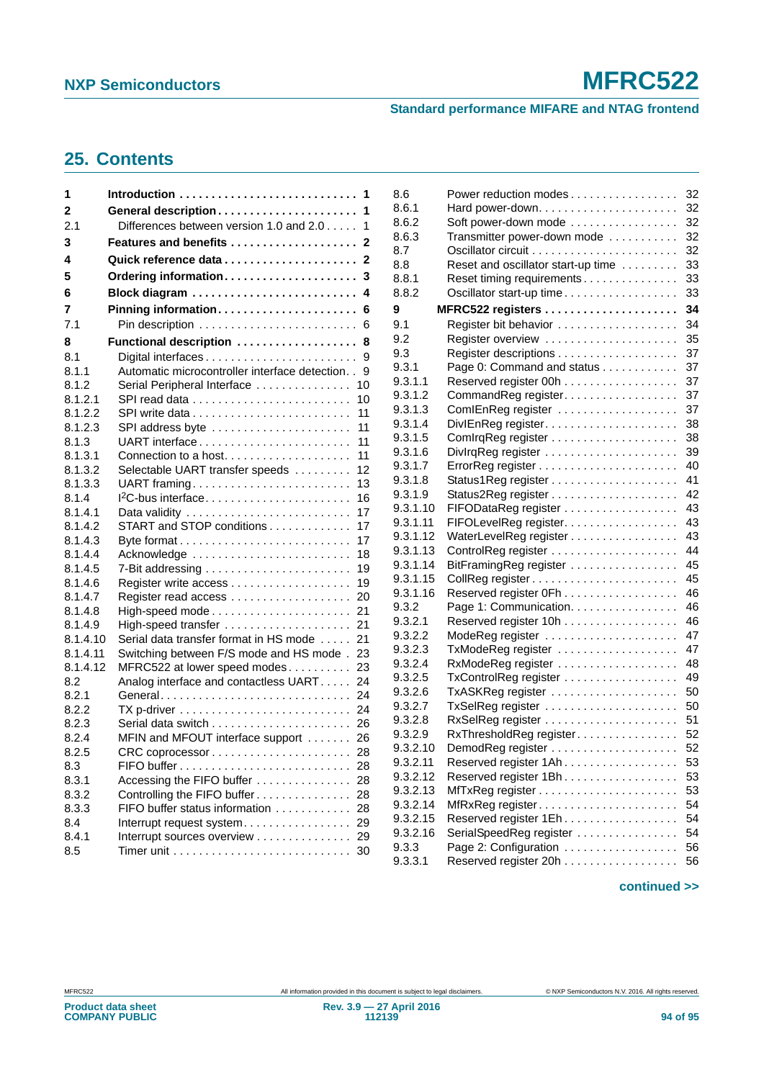#### **Standard performance MIFARE and NTAG frontend**

# <span id="page-93-0"></span>**25. Contents**

| 1              |                                                                               |
|----------------|-------------------------------------------------------------------------------|
| 2              | 1                                                                             |
| 2.1            | Differences between version 1.0 and 2.0<br>1                                  |
| 3              |                                                                               |
| 4              |                                                                               |
| 5              | Ordering information<br>3                                                     |
| 6              | 4                                                                             |
| 7              | Pinning information<br>6                                                      |
| 7.1            | 6                                                                             |
| 8              | Functional description<br>8                                                   |
| 8.1            | 9                                                                             |
| 8.1.1          | Automatic microcontroller interface detection. .<br>9                         |
| 8.1.2          | Serial Peripheral Interface<br>10                                             |
| 8.1.2.1        | 10                                                                            |
| 8.1.2.2        | 11                                                                            |
| 8.1.2.3        | 11<br>SPI address byte                                                        |
| 8.1.3          | 11                                                                            |
| 8.1.3.1        | 11<br>Connection to a host                                                    |
| 8.1.3.2        | Selectable UART transfer speeds<br>12                                         |
| 8.1.3.3        | UART framing<br>13                                                            |
| 8.1.4          | 16                                                                            |
| 8.1.4.1        | 17                                                                            |
| 8.1.4.2        | START and STOP conditions<br>17                                               |
| 8.1.4.3        | 17                                                                            |
| 8.1.4.4        | Acknowledge<br>18                                                             |
| 8.1.4.5        | 7-Bit addressing $\ldots \ldots \ldots \ldots \ldots \ldots \ldots$<br>19     |
| 8.1.4.6        | 19                                                                            |
| 8.1.4.7        | Register read access<br>20                                                    |
| 8.1.4.8        | 21                                                                            |
| 8.1.4.9        | 21<br>High-speed transfer                                                     |
| 8.1.4.10       | Serial data transfer format in HS mode<br>21                                  |
| 8.1.4.11       | Switching between F/S mode and HS mode.<br>23                                 |
| 8.1.4.12       | 23<br>MFRC522 at lower speed modes                                            |
| 8.2            | Analog interface and contactless UART<br>24                                   |
| 8.2.1          | 24<br>General                                                                 |
| 8.2.2          | 24<br>$TX$ p-driver $\ldots \ldots \ldots \ldots \ldots \ldots \ldots \ldots$ |
| 8.2.3<br>8.2.4 | 26                                                                            |
|                | MFIN and MFOUT interface support<br>26                                        |
| 8.2.5          | 28                                                                            |
| 8.3<br>8.3.1   | 28<br>Accessing the FIFO buffer<br>28                                         |
| 8.3.2          | Controlling the FIFO buffer<br>28                                             |
| 8.3.3          | FIFO buffer status information<br>28                                          |
| 8.4            | Interrupt request system<br>29                                                |
| 8.4.1          | Interrupt sources overview<br>29                                              |
| 8.5            | Timer unit $\ldots \ldots \ldots \ldots \ldots \ldots \ldots \ldots$<br>30    |
|                |                                                                               |

| 8.6      | Power reduction modes              | 32 |
|----------|------------------------------------|----|
| 8.6.1    |                                    | 32 |
| 8.6.2    | Soft power-down mode               | 32 |
| 8.6.3    | Transmitter power-down mode        | 32 |
| 8.7      |                                    | 32 |
| 8.8      | Reset and oscillator start-up time | 33 |
| 8.8.1    | Reset timing requirements          | 33 |
| 8.8.2    | Oscillator start-up time           | 33 |
| 9        | MFRC522 registers                  | 34 |
| 9.1      |                                    | 34 |
| 9.2      |                                    | 35 |
| 9.3      |                                    | 37 |
| 9.3.1    | Page 0: Command and status         | 37 |
| 9.3.1.1  | Reserved register 00h              | 37 |
| 9.3.1.2  | CommandReg register.               | 37 |
| 9.3.1.3  | ComIEnReg register                 | 37 |
| 9.3.1.4  | DivIEnReg register                 | 38 |
| 9.3.1.5  |                                    | 38 |
| 9.3.1.6  |                                    | 39 |
| 9.3.1.7  |                                    | 40 |
| 9.3.1.8  |                                    | 41 |
| 9.3.1.9  |                                    | 42 |
| 9.3.1.10 | FIFODataReg register               | 43 |
| 9.3.1.11 | FIFOLevelReg register.             | 43 |
| 9.3.1.12 | WaterLevelReg register             | 43 |
| 9.3.1.13 |                                    | 44 |
| 9.3.1.14 | BitFramingReg register             | 45 |
| 9.3.1.15 |                                    | 45 |
| 9.3.1.16 | Reserved register 0Fh              | 46 |
| 9.3.2    | Page 1: Communication.             | 46 |
| 9.3.2.1  | Reserved register 10h              | 46 |
| 9.3.2.2  | ModeReg register                   | 47 |
| 9.3.2.3  | TxModeReg register                 | 47 |
| 9.3.2.4  |                                    | 48 |
| 9.3.2.5  | TxControlReg register              | 49 |
| 9.3.2.6  |                                    | 50 |
| 9.3.2.7  | TxSelReg register                  | 50 |
| 9.3.2.8  |                                    | 51 |
| 9.3.2.9  | RxThresholdReg register            | 52 |
| 9.3.2.10 | DemodReg register<br>.             | 52 |
| 9.3.2.11 | Reserved register 1Ah              | 53 |
| 9.3.2.12 | Reserved register 1Bh              | 53 |
| 9.3.2.13 |                                    | 53 |
| 9.3.2.14 |                                    | 54 |
| 9.3.2.15 | Reserved register 1Eh              | 54 |
| 9.3.2.16 | SerialSpeedReg register            | 54 |
| 9.3.3    | Page 2: Configuration              | 56 |
| 9.3.3.1  | Reserved register 20h              | 56 |
|          |                                    |    |

#### **continued >>**